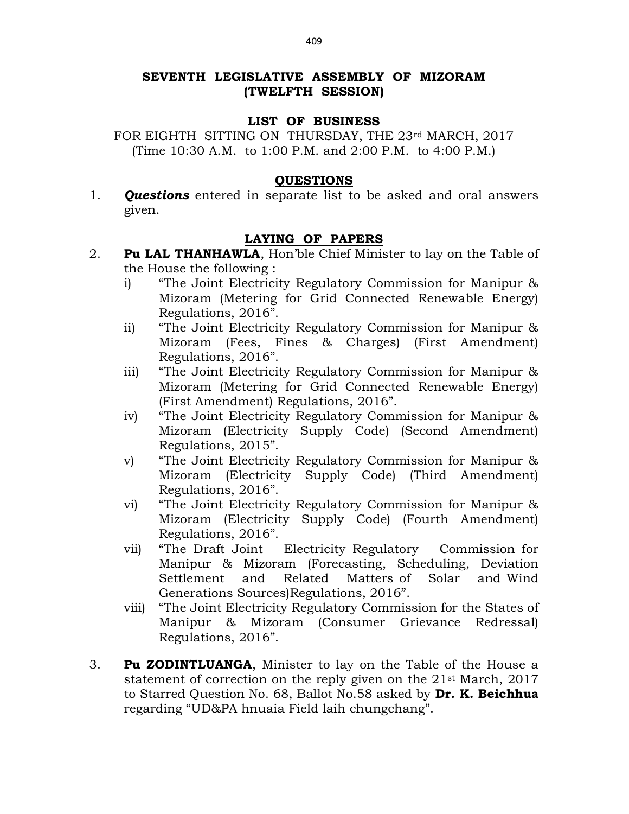# SEVENTH LEGISLATIVE ASSEMBLY OF MIZORAM (TWELFTH SESSION)

### LIST OF BUSINESS

FOR EIGHTH SITTING ON THURSDAY, THE 23rd MARCH, 2017 (Time 10:30 A.M. to 1:00 P.M. and 2:00 P.M. to 4:00 P.M.)

#### **OUESTIONS**

1. **Ouestions** entered in separate list to be asked and oral answers given.

### LAYING OF PAPERS

- 2. **Pu LAL THANHAWLA**, Hon'ble Chief Minister to lay on the Table of the House the following :
	- i) "The Joint Electricity Regulatory Commission for Manipur & Mizoram (Metering for Grid Connected Renewable Energy) Regulations, 2016".
	- ii) "The Joint Electricity Regulatory Commission for Manipur & Mizoram (Fees, Fines & Charges) (First Amendment) Regulations, 2016".
	- iii) "The Joint Electricity Regulatory Commission for Manipur & Mizoram (Metering for Grid Connected Renewable Energy) (First Amendment) Regulations, 2016".
	- iv) "The Joint Electricity Regulatory Commission for Manipur & Mizoram (Electricity Supply Code) (Second Amendment) Regulations, 2015".
	- v) "The Joint Electricity Regulatory Commission for Manipur & Mizoram (Electricity Supply Code) (Third Amendment) Regulations, 2016".
	- vi) "The Joint Electricity Regulatory Commission for Manipur & Mizoram (Electricity Supply Code) (Fourth Amendment) Regulations, 2016".
	- vii) "The Draft Joint Electricity Regulatory Commission for Manipur & Mizoram (Forecasting, Scheduling, Deviation Settlement and Related Matters of Solar and Wind Generations Sources)Regulations, 2016".
	- viii) "The Joint Electricity Regulatory Commission for the States of Manipur & Mizoram (Consumer Grievance Redressal) Regulations, 2016".
- 3. Pu ZODINTLUANGA, Minister to lay on the Table of the House a statement of correction on the reply given on the 21st March, 2017 to Starred Question No. 68, Ballot No.58 asked by Dr. K. Beichhua regarding "UD&PA hnuaia Field laih chungchang".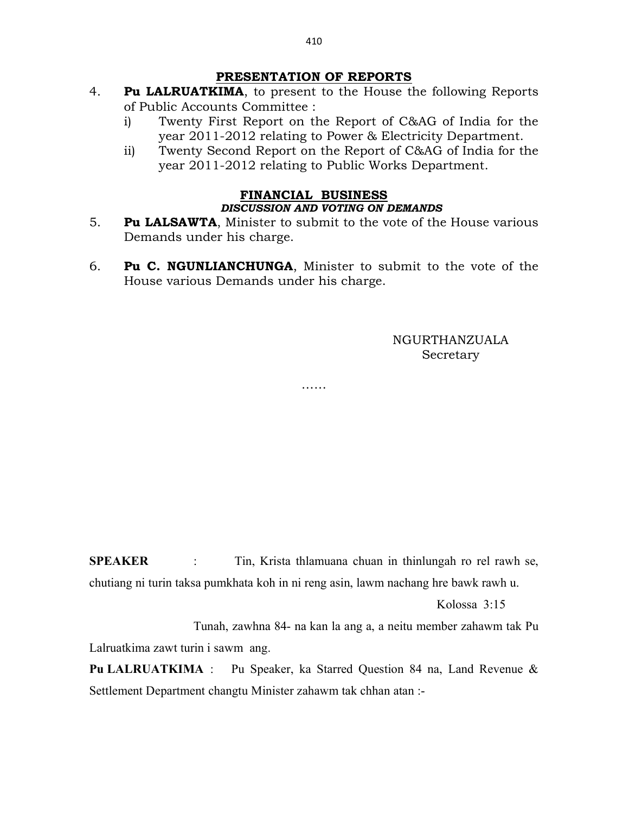## PRESENTATION OF REPORTS

- 4. Pu LALRUATKIMA, to present to the House the following Reports of Public Accounts Committee :
	- i) Twenty First Report on the Report of C&AG of India for the year 2011-2012 relating to Power & Electricity Department.
	- ii) Twenty Second Report on the Report of C&AG of India for the year 2011-2012 relating to Public Works Department.

## FINANCIAL BUSINESS DISCUSSION AND VOTING ON DEMANDS

- 5. Pu LALSAWTA, Minister to submit to the vote of the House various Demands under his charge.
- 6. Pu C. NGUNLIANCHUNGA, Minister to submit to the vote of the House various Demands under his charge.

……

# NGURTHANZUALA Secretary

SPEAKER : Tin, Krista thlamuana chuan in thinlungah ro rel rawh se, chutiang ni turin taksa pumkhata koh in ni reng asin, lawm nachang hre bawk rawh u.

Kolossa 3:15

 Tunah, zawhna 84- na kan la ang a, a neitu member zahawm tak Pu Lalruatkima zawt turin i sawm ang.

Pu LALRUATKIMA : Pu Speaker, ka Starred Question 84 na, Land Revenue & Settlement Department changtu Minister zahawm tak chhan atan :-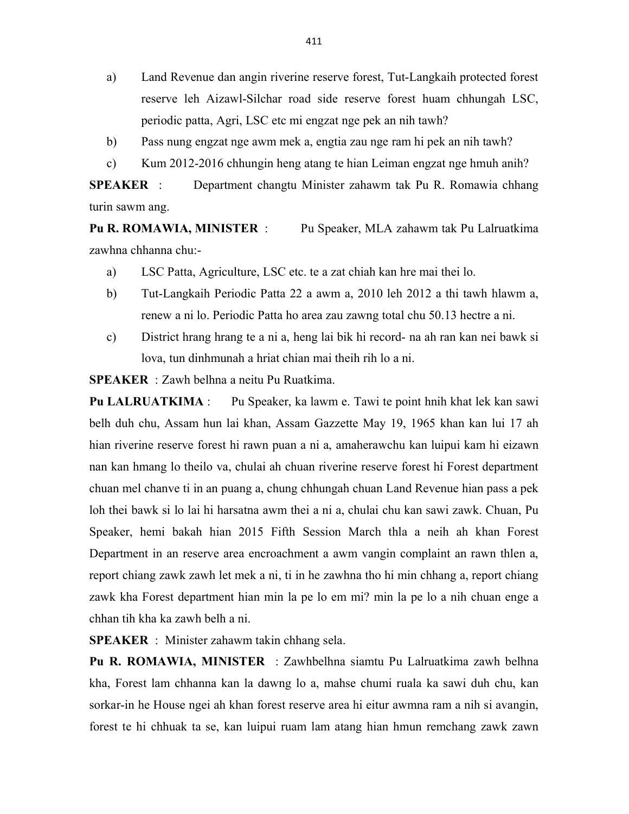- a) Land Revenue dan angin riverine reserve forest, Tut-Langkaih protected forest reserve leh Aizawl-Silchar road side reserve forest huam chhungah LSC, periodic patta, Agri, LSC etc mi engzat nge pek an nih tawh?
- b) Pass nung engzat nge awm mek a, engtia zau nge ram hi pek an nih tawh?
- c) Kum 2012-2016 chhungin heng atang te hian Leiman engzat nge hmuh anih?

SPEAKER : Department changtu Minister zahawm tak Pu R. Romawia chhang turin sawm ang.

Pu R. ROMAWIA, MINISTER : Pu Speaker, MLA zahawm tak Pu Lalruatkima zawhna chhanna chu:-

- a) LSC Patta, Agriculture, LSC etc. te a zat chiah kan hre mai thei lo.
- b) Tut-Langkaih Periodic Patta 22 a awm a, 2010 leh 2012 a thi tawh hlawm a, renew a ni lo. Periodic Patta ho area zau zawng total chu 50.13 hectre a ni.
- c) District hrang hrang te a ni a, heng lai bik hi record- na ah ran kan nei bawk si lova, tun dinhmunah a hriat chian mai theih rih lo a ni.

SPEAKER : Zawh belhna a neitu Pu Ruatkima.

Pu LALRUATKIMA : Pu Speaker, ka lawm e. Tawi te point hnih khat lek kan sawi belh duh chu, Assam hun lai khan, Assam Gazzette May 19, 1965 khan kan lui 17 ah hian riverine reserve forest hi rawn puan a ni a, amaherawchu kan luipui kam hi eizawn nan kan hmang lo theilo va, chulai ah chuan riverine reserve forest hi Forest department chuan mel chanve ti in an puang a, chung chhungah chuan Land Revenue hian pass a pek loh thei bawk si lo lai hi harsatna awm thei a ni a, chulai chu kan sawi zawk. Chuan, Pu Speaker, hemi bakah hian 2015 Fifth Session March thla a neih ah khan Forest Department in an reserve area encroachment a awm vangin complaint an rawn thlen a, report chiang zawk zawh let mek a ni, ti in he zawhna tho hi min chhang a, report chiang zawk kha Forest department hian min la pe lo em mi? min la pe lo a nih chuan enge a chhan tih kha ka zawh belh a ni.

SPEAKER : Minister zahawm takin chhang sela.

Pu R. ROMAWIA, MINISTER : Zawhbelhna siamtu Pu Lalruatkima zawh belhna kha, Forest lam chhanna kan la dawng lo a, mahse chumi ruala ka sawi duh chu, kan sorkar-in he House ngei ah khan forest reserve area hi eitur awmna ram a nih si avangin, forest te hi chhuak ta se, kan luipui ruam lam atang hian hmun remchang zawk zawn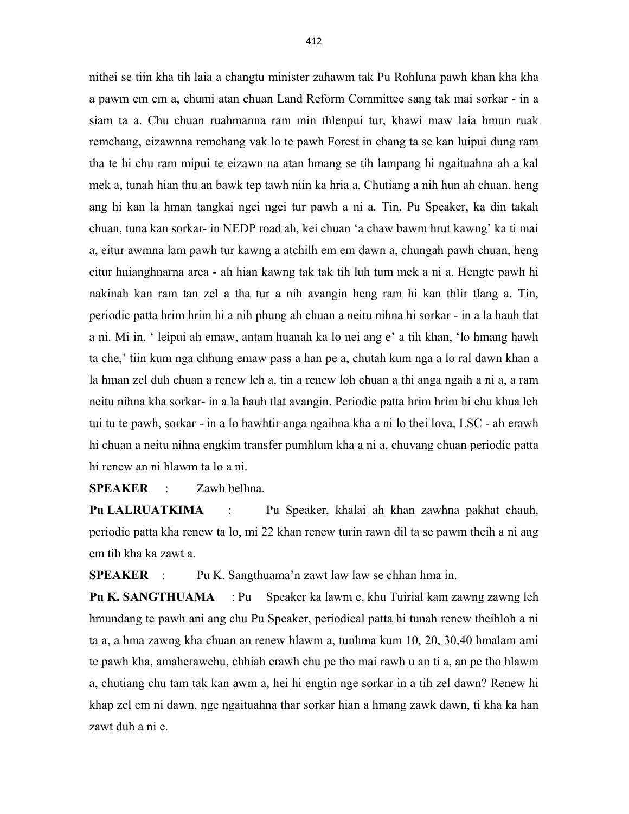nithei se tiin kha tih laia a changtu minister zahawm tak Pu Rohluna pawh khan kha kha a pawm em em a, chumi atan chuan Land Reform Committee sang tak mai sorkar - in a siam ta a. Chu chuan ruahmanna ram min thlenpui tur, khawi maw laia hmun ruak remchang, eizawnna remchang vak lo te pawh Forest in chang ta se kan luipui dung ram tha te hi chu ram mipui te eizawn na atan hmang se tih lampang hi ngaituahna ah a kal mek a, tunah hian thu an bawk tep tawh niin ka hria a. Chutiang a nih hun ah chuan, heng ang hi kan la hman tangkai ngei ngei tur pawh a ni a. Tin, Pu Speaker, ka din takah chuan, tuna kan sorkar- in NEDP road ah, kei chuan 'a chaw bawm hrut kawng' ka ti mai a, eitur awmna lam pawh tur kawng a atchilh em em dawn a, chungah pawh chuan, heng eitur hnianghnarna area - ah hian kawng tak tak tih luh tum mek a ni a. Hengte pawh hi nakinah kan ram tan zel a tha tur a nih avangin heng ram hi kan thlir tlang a. Tin, periodic patta hrim hrim hi a nih phung ah chuan a neitu nihna hi sorkar - in a la hauh tlat a ni. Mi in, ' leipui ah emaw, antam huanah ka lo nei ang e' a tih khan, 'lo hmang hawh ta che,' tiin kum nga chhung emaw pass a han pe a, chutah kum nga a lo ral dawn khan a la hman zel duh chuan a renew leh a, tin a renew loh chuan a thi anga ngaih a ni a, a ram neitu nihna kha sorkar- in a la hauh tlat avangin. Periodic patta hrim hrim hi chu khua leh tui tu te pawh, sorkar - in a lo hawhtir anga ngaihna kha a ni lo thei lova, LSC - ah erawh hi chuan a neitu nihna engkim transfer pumhlum kha a ni a, chuvang chuan periodic patta hi renew an ni hlawm ta lo a ni.

SPEAKER : Zawh belhna.

Pu LALRUATKIMA : Pu Speaker, khalai ah khan zawhna pakhat chauh, periodic patta kha renew ta lo, mi 22 khan renew turin rawn dil ta se pawm theih a ni ang em tih kha ka zawt a.

SPEAKER : Pu K. Sangthuama'n zawt law law se chhan hma in.

Pu K. SANGTHUAMA : Pu Speaker ka lawm e, khu Tuirial kam zawng zawng leh hmundang te pawh ani ang chu Pu Speaker, periodical patta hi tunah renew theihloh a ni ta a, a hma zawng kha chuan an renew hlawm a, tunhma kum 10, 20, 30,40 hmalam ami te pawh kha, amaherawchu, chhiah erawh chu pe tho mai rawh u an ti a, an pe tho hlawm a, chutiang chu tam tak kan awm a, hei hi engtin nge sorkar in a tih zel dawn? Renew hi khap zel em ni dawn, nge ngaituahna thar sorkar hian a hmang zawk dawn, ti kha ka han zawt duh a ni e.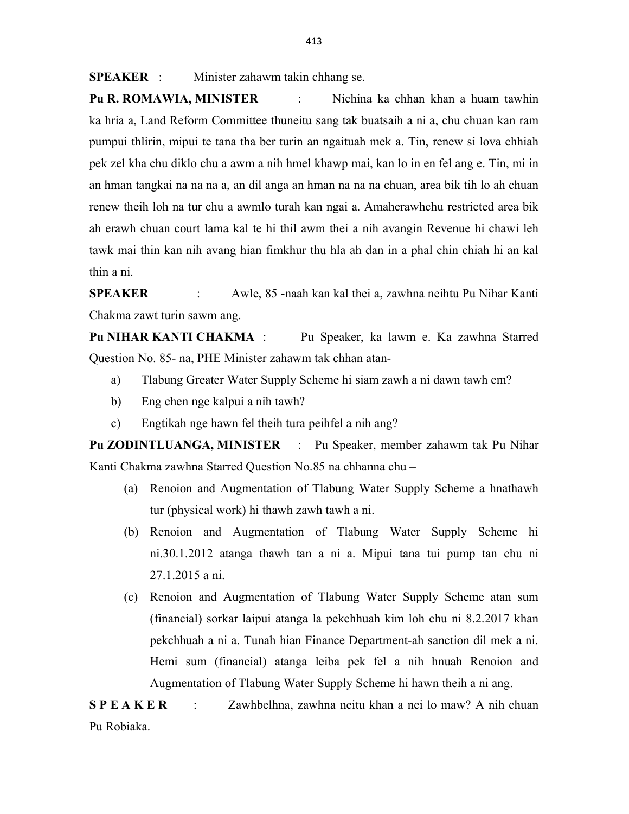SPEAKER : Minister zahawm takin chhang se.

Pu R. ROMAWIA, MINISTER : Nichina ka chhan khan a huam tawhin ka hria a, Land Reform Committee thuneitu sang tak buatsaih a ni a, chu chuan kan ram pumpui thlirin, mipui te tana tha ber turin an ngaituah mek a. Tin, renew si lova chhiah pek zel kha chu diklo chu a awm a nih hmel khawp mai, kan lo in en fel ang e. Tin, mi in an hman tangkai na na na a, an dil anga an hman na na na chuan, area bik tih lo ah chuan renew theih loh na tur chu a awmlo turah kan ngai a. Amaherawhchu restricted area bik ah erawh chuan court lama kal te hi thil awm thei a nih avangin Revenue hi chawi leh tawk mai thin kan nih avang hian fimkhur thu hla ah dan in a phal chin chiah hi an kal thin a ni.

SPEAKER : Awle, 85 -naah kan kal thei a, zawhna neihtu Pu Nihar Kanti Chakma zawt turin sawm ang.

Pu NIHAR KANTI CHAKMA : Pu Speaker, ka lawm e. Ka zawhna Starred Question No. 85- na, PHE Minister zahawm tak chhan atan-

- a) Tlabung Greater Water Supply Scheme hi siam zawh a ni dawn tawh em?
- b) Eng chen nge kalpui a nih tawh?
- c) Engtikah nge hawn fel theih tura peihfel a nih ang?

Pu ZODINTLUANGA, MINISTER : Pu Speaker, member zahawm tak Pu Nihar Kanti Chakma zawhna Starred Question No.85 na chhanna chu –

- (a) Renoion and Augmentation of Tlabung Water Supply Scheme a hnathawh tur (physical work) hi thawh zawh tawh a ni.
- (b) Renoion and Augmentation of Tlabung Water Supply Scheme hi ni.30.1.2012 atanga thawh tan a ni a. Mipui tana tui pump tan chu ni 27.1.2015 a ni.
- (c) Renoion and Augmentation of Tlabung Water Supply Scheme atan sum (financial) sorkar laipui atanga la pekchhuah kim loh chu ni 8.2.2017 khan pekchhuah a ni a. Tunah hian Finance Department-ah sanction dil mek a ni. Hemi sum (financial) atanga leiba pek fel a nih hnuah Renoion and Augmentation of Tlabung Water Supply Scheme hi hawn theih a ni ang.

S P E A K E R : Zawhbelhna, zawhna neitu khan a nei lo maw? A nih chuan Pu Robiaka.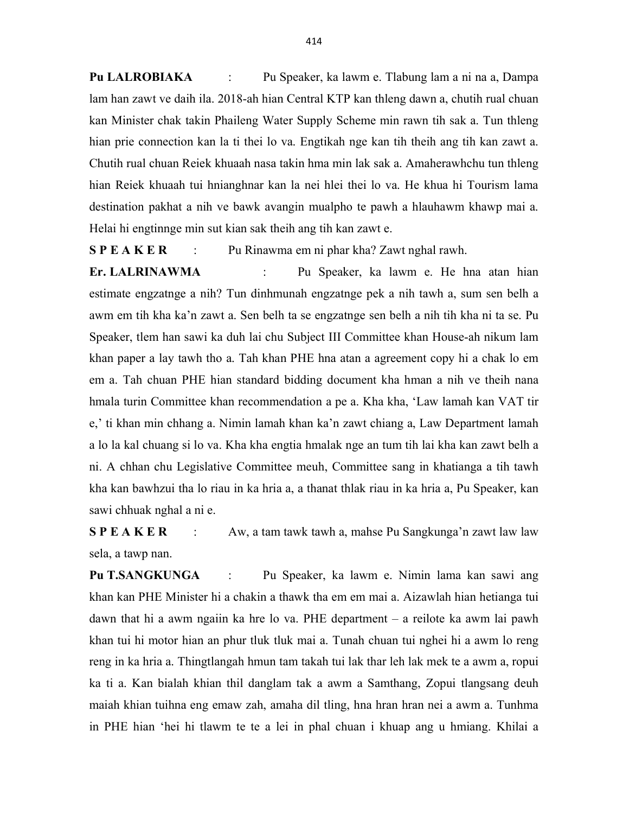Pu LALROBIAKA : Pu Speaker, ka lawm e. Tlabung lam a ni na a, Dampa lam han zawt ve daih ila. 2018-ah hian Central KTP kan thleng dawn a, chutih rual chuan kan Minister chak takin Phaileng Water Supply Scheme min rawn tih sak a. Tun thleng hian prie connection kan la ti thei lo va. Engtikah nge kan tih theih ang tih kan zawt a. Chutih rual chuan Reiek khuaah nasa takin hma min lak sak a. Amaherawhchu tun thleng hian Reiek khuaah tui hnianghnar kan la nei hlei thei lo va. He khua hi Tourism lama destination pakhat a nih ve bawk avangin mualpho te pawh a hlauhawm khawp mai a. Helai hi engtinnge min sut kian sak theih ang tih kan zawt e.

S P E A K E R : Pu Rinawma em ni phar kha? Zawt nghal rawh.

Er. LALRINAWMA : Pu Speaker, ka lawm e. He hna atan hian estimate engzatnge a nih? Tun dinhmunah engzatnge pek a nih tawh a, sum sen belh a awm em tih kha ka'n zawt a. Sen belh ta se engzatnge sen belh a nih tih kha ni ta se. Pu Speaker, tlem han sawi ka duh lai chu Subject III Committee khan House-ah nikum lam khan paper a lay tawh tho a. Tah khan PHE hna atan a agreement copy hi a chak lo em em a. Tah chuan PHE hian standard bidding document kha hman a nih ve theih nana hmala turin Committee khan recommendation a pe a. Kha kha, 'Law lamah kan VAT tir e,' ti khan min chhang a. Nimin lamah khan ka'n zawt chiang a, Law Department lamah a lo la kal chuang si lo va. Kha kha engtia hmalak nge an tum tih lai kha kan zawt belh a ni. A chhan chu Legislative Committee meuh, Committee sang in khatianga a tih tawh kha kan bawhzui tha lo riau in ka hria a, a thanat thlak riau in ka hria a, Pu Speaker, kan sawi chhuak nghal a ni e.

S P E A K E R : Aw, a tam tawk tawh a, mahse Pu Sangkunga'n zawt law law sela, a tawp nan.

Pu T.SANGKUNGA : Pu Speaker, ka lawm e. Nimin lama kan sawi ang khan kan PHE Minister hi a chakin a thawk tha em em mai a. Aizawlah hian hetianga tui dawn that hi a awm ngaiin ka hre lo va. PHE department – a reilote ka awm lai pawh khan tui hi motor hian an phur tluk tluk mai a. Tunah chuan tui nghei hi a awm lo reng reng in ka hria a. Thingtlangah hmun tam takah tui lak thar leh lak mek te a awm a, ropui ka ti a. Kan bialah khian thil danglam tak a awm a Samthang, Zopui tlangsang deuh maiah khian tuihna eng emaw zah, amaha dil tling, hna hran hran nei a awm a. Tunhma in PHE hian 'hei hi tlawm te te a lei in phal chuan i khuap ang u hmiang. Khilai a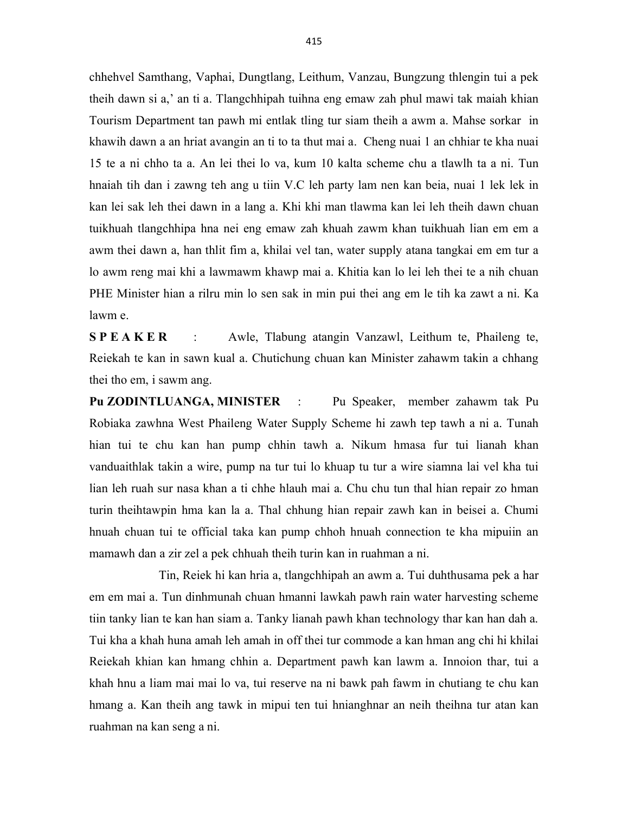chhehvel Samthang, Vaphai, Dungtlang, Leithum, Vanzau, Bungzung thlengin tui a pek theih dawn si a,' an ti a. Tlangchhipah tuihna eng emaw zah phul mawi tak maiah khian Tourism Department tan pawh mi entlak tling tur siam theih a awm a. Mahse sorkar in khawih dawn a an hriat avangin an ti to ta thut mai a. Cheng nuai 1 an chhiar te kha nuai 15 te a ni chho ta a. An lei thei lo va, kum 10 kalta scheme chu a tlawlh ta a ni. Tun hnaiah tih dan i zawng teh ang u tiin V.C leh party lam nen kan beia, nuai 1 lek lek in kan lei sak leh thei dawn in a lang a. Khi khi man tlawma kan lei leh theih dawn chuan tuikhuah tlangchhipa hna nei eng emaw zah khuah zawm khan tuikhuah lian em em a awm thei dawn a, han thlit fim a, khilai vel tan, water supply atana tangkai em em tur a lo awm reng mai khi a lawmawm khawp mai a. Khitia kan lo lei leh thei te a nih chuan PHE Minister hian a rilru min lo sen sak in min pui thei ang em le tih ka zawt a ni. Ka lawm e.

S P E A K E R : Awle, Tlabung atangin Vanzawl, Leithum te, Phaileng te, Reiekah te kan in sawn kual a. Chutichung chuan kan Minister zahawm takin a chhang thei tho em, i sawm ang.

Pu ZODINTLUANGA, MINISTER : Pu Speaker, member zahawm tak Pu Robiaka zawhna West Phaileng Water Supply Scheme hi zawh tep tawh a ni a. Tunah hian tui te chu kan han pump chhin tawh a. Nikum hmasa fur tui lianah khan vanduaithlak takin a wire, pump na tur tui lo khuap tu tur a wire siamna lai vel kha tui lian leh ruah sur nasa khan a ti chhe hlauh mai a. Chu chu tun thal hian repair zo hman turin theihtawpin hma kan la a. Thal chhung hian repair zawh kan in beisei a. Chumi hnuah chuan tui te official taka kan pump chhoh hnuah connection te kha mipuiin an mamawh dan a zir zel a pek chhuah theih turin kan in ruahman a ni.

 Tin, Reiek hi kan hria a, tlangchhipah an awm a. Tui duhthusama pek a har em em mai a. Tun dinhmunah chuan hmanni lawkah pawh rain water harvesting scheme tiin tanky lian te kan han siam a. Tanky lianah pawh khan technology thar kan han dah a. Tui kha a khah huna amah leh amah in off thei tur commode a kan hman ang chi hi khilai Reiekah khian kan hmang chhin a. Department pawh kan lawm a. Innoion thar, tui a khah hnu a liam mai mai lo va, tui reserve na ni bawk pah fawm in chutiang te chu kan hmang a. Kan theih ang tawk in mipui ten tui hnianghnar an neih theihna tur atan kan ruahman na kan seng a ni.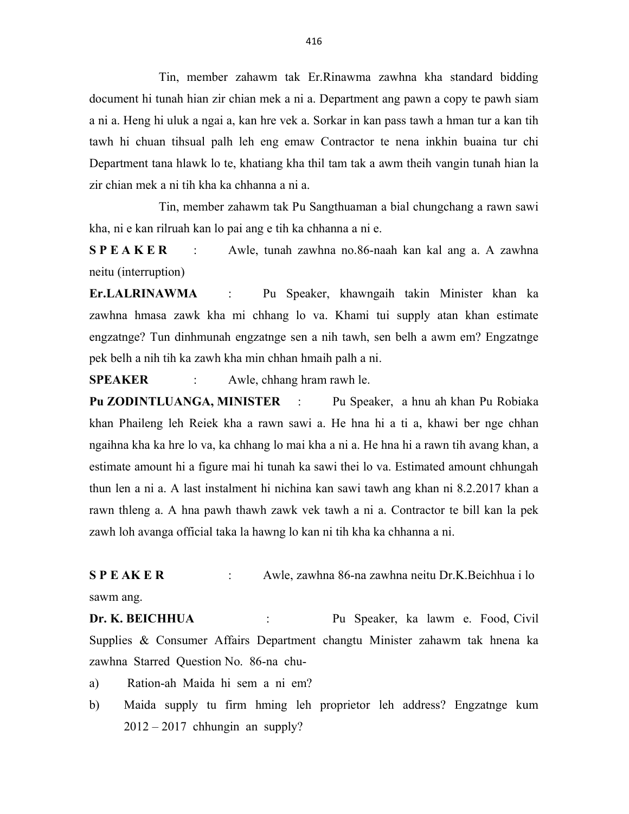Tin, member zahawm tak Er.Rinawma zawhna kha standard bidding document hi tunah hian zir chian mek a ni a. Department ang pawn a copy te pawh siam a ni a. Heng hi uluk a ngai a, kan hre vek a. Sorkar in kan pass tawh a hman tur a kan tih tawh hi chuan tihsual palh leh eng emaw Contractor te nena inkhin buaina tur chi Department tana hlawk lo te, khatiang kha thil tam tak a awm theih vangin tunah hian la zir chian mek a ni tih kha ka chhanna a ni a.

 Tin, member zahawm tak Pu Sangthuaman a bial chungchang a rawn sawi kha, ni e kan rilruah kan lo pai ang e tih ka chhanna a ni e.

S P E A K E R : Awle, tunah zawhna no.86-naah kan kal ang a. A zawhna neitu (interruption)

Er.LALRINAWMA : Pu Speaker, khawngaih takin Minister khan ka zawhna hmasa zawk kha mi chhang lo va. Khami tui supply atan khan estimate engzatnge? Tun dinhmunah engzatnge sen a nih tawh, sen belh a awm em? Engzatnge pek belh a nih tih ka zawh kha min chhan hmaih palh a ni.

SPEAKER : Awle, chhang hram rawh le.

Pu ZODINTLUANGA, MINISTER : Pu Speaker, a hnu ah khan Pu Robiaka khan Phaileng leh Reiek kha a rawn sawi a. He hna hi a ti a, khawi ber nge chhan ngaihna kha ka hre lo va, ka chhang lo mai kha a ni a. He hna hi a rawn tih avang khan, a estimate amount hi a figure mai hi tunah ka sawi thei lo va. Estimated amount chhungah thun len a ni a. A last instalment hi nichina kan sawi tawh ang khan ni 8.2.2017 khan a rawn thleng a. A hna pawh thawh zawk vek tawh a ni a. Contractor te bill kan la pek zawh loh avanga official taka la hawng lo kan ni tih kha ka chhanna a ni.

S P E AK E R : Awle, zawhna 86-na zawhna neitu Dr.K.Beichhua i lo sawm ang.

Dr. K. BEICHHUA : Pu Speaker, ka lawm e. Food, Civil Supplies & Consumer Affairs Department changtu Minister zahawm tak hnena ka zawhna Starred Question No. 86-na chu-

a) Ration-ah Maida hi sem a ni em?

b) Maida supply tu firm hming leh proprietor leh address? Engzatnge kum  $2012 - 2017$  chhungin an supply?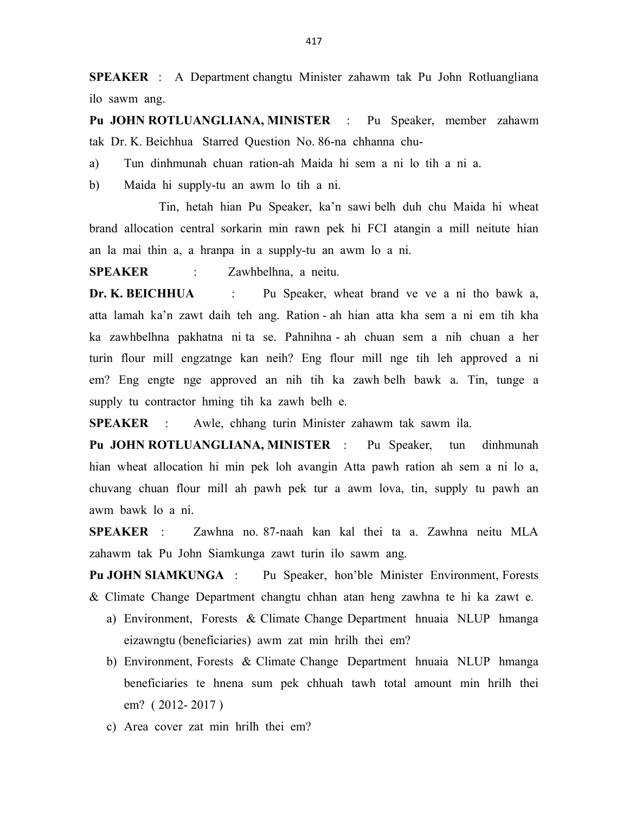SPEAKER : A Department changtu Minister zahawm tak Pu John Rotluangliana ilo sawm ang.

Pu JOHN ROTLUANGLIANA, MINISTER : Pu Speaker, member zahawm tak Dr. K. Beichhua Starred Question No. 86-na chhanna chu-

a) Tun dinhmunah chuan ration-ah Maida hi sem a ni lo tih a ni a.

b) Maida hi supply-tu an awm lo tih a ni.

 Tin, hetah hian Pu Speaker, ka'n sawi belh duh chu Maida hi wheat brand allocation central sorkarin min rawn pek hi FCI atangin a mill neitute hian an la mai thin a, a hranpa in a supply-tu an awm lo a ni.

SPEAKER : Zawhbelhna, a neitu.

Dr. K. BEICHHUA : Pu Speaker, wheat brand ve ve a ni tho bawk a, atta lamah ka'n zawt daih teh ang. Ration - ah hian atta kha sem a ni em tih kha ka zawhbelhna pakhatna ni ta se. Pahnihna - ah chuan sem a nih chuan a her turin flour mill engzatnge kan neih? Eng flour mill nge tih leh approved a ni em? Eng engte nge approved an nih tih ka zawh belh bawk a. Tin, tunge a supply tu contractor hming tih ka zawh belh e.

SPEAKER : Awle, chhang turin Minister zahawm tak sawm ila.

Pu JOHN ROTLUANGLIANA, MINISTER : Pu Speaker, tun dinhmunah hian wheat allocation hi min pek loh avangin Atta pawh ration ah sem a ni lo a, chuvang chuan flour mill ah pawh pek tur a awm lova, tin, supply tu pawh an awm bawk lo a ni.

SPEAKER : Zawhna no. 87-naah kan kal thei ta a. Zawhna neitu MLA zahawm tak Pu John Siamkunga zawt turin ilo sawm ang.

Pu JOHN SIAMKUNGA : Pu Speaker, hon'ble Minister Environment, Forests & Climate Change Department changtu chhan atan heng zawhna te hi ka zawt e.

- a) Environment, Forests & Climate Change Department hnuaia NLUP hmanga eizawngtu (beneficiaries) awm zat min hrilh thei em?
- b) Environment, Forests & Climate Change Department hnuaia NLUP hmanga beneficiaries te hnena sum pek chhuah tawh total amount min hrilh thei em? ( 2012- 2017 )
- c) Area cover zat min hrilh thei em?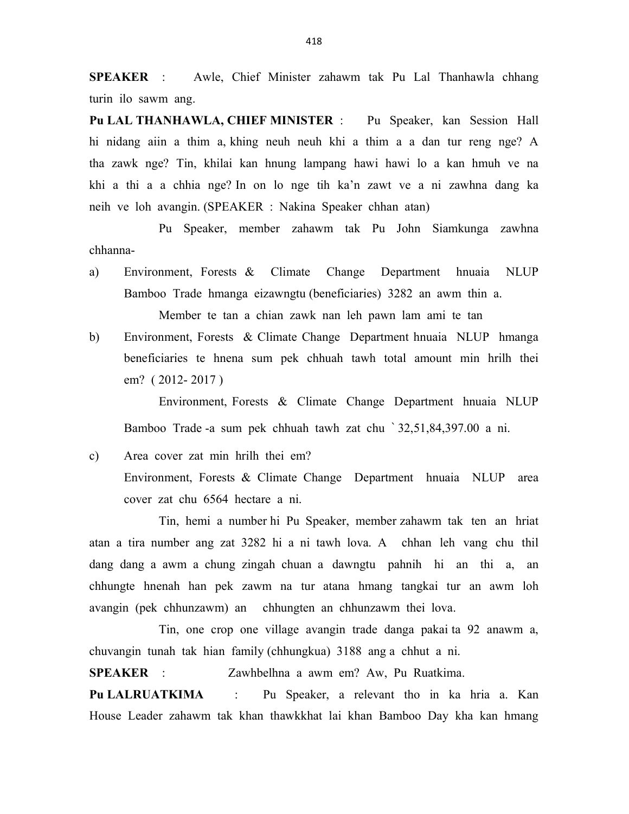SPEAKER : Awle, Chief Minister zahawm tak Pu Lal Thanhawla chhang turin ilo sawm ang.

Pu LAL THANHAWLA, CHIEF MINISTER : Pu Speaker, kan Session Hall hi nidang aiin a thim a, khing neuh neuh khi a thim a a dan tur reng nge? A tha zawk nge? Tin, khilai kan hnung lampang hawi hawi lo a kan hmuh ve na khi a thi a a chhia nge? In on lo nge tih ka'n zawt ve a ni zawhna dang ka neih ve loh avangin. (SPEAKER : Nakina Speaker chhan atan)

 Pu Speaker, member zahawm tak Pu John Siamkunga zawhna chhanna-

a) Environment, Forests & Climate Change Department hnuaia NLUP Bamboo Trade hmanga eizawngtu (beneficiaries) 3282 an awm thin a.

Member te tan a chian zawk nan leh pawn lam ami te tan

b) Environment, Forests & Climate Change Department hnuaia NLUP hmanga beneficiaries te hnena sum pek chhuah tawh total amount min hrilh thei em? ( 2012- 2017 )

 Environment, Forests & Climate Change Department hnuaia NLUP Bamboo Trade -a sum pek chhuah tawh zat chu ` 32,51,84,397.00 a ni.

c) Area cover zat min hrilh thei em? Environment, Forests & Climate Change Department hnuaia NLUP area cover zat chu 6564 hectare a ni.

 Tin, hemi a number hi Pu Speaker, member zahawm tak ten an hriat atan a tira number ang zat 3282 hi a ni tawh lova. A chhan leh vang chu thil dang dang a awm a chung zingah chuan a dawngtu pahnih hi an thi a, an chhungte hnenah han pek zawm na tur atana hmang tangkai tur an awm loh avangin (pek chhunzawm) an chhungten an chhunzawm thei lova.

 Tin, one crop one village avangin trade danga pakai ta 92 anawm a, chuvangin tunah tak hian family (chhungkua) 3188 ang a chhut a ni.

SPEAKER : Zawhbelhna a awm em? Aw, Pu Ruatkima.

Pu LALRUATKIMA : Pu Speaker, a relevant tho in ka hria a. Kan House Leader zahawm tak khan thawkkhat lai khan Bamboo Day kha kan hmang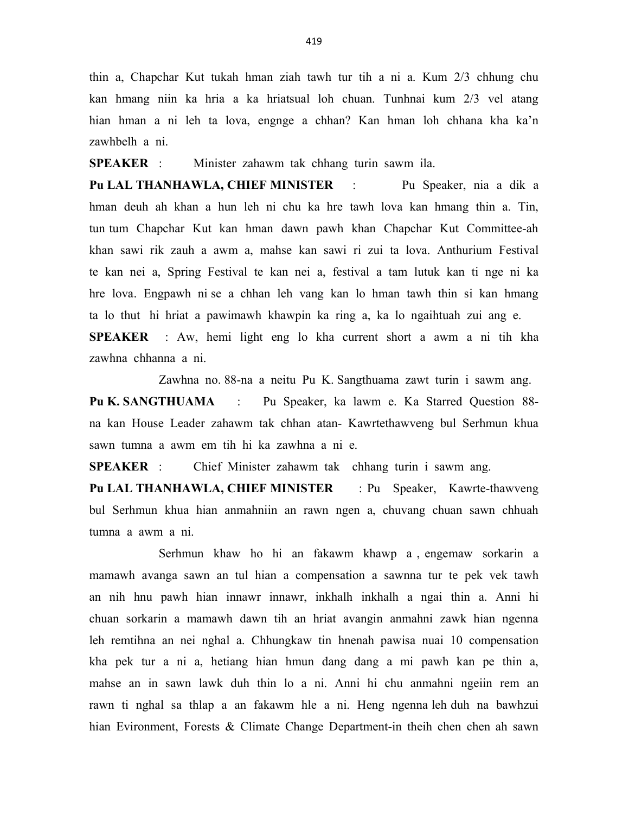thin a, Chapchar Kut tukah hman ziah tawh tur tih a ni a. Kum 2/3 chhung chu kan hmang niin ka hria a ka hriatsual loh chuan. Tunhnai kum 2/3 vel atang hian hman a ni leh ta lova, engnge a chhan? Kan hman loh chhana kha ka'n zawhbelh a ni.

SPEAKER : Minister zahawm tak chhang turin sawm ila.

Pu LAL THANHAWLA, CHIEF MINISTER : Pu Speaker, nia a dik a hman deuh ah khan a hun leh ni chu ka hre tawh lova kan hmang thin a. Tin, tun tum Chapchar Kut kan hman dawn pawh khan Chapchar Kut Committee-ah khan sawi rik zauh a awm a, mahse kan sawi ri zui ta lova. Anthurium Festival te kan nei a, Spring Festival te kan nei a, festival a tam lutuk kan ti nge ni ka hre lova. Engpawh ni se a chhan leh vang kan lo hman tawh thin si kan hmang ta lo thut hi hriat a pawimawh khawpin ka ring a, ka lo ngaihtuah zui ang e. SPEAKER : Aw, hemi light eng lo kha current short a awm a ni tih kha zawhna chhanna a ni.

Zawhna no. 88-na a neitu Pu K. Sangthuama zawt turin i sawm ang.

Pu K. SANGTHUAMA : Pu Speaker, ka lawm e. Ka Starred Question 88na kan House Leader zahawm tak chhan atan- Kawrtethawveng bul Serhmun khua sawn tumna a awm em tih hi ka zawhna a ni e.

SPEAKER : Chief Minister zahawm tak chhang turin i sawm ang.

Pu LAL THANHAWLA, CHIEF MINISTER : Pu Speaker, Kawrte-thawveng bul Serhmun khua hian anmahniin an rawn ngen a, chuvang chuan sawn chhuah tumna a awm a ni.

 Serhmun khaw ho hi an fakawm khawp a , engemaw sorkarin a mamawh avanga sawn an tul hian a compensation a sawnna tur te pek vek tawh an nih hnu pawh hian innawr innawr, inkhalh inkhalh a ngai thin a. Anni hi chuan sorkarin a mamawh dawn tih an hriat avangin anmahni zawk hian ngenna leh remtihna an nei nghal a. Chhungkaw tin hnenah pawisa nuai 10 compensation kha pek tur a ni a, hetiang hian hmun dang dang a mi pawh kan pe thin a, mahse an in sawn lawk duh thin lo a ni. Anni hi chu anmahni ngeiin rem an rawn ti nghal sa thlap a an fakawm hle a ni. Heng ngenna leh duh na bawhzui hian Evironment, Forests & Climate Change Department-in theih chen chen ah sawn

419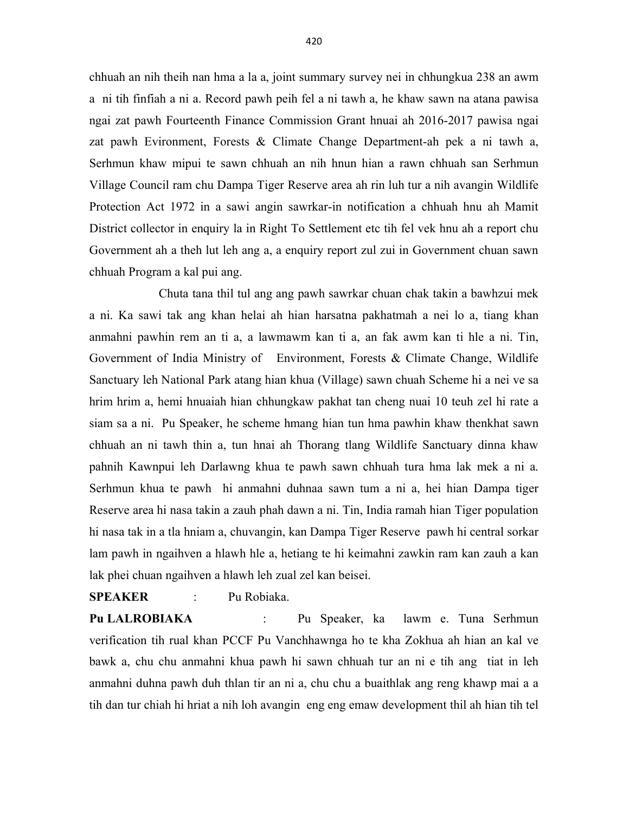chhuah an nih theih nan hma a la a, joint summary survey nei in chhungkua 238 an awm a ni tih finfiah a ni a. Record pawh peih fel a ni tawh a, he khaw sawn na atana pawisa ngai zat pawh Fourteenth Finance Commission Grant hnuai ah 2016-2017 pawisa ngai zat pawh Evironment, Forests & Climate Change Department-ah pek a ni tawh a, Serhmun khaw mipui te sawn chhuah an nih hnun hian a rawn chhuah san Serhmun Village Council ram chu Dampa Tiger Reserve area ah rin luh tur a nih avangin Wildlife Protection Act 1972 in a sawi angin sawrkar-in notification a chhuah hnu ah Mamit District collector in enquiry la in Right To Settlement etc tih fel vek hnu ah a report chu Government ah a theh lut leh ang a, a enquiry report zul zui in Government chuan sawn chhuah Program a kal pui ang.

 Chuta tana thil tul ang ang pawh sawrkar chuan chak takin a bawhzui mek a ni. Ka sawi tak ang khan helai ah hian harsatna pakhatmah a nei lo a, tiang khan anmahni pawhin rem an ti a, a lawmawm kan ti a, an fak awm kan ti hle a ni. Tin, Government of India Ministry of Environment, Forests & Climate Change, Wildlife Sanctuary leh National Park atang hian khua (Village) sawn chuah Scheme hi a nei ve sa hrim hrim a, hemi hnuaiah hian chhungkaw pakhat tan cheng nuai 10 teuh zel hi rate a siam sa a ni. Pu Speaker, he scheme hmang hian tun hma pawhin khaw thenkhat sawn chhuah an ni tawh thin a, tun hnai ah Thorang tlang Wildlife Sanctuary dinna khaw pahnih Kawnpui leh Darlawng khua te pawh sawn chhuah tura hma lak mek a ni a. Serhmun khua te pawh hi anmahni duhnaa sawn tum a ni a, hei hian Dampa tiger Reserve area hi nasa takin a zauh phah dawn a ni. Tin, India ramah hian Tiger population hi nasa tak in a tla hniam a, chuvangin, kan Dampa Tiger Reserve pawh hi central sorkar lam pawh in ngaihven a hlawh hle a, hetiang te hi keimahni zawkin ram kan zauh a kan lak phei chuan ngaihven a hlawh leh zual zel kan beisei.

### SPEAKER : Pu Robiaka.

Pu LALROBIAKA : Pu Speaker, ka lawm e. Tuna Serhmun verification tih rual khan PCCF Pu Vanchhawnga ho te kha Zokhua ah hian an kal ve bawk a, chu chu anmahni khua pawh hi sawn chhuah tur an ni e tih ang tiat in leh anmahni duhna pawh duh thlan tir an ni a, chu chu a buaithlak ang reng khawp mai a a tih dan tur chiah hi hriat a nih loh avangin eng eng emaw development thil ah hian tih tel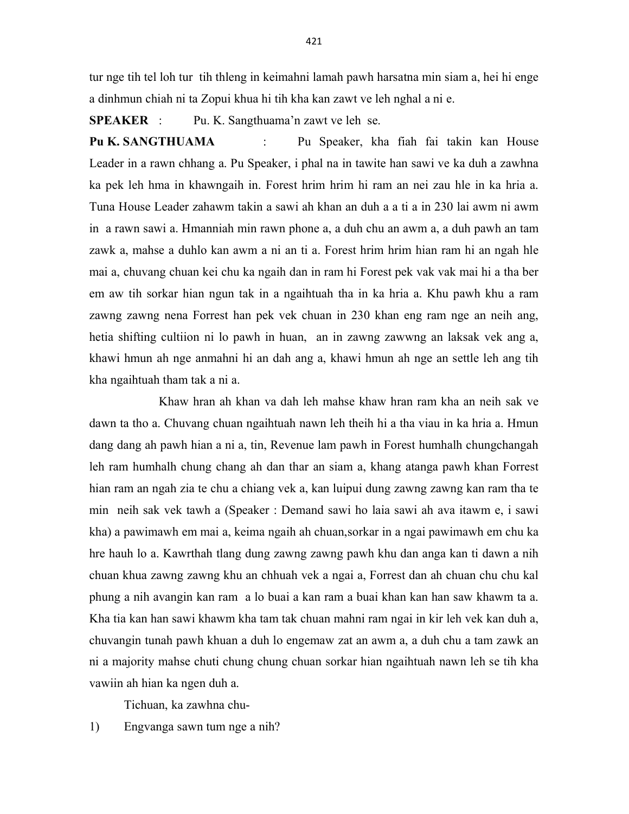tur nge tih tel loh tur tih thleng in keimahni lamah pawh harsatna min siam a, hei hi enge a dinhmun chiah ni ta Zopui khua hi tih kha kan zawt ve leh nghal a ni e.

SPEAKER : Pu. K. Sangthuama'n zawt ve leh se.

Pu K. SANGTHUAMA : Pu Speaker, kha fiah fai takin kan House Leader in a rawn chhang a. Pu Speaker, i phal na in tawite han sawi ve ka duh a zawhna ka pek leh hma in khawngaih in. Forest hrim hrim hi ram an nei zau hle in ka hria a. Tuna House Leader zahawm takin a sawi ah khan an duh a a ti a in 230 lai awm ni awm in a rawn sawi a. Hmanniah min rawn phone a, a duh chu an awm a, a duh pawh an tam zawk a, mahse a duhlo kan awm a ni an ti a. Forest hrim hrim hian ram hi an ngah hle mai a, chuvang chuan kei chu ka ngaih dan in ram hi Forest pek vak vak mai hi a tha ber em aw tih sorkar hian ngun tak in a ngaihtuah tha in ka hria a. Khu pawh khu a ram zawng zawng nena Forrest han pek vek chuan in 230 khan eng ram nge an neih ang, hetia shifting cultiion ni lo pawh in huan, an in zawng zawwng an laksak vek ang a, khawi hmun ah nge anmahni hi an dah ang a, khawi hmun ah nge an settle leh ang tih kha ngaihtuah tham tak a ni a.

 Khaw hran ah khan va dah leh mahse khaw hran ram kha an neih sak ve dawn ta tho a. Chuvang chuan ngaihtuah nawn leh theih hi a tha viau in ka hria a. Hmun dang dang ah pawh hian a ni a, tin, Revenue lam pawh in Forest humhalh chungchangah leh ram humhalh chung chang ah dan thar an siam a, khang atanga pawh khan Forrest hian ram an ngah zia te chu a chiang vek a, kan luipui dung zawng zawng kan ram tha te min neih sak vek tawh a (Speaker : Demand sawi ho laia sawi ah ava itawm e, i sawi kha) a pawimawh em mai a, keima ngaih ah chuan,sorkar in a ngai pawimawh em chu ka hre hauh lo a. Kawrthah tlang dung zawng zawng pawh khu dan anga kan ti dawn a nih chuan khua zawng zawng khu an chhuah vek a ngai a, Forrest dan ah chuan chu chu kal phung a nih avangin kan ram a lo buai a kan ram a buai khan kan han saw khawm ta a. Kha tia kan han sawi khawm kha tam tak chuan mahni ram ngai in kir leh vek kan duh a, chuvangin tunah pawh khuan a duh lo engemaw zat an awm a, a duh chu a tam zawk an ni a majority mahse chuti chung chung chuan sorkar hian ngaihtuah nawn leh se tih kha vawiin ah hian ka ngen duh a.

Tichuan, ka zawhna chu-

1) Engvanga sawn tum nge a nih?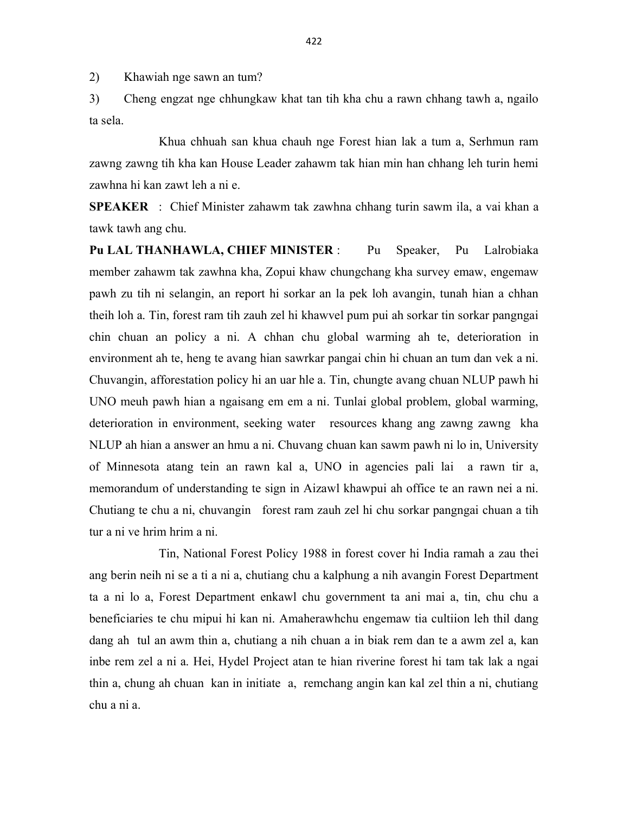2) Khawiah nge sawn an tum?

3) Cheng engzat nge chhungkaw khat tan tih kha chu a rawn chhang tawh a, ngailo ta sela.

 Khua chhuah san khua chauh nge Forest hian lak a tum a, Serhmun ram zawng zawng tih kha kan House Leader zahawm tak hian min han chhang leh turin hemi zawhna hi kan zawt leh a ni e.

SPEAKER : Chief Minister zahawm tak zawhna chhang turin sawm ila, a vai khan a tawk tawh ang chu.

Pu LAL THANHAWLA, CHIEF MINISTER : Pu Speaker, Pu Lalrobiaka member zahawm tak zawhna kha, Zopui khaw chungchang kha survey emaw, engemaw pawh zu tih ni selangin, an report hi sorkar an la pek loh avangin, tunah hian a chhan theih loh a. Tin, forest ram tih zauh zel hi khawvel pum pui ah sorkar tin sorkar pangngai chin chuan an policy a ni. A chhan chu global warming ah te, deterioration in environment ah te, heng te avang hian sawrkar pangai chin hi chuan an tum dan vek a ni. Chuvangin, afforestation policy hi an uar hle a. Tin, chungte avang chuan NLUP pawh hi UNO meuh pawh hian a ngaisang em em a ni. Tunlai global problem, global warming, deterioration in environment, seeking water resources khang ang zawng zawng kha NLUP ah hian a answer an hmu a ni. Chuvang chuan kan sawm pawh ni lo in, University of Minnesota atang tein an rawn kal a, UNO in agencies pali lai a rawn tir a, memorandum of understanding te sign in Aizawl khawpui ah office te an rawn nei a ni. Chutiang te chu a ni, chuvangin forest ram zauh zel hi chu sorkar pangngai chuan a tih tur a ni ve hrim hrim a ni.

 Tin, National Forest Policy 1988 in forest cover hi India ramah a zau thei ang berin neih ni se a ti a ni a, chutiang chu a kalphung a nih avangin Forest Department ta a ni lo a, Forest Department enkawl chu government ta ani mai a, tin, chu chu a beneficiaries te chu mipui hi kan ni. Amaherawhchu engemaw tia cultiion leh thil dang dang ah tul an awm thin a, chutiang a nih chuan a in biak rem dan te a awm zel a, kan inbe rem zel a ni a. Hei, Hydel Project atan te hian riverine forest hi tam tak lak a ngai thin a, chung ah chuan kan in initiate a, remchang angin kan kal zel thin a ni, chutiang chu a ni a.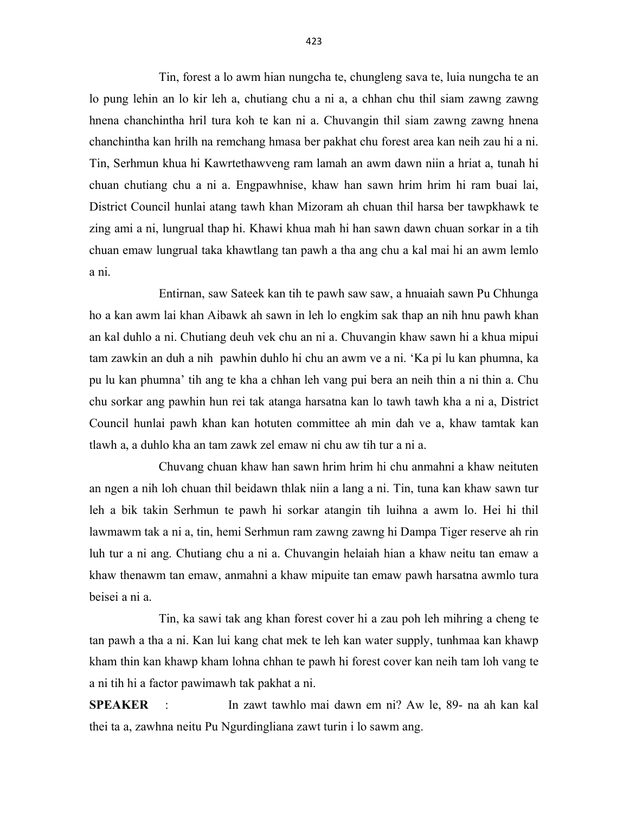Tin, forest a lo awm hian nungcha te, chungleng sava te, luia nungcha te an lo pung lehin an lo kir leh a, chutiang chu a ni a, a chhan chu thil siam zawng zawng hnena chanchintha hril tura koh te kan ni a. Chuvangin thil siam zawng zawng hnena chanchintha kan hrilh na remchang hmasa ber pakhat chu forest area kan neih zau hi a ni. Tin, Serhmun khua hi Kawrtethawveng ram lamah an awm dawn niin a hriat a, tunah hi chuan chutiang chu a ni a. Engpawhnise, khaw han sawn hrim hrim hi ram buai lai, District Council hunlai atang tawh khan Mizoram ah chuan thil harsa ber tawpkhawk te zing ami a ni, lungrual thap hi. Khawi khua mah hi han sawn dawn chuan sorkar in a tih chuan emaw lungrual taka khawtlang tan pawh a tha ang chu a kal mai hi an awm lemlo a ni.

 Entirnan, saw Sateek kan tih te pawh saw saw, a hnuaiah sawn Pu Chhunga ho a kan awm lai khan Aibawk ah sawn in leh lo engkim sak thap an nih hnu pawh khan an kal duhlo a ni. Chutiang deuh vek chu an ni a. Chuvangin khaw sawn hi a khua mipui tam zawkin an duh a nih pawhin duhlo hi chu an awm ve a ni. 'Ka pi lu kan phumna, ka pu lu kan phumna' tih ang te kha a chhan leh vang pui bera an neih thin a ni thin a. Chu chu sorkar ang pawhin hun rei tak atanga harsatna kan lo tawh tawh kha a ni a, District Council hunlai pawh khan kan hotuten committee ah min dah ve a, khaw tamtak kan tlawh a, a duhlo kha an tam zawk zel emaw ni chu aw tih tur a ni a.

 Chuvang chuan khaw han sawn hrim hrim hi chu anmahni a khaw neituten an ngen a nih loh chuan thil beidawn thlak niin a lang a ni. Tin, tuna kan khaw sawn tur leh a bik takin Serhmun te pawh hi sorkar atangin tih luihna a awm lo. Hei hi thil lawmawm tak a ni a, tin, hemi Serhmun ram zawng zawng hi Dampa Tiger reserve ah rin luh tur a ni ang. Chutiang chu a ni a. Chuvangin helaiah hian a khaw neitu tan emaw a khaw thenawm tan emaw, anmahni a khaw mipuite tan emaw pawh harsatna awmlo tura beisei a ni a.

 Tin, ka sawi tak ang khan forest cover hi a zau poh leh mihring a cheng te tan pawh a tha a ni. Kan lui kang chat mek te leh kan water supply, tunhmaa kan khawp kham thin kan khawp kham lohna chhan te pawh hi forest cover kan neih tam loh vang te a ni tih hi a factor pawimawh tak pakhat a ni.

SPEAKER : In zawt tawhlo mai dawn em ni? Aw le, 89- na ah kan kal thei ta a, zawhna neitu Pu Ngurdingliana zawt turin i lo sawm ang.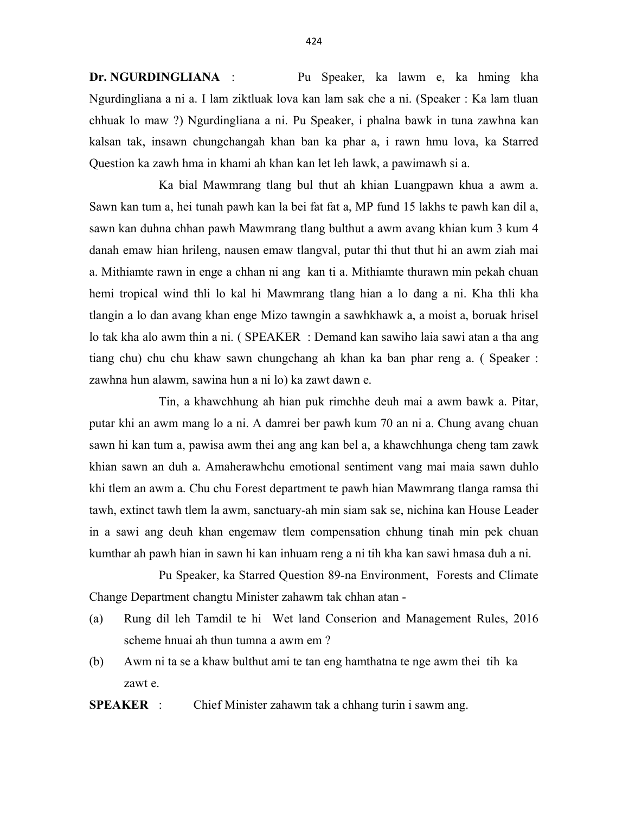Dr. NGURDINGLIANA : Pu Speaker, ka lawm e, ka hming kha Ngurdingliana a ni a. I lam ziktluak lova kan lam sak che a ni. (Speaker : Ka lam tluan chhuak lo maw ?) Ngurdingliana a ni. Pu Speaker, i phalna bawk in tuna zawhna kan kalsan tak, insawn chungchangah khan ban ka phar a, i rawn hmu lova, ka Starred Question ka zawh hma in khami ah khan kan let leh lawk, a pawimawh si a.

 Ka bial Mawmrang tlang bul thut ah khian Luangpawn khua a awm a. Sawn kan tum a, hei tunah pawh kan la bei fat fat a, MP fund 15 lakhs te pawh kan dil a, sawn kan duhna chhan pawh Mawmrang tlang bulthut a awm avang khian kum 3 kum 4 danah emaw hian hrileng, nausen emaw tlangval, putar thi thut thut hi an awm ziah mai a. Mithiamte rawn in enge a chhan ni ang kan ti a. Mithiamte thurawn min pekah chuan hemi tropical wind thli lo kal hi Mawmrang tlang hian a lo dang a ni. Kha thli kha tlangin a lo dan avang khan enge Mizo tawngin a sawhkhawk a, a moist a, boruak hrisel lo tak kha alo awm thin a ni. ( SPEAKER : Demand kan sawiho laia sawi atan a tha ang tiang chu) chu chu khaw sawn chungchang ah khan ka ban phar reng a. ( Speaker : zawhna hun alawm, sawina hun a ni lo) ka zawt dawn e.

 Tin, a khawchhung ah hian puk rimchhe deuh mai a awm bawk a. Pitar, putar khi an awm mang lo a ni. A damrei ber pawh kum 70 an ni a. Chung avang chuan sawn hi kan tum a, pawisa awm thei ang ang kan bel a, a khawchhunga cheng tam zawk khian sawn an duh a. Amaherawhchu emotional sentiment vang mai maia sawn duhlo khi tlem an awm a. Chu chu Forest department te pawh hian Mawmrang tlanga ramsa thi tawh, extinct tawh tlem la awm, sanctuary-ah min siam sak se, nichina kan House Leader in a sawi ang deuh khan engemaw tlem compensation chhung tinah min pek chuan kumthar ah pawh hian in sawn hi kan inhuam reng a ni tih kha kan sawi hmasa duh a ni.

 Pu Speaker, ka Starred Question 89-na Environment, Forests and Climate Change Department changtu Minister zahawm tak chhan atan -

- (a) Rung dil leh Tamdil te hi Wet land Conserion and Management Rules, 2016 scheme hnuai ah thun tumna a awm em ?
- (b) Awm ni ta se a khaw bulthut ami te tan eng hamthatna te nge awm thei tih ka zawt e.

SPEAKER : Chief Minister zahawm tak a chhang turin i sawm ang.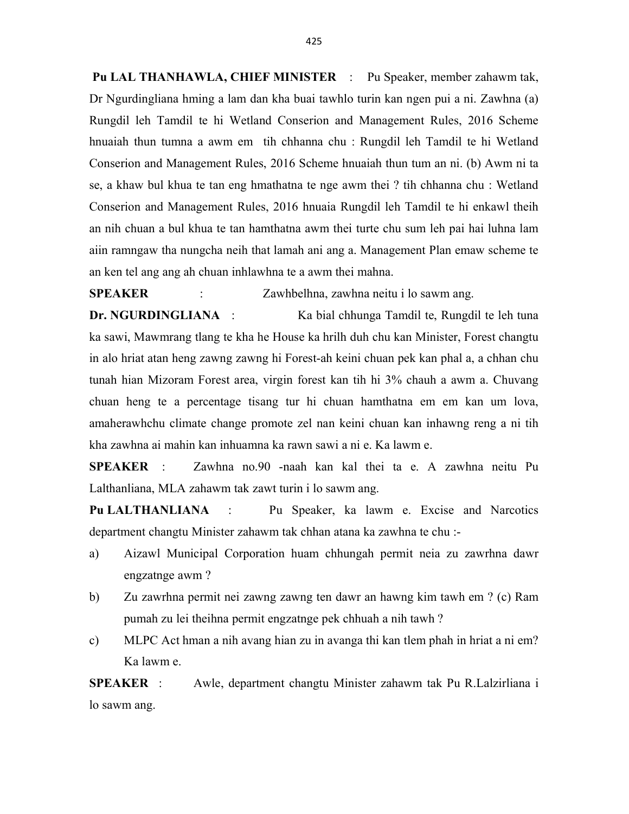Pu LAL THANHAWLA, CHIEF MINISTER : Pu Speaker, member zahawm tak, Dr Ngurdingliana hming a lam dan kha buai tawhlo turin kan ngen pui a ni. Zawhna (a) Rungdil leh Tamdil te hi Wetland Conserion and Management Rules, 2016 Scheme hnuaiah thun tumna a awm em tih chhanna chu : Rungdil leh Tamdil te hi Wetland Conserion and Management Rules, 2016 Scheme hnuaiah thun tum an ni. (b) Awm ni ta se, a khaw bul khua te tan eng hmathatna te nge awm thei ? tih chhanna chu : Wetland Conserion and Management Rules, 2016 hnuaia Rungdil leh Tamdil te hi enkawl theih an nih chuan a bul khua te tan hamthatna awm thei turte chu sum leh pai hai luhna lam aiin ramngaw tha nungcha neih that lamah ani ang a. Management Plan emaw scheme te an ken tel ang ang ah chuan inhlawhna te a awm thei mahna.

SPEAKER : Zawhbelhna, zawhna neitu i lo sawm ang.

Dr. NGURDINGLIANA : Ka bial chhunga Tamdil te, Rungdil te leh tuna ka sawi, Mawmrang tlang te kha he House ka hrilh duh chu kan Minister, Forest changtu in alo hriat atan heng zawng zawng hi Forest-ah keini chuan pek kan phal a, a chhan chu tunah hian Mizoram Forest area, virgin forest kan tih hi 3% chauh a awm a. Chuvang chuan heng te a percentage tisang tur hi chuan hamthatna em em kan um lova, amaherawhchu climate change promote zel nan keini chuan kan inhawng reng a ni tih kha zawhna ai mahin kan inhuamna ka rawn sawi a ni e. Ka lawm e.

SPEAKER : Zawhna no.90 -naah kan kal thei ta e. A zawhna neitu Pu Lalthanliana, MLA zahawm tak zawt turin i lo sawm ang.

Pu LALTHANLIANA : Pu Speaker, ka lawm e. Excise and Narcotics department changtu Minister zahawm tak chhan atana ka zawhna te chu :-

- a) Aizawl Municipal Corporation huam chhungah permit neia zu zawrhna dawr engzatnge awm ?
- b) Zu zawrhna permit nei zawng zawng ten dawr an hawng kim tawh em ? (c) Ram pumah zu lei theihna permit engzatnge pek chhuah a nih tawh ?
- c) MLPC Act hman a nih avang hian zu in avanga thi kan tlem phah in hriat a ni em? Ka lawm e.

SPEAKER : Awle, department changtu Minister zahawm tak Pu R.Lalzirliana i lo sawm ang.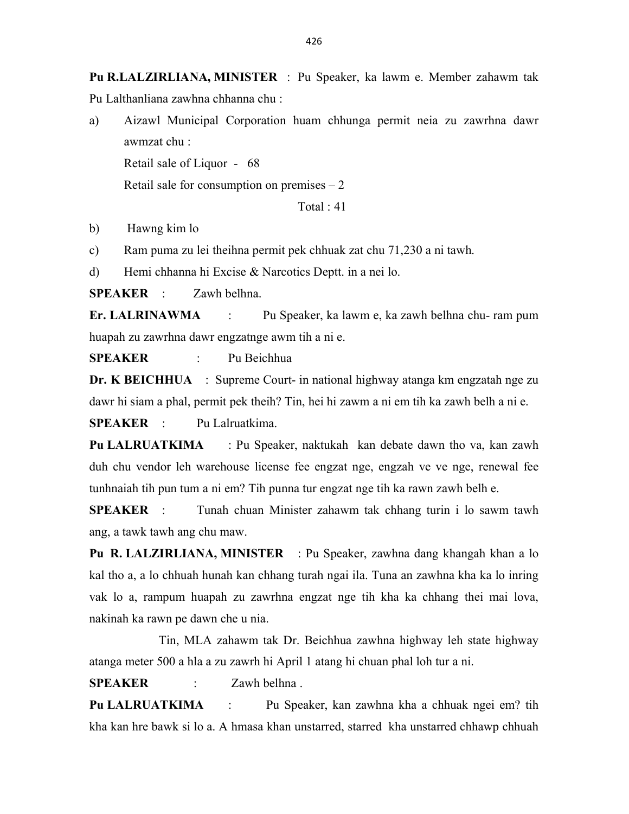Pu R.LALZIRLIANA, MINISTER : Pu Speaker, ka lawm e. Member zahawm tak Pu Lalthanliana zawhna chhanna chu :

a) Aizawl Municipal Corporation huam chhunga permit neia zu zawrhna dawr awmzat chu :

Retail sale of Liquor - 68

Retail sale for consumption on premises  $-2$ 

Total : 41

b) Hawng kim lo

c) Ram puma zu lei theihna permit pek chhuak zat chu 71,230 a ni tawh.

d) Hemi chhanna hi Excise & Narcotics Deptt. in a nei lo.

SPEAKER : Zawh belhna.

Er. LALRINAWMA : Pu Speaker, ka lawm e, ka zawh belhna chu- ram pum huapah zu zawrhna dawr engzatnge awm tih a ni e.

SPEAKER : Pu Beichhua

Dr. K BEICHHUA : Supreme Court- in national highway atanga km engzatah nge zu dawr hi siam a phal, permit pek theih? Tin, hei hi zawm a ni em tih ka zawh belh a ni e.

SPEAKER : Pu Lalruatkima.

Pu LALRUATKIMA : Pu Speaker, naktukah kan debate dawn tho va, kan zawh duh chu vendor leh warehouse license fee engzat nge, engzah ve ve nge, renewal fee tunhnaiah tih pun tum a ni em? Tih punna tur engzat nge tih ka rawn zawh belh e.

SPEAKER : Tunah chuan Minister zahawm tak chhang turin i lo sawm tawh ang, a tawk tawh ang chu maw.

Pu R. LALZIRLIANA, MINISTER : Pu Speaker, zawhna dang khangah khan a lo kal tho a, a lo chhuah hunah kan chhang turah ngai ila. Tuna an zawhna kha ka lo inring vak lo a, rampum huapah zu zawrhna engzat nge tih kha ka chhang thei mai lova, nakinah ka rawn pe dawn che u nia.

 Tin, MLA zahawm tak Dr. Beichhua zawhna highway leh state highway atanga meter 500 a hla a zu zawrh hi April 1 atang hi chuan phal loh tur a ni.

SPEAKER : Zawh belhna.

Pu LALRUATKIMA : Pu Speaker, kan zawhna kha a chhuak ngei em? tih kha kan hre bawk si lo a. A hmasa khan unstarred, starred kha unstarred chhawp chhuah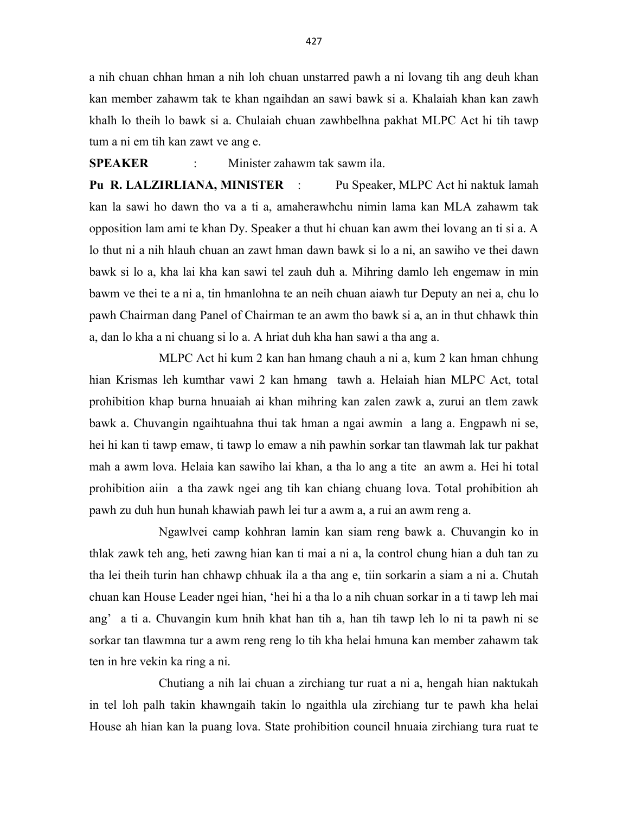a nih chuan chhan hman a nih loh chuan unstarred pawh a ni lovang tih ang deuh khan kan member zahawm tak te khan ngaihdan an sawi bawk si a. Khalaiah khan kan zawh khalh lo theih lo bawk si a. Chulaiah chuan zawhbelhna pakhat MLPC Act hi tih tawp tum a ni em tih kan zawt ve ang e.

#### SPEAKER : Minister zahawm tak sawm ila.

Pu R. LALZIRLIANA, MINISTER : Pu Speaker, MLPC Act hi naktuk lamah kan la sawi ho dawn tho va a ti a, amaherawhchu nimin lama kan MLA zahawm tak opposition lam ami te khan Dy. Speaker a thut hi chuan kan awm thei lovang an ti si a. A lo thut ni a nih hlauh chuan an zawt hman dawn bawk si lo a ni, an sawiho ve thei dawn bawk si lo a, kha lai kha kan sawi tel zauh duh a. Mihring damlo leh engemaw in min bawm ve thei te a ni a, tin hmanlohna te an neih chuan aiawh tur Deputy an nei a, chu lo pawh Chairman dang Panel of Chairman te an awm tho bawk si a, an in thut chhawk thin a, dan lo kha a ni chuang si lo a. A hriat duh kha han sawi a tha ang a.

 MLPC Act hi kum 2 kan han hmang chauh a ni a, kum 2 kan hman chhung hian Krismas leh kumthar vawi 2 kan hmang tawh a. Helaiah hian MLPC Act, total prohibition khap burna hnuaiah ai khan mihring kan zalen zawk a, zurui an tlem zawk bawk a. Chuvangin ngaihtuahna thui tak hman a ngai awmin a lang a. Engpawh ni se, hei hi kan ti tawp emaw, ti tawp lo emaw a nih pawhin sorkar tan tlawmah lak tur pakhat mah a awm lova. Helaia kan sawiho lai khan, a tha lo ang a tite an awm a. Hei hi total prohibition aiin a tha zawk ngei ang tih kan chiang chuang lova. Total prohibition ah pawh zu duh hun hunah khawiah pawh lei tur a awm a, a rui an awm reng a.

 Ngawlvei camp kohhran lamin kan siam reng bawk a. Chuvangin ko in thlak zawk teh ang, heti zawng hian kan ti mai a ni a, la control chung hian a duh tan zu tha lei theih turin han chhawp chhuak ila a tha ang e, tiin sorkarin a siam a ni a. Chutah chuan kan House Leader ngei hian, 'hei hi a tha lo a nih chuan sorkar in a ti tawp leh mai ang' a ti a. Chuvangin kum hnih khat han tih a, han tih tawp leh lo ni ta pawh ni se sorkar tan tlawmna tur a awm reng reng lo tih kha helai hmuna kan member zahawm tak ten in hre vekin ka ring a ni.

 Chutiang a nih lai chuan a zirchiang tur ruat a ni a, hengah hian naktukah in tel loh palh takin khawngaih takin lo ngaithla ula zirchiang tur te pawh kha helai House ah hian kan la puang lova. State prohibition council hnuaia zirchiang tura ruat te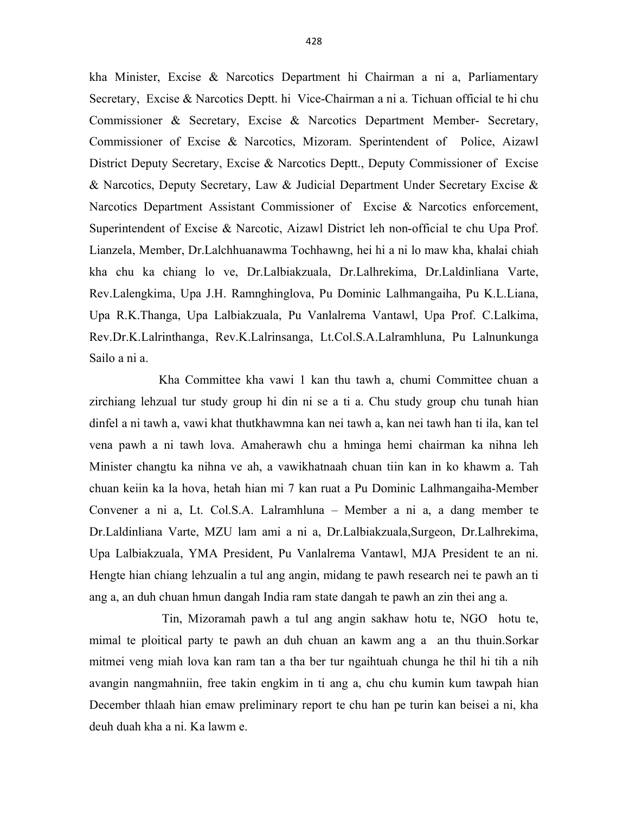kha Minister, Excise & Narcotics Department hi Chairman a ni a, Parliamentary Secretary, Excise & Narcotics Deptt. hi Vice-Chairman a ni a. Tichuan official te hi chu Commissioner & Secretary, Excise & Narcotics Department Member- Secretary, Commissioner of Excise & Narcotics, Mizoram. Sperintendent of Police, Aizawl District Deputy Secretary, Excise & Narcotics Deptt., Deputy Commissioner of Excise & Narcotics, Deputy Secretary, Law & Judicial Department Under Secretary Excise & Narcotics Department Assistant Commissioner of Excise & Narcotics enforcement, Superintendent of Excise & Narcotic, Aizawl District leh non-official te chu Upa Prof. Lianzela, Member, Dr.Lalchhuanawma Tochhawng, hei hi a ni lo maw kha, khalai chiah kha chu ka chiang lo ve, Dr.Lalbiakzuala, Dr.Lalhrekima, Dr.Laldinliana Varte, Rev.Lalengkima, Upa J.H. Ramnghinglova, Pu Dominic Lalhmangaiha, Pu K.L.Liana, Upa R.K.Thanga, Upa Lalbiakzuala, Pu Vanlalrema Vantawl, Upa Prof. C.Lalkima, Rev.Dr.K.Lalrinthanga, Rev.K.Lalrinsanga, Lt.Col.S.A.Lalramhluna, Pu Lalnunkunga Sailo a ni a.

 Kha Committee kha vawi 1 kan thu tawh a, chumi Committee chuan a zirchiang lehzual tur study group hi din ni se a ti a. Chu study group chu tunah hian dinfel a ni tawh a, vawi khat thutkhawmna kan nei tawh a, kan nei tawh han ti ila, kan tel vena pawh a ni tawh lova. Amaherawh chu a hminga hemi chairman ka nihna leh Minister changtu ka nihna ve ah, a vawikhatnaah chuan tiin kan in ko khawm a. Tah chuan keiin ka la hova, hetah hian mi 7 kan ruat a Pu Dominic Lalhmangaiha-Member Convener a ni a, Lt. Col.S.A. Lalramhluna – Member a ni a, a dang member te Dr.Laldinliana Varte, MZU lam ami a ni a, Dr.Lalbiakzuala,Surgeon, Dr.Lalhrekima, Upa Lalbiakzuala, YMA President, Pu Vanlalrema Vantawl, MJA President te an ni. Hengte hian chiang lehzualin a tul ang angin, midang te pawh research nei te pawh an ti ang a, an duh chuan hmun dangah India ram state dangah te pawh an zin thei ang a.

 Tin, Mizoramah pawh a tul ang angin sakhaw hotu te, NGO hotu te, mimal te ploitical party te pawh an duh chuan an kawm ang a an thu thuin.Sorkar mitmei veng miah lova kan ram tan a tha ber tur ngaihtuah chunga he thil hi tih a nih avangin nangmahniin, free takin engkim in ti ang a, chu chu kumin kum tawpah hian December thlaah hian emaw preliminary report te chu han pe turin kan beisei a ni, kha deuh duah kha a ni. Ka lawm e.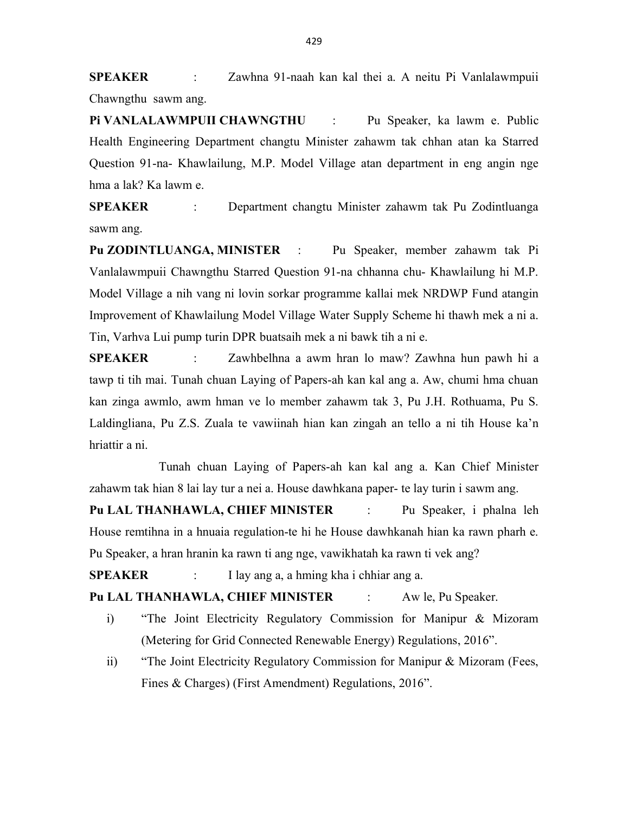SPEAKER : Zawhna 91-naah kan kal thei a. A neitu Pi Vanlalawmpuii Chawngthu sawm ang.

PI VANLALAWMPUII CHAWNGTHU : Pu Speaker, ka lawm e. Public Health Engineering Department changtu Minister zahawm tak chhan atan ka Starred Question 91-na- Khawlailung, M.P. Model Village atan department in eng angin nge hma a lak? Ka lawm e.

SPEAKER : Department changtu Minister zahawm tak Pu Zodintluanga sawm ang.

Pu ZODINTLUANGA, MINISTER : Pu Speaker, member zahawm tak Pi Vanlalawmpuii Chawngthu Starred Question 91-na chhanna chu- Khawlailung hi M.P. Model Village a nih vang ni lovin sorkar programme kallai mek NRDWP Fund atangin Improvement of Khawlailung Model Village Water Supply Scheme hi thawh mek a ni a. Tin, Varhva Lui pump turin DPR buatsaih mek a ni bawk tih a ni e.

SPEAKER : Zawhbelhna a awm hran lo maw? Zawhna hun pawh hi a tawp ti tih mai. Tunah chuan Laying of Papers-ah kan kal ang a. Aw, chumi hma chuan kan zinga awmlo, awm hman ve lo member zahawm tak 3, Pu J.H. Rothuama, Pu S. Laldingliana, Pu Z.S. Zuala te vawiinah hian kan zingah an tello a ni tih House ka'n hriattir a ni.

 Tunah chuan Laying of Papers-ah kan kal ang a. Kan Chief Minister zahawm tak hian 8 lai lay tur a nei a. House dawhkana paper- te lay turin i sawm ang.

Pu LAL THANHAWLA, CHIEF MINISTER : Pu Speaker, i phalna leh House remtihna in a hnuaia regulation-te hi he House dawhkanah hian ka rawn pharh e. Pu Speaker, a hran hranin ka rawn ti ang nge, vawikhatah ka rawn ti vek ang?

SPEAKER : I lay ang a, a hming kha i chhiar ang a.

Pu LAL THANHAWLA, CHIEF MINISTER : Aw le, Pu Speaker.

- i) "The Joint Electricity Regulatory Commission for Manipur & Mizoram (Metering for Grid Connected Renewable Energy) Regulations, 2016".
- ii) "The Joint Electricity Regulatory Commission for Manipur & Mizoram (Fees, Fines & Charges) (First Amendment) Regulations, 2016".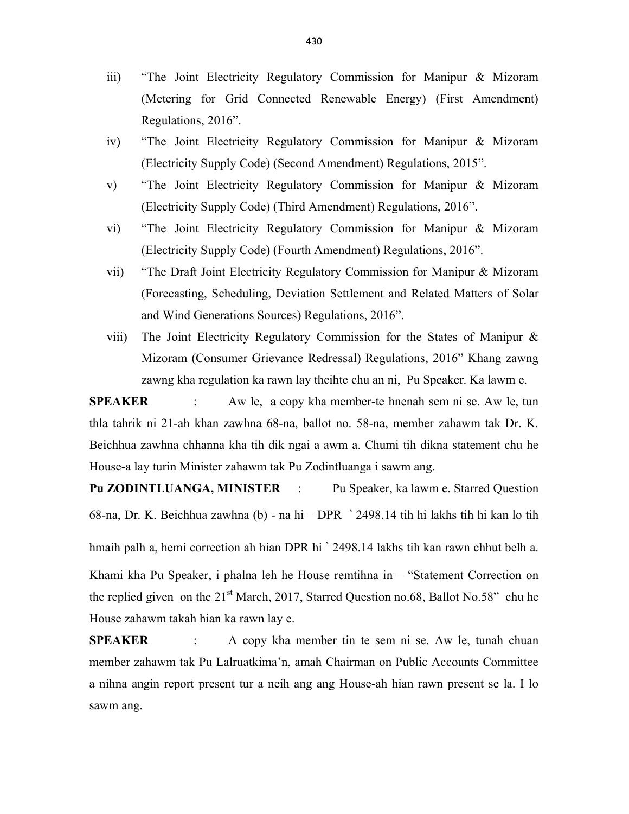- iii) "The Joint Electricity Regulatory Commission for Manipur & Mizoram (Metering for Grid Connected Renewable Energy) (First Amendment) Regulations, 2016".
- iv) "The Joint Electricity Regulatory Commission for Manipur & Mizoram (Electricity Supply Code) (Second Amendment) Regulations, 2015".
- v) "The Joint Electricity Regulatory Commission for Manipur & Mizoram (Electricity Supply Code) (Third Amendment) Regulations, 2016".
- vi) "The Joint Electricity Regulatory Commission for Manipur & Mizoram (Electricity Supply Code) (Fourth Amendment) Regulations, 2016".
- vii) "The Draft Joint Electricity Regulatory Commission for Manipur & Mizoram (Forecasting, Scheduling, Deviation Settlement and Related Matters of Solar and Wind Generations Sources) Regulations, 2016".
- viii) The Joint Electricity Regulatory Commission for the States of Manipur & Mizoram (Consumer Grievance Redressal) Regulations, 2016" Khang zawng zawng kha regulation ka rawn lay theihte chu an ni, Pu Speaker. Ka lawm e.

SPEAKER : Aw le, a copy kha member-te hnenah sem ni se. Aw le, tun thla tahrik ni 21-ah khan zawhna 68-na, ballot no. 58-na, member zahawm tak Dr. K. Beichhua zawhna chhanna kha tih dik ngai a awm a. Chumi tih dikna statement chu he House-a lay turin Minister zahawm tak Pu Zodintluanga i sawm ang.

Pu ZODINTLUANGA, MINISTER : Pu Speaker, ka lawm e. Starred Question 68-na, Dr. K. Beichhua zawhna (b) - na hi – DPR ` 2498.14 tih hi lakhs tih hi kan lo tih

hmaih palh a, hemi correction ah hian DPR hi ` 2498.14 lakhs tih kan rawn chhut belh a.

Khami kha Pu Speaker, i phalna leh he House remtihna in – "Statement Correction on the replied given on the  $21<sup>st</sup>$  March, 2017, Starred Question no.68, Ballot No.58" chu he House zahawm takah hian ka rawn lay e.

SPEAKER : A copy kha member tin te sem ni se. Aw le, tunah chuan member zahawm tak Pu Lalruatkima'n, amah Chairman on Public Accounts Committee a nihna angin report present tur a neih ang ang House-ah hian rawn present se la. I lo sawm ang.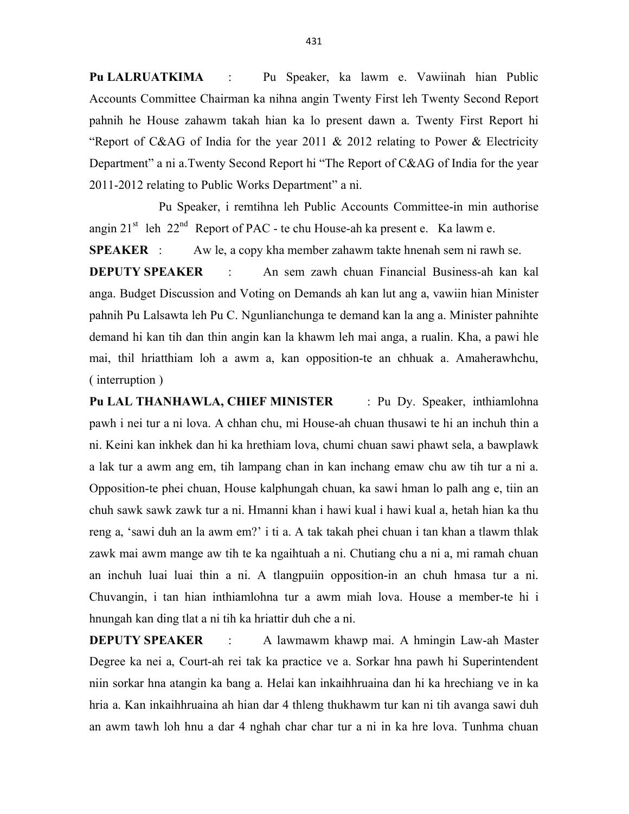Pu LALRUATKIMA : Pu Speaker, ka lawm e. Vawiinah hian Public Accounts Committee Chairman ka nihna angin Twenty First leh Twenty Second Report pahnih he House zahawm takah hian ka lo present dawn a. Twenty First Report hi "Report of C&AG of India for the year 2011 & 2012 relating to Power & Electricity Department" a ni a.Twenty Second Report hi "The Report of C&AG of India for the year 2011-2012 relating to Public Works Department" a ni.

 Pu Speaker, i remtihna leh Public Accounts Committee-in min authorise angin  $21^{st}$  leh  $22^{nd}$  Report of PAC - te chu House-ah ka present e. Ka lawm e.

SPEAKER : Aw le, a copy kha member zahawm takte hnenah sem ni rawh se.

DEPUTY SPEAKER : An sem zawh chuan Financial Business-ah kan kal anga. Budget Discussion and Voting on Demands ah kan lut ang a, vawiin hian Minister pahnih Pu Lalsawta leh Pu C. Ngunlianchunga te demand kan la ang a. Minister pahnihte demand hi kan tih dan thin angin kan la khawm leh mai anga, a rualin. Kha, a pawi hle mai, thil hriatthiam loh a awm a, kan opposition-te an chhuak a. Amaherawhchu, ( interruption )

Pu LAL THANHAWLA, CHIEF MINISTER : Pu Dy. Speaker, inthiamlohna pawh i nei tur a ni lova. A chhan chu, mi House-ah chuan thusawi te hi an inchuh thin a ni. Keini kan inkhek dan hi ka hrethiam lova, chumi chuan sawi phawt sela, a bawplawk a lak tur a awm ang em, tih lampang chan in kan inchang emaw chu aw tih tur a ni a. Opposition-te phei chuan, House kalphungah chuan, ka sawi hman lo palh ang e, tiin an chuh sawk sawk zawk tur a ni. Hmanni khan i hawi kual i hawi kual a, hetah hian ka thu reng a, 'sawi duh an la awm em?' i ti a. A tak takah phei chuan i tan khan a tlawm thlak zawk mai awm mange aw tih te ka ngaihtuah a ni. Chutiang chu a ni a, mi ramah chuan an inchuh luai luai thin a ni. A tlangpuiin opposition-in an chuh hmasa tur a ni. Chuvangin, i tan hian inthiamlohna tur a awm miah lova. House a member-te hi i hnungah kan ding tlat a ni tih ka hriattir duh che a ni.

**DEPUTY SPEAKER** : A lawmawm khawp mai. A hmingin Law-ah Master Degree ka nei a, Court-ah rei tak ka practice ve a. Sorkar hna pawh hi Superintendent niin sorkar hna atangin ka bang a. Helai kan inkaihhruaina dan hi ka hrechiang ve in ka hria a. Kan inkaihhruaina ah hian dar 4 thleng thukhawm tur kan ni tih avanga sawi duh an awm tawh loh hnu a dar 4 nghah char char tur a ni in ka hre lova. Tunhma chuan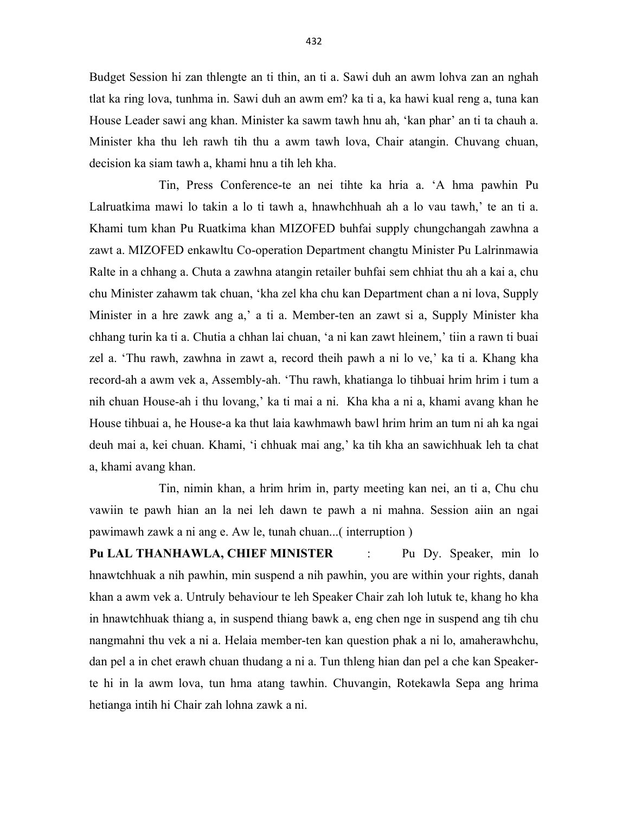Budget Session hi zan thlengte an ti thin, an ti a. Sawi duh an awm lohva zan an nghah tlat ka ring lova, tunhma in. Sawi duh an awm em? ka ti a, ka hawi kual reng a, tuna kan House Leader sawi ang khan. Minister ka sawm tawh hnu ah, 'kan phar' an ti ta chauh a. Minister kha thu leh rawh tih thu a awm tawh lova, Chair atangin. Chuvang chuan, decision ka siam tawh a, khami hnu a tih leh kha.

 Tin, Press Conference-te an nei tihte ka hria a. 'A hma pawhin Pu Lalruatkima mawi lo takin a lo ti tawh a, hnawhchhuah ah a lo vau tawh,' te an ti a. Khami tum khan Pu Ruatkima khan MIZOFED buhfai supply chungchangah zawhna a zawt a. MIZOFED enkawltu Co-operation Department changtu Minister Pu Lalrinmawia Ralte in a chhang a. Chuta a zawhna atangin retailer buhfai sem chhiat thu ah a kai a, chu chu Minister zahawm tak chuan, 'kha zel kha chu kan Department chan a ni lova, Supply Minister in a hre zawk ang a,' a ti a. Member-ten an zawt si a, Supply Minister kha chhang turin ka ti a. Chutia a chhan lai chuan, 'a ni kan zawt hleinem,' tiin a rawn ti buai zel a. 'Thu rawh, zawhna in zawt a, record theih pawh a ni lo ve,' ka ti a. Khang kha record-ah a awm vek a, Assembly-ah. 'Thu rawh, khatianga lo tihbuai hrim hrim i tum a nih chuan House-ah i thu lovang,' ka ti mai a ni. Kha kha a ni a, khami avang khan he House tihbuai a, he House-a ka thut laia kawhmawh bawl hrim hrim an tum ni ah ka ngai deuh mai a, kei chuan. Khami, 'i chhuak mai ang,' ka tih kha an sawichhuak leh ta chat a, khami avang khan.

 Tin, nimin khan, a hrim hrim in, party meeting kan nei, an ti a, Chu chu vawiin te pawh hian an la nei leh dawn te pawh a ni mahna. Session aiin an ngai pawimawh zawk a ni ang e. Aw le, tunah chuan...( interruption )

Pu LAL THANHAWLA, CHIEF MINISTER : Pu Dy. Speaker, min lo hnawtchhuak a nih pawhin, min suspend a nih pawhin, you are within your rights, danah khan a awm vek a. Untruly behaviour te leh Speaker Chair zah loh lutuk te, khang ho kha in hnawtchhuak thiang a, in suspend thiang bawk a, eng chen nge in suspend ang tih chu nangmahni thu vek a ni a. Helaia member-ten kan question phak a ni lo, amaherawhchu, dan pel a in chet erawh chuan thudang a ni a. Tun thleng hian dan pel a che kan Speakerte hi in la awm lova, tun hma atang tawhin. Chuvangin, Rotekawla Sepa ang hrima hetianga intih hi Chair zah lohna zawk a ni.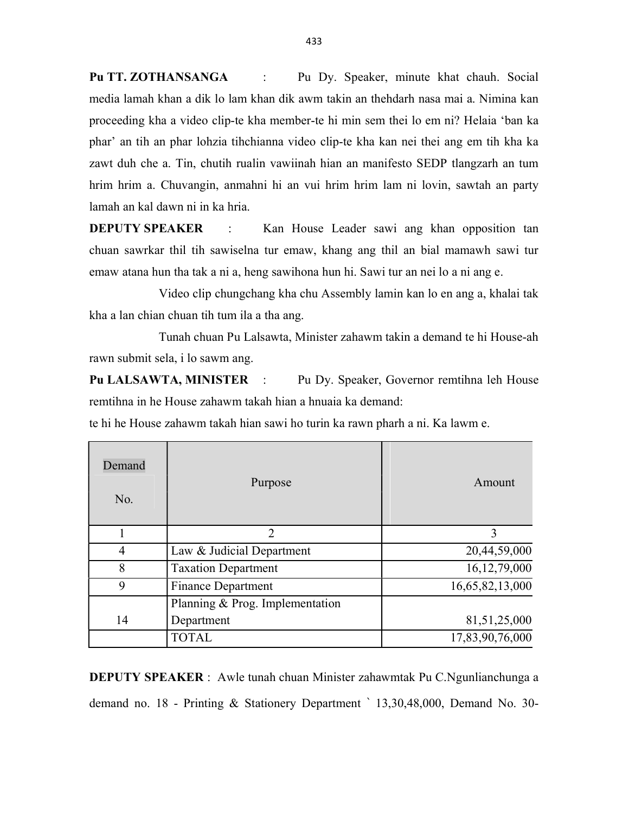Pu TT. ZOTHANSANGA : Pu Dy. Speaker, minute khat chauh. Social media lamah khan a dik lo lam khan dik awm takin an thehdarh nasa mai a. Nimina kan proceeding kha a video clip-te kha member-te hi min sem thei lo em ni? Helaia 'ban ka phar' an tih an phar lohzia tihchianna video clip-te kha kan nei thei ang em tih kha ka zawt duh che a. Tin, chutih rualin vawiinah hian an manifesto SEDP tlangzarh an tum hrim hrim a. Chuvangin, anmahni hi an vui hrim hrim lam ni lovin, sawtah an party lamah an kal dawn ni in ka hria.

DEPUTY SPEAKER : Kan House Leader sawi ang khan opposition tan chuan sawrkar thil tih sawiselna tur emaw, khang ang thil an bial mamawh sawi tur emaw atana hun tha tak a ni a, heng sawihona hun hi. Sawi tur an nei lo a ni ang e.

 Video clip chungchang kha chu Assembly lamin kan lo en ang a, khalai tak kha a lan chian chuan tih tum ila a tha ang.

 Tunah chuan Pu Lalsawta, Minister zahawm takin a demand te hi House-ah rawn submit sela, i lo sawm ang.

Pu LALSAWTA, MINISTER : Pu Dy. Speaker, Governor remtihna leh House remtihna in he House zahawm takah hian a hnuaia ka demand:

te hi he House zahawm takah hian sawi ho turin ka rawn pharh a ni. Ka lawm e.

| Demand<br>No. | Purpose                         | Amount          |
|---------------|---------------------------------|-----------------|
|               | $\overline{2}$                  | 3               |
| 4             | Law & Judicial Department       | 20,44,59,000    |
| 8             | <b>Taxation Department</b>      | 16,12,79,000    |
| 9             | <b>Finance Department</b>       | 16,65,82,13,000 |
|               | Planning & Prog. Implementation |                 |
| 14            | Department                      | 81, 51, 25, 000 |
|               | <b>TOTAL</b>                    | 17,83,90,76,000 |

DEPUTY SPEAKER : Awle tunah chuan Minister zahawmtak Pu C.Ngunlianchunga a demand no. 18 - Printing & Stationery Department ` 13,30,48,000, Demand No. 30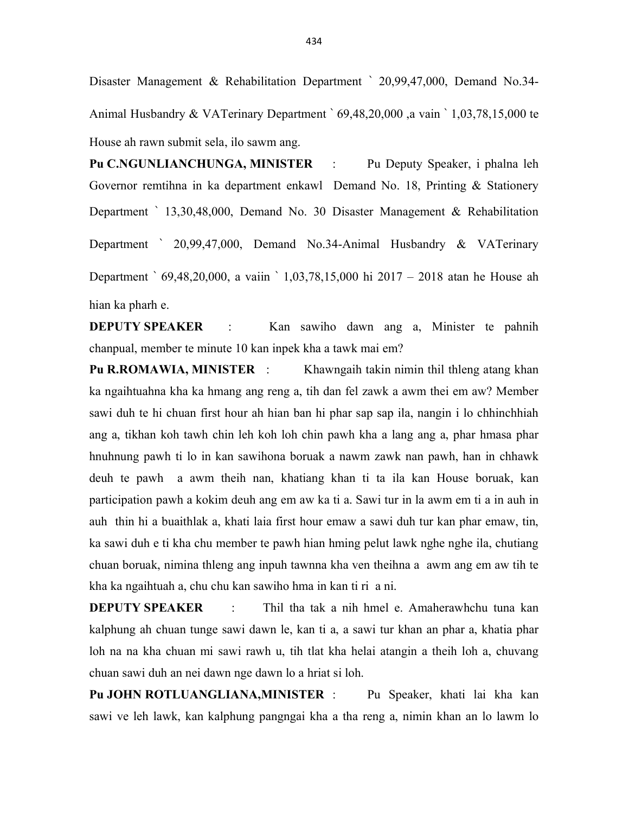Disaster Management & Rehabilitation Department ` 20,99,47,000, Demand No.34- Animal Husbandry & VATerinary Department ` 69,48,20,000 ,a vain ` 1,03,78,15,000 te House ah rawn submit sela, ilo sawm ang.

Pu C.NGUNLIANCHUNGA, MINISTER : Pu Deputy Speaker, i phalna leh Governor remtihna in ka department enkawl Demand No. 18, Printing & Stationery Department ` 13,30,48,000, Demand No. 30 Disaster Management & Rehabilitation Department ` 20,99,47,000, Demand No.34-Animal Husbandry & VATerinary Department ` 69,48,20,000, a vaiin ` 1,03,78,15,000 hi 2017 – 2018 atan he House ah hian ka pharh e.

DEPUTY SPEAKER : Kan sawiho dawn ang a, Minister te pahnih chanpual, member te minute 10 kan inpek kha a tawk mai em?

Pu R.ROMAWIA, MINISTER : Khawngaih takin nimin thil thleng atang khan ka ngaihtuahna kha ka hmang ang reng a, tih dan fel zawk a awm thei em aw? Member sawi duh te hi chuan first hour ah hian ban hi phar sap sap ila, nangin i lo chhinchhiah ang a, tikhan koh tawh chin leh koh loh chin pawh kha a lang ang a, phar hmasa phar hnuhnung pawh ti lo in kan sawihona boruak a nawm zawk nan pawh, han in chhawk deuh te pawh a awm theih nan, khatiang khan ti ta ila kan House boruak, kan participation pawh a kokim deuh ang em aw ka ti a. Sawi tur in la awm em ti a in auh in auh thin hi a buaithlak a, khati laia first hour emaw a sawi duh tur kan phar emaw, tin, ka sawi duh e ti kha chu member te pawh hian hming pelut lawk nghe nghe ila, chutiang chuan boruak, nimina thleng ang inpuh tawnna kha ven theihna a awm ang em aw tih te kha ka ngaihtuah a, chu chu kan sawiho hma in kan ti ri a ni.

**DEPUTY SPEAKER** : Thil tha tak a nih hmel e. Amaherawhchu tuna kan kalphung ah chuan tunge sawi dawn le, kan ti a, a sawi tur khan an phar a, khatia phar loh na na kha chuan mi sawi rawh u, tih tlat kha helai atangin a theih loh a, chuvang chuan sawi duh an nei dawn nge dawn lo a hriat si loh.

Pu JOHN ROTLUANGLIANA, MINISTER : Pu Speaker, khati lai kha kan sawi ve leh lawk, kan kalphung pangngai kha a tha reng a, nimin khan an lo lawm lo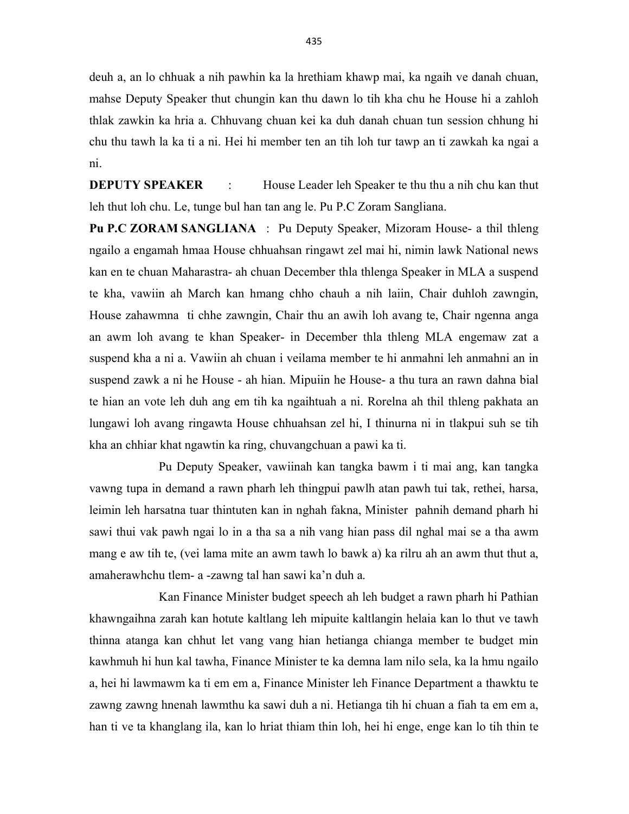deuh a, an lo chhuak a nih pawhin ka la hrethiam khawp mai, ka ngaih ve danah chuan, mahse Deputy Speaker thut chungin kan thu dawn lo tih kha chu he House hi a zahloh thlak zawkin ka hria a. Chhuvang chuan kei ka duh danah chuan tun session chhung hi chu thu tawh la ka ti a ni. Hei hi member ten an tih loh tur tawp an ti zawkah ka ngai a ni.

DEPUTY SPEAKER : House Leader leh Speaker te thu thu a nih chu kan thut leh thut loh chu. Le, tunge bul han tan ang le. Pu P.C Zoram Sangliana.

Pu P.C ZORAM SANGLIANA : Pu Deputy Speaker, Mizoram House- a thil thleng ngailo a engamah hmaa House chhuahsan ringawt zel mai hi, nimin lawk National news kan en te chuan Maharastra- ah chuan December thla thlenga Speaker in MLA a suspend te kha, vawiin ah March kan hmang chho chauh a nih laiin, Chair duhloh zawngin, House zahawmna ti chhe zawngin, Chair thu an awih loh avang te, Chair ngenna anga an awm loh avang te khan Speaker- in December thla thleng MLA engemaw zat a suspend kha a ni a. Vawiin ah chuan i veilama member te hi anmahni leh anmahni an in suspend zawk a ni he House - ah hian. Mipuiin he House- a thu tura an rawn dahna bial te hian an vote leh duh ang em tih ka ngaihtuah a ni. Rorelna ah thil thleng pakhata an lungawi loh avang ringawta House chhuahsan zel hi, I thinurna ni in tlakpui suh se tih kha an chhiar khat ngawtin ka ring, chuvangchuan a pawi ka ti.

 Pu Deputy Speaker, vawiinah kan tangka bawm i ti mai ang, kan tangka vawng tupa in demand a rawn pharh leh thingpui pawlh atan pawh tui tak, rethei, harsa, leimin leh harsatna tuar thintuten kan in nghah fakna, Minister pahnih demand pharh hi sawi thui vak pawh ngai lo in a tha sa a nih vang hian pass dil nghal mai se a tha awm mang e aw tih te, (vei lama mite an awm tawh lo bawk a) ka rilru ah an awm thut thut a, amaherawhchu tlem- a -zawng tal han sawi ka'n duh a.

 Kan Finance Minister budget speech ah leh budget a rawn pharh hi Pathian khawngaihna zarah kan hotute kaltlang leh mipuite kaltlangin helaia kan lo thut ve tawh thinna atanga kan chhut let vang vang hian hetianga chianga member te budget min kawhmuh hi hun kal tawha, Finance Minister te ka demna lam nilo sela, ka la hmu ngailo a, hei hi lawmawm ka ti em em a, Finance Minister leh Finance Department a thawktu te zawng zawng hnenah lawmthu ka sawi duh a ni. Hetianga tih hi chuan a fiah ta em em a, han ti ve ta khanglang ila, kan lo hriat thiam thin loh, hei hi enge, enge kan lo tih thin te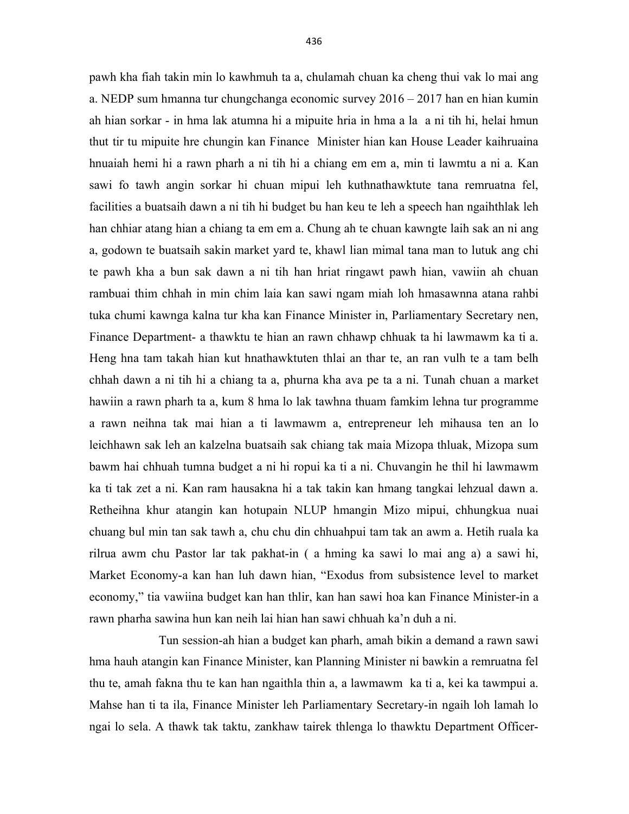pawh kha fiah takin min lo kawhmuh ta a, chulamah chuan ka cheng thui vak lo mai ang a. NEDP sum hmanna tur chungchanga economic survey 2016 – 2017 han en hian kumin ah hian sorkar - in hma lak atumna hi a mipuite hria in hma a la a ni tih hi, helai hmun thut tir tu mipuite hre chungin kan Finance Minister hian kan House Leader kaihruaina hnuaiah hemi hi a rawn pharh a ni tih hi a chiang em em a, min ti lawmtu a ni a. Kan sawi fo tawh angin sorkar hi chuan mipui leh kuthnathawktute tana remruatna fel, facilities a buatsaih dawn a ni tih hi budget bu han keu te leh a speech han ngaihthlak leh han chhiar atang hian a chiang ta em em a. Chung ah te chuan kawngte laih sak an ni ang a, godown te buatsaih sakin market yard te, khawl lian mimal tana man to lutuk ang chi te pawh kha a bun sak dawn a ni tih han hriat ringawt pawh hian, vawiin ah chuan rambuai thim chhah in min chim laia kan sawi ngam miah loh hmasawnna atana rahbi tuka chumi kawnga kalna tur kha kan Finance Minister in, Parliamentary Secretary nen, Finance Department- a thawktu te hian an rawn chhawp chhuak ta hi lawmawm ka ti a. Heng hna tam takah hian kut hnathawktuten thlai an thar te, an ran vulh te a tam belh chhah dawn a ni tih hi a chiang ta a, phurna kha ava pe ta a ni. Tunah chuan a market hawiin a rawn pharh ta a, kum 8 hma lo lak tawhna thuam famkim lehna tur programme a rawn neihna tak mai hian a ti lawmawm a, entrepreneur leh mihausa ten an lo leichhawn sak leh an kalzelna buatsaih sak chiang tak maia Mizopa thluak, Mizopa sum bawm hai chhuah tumna budget a ni hi ropui ka ti a ni. Chuvangin he thil hi lawmawm ka ti tak zet a ni. Kan ram hausakna hi a tak takin kan hmang tangkai lehzual dawn a. Retheihna khur atangin kan hotupain NLUP hmangin Mizo mipui, chhungkua nuai chuang bul min tan sak tawh a, chu chu din chhuahpui tam tak an awm a. Hetih ruala ka rilrua awm chu Pastor lar tak pakhat-in ( a hming ka sawi lo mai ang a) a sawi hi, Market Economy-a kan han luh dawn hian, "Exodus from subsistence level to market economy," tia vawiina budget kan han thlir, kan han sawi hoa kan Finance Minister-in a rawn pharha sawina hun kan neih lai hian han sawi chhuah ka'n duh a ni.

 Tun session-ah hian a budget kan pharh, amah bikin a demand a rawn sawi hma hauh atangin kan Finance Minister, kan Planning Minister ni bawkin a remruatna fel thu te, amah fakna thu te kan han ngaithla thin a, a lawmawm ka ti a, kei ka tawmpui a. Mahse han ti ta ila, Finance Minister leh Parliamentary Secretary-in ngaih loh lamah lo ngai lo sela. A thawk tak taktu, zankhaw tairek thlenga lo thawktu Department Officer-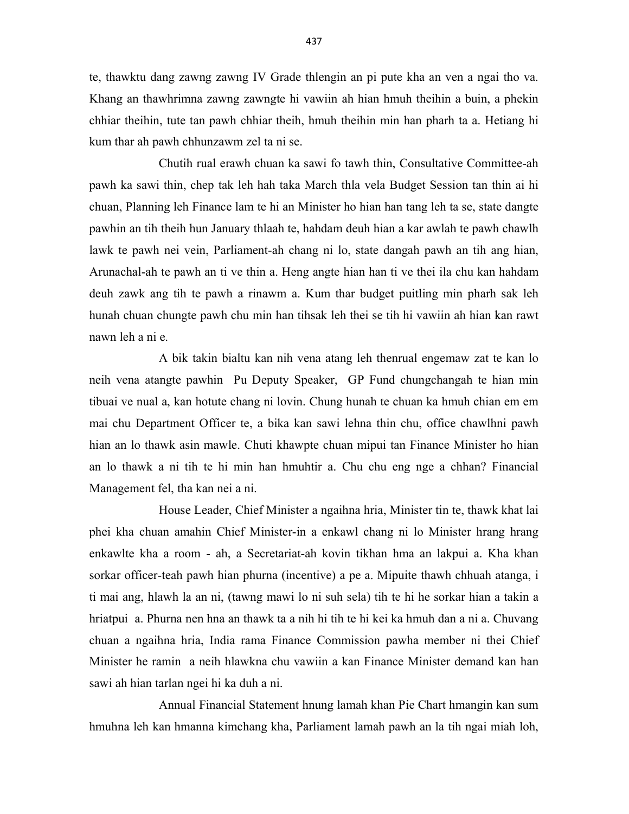te, thawktu dang zawng zawng IV Grade thlengin an pi pute kha an ven a ngai tho va. Khang an thawhrimna zawng zawngte hi vawiin ah hian hmuh theihin a buin, a phekin chhiar theihin, tute tan pawh chhiar theih, hmuh theihin min han pharh ta a. Hetiang hi kum thar ah pawh chhunzawm zel ta ni se.

 Chutih rual erawh chuan ka sawi fo tawh thin, Consultative Committee-ah pawh ka sawi thin, chep tak leh hah taka March thla vela Budget Session tan thin ai hi chuan, Planning leh Finance lam te hi an Minister ho hian han tang leh ta se, state dangte pawhin an tih theih hun January thlaah te, hahdam deuh hian a kar awlah te pawh chawlh lawk te pawh nei vein, Parliament-ah chang ni lo, state dangah pawh an tih ang hian, Arunachal-ah te pawh an ti ve thin a. Heng angte hian han ti ve thei ila chu kan hahdam deuh zawk ang tih te pawh a rinawm a. Kum thar budget puitling min pharh sak leh hunah chuan chungte pawh chu min han tihsak leh thei se tih hi vawiin ah hian kan rawt nawn leh a ni e.

 A bik takin bialtu kan nih vena atang leh thenrual engemaw zat te kan lo neih vena atangte pawhin Pu Deputy Speaker, GP Fund chungchangah te hian min tibuai ve nual a, kan hotute chang ni lovin. Chung hunah te chuan ka hmuh chian em em mai chu Department Officer te, a bika kan sawi lehna thin chu, office chawlhni pawh hian an lo thawk asin mawle. Chuti khawpte chuan mipui tan Finance Minister ho hian an lo thawk a ni tih te hi min han hmuhtir a. Chu chu eng nge a chhan? Financial Management fel, tha kan nei a ni.

 House Leader, Chief Minister a ngaihna hria, Minister tin te, thawk khat lai phei kha chuan amahin Chief Minister-in a enkawl chang ni lo Minister hrang hrang enkawlte kha a room - ah, a Secretariat-ah kovin tikhan hma an lakpui a. Kha khan sorkar officer-teah pawh hian phurna (incentive) a pe a. Mipuite thawh chhuah atanga, i ti mai ang, hlawh la an ni, (tawng mawi lo ni suh sela) tih te hi he sorkar hian a takin a hriatpui a. Phurna nen hna an thawk ta a nih hi tih te hi kei ka hmuh dan a ni a. Chuvang chuan a ngaihna hria, India rama Finance Commission pawha member ni thei Chief Minister he ramin a neih hlawkna chu vawiin a kan Finance Minister demand kan han sawi ah hian tarlan ngei hi ka duh a ni.

 Annual Financial Statement hnung lamah khan Pie Chart hmangin kan sum hmuhna leh kan hmanna kimchang kha, Parliament lamah pawh an la tih ngai miah loh,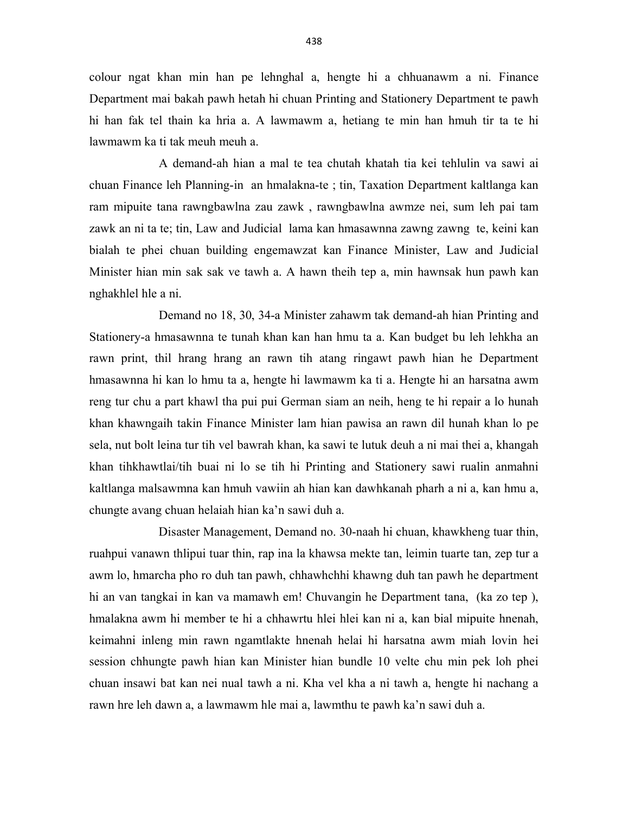colour ngat khan min han pe lehnghal a, hengte hi a chhuanawm a ni. Finance Department mai bakah pawh hetah hi chuan Printing and Stationery Department te pawh hi han fak tel thain ka hria a. A lawmawm a, hetiang te min han hmuh tir ta te hi lawmawm ka ti tak meuh meuh a.

 A demand-ah hian a mal te tea chutah khatah tia kei tehlulin va sawi ai chuan Finance leh Planning-in an hmalakna-te ; tin, Taxation Department kaltlanga kan ram mipuite tana rawngbawlna zau zawk , rawngbawlna awmze nei, sum leh pai tam zawk an ni ta te; tin, Law and Judicial lama kan hmasawnna zawng zawng te, keini kan bialah te phei chuan building engemawzat kan Finance Minister, Law and Judicial Minister hian min sak sak ve tawh a. A hawn theih tep a, min hawnsak hun pawh kan nghakhlel hle a ni.

 Demand no 18, 30, 34-a Minister zahawm tak demand-ah hian Printing and Stationery-a hmasawnna te tunah khan kan han hmu ta a. Kan budget bu leh lehkha an rawn print, thil hrang hrang an rawn tih atang ringawt pawh hian he Department hmasawnna hi kan lo hmu ta a, hengte hi lawmawm ka ti a. Hengte hi an harsatna awm reng tur chu a part khawl tha pui pui German siam an neih, heng te hi repair a lo hunah khan khawngaih takin Finance Minister lam hian pawisa an rawn dil hunah khan lo pe sela, nut bolt leina tur tih vel bawrah khan, ka sawi te lutuk deuh a ni mai thei a, khangah khan tihkhawtlai/tih buai ni lo se tih hi Printing and Stationery sawi rualin anmahni kaltlanga malsawmna kan hmuh vawiin ah hian kan dawhkanah pharh a ni a, kan hmu a, chungte avang chuan helaiah hian ka'n sawi duh a.

 Disaster Management, Demand no. 30-naah hi chuan, khawkheng tuar thin, ruahpui vanawn thlipui tuar thin, rap ina la khawsa mekte tan, leimin tuarte tan, zep tur a awm lo, hmarcha pho ro duh tan pawh, chhawhchhi khawng duh tan pawh he department hi an van tangkai in kan va mamawh em! Chuvangin he Department tana, (ka zo tep ), hmalakna awm hi member te hi a chhawrtu hlei hlei kan ni a, kan bial mipuite hnenah, keimahni inleng min rawn ngamtlakte hnenah helai hi harsatna awm miah lovin hei session chhungte pawh hian kan Minister hian bundle 10 velte chu min pek loh phei chuan insawi bat kan nei nual tawh a ni. Kha vel kha a ni tawh a, hengte hi nachang a rawn hre leh dawn a, a lawmawm hle mai a, lawmthu te pawh ka'n sawi duh a.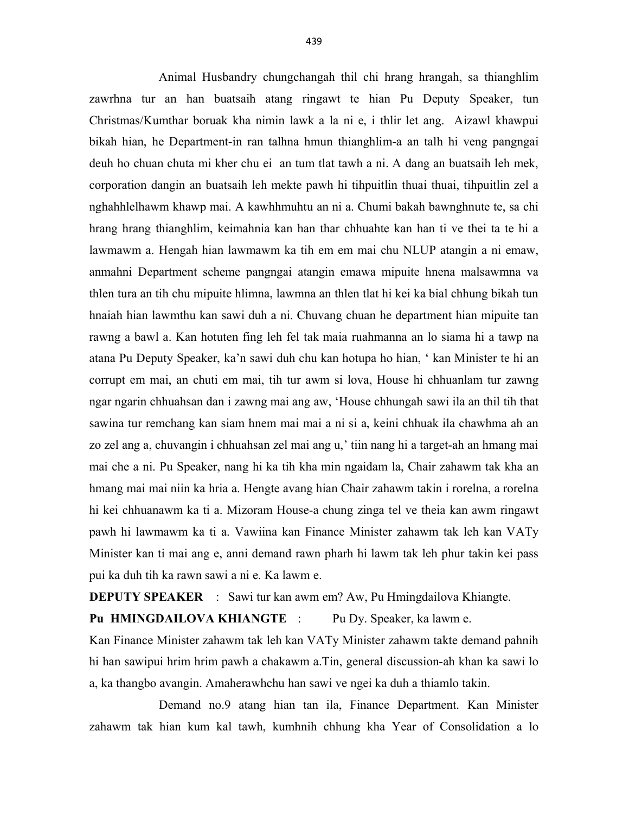Animal Husbandry chungchangah thil chi hrang hrangah, sa thianghlim zawrhna tur an han buatsaih atang ringawt te hian Pu Deputy Speaker, tun Christmas/Kumthar boruak kha nimin lawk a la ni e, i thlir let ang. Aizawl khawpui bikah hian, he Department-in ran talhna hmun thianghlim-a an talh hi veng pangngai deuh ho chuan chuta mi kher chu ei an tum tlat tawh a ni. A dang an buatsaih leh mek, corporation dangin an buatsaih leh mekte pawh hi tihpuitlin thuai thuai, tihpuitlin zel a nghahhlelhawm khawp mai. A kawhhmuhtu an ni a. Chumi bakah bawnghnute te, sa chi hrang hrang thianghlim, keimahnia kan han thar chhuahte kan han ti ve thei ta te hi a lawmawm a. Hengah hian lawmawm ka tih em em mai chu NLUP atangin a ni emaw, anmahni Department scheme pangngai atangin emawa mipuite hnena malsawmna va thlen tura an tih chu mipuite hlimna, lawmna an thlen tlat hi kei ka bial chhung bikah tun hnaiah hian lawmthu kan sawi duh a ni. Chuvang chuan he department hian mipuite tan rawng a bawl a. Kan hotuten fing leh fel tak maia ruahmanna an lo siama hi a tawp na atana Pu Deputy Speaker, ka'n sawi duh chu kan hotupa ho hian, ' kan Minister te hi an corrupt em mai, an chuti em mai, tih tur awm si lova, House hi chhuanlam tur zawng ngar ngarin chhuahsan dan i zawng mai ang aw, 'House chhungah sawi ila an thil tih that sawina tur remchang kan siam hnem mai mai a ni si a, keini chhuak ila chawhma ah an zo zel ang a, chuvangin i chhuahsan zel mai ang u,' tiin nang hi a target-ah an hmang mai mai che a ni. Pu Speaker, nang hi ka tih kha min ngaidam la, Chair zahawm tak kha an hmang mai mai niin ka hria a. Hengte avang hian Chair zahawm takin i rorelna, a rorelna hi kei chhuanawm ka ti a. Mizoram House-a chung zinga tel ve theia kan awm ringawt pawh hi lawmawm ka ti a. Vawiina kan Finance Minister zahawm tak leh kan VATy Minister kan ti mai ang e, anni demand rawn pharh hi lawm tak leh phur takin kei pass pui ka duh tih ka rawn sawi a ni e. Ka lawm e.

DEPUTY SPEAKER : Sawi tur kan awm em? Aw, Pu Hmingdailova Khiangte.

Pu HMINGDAILOVA KHIANGTE : Pu Dy. Speaker, ka lawm e.

Kan Finance Minister zahawm tak leh kan VATy Minister zahawm takte demand pahnih hi han sawipui hrim hrim pawh a chakawm a.Tin, general discussion-ah khan ka sawi lo a, ka thangbo avangin. Amaherawhchu han sawi ve ngei ka duh a thiamlo takin.

 Demand no.9 atang hian tan ila, Finance Department. Kan Minister zahawm tak hian kum kal tawh, kumhnih chhung kha Year of Consolidation a lo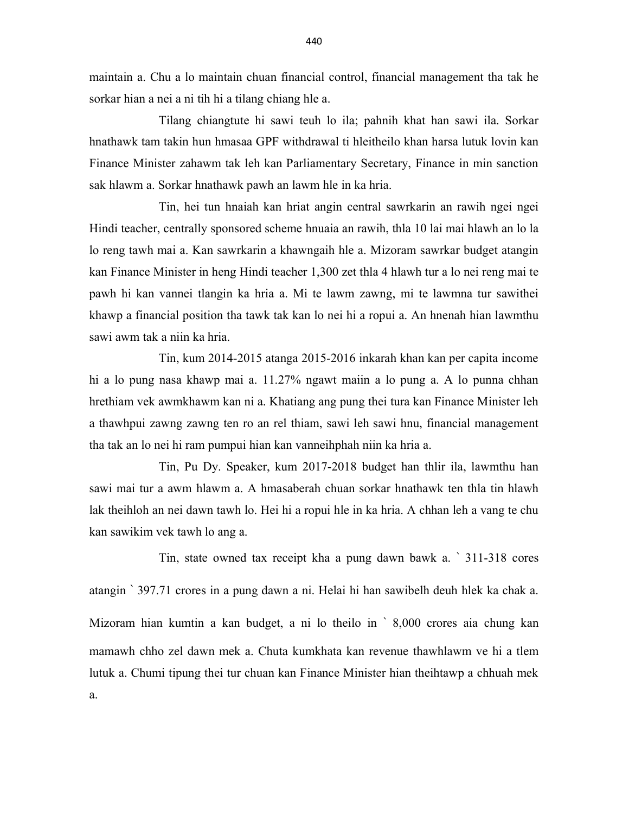maintain a. Chu a lo maintain chuan financial control, financial management tha tak he sorkar hian a nei a ni tih hi a tilang chiang hle a.

 Tilang chiangtute hi sawi teuh lo ila; pahnih khat han sawi ila. Sorkar hnathawk tam takin hun hmasaa GPF withdrawal ti hleitheilo khan harsa lutuk lovin kan Finance Minister zahawm tak leh kan Parliamentary Secretary, Finance in min sanction sak hlawm a. Sorkar hnathawk pawh an lawm hle in ka hria.

 Tin, hei tun hnaiah kan hriat angin central sawrkarin an rawih ngei ngei Hindi teacher, centrally sponsored scheme hnuaia an rawih, thla 10 lai mai hlawh an lo la lo reng tawh mai a. Kan sawrkarin a khawngaih hle a. Mizoram sawrkar budget atangin kan Finance Minister in heng Hindi teacher 1,300 zet thla 4 hlawh tur a lo nei reng mai te pawh hi kan vannei tlangin ka hria a. Mi te lawm zawng, mi te lawmna tur sawithei khawp a financial position tha tawk tak kan lo nei hi a ropui a. An hnenah hian lawmthu sawi awm tak a niin ka hria.

 Tin, kum 2014-2015 atanga 2015-2016 inkarah khan kan per capita income hi a lo pung nasa khawp mai a. 11.27% ngawt maiin a lo pung a. A lo punna chhan hrethiam vek awmkhawm kan ni a. Khatiang ang pung thei tura kan Finance Minister leh a thawhpui zawng zawng ten ro an rel thiam, sawi leh sawi hnu, financial management tha tak an lo nei hi ram pumpui hian kan vanneihphah niin ka hria a.

 Tin, Pu Dy. Speaker, kum 2017-2018 budget han thlir ila, lawmthu han sawi mai tur a awm hlawm a. A hmasaberah chuan sorkar hnathawk ten thla tin hlawh lak theihloh an nei dawn tawh lo. Hei hi a ropui hle in ka hria. A chhan leh a vang te chu kan sawikim vek tawh lo ang a.

 Tin, state owned tax receipt kha a pung dawn bawk a. ` 311-318 cores atangin ` 397.71 crores in a pung dawn a ni. Helai hi han sawibelh deuh hlek ka chak a. Mizoram hian kumtin a kan budget, a ni lo theilo in ` 8,000 crores aia chung kan mamawh chho zel dawn mek a. Chuta kumkhata kan revenue thawhlawm ve hi a tlem lutuk a. Chumi tipung thei tur chuan kan Finance Minister hian theihtawp a chhuah mek a.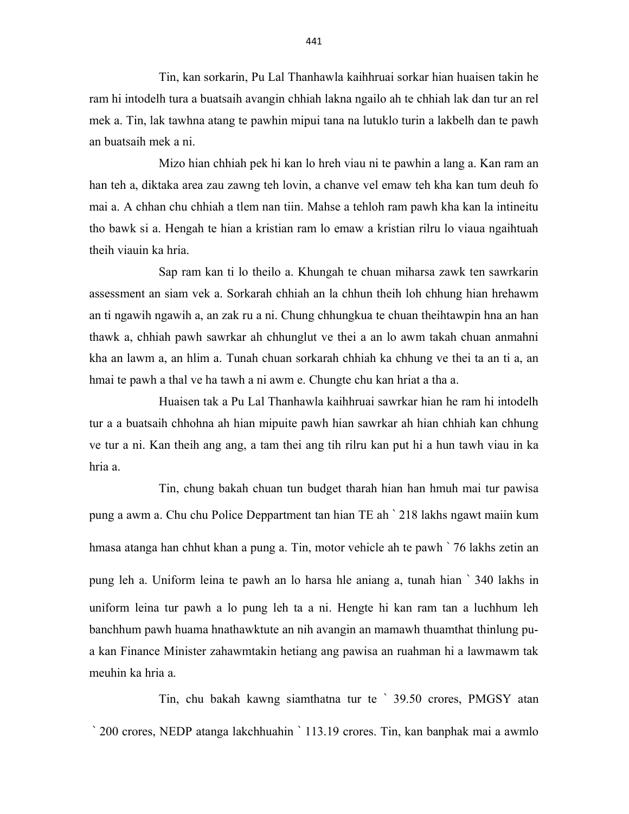Tin, kan sorkarin, Pu Lal Thanhawla kaihhruai sorkar hian huaisen takin he ram hi intodelh tura a buatsaih avangin chhiah lakna ngailo ah te chhiah lak dan tur an rel mek a. Tin, lak tawhna atang te pawhin mipui tana na lutuklo turin a lakbelh dan te pawh an buatsaih mek a ni.

 Mizo hian chhiah pek hi kan lo hreh viau ni te pawhin a lang a. Kan ram an han teh a, diktaka area zau zawng teh lovin, a chanve vel emaw teh kha kan tum deuh fo mai a. A chhan chu chhiah a tlem nan tiin. Mahse a tehloh ram pawh kha kan la intineitu tho bawk si a. Hengah te hian a kristian ram lo emaw a kristian rilru lo viaua ngaihtuah theih viauin ka hria.

 Sap ram kan ti lo theilo a. Khungah te chuan miharsa zawk ten sawrkarin assessment an siam vek a. Sorkarah chhiah an la chhun theih loh chhung hian hrehawm an ti ngawih ngawih a, an zak ru a ni. Chung chhungkua te chuan theihtawpin hna an han thawk a, chhiah pawh sawrkar ah chhunglut ve thei a an lo awm takah chuan anmahni kha an lawm a, an hlim a. Tunah chuan sorkarah chhiah ka chhung ve thei ta an ti a, an hmai te pawh a thal ve ha tawh a ni awm e. Chungte chu kan hriat a tha a.

 Huaisen tak a Pu Lal Thanhawla kaihhruai sawrkar hian he ram hi intodelh tur a a buatsaih chhohna ah hian mipuite pawh hian sawrkar ah hian chhiah kan chhung ve tur a ni. Kan theih ang ang, a tam thei ang tih rilru kan put hi a hun tawh viau in ka hria a.

 Tin, chung bakah chuan tun budget tharah hian han hmuh mai tur pawisa pung a awm a. Chu chu Police Deppartment tan hian TE ah ` 218 lakhs ngawt maiin kum hmasa atanga han chhut khan a pung a. Tin, motor vehicle ah te pawh ` 76 lakhs zetin an pung leh a. Uniform leina te pawh an lo harsa hle aniang a, tunah hian ` 340 lakhs in uniform leina tur pawh a lo pung leh ta a ni. Hengte hi kan ram tan a luchhum leh banchhum pawh huama hnathawktute an nih avangin an mamawh thuamthat thinlung pua kan Finance Minister zahawmtakin hetiang ang pawisa an ruahman hi a lawmawm tak meuhin ka hria a.

 Tin, chu bakah kawng siamthatna tur te ` 39.50 crores, PMGSY atan ` 200 crores, NEDP atanga lakchhuahin ` 113.19 crores. Tin, kan banphak mai a awmlo

441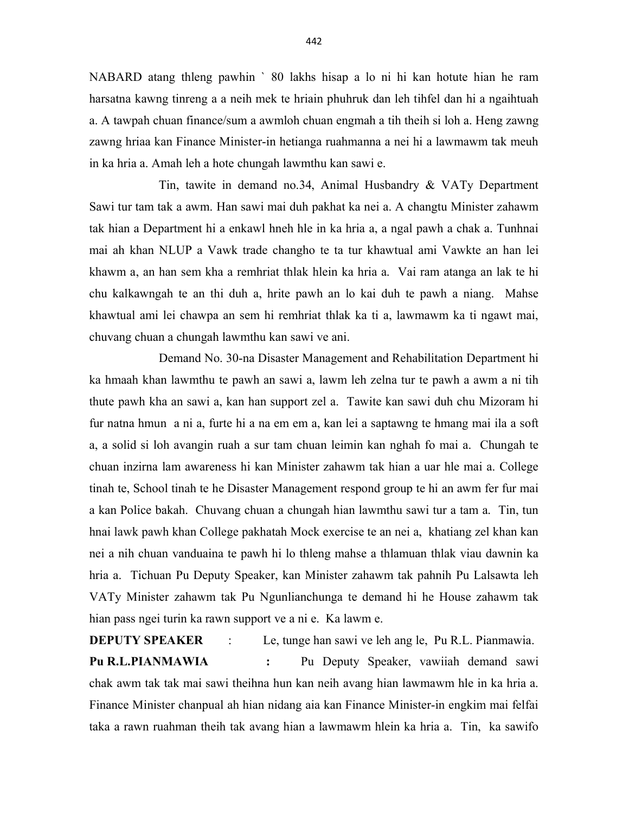NABARD atang thleng pawhin ` 80 lakhs hisap a lo ni hi kan hotute hian he ram harsatna kawng tinreng a a neih mek te hriain phuhruk dan leh tihfel dan hi a ngaihtuah a. A tawpah chuan finance/sum a awmloh chuan engmah a tih theih si loh a. Heng zawng zawng hriaa kan Finance Minister-in hetianga ruahmanna a nei hi a lawmawm tak meuh in ka hria a. Amah leh a hote chungah lawmthu kan sawi e.

 Tin, tawite in demand no.34, Animal Husbandry & VATy Department Sawi tur tam tak a awm. Han sawi mai duh pakhat ka nei a. A changtu Minister zahawm tak hian a Department hi a enkawl hneh hle in ka hria a, a ngal pawh a chak a. Tunhnai mai ah khan NLUP a Vawk trade changho te ta tur khawtual ami Vawkte an han lei khawm a, an han sem kha a remhriat thlak hlein ka hria a. Vai ram atanga an lak te hi chu kalkawngah te an thi duh a, hrite pawh an lo kai duh te pawh a niang. Mahse khawtual ami lei chawpa an sem hi remhriat thlak ka ti a, lawmawm ka ti ngawt mai, chuvang chuan a chungah lawmthu kan sawi ve ani.

 Demand No. 30-na Disaster Management and Rehabilitation Department hi ka hmaah khan lawmthu te pawh an sawi a, lawm leh zelna tur te pawh a awm a ni tih thute pawh kha an sawi a, kan han support zel a. Tawite kan sawi duh chu Mizoram hi fur natna hmun a ni a, furte hi a na em em a, kan lei a saptawng te hmang mai ila a soft a, a solid si loh avangin ruah a sur tam chuan leimin kan nghah fo mai a. Chungah te chuan inzirna lam awareness hi kan Minister zahawm tak hian a uar hle mai a. College tinah te, School tinah te he Disaster Management respond group te hi an awm fer fur mai a kan Police bakah. Chuvang chuan a chungah hian lawmthu sawi tur a tam a. Tin, tun hnai lawk pawh khan College pakhatah Mock exercise te an nei a, khatiang zel khan kan nei a nih chuan vanduaina te pawh hi lo thleng mahse a thlamuan thlak viau dawnin ka hria a. Tichuan Pu Deputy Speaker, kan Minister zahawm tak pahnih Pu Lalsawta leh VATy Minister zahawm tak Pu Ngunlianchunga te demand hi he House zahawm tak hian pass ngei turin ka rawn support ve a ni e. Ka lawm e.

**DEPUTY SPEAKER** : Le, tunge han sawi ve leh ang le, Pu R.L. Pianmawia. Pu R.L.PIANMAWIA : Pu Deputy Speaker, vawiiah demand sawi chak awm tak tak mai sawi theihna hun kan neih avang hian lawmawm hle in ka hria a. Finance Minister chanpual ah hian nidang aia kan Finance Minister-in engkim mai felfai taka a rawn ruahman theih tak avang hian a lawmawm hlein ka hria a. Tin, ka sawifo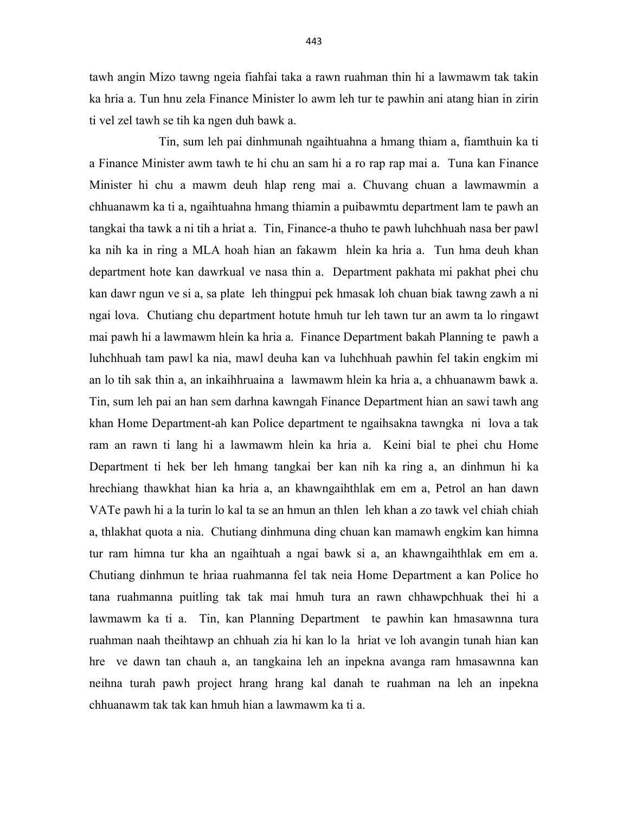tawh angin Mizo tawng ngeia fiahfai taka a rawn ruahman thin hi a lawmawm tak takin ka hria a. Tun hnu zela Finance Minister lo awm leh tur te pawhin ani atang hian in zirin ti vel zel tawh se tih ka ngen duh bawk a.

 Tin, sum leh pai dinhmunah ngaihtuahna a hmang thiam a, fiamthuin ka ti a Finance Minister awm tawh te hi chu an sam hi a ro rap rap mai a. Tuna kan Finance Minister hi chu a mawm deuh hlap reng mai a. Chuvang chuan a lawmawmin a chhuanawm ka ti a, ngaihtuahna hmang thiamin a puibawmtu department lam te pawh an tangkai tha tawk a ni tih a hriat a. Tin, Finance-a thuho te pawh luhchhuah nasa ber pawl ka nih ka in ring a MLA hoah hian an fakawm hlein ka hria a. Tun hma deuh khan department hote kan dawrkual ve nasa thin a. Department pakhata mi pakhat phei chu kan dawr ngun ve si a, sa plate leh thingpui pek hmasak loh chuan biak tawng zawh a ni ngai lova. Chutiang chu department hotute hmuh tur leh tawn tur an awm ta lo ringawt mai pawh hi a lawmawm hlein ka hria a. Finance Department bakah Planning te pawh a luhchhuah tam pawl ka nia, mawl deuha kan va luhchhuah pawhin fel takin engkim mi an lo tih sak thin a, an inkaihhruaina a lawmawm hlein ka hria a, a chhuanawm bawk a. Tin, sum leh pai an han sem darhna kawngah Finance Department hian an sawi tawh ang khan Home Department-ah kan Police department te ngaihsakna tawngka ni lova a tak ram an rawn ti lang hi a lawmawm hlein ka hria a. Keini bial te phei chu Home Department ti hek ber leh hmang tangkai ber kan nih ka ring a, an dinhmun hi ka hrechiang thawkhat hian ka hria a, an khawngaihthlak em em a, Petrol an han dawn VATe pawh hi a la turin lo kal ta se an hmun an thlen leh khan a zo tawk vel chiah chiah a, thlakhat quota a nia. Chutiang dinhmuna ding chuan kan mamawh engkim kan himna tur ram himna tur kha an ngaihtuah a ngai bawk si a, an khawngaihthlak em em a. Chutiang dinhmun te hriaa ruahmanna fel tak neia Home Department a kan Police ho tana ruahmanna puitling tak tak mai hmuh tura an rawn chhawpchhuak thei hi a lawmawm ka ti a. Tin, kan Planning Department te pawhin kan hmasawnna tura ruahman naah theihtawp an chhuah zia hi kan lo la hriat ve loh avangin tunah hian kan hre ve dawn tan chauh a, an tangkaina leh an inpekna avanga ram hmasawnna kan neihna turah pawh project hrang hrang kal danah te ruahman na leh an inpekna chhuanawm tak tak kan hmuh hian a lawmawm ka ti a.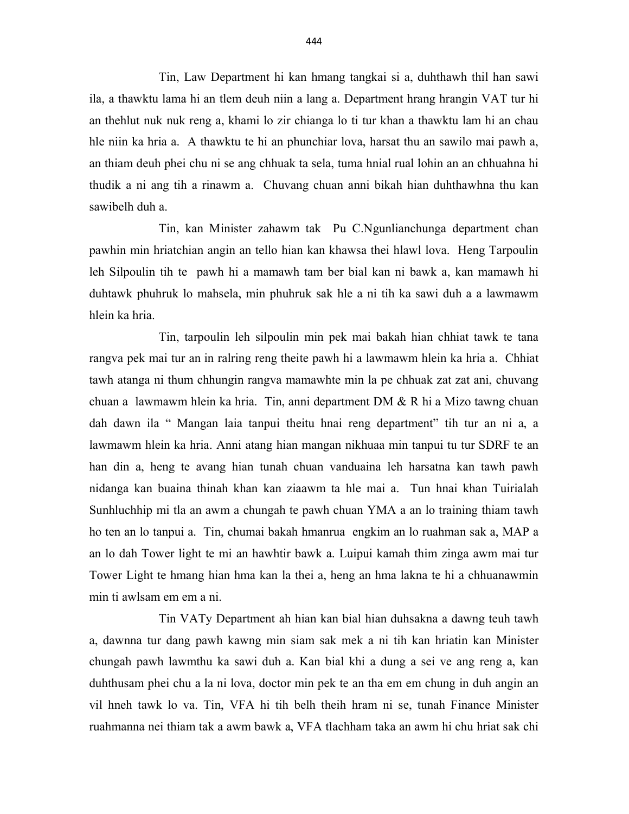Tin, Law Department hi kan hmang tangkai si a, duhthawh thil han sawi ila, a thawktu lama hi an tlem deuh niin a lang a. Department hrang hrangin VAT tur hi an thehlut nuk nuk reng a, khami lo zir chianga lo ti tur khan a thawktu lam hi an chau hle niin ka hria a. A thawktu te hi an phunchiar lova, harsat thu an sawilo mai pawh a, an thiam deuh phei chu ni se ang chhuak ta sela, tuma hnial rual lohin an an chhuahna hi thudik a ni ang tih a rinawm a. Chuvang chuan anni bikah hian duhthawhna thu kan sawibelh duh a.

 Tin, kan Minister zahawm tak Pu C.Ngunlianchunga department chan pawhin min hriatchian angin an tello hian kan khawsa thei hlawl lova. Heng Tarpoulin leh Silpoulin tih te pawh hi a mamawh tam ber bial kan ni bawk a, kan mamawh hi duhtawk phuhruk lo mahsela, min phuhruk sak hle a ni tih ka sawi duh a a lawmawm hlein ka hria.

 Tin, tarpoulin leh silpoulin min pek mai bakah hian chhiat tawk te tana rangva pek mai tur an in ralring reng theite pawh hi a lawmawm hlein ka hria a. Chhiat tawh atanga ni thum chhungin rangva mamawhte min la pe chhuak zat zat ani, chuvang chuan a lawmawm hlein ka hria. Tin, anni department DM & R hi a Mizo tawng chuan dah dawn ila " Mangan laia tanpui theitu hnai reng department" tih tur an ni a, a lawmawm hlein ka hria. Anni atang hian mangan nikhuaa min tanpui tu tur SDRF te an han din a, heng te avang hian tunah chuan vanduaina leh harsatna kan tawh pawh nidanga kan buaina thinah khan kan ziaawm ta hle mai a. Tun hnai khan Tuirialah Sunhluchhip mi tla an awm a chungah te pawh chuan YMA a an lo training thiam tawh ho ten an lo tanpui a. Tin, chumai bakah hmanrua engkim an lo ruahman sak a, MAP a an lo dah Tower light te mi an hawhtir bawk a. Luipui kamah thim zinga awm mai tur Tower Light te hmang hian hma kan la thei a, heng an hma lakna te hi a chhuanawmin min ti awlsam em em a ni.

 Tin VATy Department ah hian kan bial hian duhsakna a dawng teuh tawh a, dawnna tur dang pawh kawng min siam sak mek a ni tih kan hriatin kan Minister chungah pawh lawmthu ka sawi duh a. Kan bial khi a dung a sei ve ang reng a, kan duhthusam phei chu a la ni lova, doctor min pek te an tha em em chung in duh angin an vil hneh tawk lo va. Tin, VFA hi tih belh theih hram ni se, tunah Finance Minister ruahmanna nei thiam tak a awm bawk a, VFA tlachham taka an awm hi chu hriat sak chi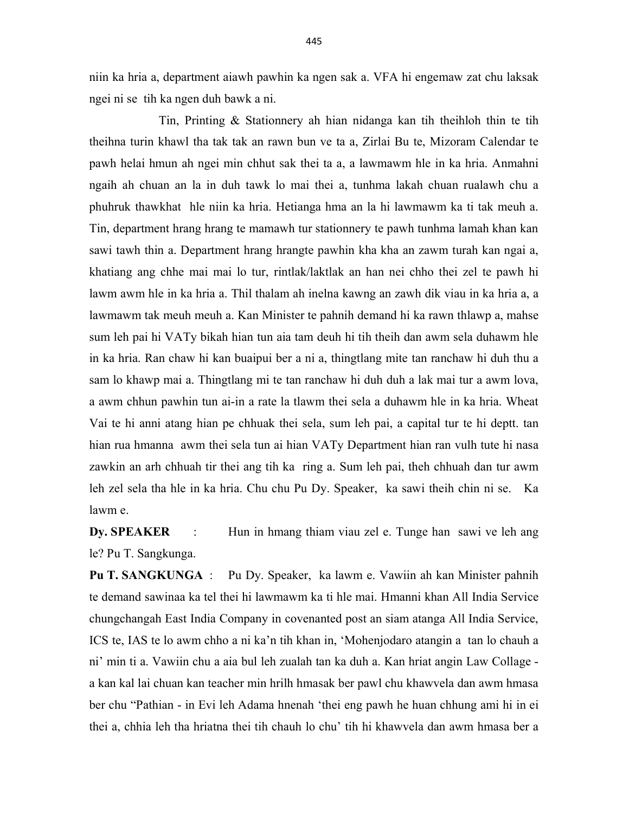niin ka hria a, department aiawh pawhin ka ngen sak a. VFA hi engemaw zat chu laksak ngei ni se tih ka ngen duh bawk a ni.

 Tin, Printing & Stationnery ah hian nidanga kan tih theihloh thin te tih theihna turin khawl tha tak tak an rawn bun ve ta a, Zirlai Bu te, Mizoram Calendar te pawh helai hmun ah ngei min chhut sak thei ta a, a lawmawm hle in ka hria. Anmahni ngaih ah chuan an la in duh tawk lo mai thei a, tunhma lakah chuan rualawh chu a phuhruk thawkhat hle niin ka hria. Hetianga hma an la hi lawmawm ka ti tak meuh a. Tin, department hrang hrang te mamawh tur stationnery te pawh tunhma lamah khan kan sawi tawh thin a. Department hrang hrangte pawhin kha kha an zawm turah kan ngai a, khatiang ang chhe mai mai lo tur, rintlak/laktlak an han nei chho thei zel te pawh hi lawm awm hle in ka hria a. Thil thalam ah inelna kawng an zawh dik viau in ka hria a, a lawmawm tak meuh meuh a. Kan Minister te pahnih demand hi ka rawn thlawp a, mahse sum leh pai hi VATy bikah hian tun aia tam deuh hi tih theih dan awm sela duhawm hle in ka hria. Ran chaw hi kan buaipui ber a ni a, thingtlang mite tan ranchaw hi duh thu a sam lo khawp mai a. Thingtlang mi te tan ranchaw hi duh duh a lak mai tur a awm lova, a awm chhun pawhin tun ai-in a rate la tlawm thei sela a duhawm hle in ka hria. Wheat Vai te hi anni atang hian pe chhuak thei sela, sum leh pai, a capital tur te hi deptt. tan hian rua hmanna awm thei sela tun ai hian VATy Department hian ran vulh tute hi nasa zawkin an arh chhuah tir thei ang tih ka ring a. Sum leh pai, theh chhuah dan tur awm leh zel sela tha hle in ka hria. Chu chu Pu Dy. Speaker, ka sawi theih chin ni se. Ka lawm e.

Dy. SPEAKER : Hun in hmang thiam viau zel e. Tunge han sawi ve leh ang le? Pu T. Sangkunga.

Pu T. SANGKUNGA : Pu Dy. Speaker, ka lawm e. Vawiin ah kan Minister pahnih te demand sawinaa ka tel thei hi lawmawm ka ti hle mai. Hmanni khan All India Service chungchangah East India Company in covenanted post an siam atanga All India Service, ICS te, IAS te lo awm chho a ni ka'n tih khan in, 'Mohenjodaro atangin a tan lo chauh a ni' min ti a. Vawiin chu a aia bul leh zualah tan ka duh a. Kan hriat angin Law Collage a kan kal lai chuan kan teacher min hrilh hmasak ber pawl chu khawvela dan awm hmasa ber chu "Pathian - in Evi leh Adama hnenah 'thei eng pawh he huan chhung ami hi in ei thei a, chhia leh tha hriatna thei tih chauh lo chu' tih hi khawvela dan awm hmasa ber a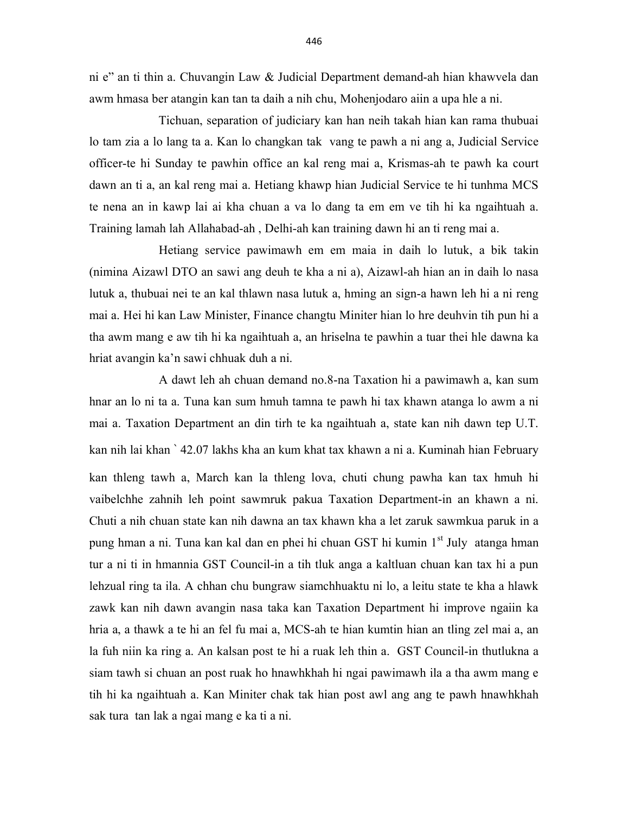ni e" an ti thin a. Chuvangin Law & Judicial Department demand-ah hian khawvela dan awm hmasa ber atangin kan tan ta daih a nih chu, Mohenjodaro aiin a upa hle a ni.

 Tichuan, separation of judiciary kan han neih takah hian kan rama thubuai lo tam zia a lo lang ta a. Kan lo changkan tak vang te pawh a ni ang a, Judicial Service officer-te hi Sunday te pawhin office an kal reng mai a, Krismas-ah te pawh ka court dawn an ti a, an kal reng mai a. Hetiang khawp hian Judicial Service te hi tunhma MCS te nena an in kawp lai ai kha chuan a va lo dang ta em em ve tih hi ka ngaihtuah a. Training lamah lah Allahabad-ah , Delhi-ah kan training dawn hi an ti reng mai a.

 Hetiang service pawimawh em em maia in daih lo lutuk, a bik takin (nimina Aizawl DTO an sawi ang deuh te kha a ni a), Aizawl-ah hian an in daih lo nasa lutuk a, thubuai nei te an kal thlawn nasa lutuk a, hming an sign-a hawn leh hi a ni reng mai a. Hei hi kan Law Minister, Finance changtu Miniter hian lo hre deuhvin tih pun hi a tha awm mang e aw tih hi ka ngaihtuah a, an hriselna te pawhin a tuar thei hle dawna ka hriat avangin ka'n sawi chhuak duh a ni.

 A dawt leh ah chuan demand no.8-na Taxation hi a pawimawh a, kan sum hnar an lo ni ta a. Tuna kan sum hmuh tamna te pawh hi tax khawn atanga lo awm a ni mai a. Taxation Department an din tirh te ka ngaihtuah a, state kan nih dawn tep U.T. kan nih lai khan ` 42.07 lakhs kha an kum khat tax khawn a ni a. Kuminah hian February kan thleng tawh a, March kan la thleng lova, chuti chung pawha kan tax hmuh hi vaibelchhe zahnih leh point sawmruk pakua Taxation Department-in an khawn a ni. Chuti a nih chuan state kan nih dawna an tax khawn kha a let zaruk sawmkua paruk in a pung hman a ni. Tuna kan kal dan en phei hi chuan GST hi kumin 1<sup>st</sup> July atanga hman tur a ni ti in hmannia GST Council-in a tih tluk anga a kaltluan chuan kan tax hi a pun lehzual ring ta ila. A chhan chu bungraw siamchhuaktu ni lo, a leitu state te kha a hlawk zawk kan nih dawn avangin nasa taka kan Taxation Department hi improve ngaiin ka hria a, a thawk a te hi an fel fu mai a, MCS-ah te hian kumtin hian an tling zel mai a, an la fuh niin ka ring a. An kalsan post te hi a ruak leh thin a. GST Council-in thutlukna a siam tawh si chuan an post ruak ho hnawhkhah hi ngai pawimawh ila a tha awm mang e tih hi ka ngaihtuah a. Kan Miniter chak tak hian post awl ang ang te pawh hnawhkhah sak tura tan lak a ngai mang e ka ti a ni.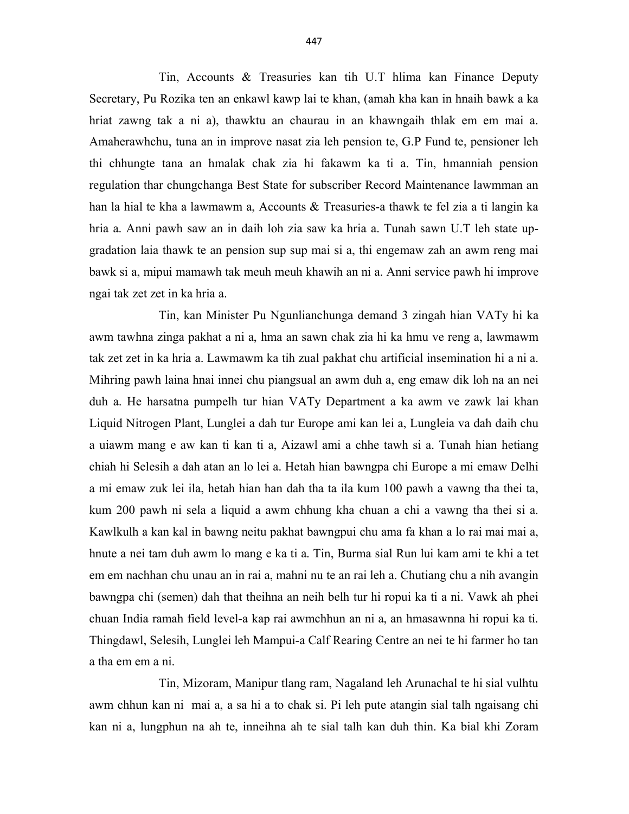Tin, Accounts & Treasuries kan tih U.T hlima kan Finance Deputy Secretary, Pu Rozika ten an enkawl kawp lai te khan, (amah kha kan in hnaih bawk a ka hriat zawng tak a ni a), thawktu an chaurau in an khawngaih thlak em em mai a. Amaherawhchu, tuna an in improve nasat zia leh pension te, G.P Fund te, pensioner leh thi chhungte tana an hmalak chak zia hi fakawm ka ti a. Tin, hmanniah pension regulation thar chungchanga Best State for subscriber Record Maintenance lawmman an han la hial te kha a lawmawm a, Accounts & Treasuries-a thawk te fel zia a ti langin ka hria a. Anni pawh saw an in daih loh zia saw ka hria a. Tunah sawn U.T leh state upgradation laia thawk te an pension sup sup mai si a, thi engemaw zah an awm reng mai bawk si a, mipui mamawh tak meuh meuh khawih an ni a. Anni service pawh hi improve ngai tak zet zet in ka hria a.

 Tin, kan Minister Pu Ngunlianchunga demand 3 zingah hian VATy hi ka awm tawhna zinga pakhat a ni a, hma an sawn chak zia hi ka hmu ve reng a, lawmawm tak zet zet in ka hria a. Lawmawm ka tih zual pakhat chu artificial insemination hi a ni a. Mihring pawh laina hnai innei chu piangsual an awm duh a, eng emaw dik loh na an nei duh a. He harsatna pumpelh tur hian VATy Department a ka awm ve zawk lai khan Liquid Nitrogen Plant, Lunglei a dah tur Europe ami kan lei a, Lungleia va dah daih chu a uiawm mang e aw kan ti kan ti a, Aizawl ami a chhe tawh si a. Tunah hian hetiang chiah hi Selesih a dah atan an lo lei a. Hetah hian bawngpa chi Europe a mi emaw Delhi a mi emaw zuk lei ila, hetah hian han dah tha ta ila kum 100 pawh a vawng tha thei ta, kum 200 pawh ni sela a liquid a awm chhung kha chuan a chi a vawng tha thei si a. Kawlkulh a kan kal in bawng neitu pakhat bawngpui chu ama fa khan a lo rai mai mai a, hnute a nei tam duh awm lo mang e ka ti a. Tin, Burma sial Run lui kam ami te khi a tet em em nachhan chu unau an in rai a, mahni nu te an rai leh a. Chutiang chu a nih avangin bawngpa chi (semen) dah that theihna an neih belh tur hi ropui ka ti a ni. Vawk ah phei chuan India ramah field level-a kap rai awmchhun an ni a, an hmasawnna hi ropui ka ti. Thingdawl, Selesih, Lunglei leh Mampui-a Calf Rearing Centre an nei te hi farmer ho tan a tha em em a ni.

 Tin, Mizoram, Manipur tlang ram, Nagaland leh Arunachal te hi sial vulhtu awm chhun kan ni mai a, a sa hi a to chak si. Pi leh pute atangin sial talh ngaisang chi kan ni a, lungphun na ah te, inneihna ah te sial talh kan duh thin. Ka bial khi Zoram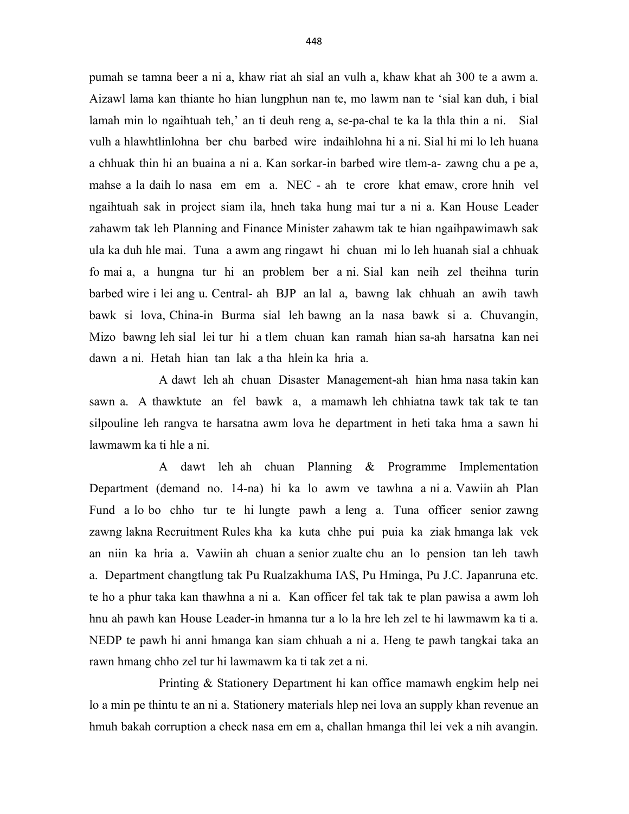pumah se tamna beer a ni a, khaw riat ah sial an vulh a, khaw khat ah 300 te a awm a. Aizawl lama kan thiante ho hian lungphun nan te, mo lawm nan te 'sial kan duh, i bial lamah min lo ngaihtuah teh,' an ti deuh reng a, se-pa-chal te ka la thla thin a ni. Sial vulh a hlawhtlinlohna ber chu barbed wire indaihlohna hi a ni. Sial hi mi lo leh huana a chhuak thin hi an buaina a ni a. Kan sorkar-in barbed wire tlem-a- zawng chu a pe a, mahse a la daih lo nasa em em a. NEC - ah te crore khat emaw, crore hnih vel ngaihtuah sak in project siam ila, hneh taka hung mai tur a ni a. Kan House Leader zahawm tak leh Planning and Finance Minister zahawm tak te hian ngaihpawimawh sak ula ka duh hle mai. Tuna a awm ang ringawt hi chuan mi lo leh huanah sial a chhuak fo mai a, a hungna tur hi an problem ber a ni. Sial kan neih zel theihna turin barbed wire i lei ang u. Central- ah BJP an lal a, bawng lak chhuah an awih tawh bawk si lova, China-in Burma sial leh bawng an la nasa bawk si a. Chuvangin, Mizo bawng leh sial lei tur hi a tlem chuan kan ramah hian sa-ah harsatna kan nei dawn a ni. Hetah hian tan lak a tha hlein ka hria a.

 A dawt leh ah chuan Disaster Management-ah hian hma nasa takin kan sawn a. A thawktute an fel bawk a, a mamawh leh chhiatna tawk tak tak te tan silpouline leh rangva te harsatna awm lova he department in heti taka hma a sawn hi lawmawm ka ti hle a ni.

 A dawt leh ah chuan Planning & Programme Implementation Department (demand no. 14-na) hi ka lo awm ve tawhna a ni a. Vawiin ah Plan Fund a lo bo chho tur te hi lungte pawh a leng a. Tuna officer senior zawng zawng lakna Recruitment Rules kha ka kuta chhe pui puia ka ziak hmanga lak vek an niin ka hria a. Vawiin ah chuan a senior zualte chu an lo pension tan leh tawh a. Department changtlung tak Pu Rualzakhuma IAS, Pu Hminga, Pu J.C. Japanruna etc. te ho a phur taka kan thawhna a ni a. Kan officer fel tak tak te plan pawisa a awm loh hnu ah pawh kan House Leader-in hmanna tur a lo la hre leh zel te hi lawmawm ka ti a. NEDP te pawh hi anni hmanga kan siam chhuah a ni a. Heng te pawh tangkai taka an rawn hmang chho zel tur hi lawmawm ka ti tak zet a ni.

 Printing & Stationery Department hi kan office mamawh engkim help nei lo a min pe thintu te an ni a. Stationery materials hlep nei lova an supply khan revenue an hmuh bakah corruption a check nasa em em a, challan hmanga thil lei vek a nih avangin.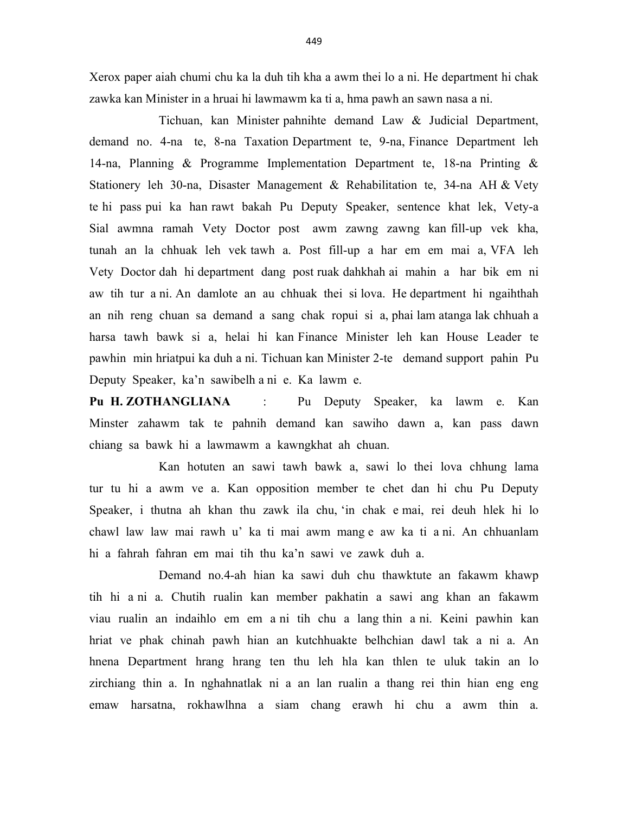Xerox paper aiah chumi chu ka la duh tih kha a awm thei lo a ni. He department hi chak zawka kan Minister in a hruai hi lawmawm ka ti a, hma pawh an sawn nasa a ni.

 Tichuan, kan Minister pahnihte demand Law & Judicial Department, demand no. 4-na te, 8-na Taxation Department te, 9-na, Finance Department leh 14-na, Planning & Programme Implementation Department te, 18-na Printing & Stationery leh 30-na, Disaster Management & Rehabilitation te, 34-na AH & Vety te hi pass pui ka han rawt bakah Pu Deputy Speaker, sentence khat lek, Vety-a Sial awmna ramah Vety Doctor post awm zawng zawng kan fill-up vek kha, tunah an la chhuak leh vek tawh a. Post fill-up a har em em mai a, VFA leh Vety Doctor dah hi department dang post ruak dahkhah ai mahin a har bik em ni aw tih tur a ni. An damlote an au chhuak thei si lova. He department hi ngaihthah an nih reng chuan sa demand a sang chak ropui si a, phai lam atanga lak chhuah a harsa tawh bawk si a, helai hi kan Finance Minister leh kan House Leader te pawhin min hriatpui ka duh a ni. Tichuan kan Minister 2-te demand support pahin Pu Deputy Speaker, ka'n sawibelh a ni e. Ka lawm e.

Pu H. ZOTHANGLIANA : Pu Deputy Speaker, ka lawm e. Kan Minster zahawm tak te pahnih demand kan sawiho dawn a, kan pass dawn chiang sa bawk hi a lawmawm a kawngkhat ah chuan.

 Kan hotuten an sawi tawh bawk a, sawi lo thei lova chhung lama tur tu hi a awm ve a. Kan opposition member te chet dan hi chu Pu Deputy Speaker, i thutna ah khan thu zawk ila chu, 'in chak e mai, rei deuh hlek hi lo chawl law law mai rawh u' ka ti mai awm mang e aw ka ti a ni. An chhuanlam hi a fahrah fahran em mai tih thu ka'n sawi ve zawk duh a.

 Demand no.4-ah hian ka sawi duh chu thawktute an fakawm khawp tih hi a ni a. Chutih rualin kan member pakhatin a sawi ang khan an fakawm viau rualin an indaihlo em em a ni tih chu a lang thin a ni. Keini pawhin kan hriat ve phak chinah pawh hian an kutchhuakte belhchian dawl tak a ni a. An hnena Department hrang hrang ten thu leh hla kan thlen te uluk takin an lo zirchiang thin a. In nghahnatlak ni a an lan rualin a thang rei thin hian eng eng emaw harsatna, rokhawlhna a siam chang erawh hi chu a awm thin a.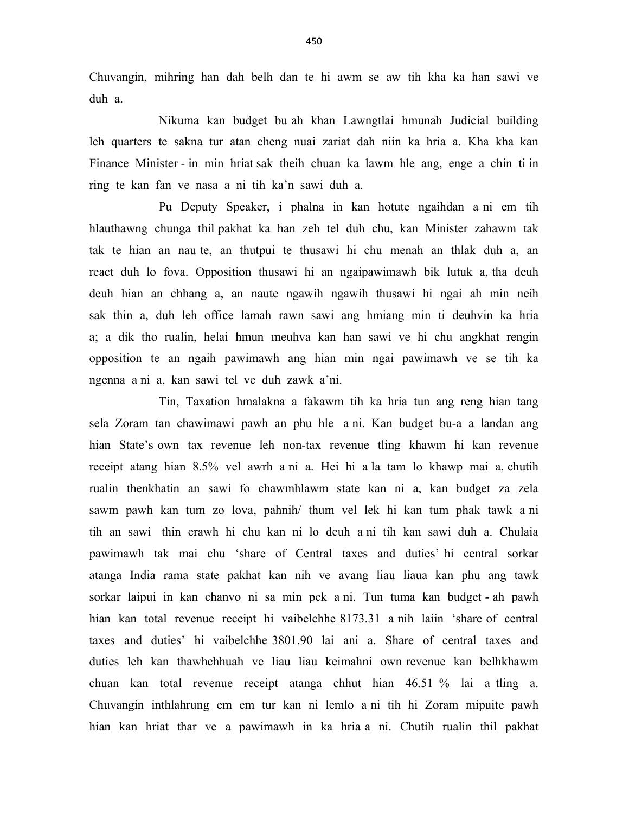Chuvangin, mihring han dah belh dan te hi awm se aw tih kha ka han sawi ve duh a.

 Nikuma kan budget bu ah khan Lawngtlai hmunah Judicial building leh quarters te sakna tur atan cheng nuai zariat dah niin ka hria a. Kha kha kan Finance Minister - in min hriat sak theih chuan ka lawm hle ang, enge a chin ti in ring te kan fan ve nasa a ni tih ka'n sawi duh a.

 Pu Deputy Speaker, i phalna in kan hotute ngaihdan a ni em tih hlauthawng chunga thil pakhat ka han zeh tel duh chu, kan Minister zahawm tak tak te hian an nau te, an thutpui te thusawi hi chu menah an thlak duh a, an react duh lo fova. Opposition thusawi hi an ngaipawimawh bik lutuk a, tha deuh deuh hian an chhang a, an naute ngawih ngawih thusawi hi ngai ah min neih sak thin a, duh leh office lamah rawn sawi ang hmiang min ti deuhvin ka hria a; a dik tho rualin, helai hmun meuhva kan han sawi ve hi chu angkhat rengin opposition te an ngaih pawimawh ang hian min ngai pawimawh ve se tih ka ngenna a ni a, kan sawi tel ve duh zawk a'ni.

 Tin, Taxation hmalakna a fakawm tih ka hria tun ang reng hian tang sela Zoram tan chawimawi pawh an phu hle a ni. Kan budget bu-a a landan ang hian State's own tax revenue leh non-tax revenue tling khawm hi kan revenue receipt atang hian 8.5% vel awrh a ni a. Hei hi a la tam lo khawp mai a, chutih rualin thenkhatin an sawi fo chawmhlawm state kan ni a, kan budget za zela sawm pawh kan tum zo lova, pahnih/ thum vel lek hi kan tum phak tawk a ni tih an sawi thin erawh hi chu kan ni lo deuh a ni tih kan sawi duh a. Chulaia pawimawh tak mai chu 'share of Central taxes and duties' hi central sorkar atanga India rama state pakhat kan nih ve avang liau liaua kan phu ang tawk sorkar laipui in kan chanvo ni sa min pek a ni. Tun tuma kan budget - ah pawh hian kan total revenue receipt hi vaibelchhe 8173.31 a nih laiin 'share of central taxes and duties' hi vaibelchhe 3801.90 lai ani a. Share of central taxes and duties leh kan thawhchhuah ve liau liau keimahni own revenue kan belhkhawm chuan kan total revenue receipt atanga chhut hian 46.51 % lai a tling a. Chuvangin inthlahrung em em tur kan ni lemlo a ni tih hi Zoram mipuite pawh hian kan hriat thar ve a pawimawh in ka hria a ni. Chutih rualin thil pakhat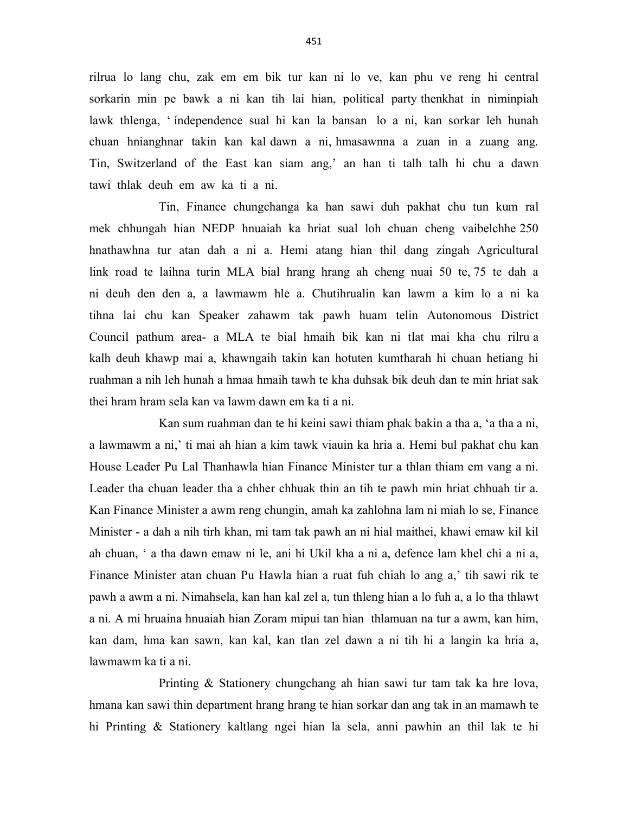rilrua lo lang chu, zak em em bik tur kan ni lo ve, kan phu ve reng hi central sorkarin min pe bawk a ni kan tih lai hian, political party thenkhat in niminpiah lawk thlenga, ' índependence sual hi kan la bansan lo a ni, kan sorkar leh hunah chuan hnianghnar takin kan kal dawn a ni, hmasawnna a zuan in a zuang ang. Tin, Switzerland of the East kan siam ang,' an han ti talh talh hi chu a dawn tawi thlak deuh em aw ka ti a ni.

 Tin, Finance chungchanga ka han sawi duh pakhat chu tun kum ral mek chhungah hian NEDP hnuaiah ka hriat sual loh chuan cheng vaibelchhe 250 hnathawhna tur atan dah a ni a. Hemi atang hian thil dang zingah Agricultural link road te laihna turin MLA bial hrang hrang ah cheng nuai 50 te, 75 te dah a ni deuh den den a, a lawmawm hle a. Chutihrualin kan lawm a kim lo a ni ka tihna lai chu kan Speaker zahawm tak pawh huam telin Autonomous District Council pathum area- a MLA te bial hmaih bik kan ni tlat mai kha chu rilru a kalh deuh khawp mai a, khawngaih takin kan hotuten kumtharah hi chuan hetiang hi ruahman a nih leh hunah a hmaa hmaih tawh te kha duhsak bik deuh dan te min hriat sak thei hram hram sela kan va lawm dawn em ka ti a ni.

 Kan sum ruahman dan te hi keini sawi thiam phak bakin a tha a, 'a tha a ni, a lawmawm a ni,' ti mai ah hian a kim tawk viauin ka hria a. Hemi bul pakhat chu kan House Leader Pu Lal Thanhawla hian Finance Minister tur a thlan thiam em vang a ni. Leader tha chuan leader tha a chher chhuak thin an tih te pawh min hriat chhuah tir a. Kan Finance Minister a awm reng chungin, amah ka zahlohna lam ni miah lo se, Finance Minister - a dah a nih tirh khan, mi tam tak pawh an ni hial maithei, khawi emaw kil kil ah chuan, ' a tha dawn emaw ni le, ani hi Ukil kha a ni a, defence lam khel chi a ni a, Finance Minister atan chuan Pu Hawla hian a ruat fuh chiah lo ang a,' tih sawi rik te pawh a awm a ni. Nimahsela, kan han kal zel a, tun thleng hian a lo fuh a, a lo tha thlawt a ni. A mi hruaina hnuaiah hian Zoram mipui tan hian thlamuan na tur a awm, kan him, kan dam, hma kan sawn, kan kal, kan tlan zel dawn a ni tih hi a langin ka hria a, lawmawm ka ti a ni.

 Printing & Stationery chungchang ah hian sawi tur tam tak ka hre lova, hmana kan sawi thin department hrang hrang te hian sorkar dan ang tak in an mamawh te hi Printing & Stationery kaltlang ngei hian la sela, anni pawhin an thil lak te hi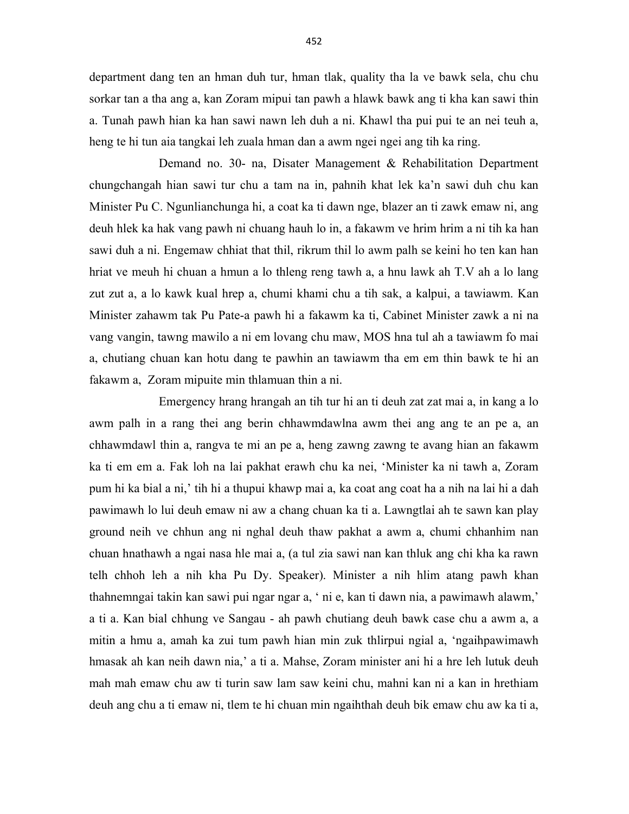department dang ten an hman duh tur, hman tlak, quality tha la ve bawk sela, chu chu sorkar tan a tha ang a, kan Zoram mipui tan pawh a hlawk bawk ang ti kha kan sawi thin a. Tunah pawh hian ka han sawi nawn leh duh a ni. Khawl tha pui pui te an nei teuh a, heng te hi tun aia tangkai leh zuala hman dan a awm ngei ngei ang tih ka ring.

 Demand no. 30- na, Disater Management & Rehabilitation Department chungchangah hian sawi tur chu a tam na in, pahnih khat lek ka'n sawi duh chu kan Minister Pu C. Ngunlianchunga hi, a coat ka ti dawn nge, blazer an ti zawk emaw ni, ang deuh hlek ka hak vang pawh ni chuang hauh lo in, a fakawm ve hrim hrim a ni tih ka han sawi duh a ni. Engemaw chhiat that thil, rikrum thil lo awm palh se keini ho ten kan han hriat ve meuh hi chuan a hmun a lo thleng reng tawh a, a hnu lawk ah T.V ah a lo lang zut zut a, a lo kawk kual hrep a, chumi khami chu a tih sak, a kalpui, a tawiawm. Kan Minister zahawm tak Pu Pate-a pawh hi a fakawm ka ti, Cabinet Minister zawk a ni na vang vangin, tawng mawilo a ni em lovang chu maw, MOS hna tul ah a tawiawm fo mai a, chutiang chuan kan hotu dang te pawhin an tawiawm tha em em thin bawk te hi an fakawm a, Zoram mipuite min thlamuan thin a ni.

 Emergency hrang hrangah an tih tur hi an ti deuh zat zat mai a, in kang a lo awm palh in a rang thei ang berin chhawmdawlna awm thei ang ang te an pe a, an chhawmdawl thin a, rangva te mi an pe a, heng zawng zawng te avang hian an fakawm ka ti em em a. Fak loh na lai pakhat erawh chu ka nei, 'Minister ka ni tawh a, Zoram pum hi ka bial a ni,' tih hi a thupui khawp mai a, ka coat ang coat ha a nih na lai hi a dah pawimawh lo lui deuh emaw ni aw a chang chuan ka ti a. Lawngtlai ah te sawn kan play ground neih ve chhun ang ni nghal deuh thaw pakhat a awm a, chumi chhanhim nan chuan hnathawh a ngai nasa hle mai a, (a tul zia sawi nan kan thluk ang chi kha ka rawn telh chhoh leh a nih kha Pu Dy. Speaker). Minister a nih hlim atang pawh khan thahnemngai takin kan sawi pui ngar ngar a, ' ni e, kan ti dawn nia, a pawimawh alawm,' a ti a. Kan bial chhung ve Sangau - ah pawh chutiang deuh bawk case chu a awm a, a mitin a hmu a, amah ka zui tum pawh hian min zuk thlirpui ngial a, 'ngaihpawimawh hmasak ah kan neih dawn nia,' a ti a. Mahse, Zoram minister ani hi a hre leh lutuk deuh mah mah emaw chu aw ti turin saw lam saw keini chu, mahni kan ni a kan in hrethiam deuh ang chu a ti emaw ni, tlem te hi chuan min ngaihthah deuh bik emaw chu aw ka ti a,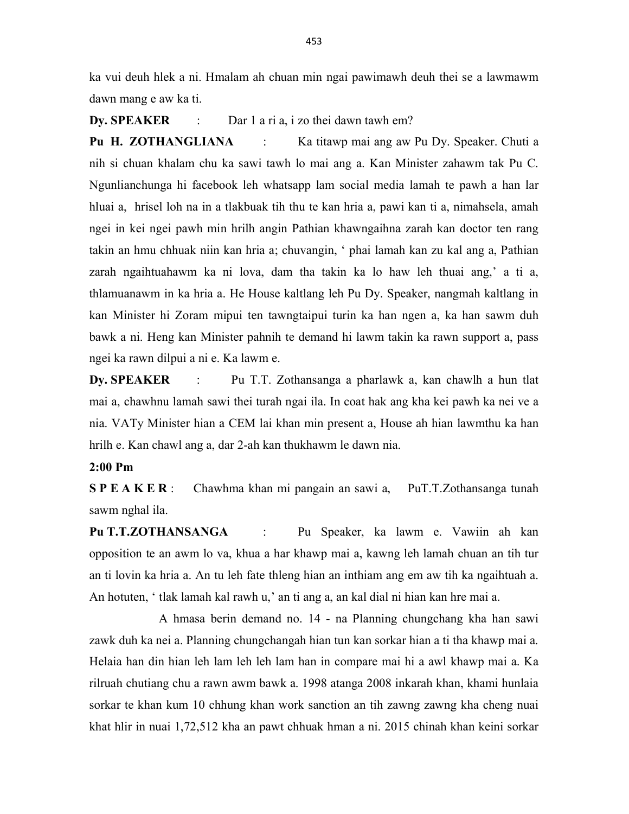ka vui deuh hlek a ni. Hmalam ah chuan min ngai pawimawh deuh thei se a lawmawm dawn mang e aw ka ti.

Dy. SPEAKER : Dar 1 a ri a, i zo thei dawn tawh em?

Pu H. ZOTHANGLIANA : Ka titawp mai ang aw Pu Dy. Speaker. Chuti a nih si chuan khalam chu ka sawi tawh lo mai ang a. Kan Minister zahawm tak Pu C. Ngunlianchunga hi facebook leh whatsapp lam social media lamah te pawh a han lar hluai a, hrisel loh na in a tlakbuak tih thu te kan hria a, pawi kan ti a, nimahsela, amah ngei in kei ngei pawh min hrilh angin Pathian khawngaihna zarah kan doctor ten rang takin an hmu chhuak niin kan hria a; chuvangin, ' phai lamah kan zu kal ang a, Pathian zarah ngaihtuahawm ka ni lova, dam tha takin ka lo haw leh thuai ang,' a ti a, thlamuanawm in ka hria a. He House kaltlang leh Pu Dy. Speaker, nangmah kaltlang in kan Minister hi Zoram mipui ten tawngtaipui turin ka han ngen a, ka han sawm duh bawk a ni. Heng kan Minister pahnih te demand hi lawm takin ka rawn support a, pass ngei ka rawn dilpui a ni e. Ka lawm e.

Dy. SPEAKER : Pu T.T. Zothansanga a pharlawk a, kan chawlh a hun tlat mai a, chawhnu lamah sawi thei turah ngai ila. In coat hak ang kha kei pawh ka nei ve a nia. VATy Minister hian a CEM lai khan min present a, House ah hian lawmthu ka han hrilh e. Kan chawl ang a, dar 2-ah kan thukhawm le dawn nia.

## 2:00 Pm

S P E A K E R : Chawhma khan mi pangain an sawi a, PuT.T.Zothansanga tunah sawm nghal ila.

Pu T.T.ZOTHANSANGA : Pu Speaker, ka lawm e. Vawiin ah kan opposition te an awm lo va, khua a har khawp mai a, kawng leh lamah chuan an tih tur an ti lovin ka hria a. An tu leh fate thleng hian an inthiam ang em aw tih ka ngaihtuah a. An hotuten, ' tlak lamah kal rawh u,' an ti ang a, an kal dial ni hian kan hre mai a.

 A hmasa berin demand no. 14 - na Planning chungchang kha han sawi zawk duh ka nei a. Planning chungchangah hian tun kan sorkar hian a ti tha khawp mai a. Helaia han din hian leh lam leh leh lam han in compare mai hi a awl khawp mai a. Ka rilruah chutiang chu a rawn awm bawk a. 1998 atanga 2008 inkarah khan, khami hunlaia sorkar te khan kum 10 chhung khan work sanction an tih zawng zawng kha cheng nuai khat hlir in nuai 1,72,512 kha an pawt chhuak hman a ni. 2015 chinah khan keini sorkar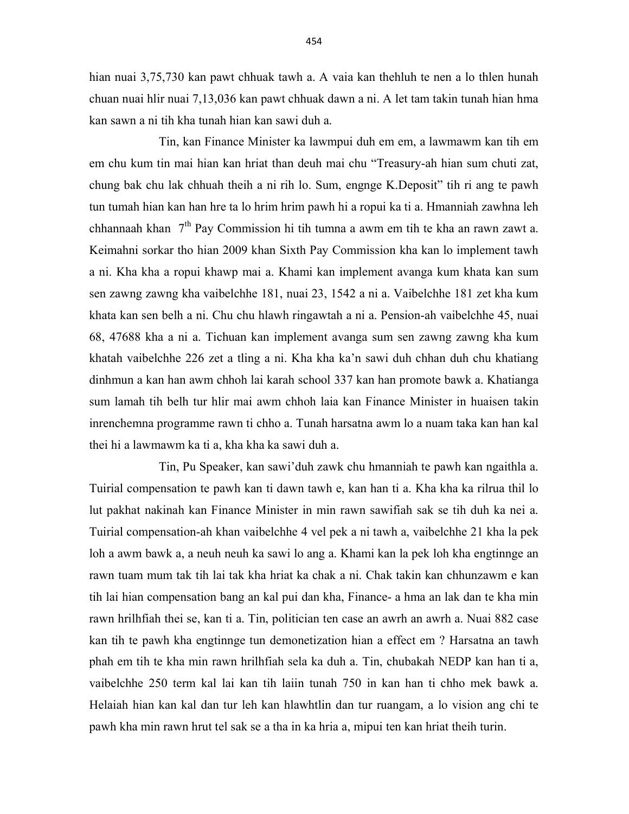hian nuai 3,75,730 kan pawt chhuak tawh a. A vaia kan thehluh te nen a lo thlen hunah chuan nuai hlir nuai 7,13,036 kan pawt chhuak dawn a ni. A let tam takin tunah hian hma kan sawn a ni tih kha tunah hian kan sawi duh a.

 Tin, kan Finance Minister ka lawmpui duh em em, a lawmawm kan tih em em chu kum tin mai hian kan hriat than deuh mai chu "Treasury-ah hian sum chuti zat, chung bak chu lak chhuah theih a ni rih lo. Sum, engnge K.Deposit" tih ri ang te pawh tun tumah hian kan han hre ta lo hrim hrim pawh hi a ropui ka ti a. Hmanniah zawhna leh chhannaah khan 7<sup>th</sup> Pay Commission hi tih tumna a awm em tih te kha an rawn zawt a. Keimahni sorkar tho hian 2009 khan Sixth Pay Commission kha kan lo implement tawh a ni. Kha kha a ropui khawp mai a. Khami kan implement avanga kum khata kan sum sen zawng zawng kha vaibelchhe 181, nuai 23, 1542 a ni a. Vaibelchhe 181 zet kha kum khata kan sen belh a ni. Chu chu hlawh ringawtah a ni a. Pension-ah vaibelchhe 45, nuai 68, 47688 kha a ni a. Tichuan kan implement avanga sum sen zawng zawng kha kum khatah vaibelchhe 226 zet a tling a ni. Kha kha ka'n sawi duh chhan duh chu khatiang dinhmun a kan han awm chhoh lai karah school 337 kan han promote bawk a. Khatianga sum lamah tih belh tur hlir mai awm chhoh laia kan Finance Minister in huaisen takin inrenchemna programme rawn ti chho a. Tunah harsatna awm lo a nuam taka kan han kal thei hi a lawmawm ka ti a, kha kha ka sawi duh a.

 Tin, Pu Speaker, kan sawi'duh zawk chu hmanniah te pawh kan ngaithla a. Tuirial compensation te pawh kan ti dawn tawh e, kan han ti a. Kha kha ka rilrua thil lo lut pakhat nakinah kan Finance Minister in min rawn sawifiah sak se tih duh ka nei a. Tuirial compensation-ah khan vaibelchhe 4 vel pek a ni tawh a, vaibelchhe 21 kha la pek loh a awm bawk a, a neuh neuh ka sawi lo ang a. Khami kan la pek loh kha engtinnge an rawn tuam mum tak tih lai tak kha hriat ka chak a ni. Chak takin kan chhunzawm e kan tih lai hian compensation bang an kal pui dan kha, Finance- a hma an lak dan te kha min rawn hrilhfiah thei se, kan ti a. Tin, politician ten case an awrh an awrh a. Nuai 882 case kan tih te pawh kha engtinnge tun demonetization hian a effect em ? Harsatna an tawh phah em tih te kha min rawn hrilhfiah sela ka duh a. Tin, chubakah NEDP kan han ti a, vaibelchhe 250 term kal lai kan tih laiin tunah 750 in kan han ti chho mek bawk a. Helaiah hian kan kal dan tur leh kan hlawhtlin dan tur ruangam, a lo vision ang chi te pawh kha min rawn hrut tel sak se a tha in ka hria a, mipui ten kan hriat theih turin.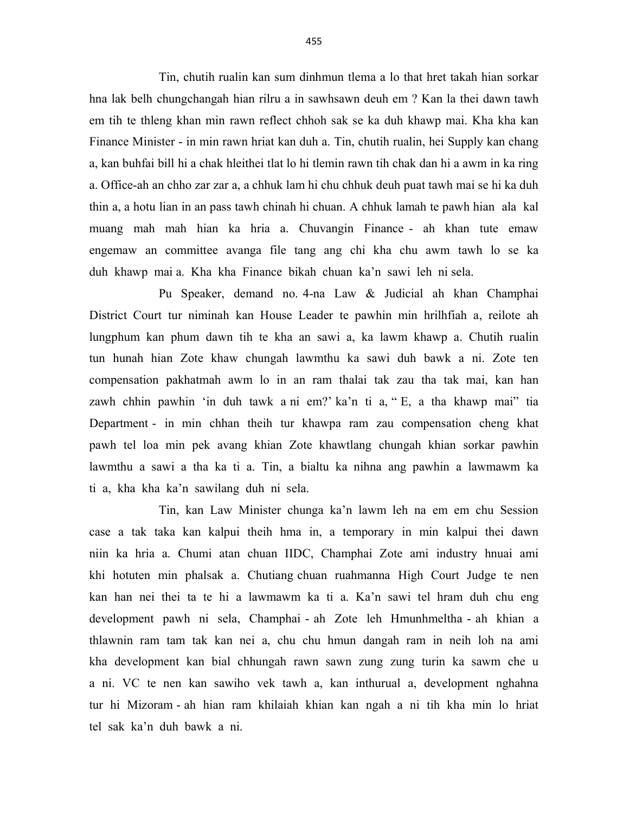Tin, chutih rualin kan sum dinhmun tlema a lo that hret takah hian sorkar hna lak belh chungchangah hian rilru a in sawhsawn deuh em ? Kan la thei dawn tawh em tih te thleng khan min rawn reflect chhoh sak se ka duh khawp mai. Kha kha kan Finance Minister - in min rawn hriat kan duh a. Tin, chutih rualin, hei Supply kan chang a, kan buhfai bill hi a chak hleithei tlat lo hi tlemin rawn tih chak dan hi a awm in ka ring a. Office-ah an chho zar zar a, a chhuk lam hi chu chhuk deuh puat tawh mai se hi ka duh thin a, a hotu lian in an pass tawh chinah hi chuan. A chhuk lamah te pawh hian ala kal muang mah mah hian ka hria a. Chuvangin Finance - ah khan tute emaw engemaw an committee avanga file tang ang chi kha chu awm tawh lo se ka duh khawp mai a. Kha kha Finance bikah chuan ka'n sawi leh ni sela.

 Pu Speaker, demand no. 4-na Law & Judicial ah khan Champhai District Court tur niminah kan House Leader te pawhin min hrilhfiah a, reilote ah lungphum kan phum dawn tih te kha an sawi a, ka lawm khawp a. Chutih rualin tun hunah hian Zote khaw chungah lawmthu ka sawi duh bawk a ni. Zote ten compensation pakhatmah awm lo in an ram thalai tak zau tha tak mai, kan han zawh chhin pawhin 'in duh tawk a ni em?' ka'n ti a, " E, a tha khawp mai" tia Department - in min chhan theih tur khawpa ram zau compensation cheng khat pawh tel loa min pek avang khian Zote khawtlang chungah khian sorkar pawhin lawmthu a sawi a tha ka ti a. Tin, a bialtu ka nihna ang pawhin a lawmawm ka ti a, kha kha ka'n sawilang duh ni sela.

 Tin, kan Law Minister chunga ka'n lawm leh na em em chu Session case a tak taka kan kalpui theih hma in, a temporary in min kalpui thei dawn niin ka hria a. Chumi atan chuan IIDC, Champhai Zote ami industry hnuai ami khi hotuten min phalsak a. Chutiang chuan ruahmanna High Court Judge te nen kan han nei thei ta te hi a lawmawm ka ti a. Ka'n sawi tel hram duh chu eng development pawh ni sela, Champhai - ah Zote leh Hmunhmeltha - ah khian a thlawnin ram tam tak kan nei a, chu chu hmun dangah ram in neih loh na ami kha development kan bial chhungah rawn sawn zung zung turin ka sawm che u a ni. VC te nen kan sawiho vek tawh a, kan inthurual a, development nghahna tur hi Mizoram - ah hian ram khilaiah khian kan ngah a ni tih kha min lo hriat tel sak ka'n duh bawk a ni.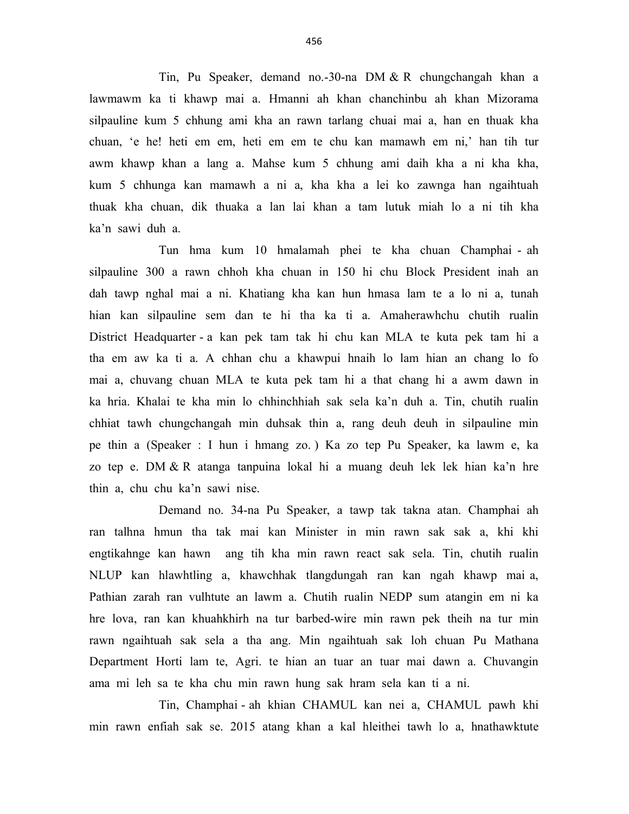Tin, Pu Speaker, demand no.-30-na DM & R chungchangah khan a lawmawm ka ti khawp mai a. Hmanni ah khan chanchinbu ah khan Mizorama silpauline kum 5 chhung ami kha an rawn tarlang chuai mai a, han en thuak kha chuan, 'e he! heti em em, heti em em te chu kan mamawh em ni,' han tih tur awm khawp khan a lang a. Mahse kum 5 chhung ami daih kha a ni kha kha, kum 5 chhunga kan mamawh a ni a, kha kha a lei ko zawnga han ngaihtuah thuak kha chuan, dik thuaka a lan lai khan a tam lutuk miah lo a ni tih kha ka'n sawi duh a.

 Tun hma kum 10 hmalamah phei te kha chuan Champhai - ah silpauline 300 a rawn chhoh kha chuan in 150 hi chu Block President inah an dah tawp nghal mai a ni. Khatiang kha kan hun hmasa lam te a lo ni a, tunah hian kan silpauline sem dan te hi tha ka ti a. Amaherawhchu chutih rualin District Headquarter - a kan pek tam tak hi chu kan MLA te kuta pek tam hi a tha em aw ka ti a. A chhan chu a khawpui hnaih lo lam hian an chang lo fo mai a, chuvang chuan MLA te kuta pek tam hi a that chang hi a awm dawn in ka hria. Khalai te kha min lo chhinchhiah sak sela ka'n duh a. Tin, chutih rualin chhiat tawh chungchangah min duhsak thin a, rang deuh deuh in silpauline min pe thin a (Speaker : I hun i hmang zo. ) Ka zo tep Pu Speaker, ka lawm e, ka zo tep e. DM & R atanga tanpuina lokal hi a muang deuh lek lek hian ka'n hre thin a, chu chu ka'n sawi nise.

 Demand no. 34-na Pu Speaker, a tawp tak takna atan. Champhai ah ran talhna hmun tha tak mai kan Minister in min rawn sak sak a, khi khi engtikahnge kan hawn ang tih kha min rawn react sak sela. Tin, chutih rualin NLUP kan hlawhtling a, khawchhak tlangdungah ran kan ngah khawp mai a, Pathian zarah ran vulhtute an lawm a. Chutih rualin NEDP sum atangin em ni ka hre lova, ran kan khuahkhirh na tur barbed-wire min rawn pek theih na tur min rawn ngaihtuah sak sela a tha ang. Min ngaihtuah sak loh chuan Pu Mathana Department Horti lam te, Agri. te hian an tuar an tuar mai dawn a. Chuvangin ama mi leh sa te kha chu min rawn hung sak hram sela kan ti a ni.

 Tin, Champhai - ah khian CHAMUL kan nei a, CHAMUL pawh khi min rawn enfiah sak se. 2015 atang khan a kal hleithei tawh lo a, hnathawktute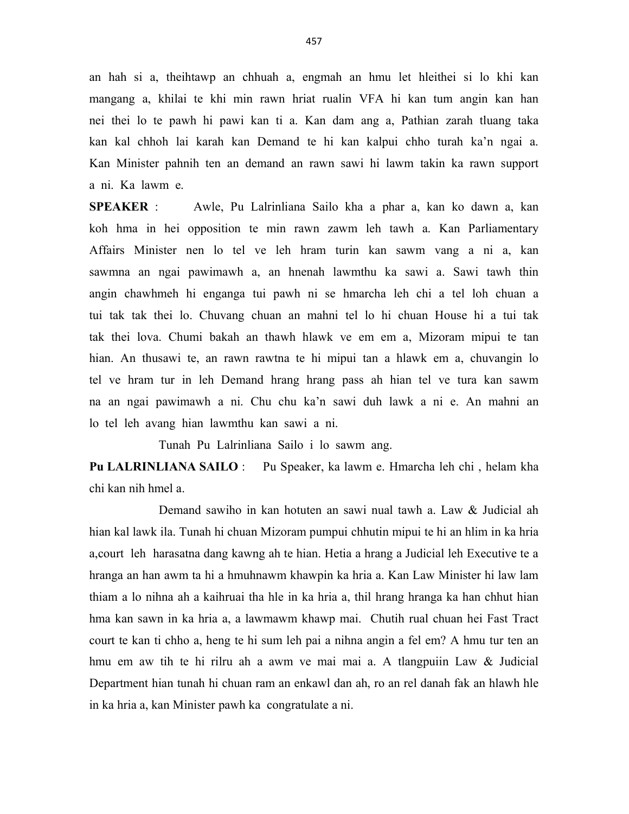an hah si a, theihtawp an chhuah a, engmah an hmu let hleithei si lo khi kan mangang a, khilai te khi min rawn hriat rualin VFA hi kan tum angin kan han nei thei lo te pawh hi pawi kan ti a. Kan dam ang a, Pathian zarah tluang taka kan kal chhoh lai karah kan Demand te hi kan kalpui chho turah ka'n ngai a. Kan Minister pahnih ten an demand an rawn sawi hi lawm takin ka rawn support a ni. Ka lawm e.

SPEAKER : Awle, Pu Lalrinliana Sailo kha a phar a, kan ko dawn a, kan koh hma in hei opposition te min rawn zawm leh tawh a. Kan Parliamentary Affairs Minister nen lo tel ve leh hram turin kan sawm vang a ni a, kan sawmna an ngai pawimawh a, an hnenah lawmthu ka sawi a. Sawi tawh thin angin chawhmeh hi enganga tui pawh ni se hmarcha leh chi a tel loh chuan a tui tak tak thei lo. Chuvang chuan an mahni tel lo hi chuan House hi a tui tak tak thei lova. Chumi bakah an thawh hlawk ve em em a, Mizoram mipui te tan hian. An thusawi te, an rawn rawtna te hi mipui tan a hlawk em a, chuvangin lo tel ve hram tur in leh Demand hrang hrang pass ah hian tel ve tura kan sawm na an ngai pawimawh a ni. Chu chu ka'n sawi duh lawk a ni e. An mahni an lo tel leh avang hian lawmthu kan sawi a ni.

Tunah Pu Lalrinliana Sailo i lo sawm ang.

Pu LALRINLIANA SAILO : Pu Speaker, ka lawm e. Hmarcha leh chi, helam kha chi kan nih hmel a.

 Demand sawiho in kan hotuten an sawi nual tawh a. Law & Judicial ah hian kal lawk ila. Tunah hi chuan Mizoram pumpui chhutin mipui te hi an hlim in ka hria a,court leh harasatna dang kawng ah te hian. Hetia a hrang a Judicial leh Executive te a hranga an han awm ta hi a hmuhnawm khawpin ka hria a. Kan Law Minister hi law lam thiam a lo nihna ah a kaihruai tha hle in ka hria a, thil hrang hranga ka han chhut hian hma kan sawn in ka hria a, a lawmawm khawp mai. Chutih rual chuan hei Fast Tract court te kan ti chho a, heng te hi sum leh pai a nihna angin a fel em? A hmu tur ten an hmu em aw tih te hi rilru ah a awm ve mai mai a. A tlangpuiin Law & Judicial Department hian tunah hi chuan ram an enkawl dan ah, ro an rel danah fak an hlawh hle in ka hria a, kan Minister pawh ka congratulate a ni.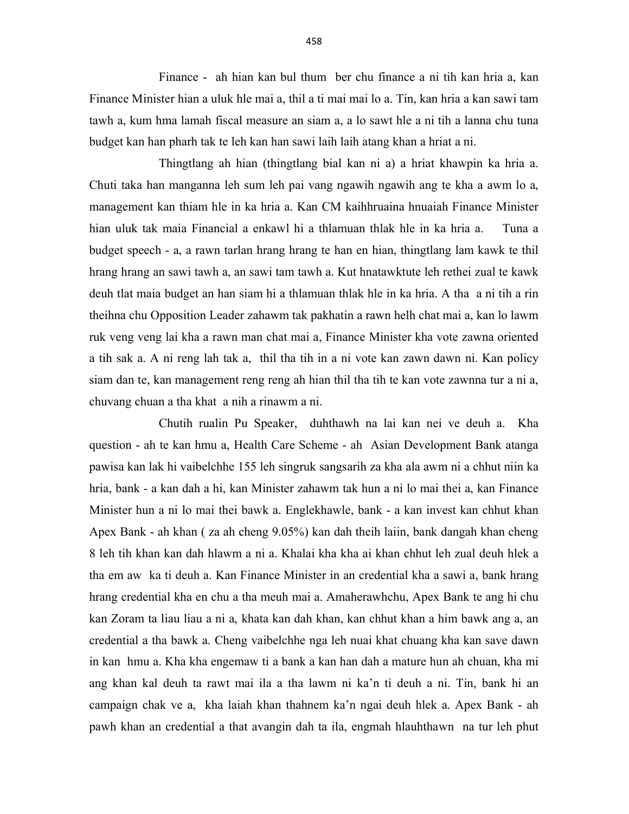Finance - ah hian kan bul thum ber chu finance a ni tih kan hria a, kan Finance Minister hian a uluk hle mai a, thil a ti mai mai lo a. Tin, kan hria a kan sawi tam tawh a, kum hma lamah fiscal measure an siam a, a lo sawt hle a ni tih a lanna chu tuna budget kan han pharh tak te leh kan han sawi laih laih atang khan a hriat a ni.

 Thingtlang ah hian (thingtlang bial kan ni a) a hriat khawpin ka hria a. Chuti taka han manganna leh sum leh pai vang ngawih ngawih ang te kha a awm lo a, management kan thiam hle in ka hria a. Kan CM kaihhruaina hnuaiah Finance Minister hian uluk tak maia Financial a enkawl hi a thlamuan thlak hle in ka hria a. Tuna a budget speech - a, a rawn tarlan hrang hrang te han en hian, thingtlang lam kawk te thil hrang hrang an sawi tawh a, an sawi tam tawh a. Kut hnatawktute leh rethei zual te kawk deuh tlat maia budget an han siam hi a thlamuan thlak hle in ka hria. A tha a ni tih a rin theihna chu Opposition Leader zahawm tak pakhatin a rawn helh chat mai a, kan lo lawm ruk veng veng lai kha a rawn man chat mai a, Finance Minister kha vote zawna oriented a tih sak a. A ni reng lah tak a, thil tha tih in a ni vote kan zawn dawn ni. Kan policy siam dan te, kan management reng reng ah hian thil tha tih te kan vote zawnna tur a ni a, chuvang chuan a tha khat a nih a rinawm a ni.

 Chutih rualin Pu Speaker, duhthawh na lai kan nei ve deuh a. Kha question - ah te kan hmu a, Health Care Scheme - ah Asian Development Bank atanga pawisa kan lak hi vaibelchhe 155 leh singruk sangsarih za kha ala awm ni a chhut niin ka hria, bank - a kan dah a hi, kan Minister zahawm tak hun a ni lo mai thei a, kan Finance Minister hun a ni lo mai thei bawk a. Englekhawle, bank - a kan invest kan chhut khan Apex Bank - ah khan ( za ah cheng 9.05%) kan dah theih laiin, bank dangah khan cheng 8 leh tih khan kan dah hlawm a ni a. Khalai kha kha ai khan chhut leh zual deuh hlek a tha em aw ka ti deuh a. Kan Finance Minister in an credential kha a sawi a, bank hrang hrang credential kha en chu a tha meuh mai a. Amaherawhchu, Apex Bank te ang hi chu kan Zoram ta liau liau a ni a, khata kan dah khan, kan chhut khan a him bawk ang a, an credential a tha bawk a. Cheng vaibelchhe nga leh nuai khat chuang kha kan save dawn in kan hmu a. Kha kha engemaw ti a bank a kan han dah a mature hun ah chuan, kha mi ang khan kal deuh ta rawt mai ila a tha lawm ni ka'n ti deuh a ni. Tin, bank hi an campaign chak ve a, kha laiah khan thahnem ka'n ngai deuh hlek a. Apex Bank - ah pawh khan an credential a that avangin dah ta ila, engmah hlauhthawn na tur leh phut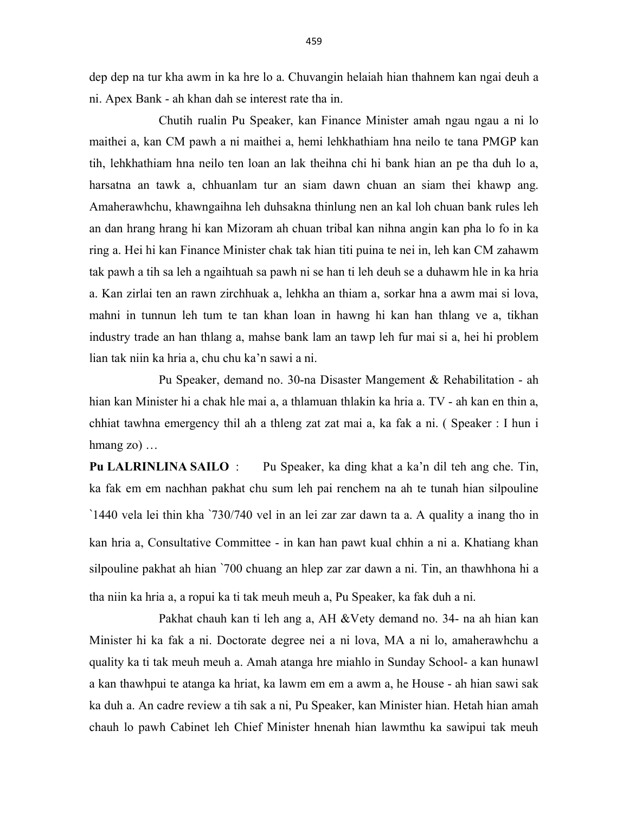dep dep na tur kha awm in ka hre lo a. Chuvangin helaiah hian thahnem kan ngai deuh a ni. Apex Bank - ah khan dah se interest rate tha in.

 Chutih rualin Pu Speaker, kan Finance Minister amah ngau ngau a ni lo maithei a, kan CM pawh a ni maithei a, hemi lehkhathiam hna neilo te tana PMGP kan tih, lehkhathiam hna neilo ten loan an lak theihna chi hi bank hian an pe tha duh lo a, harsatna an tawk a, chhuanlam tur an siam dawn chuan an siam thei khawp ang. Amaherawhchu, khawngaihna leh duhsakna thinlung nen an kal loh chuan bank rules leh an dan hrang hrang hi kan Mizoram ah chuan tribal kan nihna angin kan pha lo fo in ka ring a. Hei hi kan Finance Minister chak tak hian titi puina te nei in, leh kan CM zahawm tak pawh a tih sa leh a ngaihtuah sa pawh ni se han ti leh deuh se a duhawm hle in ka hria a. Kan zirlai ten an rawn zirchhuak a, lehkha an thiam a, sorkar hna a awm mai si lova, mahni in tunnun leh tum te tan khan loan in hawng hi kan han thlang ve a, tikhan industry trade an han thlang a, mahse bank lam an tawp leh fur mai si a, hei hi problem lian tak niin ka hria a, chu chu ka'n sawi a ni.

 Pu Speaker, demand no. 30-na Disaster Mangement & Rehabilitation - ah hian kan Minister hi a chak hle mai a, a thlamuan thlakin ka hria a. TV - ah kan en thin a, chhiat tawhna emergency thil ah a thleng zat zat mai a, ka fak a ni. ( Speaker : I hun i hmang zo) …

Pu LALRINLINA SAILO : Pu Speaker, ka ding khat a ka'n dil teh ang che. Tin, ka fak em em nachhan pakhat chu sum leh pai renchem na ah te tunah hian silpouline `1440 vela lei thin kha `730/740 vel in an lei zar zar dawn ta a. A quality a inang tho in kan hria a, Consultative Committee - in kan han pawt kual chhin a ni a. Khatiang khan silpouline pakhat ah hian `700 chuang an hlep zar zar dawn a ni. Tin, an thawhhona hi a tha niin ka hria a, a ropui ka ti tak meuh meuh a, Pu Speaker, ka fak duh a ni.

 Pakhat chauh kan ti leh ang a, AH &Vety demand no. 34- na ah hian kan Minister hi ka fak a ni. Doctorate degree nei a ni lova, MA a ni lo, amaherawhchu a quality ka ti tak meuh meuh a. Amah atanga hre miahlo in Sunday School- a kan hunawl a kan thawhpui te atanga ka hriat, ka lawm em em a awm a, he House - ah hian sawi sak ka duh a. An cadre review a tih sak a ni, Pu Speaker, kan Minister hian. Hetah hian amah chauh lo pawh Cabinet leh Chief Minister hnenah hian lawmthu ka sawipui tak meuh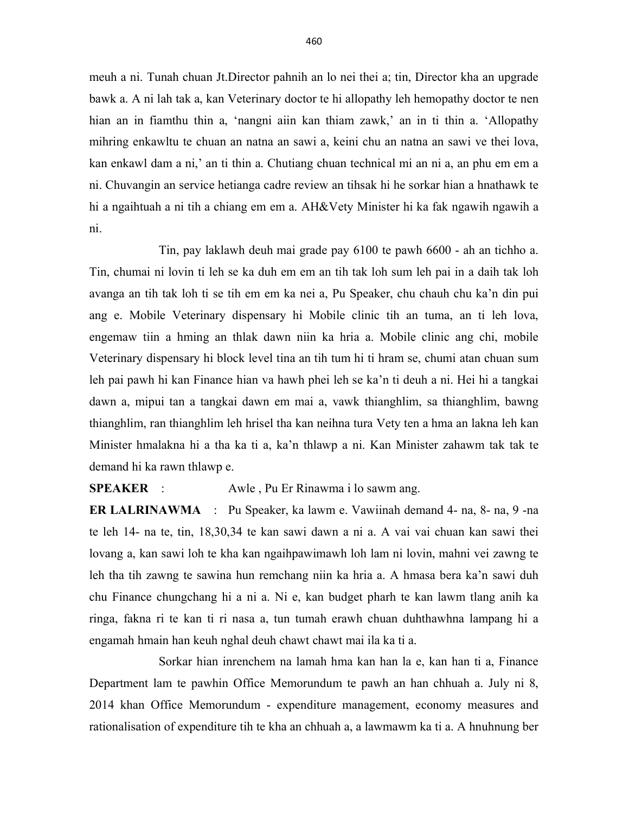meuh a ni. Tunah chuan Jt.Director pahnih an lo nei thei a; tin, Director kha an upgrade bawk a. A ni lah tak a, kan Veterinary doctor te hi allopathy leh hemopathy doctor te nen hian an in fiamthu thin a, 'nangni aiin kan thiam zawk,' an in ti thin a. 'Allopathy mihring enkawltu te chuan an natna an sawi a, keini chu an natna an sawi ve thei lova, kan enkawl dam a ni,' an ti thin a. Chutiang chuan technical mi an ni a, an phu em em a ni. Chuvangin an service hetianga cadre review an tihsak hi he sorkar hian a hnathawk te hi a ngaihtuah a ni tih a chiang em em a. AH&Vety Minister hi ka fak ngawih ngawih a ni.

 Tin, pay laklawh deuh mai grade pay 6100 te pawh 6600 - ah an tichho a. Tin, chumai ni lovin ti leh se ka duh em em an tih tak loh sum leh pai in a daih tak loh avanga an tih tak loh ti se tih em em ka nei a, Pu Speaker, chu chauh chu ka'n din pui ang e. Mobile Veterinary dispensary hi Mobile clinic tih an tuma, an ti leh lova, engemaw tiin a hming an thlak dawn niin ka hria a. Mobile clinic ang chi, mobile Veterinary dispensary hi block level tina an tih tum hi ti hram se, chumi atan chuan sum leh pai pawh hi kan Finance hian va hawh phei leh se ka'n ti deuh a ni. Hei hi a tangkai dawn a, mipui tan a tangkai dawn em mai a, vawk thianghlim, sa thianghlim, bawng thianghlim, ran thianghlim leh hrisel tha kan neihna tura Vety ten a hma an lakna leh kan Minister hmalakna hi a tha ka ti a, ka'n thlawp a ni. Kan Minister zahawm tak tak te demand hi ka rawn thlawp e.

SPEAKER : Awle , Pu Er Rinawma i lo sawm ang.

ER LALRINAWMA : Pu Speaker, ka lawm e. Vawiinah demand 4- na, 8- na, 9 -na te leh 14- na te, tin, 18,30,34 te kan sawi dawn a ni a. A vai vai chuan kan sawi thei lovang a, kan sawi loh te kha kan ngaihpawimawh loh lam ni lovin, mahni vei zawng te leh tha tih zawng te sawina hun remchang niin ka hria a. A hmasa bera ka'n sawi duh chu Finance chungchang hi a ni a. Ni e, kan budget pharh te kan lawm tlang anih ka ringa, fakna ri te kan ti ri nasa a, tun tumah erawh chuan duhthawhna lampang hi a engamah hmain han keuh nghal deuh chawt chawt mai ila ka ti a.

 Sorkar hian inrenchem na lamah hma kan han la e, kan han ti a, Finance Department lam te pawhin Office Memorundum te pawh an han chhuah a. July ni 8, 2014 khan Office Memorundum - expenditure management, economy measures and rationalisation of expenditure tih te kha an chhuah a, a lawmawm ka ti a. A hnuhnung ber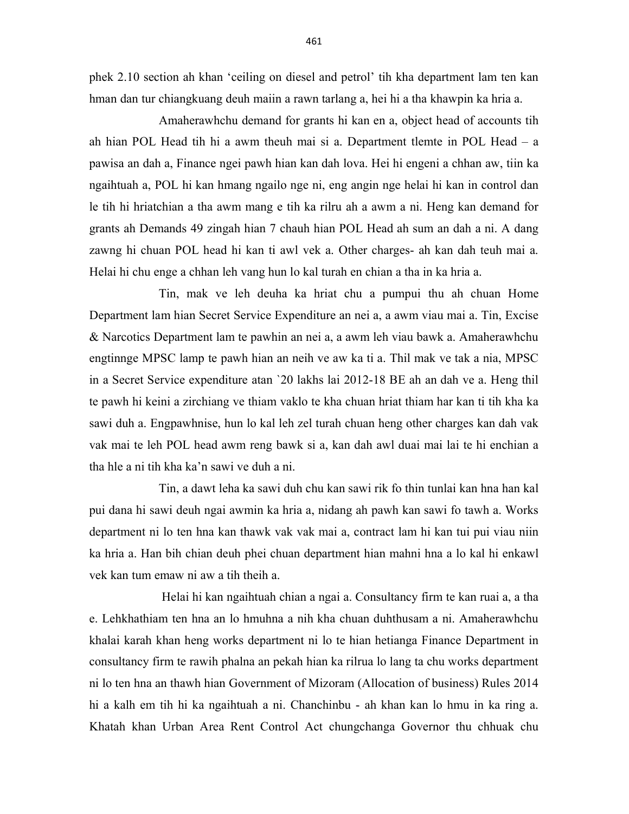phek 2.10 section ah khan 'ceiling on diesel and petrol' tih kha department lam ten kan hman dan tur chiangkuang deuh maiin a rawn tarlang a, hei hi a tha khawpin ka hria a.

 Amaherawhchu demand for grants hi kan en a, object head of accounts tih ah hian POL Head tih hi a awm theuh mai si a. Department tlemte in POL Head – a pawisa an dah a, Finance ngei pawh hian kan dah lova. Hei hi engeni a chhan aw, tiin ka ngaihtuah a, POL hi kan hmang ngailo nge ni, eng angin nge helai hi kan in control dan le tih hi hriatchian a tha awm mang e tih ka rilru ah a awm a ni. Heng kan demand for grants ah Demands 49 zingah hian 7 chauh hian POL Head ah sum an dah a ni. A dang zawng hi chuan POL head hi kan ti awl vek a. Other charges- ah kan dah teuh mai a. Helai hi chu enge a chhan leh vang hun lo kal turah en chian a tha in ka hria a.

 Tin, mak ve leh deuha ka hriat chu a pumpui thu ah chuan Home Department lam hian Secret Service Expenditure an nei a, a awm viau mai a. Tin, Excise & Narcotics Department lam te pawhin an nei a, a awm leh viau bawk a. Amaherawhchu engtinnge MPSC lamp te pawh hian an neih ve aw ka ti a. Thil mak ve tak a nia, MPSC in a Secret Service expenditure atan `20 lakhs lai 2012-18 BE ah an dah ve a. Heng thil te pawh hi keini a zirchiang ve thiam vaklo te kha chuan hriat thiam har kan ti tih kha ka sawi duh a. Engpawhnise, hun lo kal leh zel turah chuan heng other charges kan dah vak vak mai te leh POL head awm reng bawk si a, kan dah awl duai mai lai te hi enchian a tha hle a ni tih kha ka'n sawi ve duh a ni.

 Tin, a dawt leha ka sawi duh chu kan sawi rik fo thin tunlai kan hna han kal pui dana hi sawi deuh ngai awmin ka hria a, nidang ah pawh kan sawi fo tawh a. Works department ni lo ten hna kan thawk vak vak mai a, contract lam hi kan tui pui viau niin ka hria a. Han bih chian deuh phei chuan department hian mahni hna a lo kal hi enkawl vek kan tum emaw ni aw a tih theih a.

 Helai hi kan ngaihtuah chian a ngai a. Consultancy firm te kan ruai a, a tha e. Lehkhathiam ten hna an lo hmuhna a nih kha chuan duhthusam a ni. Amaherawhchu khalai karah khan heng works department ni lo te hian hetianga Finance Department in consultancy firm te rawih phalna an pekah hian ka rilrua lo lang ta chu works department ni lo ten hna an thawh hian Government of Mizoram (Allocation of business) Rules 2014 hi a kalh em tih hi ka ngaihtuah a ni. Chanchinbu - ah khan kan lo hmu in ka ring a. Khatah khan Urban Area Rent Control Act chungchanga Governor thu chhuak chu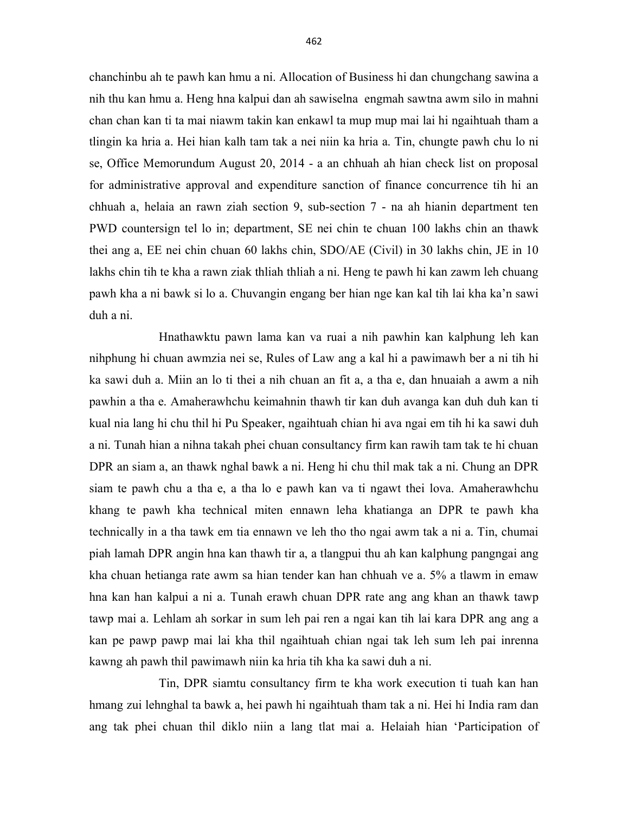chanchinbu ah te pawh kan hmu a ni. Allocation of Business hi dan chungchang sawina a nih thu kan hmu a. Heng hna kalpui dan ah sawiselna engmah sawtna awm silo in mahni chan chan kan ti ta mai niawm takin kan enkawl ta mup mup mai lai hi ngaihtuah tham a tlingin ka hria a. Hei hian kalh tam tak a nei niin ka hria a. Tin, chungte pawh chu lo ni se, Office Memorundum August 20, 2014 - a an chhuah ah hian check list on proposal for administrative approval and expenditure sanction of finance concurrence tih hi an chhuah a, helaia an rawn ziah section 9, sub-section 7 - na ah hianin department ten PWD countersign tel lo in; department, SE nei chin te chuan 100 lakhs chin an thawk thei ang a, EE nei chin chuan 60 lakhs chin, SDO/AE (Civil) in 30 lakhs chin, JE in 10 lakhs chin tih te kha a rawn ziak thliah thliah a ni. Heng te pawh hi kan zawm leh chuang pawh kha a ni bawk si lo a. Chuvangin engang ber hian nge kan kal tih lai kha ka'n sawi duh a ni.

 Hnathawktu pawn lama kan va ruai a nih pawhin kan kalphung leh kan nihphung hi chuan awmzia nei se, Rules of Law ang a kal hi a pawimawh ber a ni tih hi ka sawi duh a. Miin an lo ti thei a nih chuan an fit a, a tha e, dan hnuaiah a awm a nih pawhin a tha e. Amaherawhchu keimahnin thawh tir kan duh avanga kan duh duh kan ti kual nia lang hi chu thil hi Pu Speaker, ngaihtuah chian hi ava ngai em tih hi ka sawi duh a ni. Tunah hian a nihna takah phei chuan consultancy firm kan rawih tam tak te hi chuan DPR an siam a, an thawk nghal bawk a ni. Heng hi chu thil mak tak a ni. Chung an DPR siam te pawh chu a tha e, a tha lo e pawh kan va ti ngawt thei lova. Amaherawhchu khang te pawh kha technical miten ennawn leha khatianga an DPR te pawh kha technically in a tha tawk em tia ennawn ve leh tho tho ngai awm tak a ni a. Tin, chumai piah lamah DPR angin hna kan thawh tir a, a tlangpui thu ah kan kalphung pangngai ang kha chuan hetianga rate awm sa hian tender kan han chhuah ve a. 5% a tlawm in emaw hna kan han kalpui a ni a. Tunah erawh chuan DPR rate ang ang khan an thawk tawp tawp mai a. Lehlam ah sorkar in sum leh pai ren a ngai kan tih lai kara DPR ang ang a kan pe pawp pawp mai lai kha thil ngaihtuah chian ngai tak leh sum leh pai inrenna kawng ah pawh thil pawimawh niin ka hria tih kha ka sawi duh a ni.

 Tin, DPR siamtu consultancy firm te kha work execution ti tuah kan han hmang zui lehnghal ta bawk a, hei pawh hi ngaihtuah tham tak a ni. Hei hi India ram dan ang tak phei chuan thil diklo niin a lang tlat mai a. Helaiah hian 'Participation of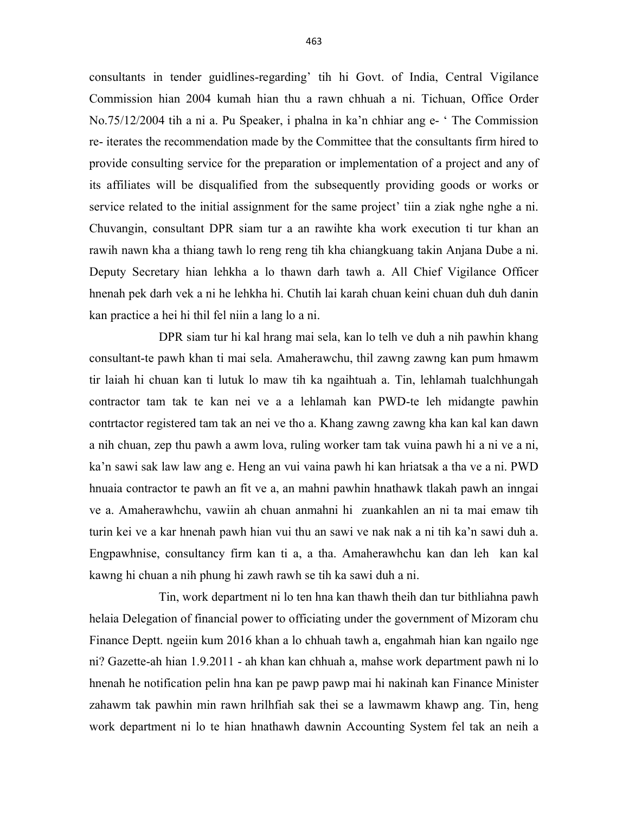consultants in tender guidlines-regarding' tih hi Govt. of India, Central Vigilance Commission hian 2004 kumah hian thu a rawn chhuah a ni. Tichuan, Office Order No.75/12/2004 tih a ni a. Pu Speaker, i phalna in ka'n chhiar ang e- ' The Commission re- iterates the recommendation made by the Committee that the consultants firm hired to provide consulting service for the preparation or implementation of a project and any of its affiliates will be disqualified from the subsequently providing goods or works or service related to the initial assignment for the same project' tiin a ziak nghe nghe a ni. Chuvangin, consultant DPR siam tur a an rawihte kha work execution ti tur khan an rawih nawn kha a thiang tawh lo reng reng tih kha chiangkuang takin Anjana Dube a ni. Deputy Secretary hian lehkha a lo thawn darh tawh a. All Chief Vigilance Officer hnenah pek darh vek a ni he lehkha hi. Chutih lai karah chuan keini chuan duh duh danin kan practice a hei hi thil fel niin a lang lo a ni.

 DPR siam tur hi kal hrang mai sela, kan lo telh ve duh a nih pawhin khang consultant-te pawh khan ti mai sela. Amaherawchu, thil zawng zawng kan pum hmawm tir laiah hi chuan kan ti lutuk lo maw tih ka ngaihtuah a. Tin, lehlamah tualchhungah contractor tam tak te kan nei ve a a lehlamah kan PWD-te leh midangte pawhin contrtactor registered tam tak an nei ve tho a. Khang zawng zawng kha kan kal kan dawn a nih chuan, zep thu pawh a awm lova, ruling worker tam tak vuina pawh hi a ni ve a ni, ka'n sawi sak law law ang e. Heng an vui vaina pawh hi kan hriatsak a tha ve a ni. PWD hnuaia contractor te pawh an fit ve a, an mahni pawhin hnathawk tlakah pawh an inngai ve a. Amaherawhchu, vawiin ah chuan anmahni hi zuankahlen an ni ta mai emaw tih turin kei ve a kar hnenah pawh hian vui thu an sawi ve nak nak a ni tih ka'n sawi duh a. Engpawhnise, consultancy firm kan ti a, a tha. Amaherawhchu kan dan leh kan kal kawng hi chuan a nih phung hi zawh rawh se tih ka sawi duh a ni.

 Tin, work department ni lo ten hna kan thawh theih dan tur bithliahna pawh helaia Delegation of financial power to officiating under the government of Mizoram chu Finance Deptt. ngeiin kum 2016 khan a lo chhuah tawh a, engahmah hian kan ngailo nge ni? Gazette-ah hian 1.9.2011 - ah khan kan chhuah a, mahse work department pawh ni lo hnenah he notification pelin hna kan pe pawp pawp mai hi nakinah kan Finance Minister zahawm tak pawhin min rawn hrilhfiah sak thei se a lawmawm khawp ang. Tin, heng work department ni lo te hian hnathawh dawnin Accounting System fel tak an neih a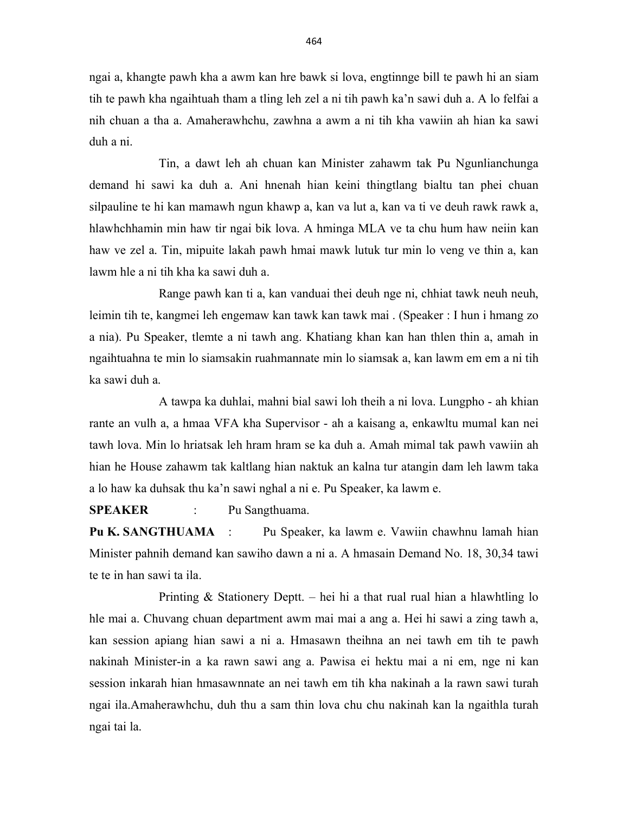ngai a, khangte pawh kha a awm kan hre bawk si lova, engtinnge bill te pawh hi an siam tih te pawh kha ngaihtuah tham a tling leh zel a ni tih pawh ka'n sawi duh a. A lo felfai a nih chuan a tha a. Amaherawhchu, zawhna a awm a ni tih kha vawiin ah hian ka sawi duh a ni.

 Tin, a dawt leh ah chuan kan Minister zahawm tak Pu Ngunlianchunga demand hi sawi ka duh a. Ani hnenah hian keini thingtlang bialtu tan phei chuan silpauline te hi kan mamawh ngun khawp a, kan va lut a, kan va ti ve deuh rawk rawk a, hlawhchhamin min haw tir ngai bik lova. A hminga MLA ve ta chu hum haw neiin kan haw ve zel a. Tin, mipuite lakah pawh hmai mawk lutuk tur min lo veng ve thin a, kan lawm hle a ni tih kha ka sawi duh a.

 Range pawh kan ti a, kan vanduai thei deuh nge ni, chhiat tawk neuh neuh, leimin tih te, kangmei leh engemaw kan tawk kan tawk mai . (Speaker : I hun i hmang zo a nia). Pu Speaker, tlemte a ni tawh ang. Khatiang khan kan han thlen thin a, amah in ngaihtuahna te min lo siamsakin ruahmannate min lo siamsak a, kan lawm em em a ni tih ka sawi duh a.

 A tawpa ka duhlai, mahni bial sawi loh theih a ni lova. Lungpho - ah khian rante an vulh a, a hmaa VFA kha Supervisor - ah a kaisang a, enkawltu mumal kan nei tawh lova. Min lo hriatsak leh hram hram se ka duh a. Amah mimal tak pawh vawiin ah hian he House zahawm tak kaltlang hian naktuk an kalna tur atangin dam leh lawm taka a lo haw ka duhsak thu ka'n sawi nghal a ni e. Pu Speaker, ka lawm e.

SPEAKER : Pu Sangthuama.

Pu K. SANGTHUAMA : Pu Speaker, ka lawm e. Vawiin chawhnu lamah hian Minister pahnih demand kan sawiho dawn a ni a. A hmasain Demand No. 18, 30,34 tawi te te in han sawi ta ila.

 Printing & Stationery Deptt. – hei hi a that rual rual hian a hlawhtling lo hle mai a. Chuvang chuan department awm mai mai a ang a. Hei hi sawi a zing tawh a, kan session apiang hian sawi a ni a. Hmasawn theihna an nei tawh em tih te pawh nakinah Minister-in a ka rawn sawi ang a. Pawisa ei hektu mai a ni em, nge ni kan session inkarah hian hmasawnnate an nei tawh em tih kha nakinah a la rawn sawi turah ngai ila.Amaherawhchu, duh thu a sam thin lova chu chu nakinah kan la ngaithla turah ngai tai la.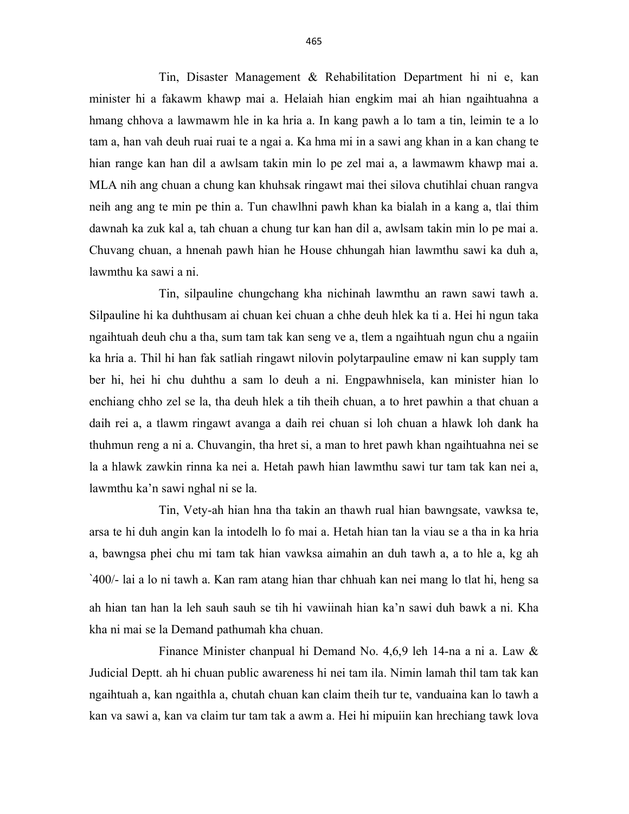Tin, Disaster Management & Rehabilitation Department hi ni e, kan minister hi a fakawm khawp mai a. Helaiah hian engkim mai ah hian ngaihtuahna a hmang chhova a lawmawm hle in ka hria a. In kang pawh a lo tam a tin, leimin te a lo tam a, han vah deuh ruai ruai te a ngai a. Ka hma mi in a sawi ang khan in a kan chang te hian range kan han dil a awlsam takin min lo pe zel mai a, a lawmawm khawp mai a. MLA nih ang chuan a chung kan khuhsak ringawt mai thei silova chutihlai chuan rangva neih ang ang te min pe thin a. Tun chawlhni pawh khan ka bialah in a kang a, tlai thim dawnah ka zuk kal a, tah chuan a chung tur kan han dil a, awlsam takin min lo pe mai a. Chuvang chuan, a hnenah pawh hian he House chhungah hian lawmthu sawi ka duh a, lawmthu ka sawi a ni.

 Tin, silpauline chungchang kha nichinah lawmthu an rawn sawi tawh a. Silpauline hi ka duhthusam ai chuan kei chuan a chhe deuh hlek ka ti a. Hei hi ngun taka ngaihtuah deuh chu a tha, sum tam tak kan seng ve a, tlem a ngaihtuah ngun chu a ngaiin ka hria a. Thil hi han fak satliah ringawt nilovin polytarpauline emaw ni kan supply tam ber hi, hei hi chu duhthu a sam lo deuh a ni. Engpawhnisela, kan minister hian lo enchiang chho zel se la, tha deuh hlek a tih theih chuan, a to hret pawhin a that chuan a daih rei a, a tlawm ringawt avanga a daih rei chuan si loh chuan a hlawk loh dank ha thuhmun reng a ni a. Chuvangin, tha hret si, a man to hret pawh khan ngaihtuahna nei se la a hlawk zawkin rinna ka nei a. Hetah pawh hian lawmthu sawi tur tam tak kan nei a, lawmthu ka'n sawi nghal ni se la.

 Tin, Vety-ah hian hna tha takin an thawh rual hian bawngsate, vawksa te, arsa te hi duh angin kan la intodelh lo fo mai a. Hetah hian tan la viau se a tha in ka hria a, bawngsa phei chu mi tam tak hian vawksa aimahin an duh tawh a, a to hle a, kg ah `400/- lai a lo ni tawh a. Kan ram atang hian thar chhuah kan nei mang lo tlat hi, heng sa ah hian tan han la leh sauh sauh se tih hi vawiinah hian ka'n sawi duh bawk a ni. Kha kha ni mai se la Demand pathumah kha chuan.

 Finance Minister chanpual hi Demand No. 4,6,9 leh 14-na a ni a. Law & Judicial Deptt. ah hi chuan public awareness hi nei tam ila. Nimin lamah thil tam tak kan ngaihtuah a, kan ngaithla a, chutah chuan kan claim theih tur te, vanduaina kan lo tawh a kan va sawi a, kan va claim tur tam tak a awm a. Hei hi mipuiin kan hrechiang tawk lova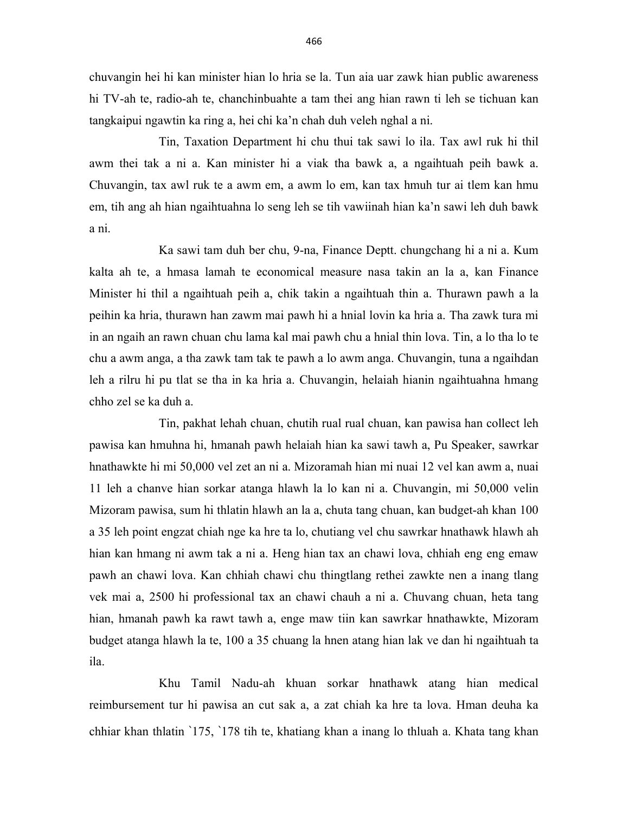chuvangin hei hi kan minister hian lo hria se la. Tun aia uar zawk hian public awareness hi TV-ah te, radio-ah te, chanchinbuahte a tam thei ang hian rawn ti leh se tichuan kan tangkaipui ngawtin ka ring a, hei chi ka'n chah duh veleh nghal a ni.

 Tin, Taxation Department hi chu thui tak sawi lo ila. Tax awl ruk hi thil awm thei tak a ni a. Kan minister hi a viak tha bawk a, a ngaihtuah peih bawk a. Chuvangin, tax awl ruk te a awm em, a awm lo em, kan tax hmuh tur ai tlem kan hmu em, tih ang ah hian ngaihtuahna lo seng leh se tih vawiinah hian ka'n sawi leh duh bawk a ni.

 Ka sawi tam duh ber chu, 9-na, Finance Deptt. chungchang hi a ni a. Kum kalta ah te, a hmasa lamah te economical measure nasa takin an la a, kan Finance Minister hi thil a ngaihtuah peih a, chik takin a ngaihtuah thin a. Thurawn pawh a la peihin ka hria, thurawn han zawm mai pawh hi a hnial lovin ka hria a. Tha zawk tura mi in an ngaih an rawn chuan chu lama kal mai pawh chu a hnial thin lova. Tin, a lo tha lo te chu a awm anga, a tha zawk tam tak te pawh a lo awm anga. Chuvangin, tuna a ngaihdan leh a rilru hi pu tlat se tha in ka hria a. Chuvangin, helaiah hianin ngaihtuahna hmang chho zel se ka duh a.

 Tin, pakhat lehah chuan, chutih rual rual chuan, kan pawisa han collect leh pawisa kan hmuhna hi, hmanah pawh helaiah hian ka sawi tawh a, Pu Speaker, sawrkar hnathawkte hi mi 50,000 vel zet an ni a. Mizoramah hian mi nuai 12 vel kan awm a, nuai 11 leh a chanve hian sorkar atanga hlawh la lo kan ni a. Chuvangin, mi 50,000 velin Mizoram pawisa, sum hi thlatin hlawh an la a, chuta tang chuan, kan budget-ah khan 100 a 35 leh point engzat chiah nge ka hre ta lo, chutiang vel chu sawrkar hnathawk hlawh ah hian kan hmang ni awm tak a ni a. Heng hian tax an chawi lova, chhiah eng eng emaw pawh an chawi lova. Kan chhiah chawi chu thingtlang rethei zawkte nen a inang tlang vek mai a, 2500 hi professional tax an chawi chauh a ni a. Chuvang chuan, heta tang hian, hmanah pawh ka rawt tawh a, enge maw tiin kan sawrkar hnathawkte, Mizoram budget atanga hlawh la te, 100 a 35 chuang la hnen atang hian lak ve dan hi ngaihtuah ta ila.

 Khu Tamil Nadu-ah khuan sorkar hnathawk atang hian medical reimbursement tur hi pawisa an cut sak a, a zat chiah ka hre ta lova. Hman deuha ka chhiar khan thlatin `175, `178 tih te, khatiang khan a inang lo thluah a. Khata tang khan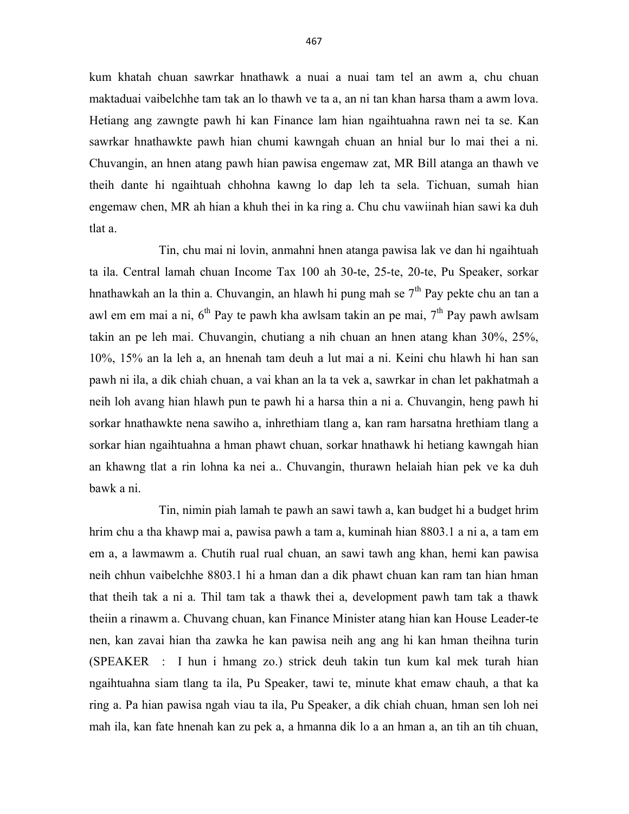kum khatah chuan sawrkar hnathawk a nuai a nuai tam tel an awm a, chu chuan maktaduai vaibelchhe tam tak an lo thawh ve ta a, an ni tan khan harsa tham a awm lova. Hetiang ang zawngte pawh hi kan Finance lam hian ngaihtuahna rawn nei ta se. Kan sawrkar hnathawkte pawh hian chumi kawngah chuan an hnial bur lo mai thei a ni. Chuvangin, an hnen atang pawh hian pawisa engemaw zat, MR Bill atanga an thawh ve theih dante hi ngaihtuah chhohna kawng lo dap leh ta sela. Tichuan, sumah hian engemaw chen, MR ah hian a khuh thei in ka ring a. Chu chu vawiinah hian sawi ka duh tlat a.

 Tin, chu mai ni lovin, anmahni hnen atanga pawisa lak ve dan hi ngaihtuah ta ila. Central lamah chuan Income Tax 100 ah 30-te, 25-te, 20-te, Pu Speaker, sorkar hnathawkah an la thin a. Chuvangin, an hlawh hi pung mah se  $7<sup>th</sup>$  Pay pekte chu an tan a awl em em mai a ni,  $6<sup>th</sup>$  Pay te pawh kha awlsam takin an pe mai,  $7<sup>th</sup>$  Pay pawh awlsam takin an pe leh mai. Chuvangin, chutiang a nih chuan an hnen atang khan 30%, 25%, 10%, 15% an la leh a, an hnenah tam deuh a lut mai a ni. Keini chu hlawh hi han san pawh ni ila, a dik chiah chuan, a vai khan an la ta vek a, sawrkar in chan let pakhatmah a neih loh avang hian hlawh pun te pawh hi a harsa thin a ni a. Chuvangin, heng pawh hi sorkar hnathawkte nena sawiho a, inhrethiam tlang a, kan ram harsatna hrethiam tlang a sorkar hian ngaihtuahna a hman phawt chuan, sorkar hnathawk hi hetiang kawngah hian an khawng tlat a rin lohna ka nei a.. Chuvangin, thurawn helaiah hian pek ve ka duh bawk a ni.

 Tin, nimin piah lamah te pawh an sawi tawh a, kan budget hi a budget hrim hrim chu a tha khawp mai a, pawisa pawh a tam a, kuminah hian 8803.1 a ni a, a tam em em a, a lawmawm a. Chutih rual rual chuan, an sawi tawh ang khan, hemi kan pawisa neih chhun vaibelchhe 8803.1 hi a hman dan a dik phawt chuan kan ram tan hian hman that theih tak a ni a. Thil tam tak a thawk thei a, development pawh tam tak a thawk theiin a rinawm a. Chuvang chuan, kan Finance Minister atang hian kan House Leader-te nen, kan zavai hian tha zawka he kan pawisa neih ang ang hi kan hman theihna turin (SPEAKER : I hun i hmang zo.) strick deuh takin tun kum kal mek turah hian ngaihtuahna siam tlang ta ila, Pu Speaker, tawi te, minute khat emaw chauh, a that ka ring a. Pa hian pawisa ngah viau ta ila, Pu Speaker, a dik chiah chuan, hman sen loh nei mah ila, kan fate hnenah kan zu pek a, a hmanna dik lo a an hman a, an tih an tih chuan,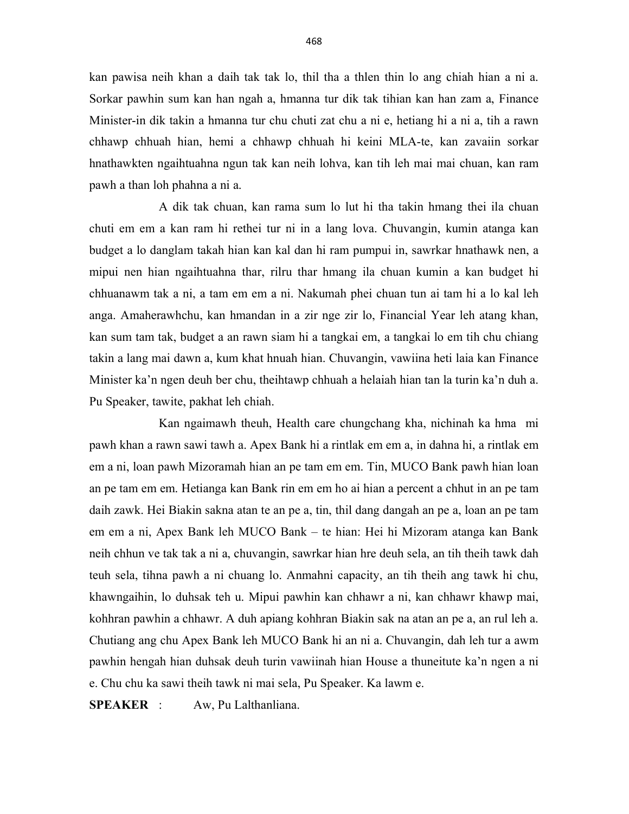kan pawisa neih khan a daih tak tak lo, thil tha a thlen thin lo ang chiah hian a ni a. Sorkar pawhin sum kan han ngah a, hmanna tur dik tak tihian kan han zam a, Finance Minister-in dik takin a hmanna tur chu chuti zat chu a ni e, hetiang hi a ni a, tih a rawn chhawp chhuah hian, hemi a chhawp chhuah hi keini MLA-te, kan zavaiin sorkar hnathawkten ngaihtuahna ngun tak kan neih lohva, kan tih leh mai mai chuan, kan ram pawh a than loh phahna a ni a.

 A dik tak chuan, kan rama sum lo lut hi tha takin hmang thei ila chuan chuti em em a kan ram hi rethei tur ni in a lang lova. Chuvangin, kumin atanga kan budget a lo danglam takah hian kan kal dan hi ram pumpui in, sawrkar hnathawk nen, a mipui nen hian ngaihtuahna thar, rilru thar hmang ila chuan kumin a kan budget hi chhuanawm tak a ni, a tam em em a ni. Nakumah phei chuan tun ai tam hi a lo kal leh anga. Amaherawhchu, kan hmandan in a zir nge zir lo, Financial Year leh atang khan, kan sum tam tak, budget a an rawn siam hi a tangkai em, a tangkai lo em tih chu chiang takin a lang mai dawn a, kum khat hnuah hian. Chuvangin, vawiina heti laia kan Finance Minister ka'n ngen deuh ber chu, theihtawp chhuah a helaiah hian tan la turin ka'n duh a. Pu Speaker, tawite, pakhat leh chiah.

 Kan ngaimawh theuh, Health care chungchang kha, nichinah ka hma mi pawh khan a rawn sawi tawh a. Apex Bank hi a rintlak em em a, in dahna hi, a rintlak em em a ni, loan pawh Mizoramah hian an pe tam em em. Tin, MUCO Bank pawh hian loan an pe tam em em. Hetianga kan Bank rin em em ho ai hian a percent a chhut in an pe tam daih zawk. Hei Biakin sakna atan te an pe a, tin, thil dang dangah an pe a, loan an pe tam em em a ni, Apex Bank leh MUCO Bank – te hian: Hei hi Mizoram atanga kan Bank neih chhun ve tak tak a ni a, chuvangin, sawrkar hian hre deuh sela, an tih theih tawk dah teuh sela, tihna pawh a ni chuang lo. Anmahni capacity, an tih theih ang tawk hi chu, khawngaihin, lo duhsak teh u. Mipui pawhin kan chhawr a ni, kan chhawr khawp mai, kohhran pawhin a chhawr. A duh apiang kohhran Biakin sak na atan an pe a, an rul leh a. Chutiang ang chu Apex Bank leh MUCO Bank hi an ni a. Chuvangin, dah leh tur a awm pawhin hengah hian duhsak deuh turin vawiinah hian House a thuneitute ka'n ngen a ni e. Chu chu ka sawi theih tawk ni mai sela, Pu Speaker. Ka lawm e.

SPEAKER : Aw, Pu Lalthanliana.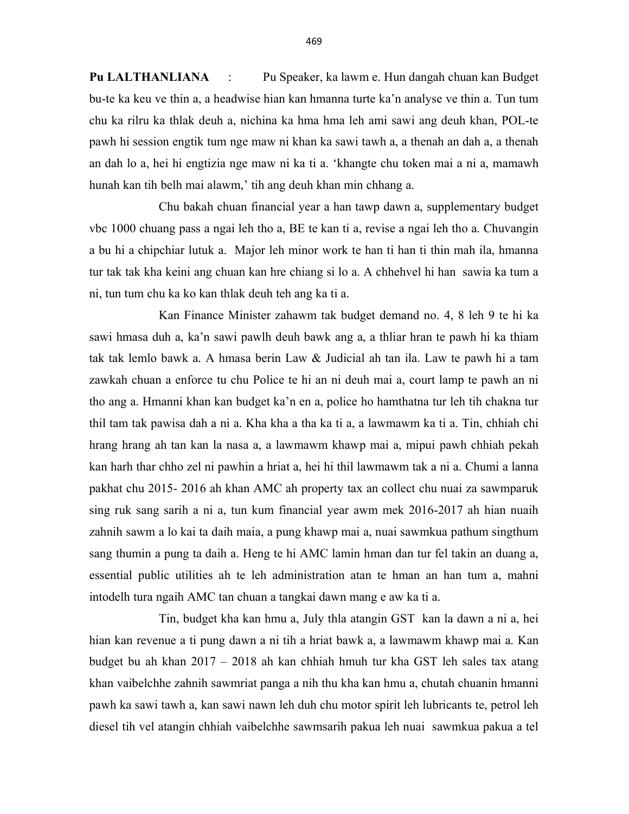Pu LALTHANLIANA : Pu Speaker, ka lawm e. Hun dangah chuan kan Budget bu-te ka keu ve thin a, a headwise hian kan hmanna turte ka'n analyse ve thin a. Tun tum chu ka rilru ka thlak deuh a, nichina ka hma hma leh ami sawi ang deuh khan, POL-te pawh hi session engtik tum nge maw ni khan ka sawi tawh a, a thenah an dah a, a thenah an dah lo a, hei hi engtizia nge maw ni ka ti a. 'khangte chu token mai a ni a, mamawh hunah kan tih belh mai alawm,' tih ang deuh khan min chhang a.

 Chu bakah chuan financial year a han tawp dawn a, supplementary budget vbc 1000 chuang pass a ngai leh tho a, BE te kan ti a, revise a ngai leh tho a. Chuvangin a bu hi a chipchiar lutuk a. Major leh minor work te han ti han ti thin mah ila, hmanna tur tak tak kha keini ang chuan kan hre chiang si lo a. A chhehvel hi han sawia ka tum a ni, tun tum chu ka ko kan thlak deuh teh ang ka ti a.

 Kan Finance Minister zahawm tak budget demand no. 4, 8 leh 9 te hi ka sawi hmasa duh a, ka'n sawi pawlh deuh bawk ang a, a thliar hran te pawh hi ka thiam tak tak lemlo bawk a. A hmasa berin Law & Judicial ah tan ila. Law te pawh hi a tam zawkah chuan a enforce tu chu Police te hi an ni deuh mai a, court lamp te pawh an ni tho ang a. Hmanni khan kan budget ka'n en a, police ho hamthatna tur leh tih chakna tur thil tam tak pawisa dah a ni a. Kha kha a tha ka ti a, a lawmawm ka ti a. Tin, chhiah chi hrang hrang ah tan kan la nasa a, a lawmawm khawp mai a, mipui pawh chhiah pekah kan harh thar chho zel ni pawhin a hriat a, hei hi thil lawmawm tak a ni a. Chumi a lanna pakhat chu 2015- 2016 ah khan AMC ah property tax an collect chu nuai za sawmparuk sing ruk sang sarih a ni a, tun kum financial year awm mek 2016-2017 ah hian nuaih zahnih sawm a lo kai ta daih maia, a pung khawp mai a, nuai sawmkua pathum singthum sang thumin a pung ta daih a. Heng te hi AMC lamin hman dan tur fel takin an duang a, essential public utilities ah te leh administration atan te hman an han tum a, mahni intodelh tura ngaih AMC tan chuan a tangkai dawn mang e aw ka ti a.

 Tin, budget kha kan hmu a, July thla atangin GST kan la dawn a ni a, hei hian kan revenue a ti pung dawn a ni tih a hriat bawk a, a lawmawm khawp mai a. Kan budget bu ah khan 2017 – 2018 ah kan chhiah hmuh tur kha GST leh sales tax atang khan vaibelchhe zahnih sawmriat panga a nih thu kha kan hmu a, chutah chuanin hmanni pawh ka sawi tawh a, kan sawi nawn leh duh chu motor spirit leh lubricants te, petrol leh diesel tih vel atangin chhiah vaibelchhe sawmsarih pakua leh nuai sawmkua pakua a tel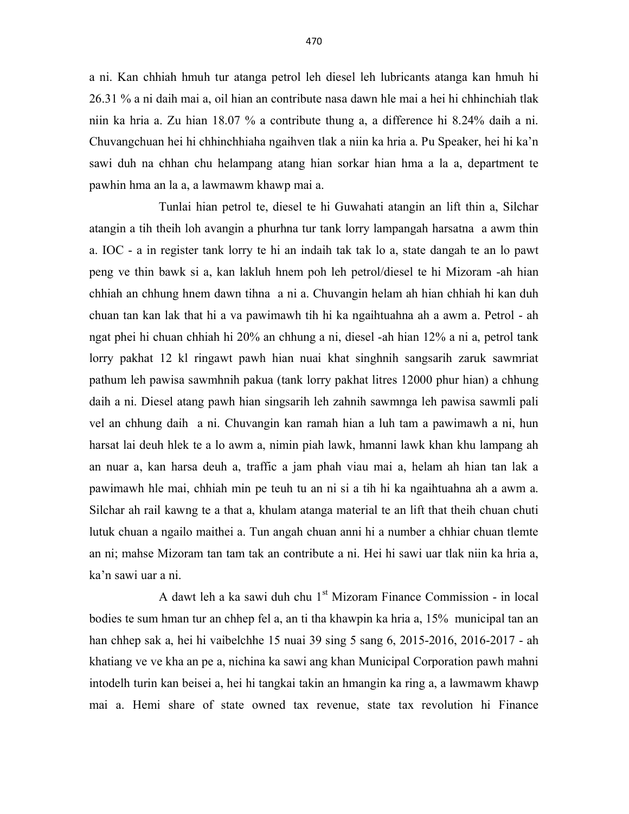a ni. Kan chhiah hmuh tur atanga petrol leh diesel leh lubricants atanga kan hmuh hi 26.31 % a ni daih mai a, oil hian an contribute nasa dawn hle mai a hei hi chhinchiah tlak niin ka hria a. Zu hian 18.07 % a contribute thung a, a difference hi 8.24% daih a ni. Chuvangchuan hei hi chhinchhiaha ngaihven tlak a niin ka hria a. Pu Speaker, hei hi ka'n sawi duh na chhan chu helampang atang hian sorkar hian hma a la a, department te pawhin hma an la a, a lawmawm khawp mai a.

 Tunlai hian petrol te, diesel te hi Guwahati atangin an lift thin a, Silchar atangin a tih theih loh avangin a phurhna tur tank lorry lampangah harsatna a awm thin a. IOC - a in register tank lorry te hi an indaih tak tak lo a, state dangah te an lo pawt peng ve thin bawk si a, kan lakluh hnem poh leh petrol/diesel te hi Mizoram -ah hian chhiah an chhung hnem dawn tihna a ni a. Chuvangin helam ah hian chhiah hi kan duh chuan tan kan lak that hi a va pawimawh tih hi ka ngaihtuahna ah a awm a. Petrol - ah ngat phei hi chuan chhiah hi 20% an chhung a ni, diesel -ah hian 12% a ni a, petrol tank lorry pakhat 12 kl ringawt pawh hian nuai khat singhnih sangsarih zaruk sawmriat pathum leh pawisa sawmhnih pakua (tank lorry pakhat litres 12000 phur hian) a chhung daih a ni. Diesel atang pawh hian singsarih leh zahnih sawmnga leh pawisa sawmli pali vel an chhung daih a ni. Chuvangin kan ramah hian a luh tam a pawimawh a ni, hun harsat lai deuh hlek te a lo awm a, nimin piah lawk, hmanni lawk khan khu lampang ah an nuar a, kan harsa deuh a, traffic a jam phah viau mai a, helam ah hian tan lak a pawimawh hle mai, chhiah min pe teuh tu an ni si a tih hi ka ngaihtuahna ah a awm a. Silchar ah rail kawng te a that a, khulam atanga material te an lift that theih chuan chuti lutuk chuan a ngailo maithei a. Tun angah chuan anni hi a number a chhiar chuan tlemte an ni; mahse Mizoram tan tam tak an contribute a ni. Hei hi sawi uar tlak niin ka hria a, ka'n sawi uar a ni.

A dawt leh a ka sawi duh chu 1<sup>st</sup> Mizoram Finance Commission - in local bodies te sum hman tur an chhep fel a, an ti tha khawpin ka hria a, 15% municipal tan an han chhep sak a, hei hi vaibelchhe 15 nuai 39 sing 5 sang 6, 2015-2016, 2016-2017 - ah khatiang ve ve kha an pe a, nichina ka sawi ang khan Municipal Corporation pawh mahni intodelh turin kan beisei a, hei hi tangkai takin an hmangin ka ring a, a lawmawm khawp mai a. Hemi share of state owned tax revenue, state tax revolution hi Finance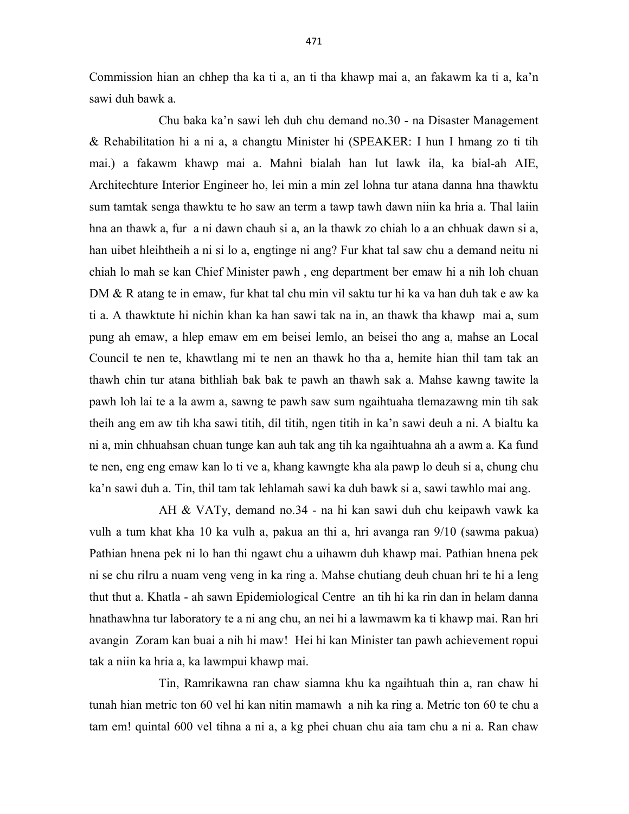Commission hian an chhep tha ka ti a, an ti tha khawp mai a, an fakawm ka ti a, ka'n sawi duh bawk a.

 Chu baka ka'n sawi leh duh chu demand no.30 - na Disaster Management & Rehabilitation hi a ni a, a changtu Minister hi (SPEAKER: I hun I hmang zo ti tih mai.) a fakawm khawp mai a. Mahni bialah han lut lawk ila, ka bial-ah AIE, Architechture Interior Engineer ho, lei min a min zel lohna tur atana danna hna thawktu sum tamtak senga thawktu te ho saw an term a tawp tawh dawn niin ka hria a. Thal laiin hna an thawk a, fur a ni dawn chauh si a, an la thawk zo chiah lo a an chhuak dawn si a, han uibet hleihtheih a ni si lo a, engtinge ni ang? Fur khat tal saw chu a demand neitu ni chiah lo mah se kan Chief Minister pawh , eng department ber emaw hi a nih loh chuan DM & R atang te in emaw, fur khat tal chu min vil saktu tur hi ka va han duh tak e aw ka ti a. A thawktute hi nichin khan ka han sawi tak na in, an thawk tha khawp mai a, sum pung ah emaw, a hlep emaw em em beisei lemlo, an beisei tho ang a, mahse an Local Council te nen te, khawtlang mi te nen an thawk ho tha a, hemite hian thil tam tak an thawh chin tur atana bithliah bak bak te pawh an thawh sak a. Mahse kawng tawite la pawh loh lai te a la awm a, sawng te pawh saw sum ngaihtuaha tlemazawng min tih sak theih ang em aw tih kha sawi titih, dil titih, ngen titih in ka'n sawi deuh a ni. A bialtu ka ni a, min chhuahsan chuan tunge kan auh tak ang tih ka ngaihtuahna ah a awm a. Ka fund te nen, eng eng emaw kan lo ti ve a, khang kawngte kha ala pawp lo deuh si a, chung chu ka'n sawi duh a. Tin, thil tam tak lehlamah sawi ka duh bawk si a, sawi tawhlo mai ang.

 AH & VATy, demand no.34 - na hi kan sawi duh chu keipawh vawk ka vulh a tum khat kha 10 ka vulh a, pakua an thi a, hri avanga ran 9/10 (sawma pakua) Pathian hnena pek ni lo han thi ngawt chu a uihawm duh khawp mai. Pathian hnena pek ni se chu rilru a nuam veng veng in ka ring a. Mahse chutiang deuh chuan hri te hi a leng thut thut a. Khatla - ah sawn Epidemiological Centre an tih hi ka rin dan in helam danna hnathawhna tur laboratory te a ni ang chu, an nei hi a lawmawm ka ti khawp mai. Ran hri avangin Zoram kan buai a nih hi maw! Hei hi kan Minister tan pawh achievement ropui tak a niin ka hria a, ka lawmpui khawp mai.

 Tin, Ramrikawna ran chaw siamna khu ka ngaihtuah thin a, ran chaw hi tunah hian metric ton 60 vel hi kan nitin mamawh a nih ka ring a. Metric ton 60 te chu a tam em! quintal 600 vel tihna a ni a, a kg phei chuan chu aia tam chu a ni a. Ran chaw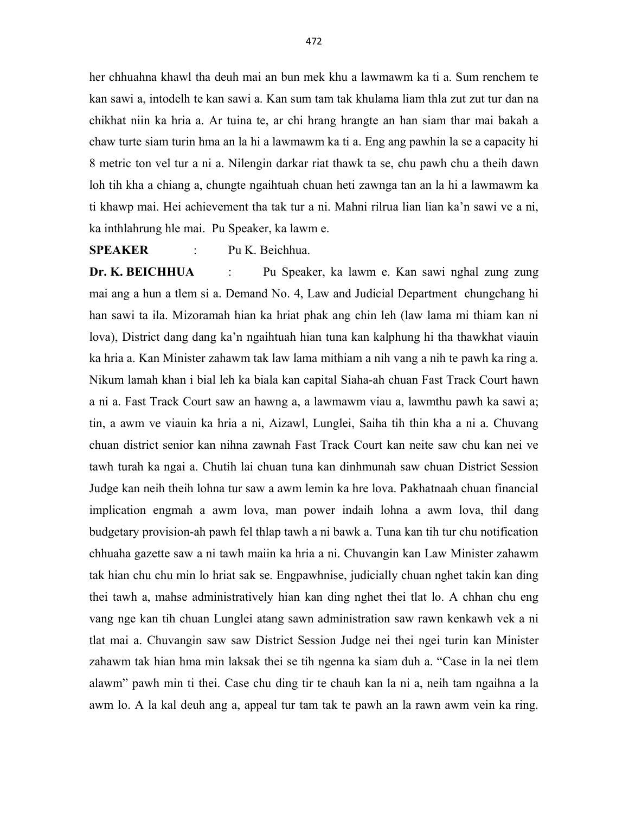her chhuahna khawl tha deuh mai an bun mek khu a lawmawm ka ti a. Sum renchem te kan sawi a, intodelh te kan sawi a. Kan sum tam tak khulama liam thla zut zut tur dan na chikhat niin ka hria a. Ar tuina te, ar chi hrang hrangte an han siam thar mai bakah a chaw turte siam turin hma an la hi a lawmawm ka ti a. Eng ang pawhin la se a capacity hi 8 metric ton vel tur a ni a. Nilengin darkar riat thawk ta se, chu pawh chu a theih dawn loh tih kha a chiang a, chungte ngaihtuah chuan heti zawnga tan an la hi a lawmawm ka ti khawp mai. Hei achievement tha tak tur a ni. Mahni rilrua lian lian ka'n sawi ve a ni, ka inthlahrung hle mai. Pu Speaker, ka lawm e.

SPEAKER : Pu K. Beichhua.

Dr. K. BEICHHUA : Pu Speaker, ka lawm e. Kan sawi nghal zung zung mai ang a hun a tlem si a. Demand No. 4, Law and Judicial Department chungchang hi han sawi ta ila. Mizoramah hian ka hriat phak ang chin leh (law lama mi thiam kan ni lova), District dang dang ka'n ngaihtuah hian tuna kan kalphung hi tha thawkhat viauin ka hria a. Kan Minister zahawm tak law lama mithiam a nih vang a nih te pawh ka ring a. Nikum lamah khan i bial leh ka biala kan capital Siaha-ah chuan Fast Track Court hawn a ni a. Fast Track Court saw an hawng a, a lawmawm viau a, lawmthu pawh ka sawi a; tin, a awm ve viauin ka hria a ni, Aizawl, Lunglei, Saiha tih thin kha a ni a. Chuvang chuan district senior kan nihna zawnah Fast Track Court kan neite saw chu kan nei ve tawh turah ka ngai a. Chutih lai chuan tuna kan dinhmunah saw chuan District Session Judge kan neih theih lohna tur saw a awm lemin ka hre lova. Pakhatnaah chuan financial implication engmah a awm lova, man power indaih lohna a awm lova, thil dang budgetary provision-ah pawh fel thlap tawh a ni bawk a. Tuna kan tih tur chu notification chhuaha gazette saw a ni tawh maiin ka hria a ni. Chuvangin kan Law Minister zahawm tak hian chu chu min lo hriat sak se. Engpawhnise, judicially chuan nghet takin kan ding thei tawh a, mahse administratively hian kan ding nghet thei tlat lo. A chhan chu eng vang nge kan tih chuan Lunglei atang sawn administration saw rawn kenkawh vek a ni tlat mai a. Chuvangin saw saw District Session Judge nei thei ngei turin kan Minister zahawm tak hian hma min laksak thei se tih ngenna ka siam duh a. "Case in la nei tlem alawm" pawh min ti thei. Case chu ding tir te chauh kan la ni a, neih tam ngaihna a la awm lo. A la kal deuh ang a, appeal tur tam tak te pawh an la rawn awm vein ka ring.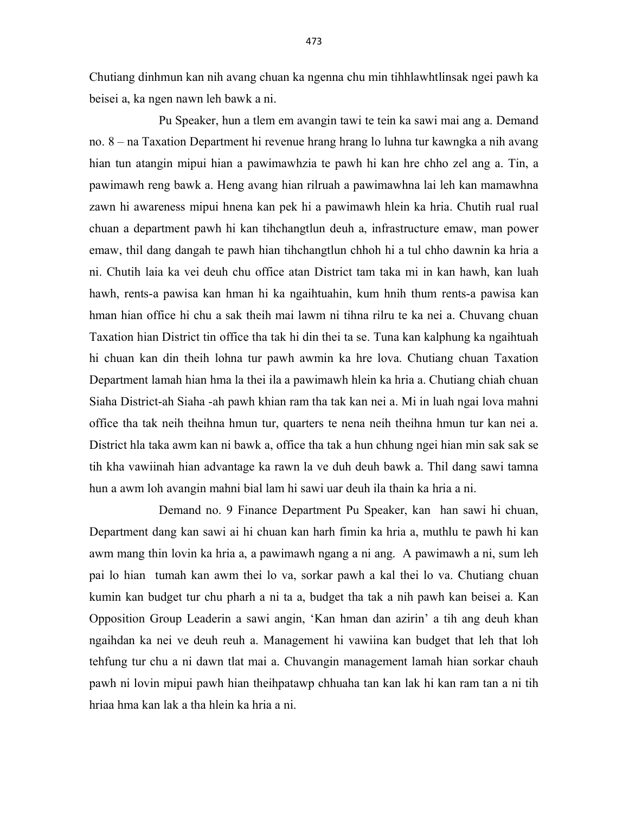Chutiang dinhmun kan nih avang chuan ka ngenna chu min tihhlawhtlinsak ngei pawh ka beisei a, ka ngen nawn leh bawk a ni.

 Pu Speaker, hun a tlem em avangin tawi te tein ka sawi mai ang a. Demand no. 8 – na Taxation Department hi revenue hrang hrang lo luhna tur kawngka a nih avang hian tun atangin mipui hian a pawimawhzia te pawh hi kan hre chho zel ang a. Tin, a pawimawh reng bawk a. Heng avang hian rilruah a pawimawhna lai leh kan mamawhna zawn hi awareness mipui hnena kan pek hi a pawimawh hlein ka hria. Chutih rual rual chuan a department pawh hi kan tihchangtlun deuh a, infrastructure emaw, man power emaw, thil dang dangah te pawh hian tihchangtlun chhoh hi a tul chho dawnin ka hria a ni. Chutih laia ka vei deuh chu office atan District tam taka mi in kan hawh, kan luah hawh, rents-a pawisa kan hman hi ka ngaihtuahin, kum hnih thum rents-a pawisa kan hman hian office hi chu a sak theih mai lawm ni tihna rilru te ka nei a. Chuvang chuan Taxation hian District tin office tha tak hi din thei ta se. Tuna kan kalphung ka ngaihtuah hi chuan kan din theih lohna tur pawh awmin ka hre lova. Chutiang chuan Taxation Department lamah hian hma la thei ila a pawimawh hlein ka hria a. Chutiang chiah chuan Siaha District-ah Siaha -ah pawh khian ram tha tak kan nei a. Mi in luah ngai lova mahni office tha tak neih theihna hmun tur, quarters te nena neih theihna hmun tur kan nei a. District hla taka awm kan ni bawk a, office tha tak a hun chhung ngei hian min sak sak se tih kha vawiinah hian advantage ka rawn la ve duh deuh bawk a. Thil dang sawi tamna hun a awm loh avangin mahni bial lam hi sawi uar deuh ila thain ka hria a ni.

 Demand no. 9 Finance Department Pu Speaker, kan han sawi hi chuan, Department dang kan sawi ai hi chuan kan harh fimin ka hria a, muthlu te pawh hi kan awm mang thin lovin ka hria a, a pawimawh ngang a ni ang. A pawimawh a ni, sum leh pai lo hian tumah kan awm thei lo va, sorkar pawh a kal thei lo va. Chutiang chuan kumin kan budget tur chu pharh a ni ta a, budget tha tak a nih pawh kan beisei a. Kan Opposition Group Leaderin a sawi angin, 'Kan hman dan azirin' a tih ang deuh khan ngaihdan ka nei ve deuh reuh a. Management hi vawiina kan budget that leh that loh tehfung tur chu a ni dawn tlat mai a. Chuvangin management lamah hian sorkar chauh pawh ni lovin mipui pawh hian theihpatawp chhuaha tan kan lak hi kan ram tan a ni tih hriaa hma kan lak a tha hlein ka hria a ni.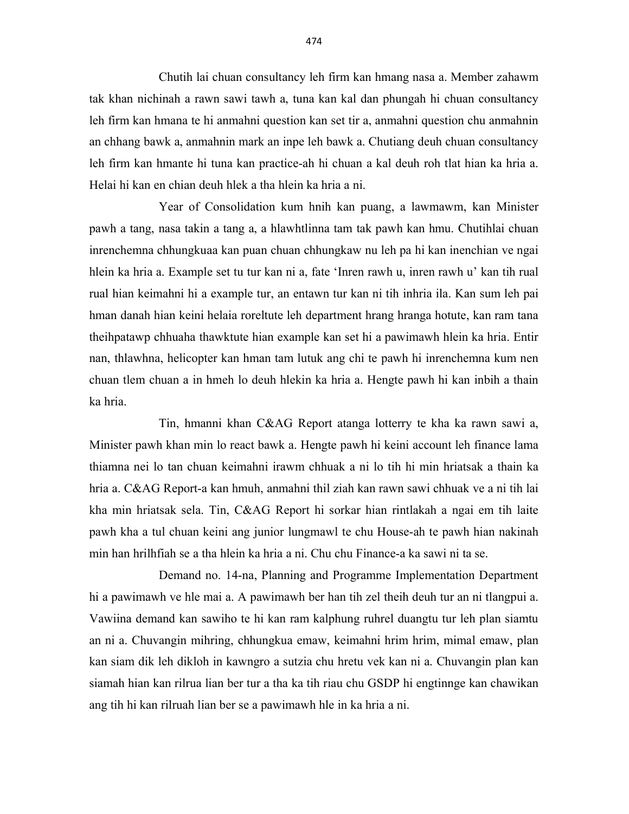Chutih lai chuan consultancy leh firm kan hmang nasa a. Member zahawm tak khan nichinah a rawn sawi tawh a, tuna kan kal dan phungah hi chuan consultancy leh firm kan hmana te hi anmahni question kan set tir a, anmahni question chu anmahnin an chhang bawk a, anmahnin mark an inpe leh bawk a. Chutiang deuh chuan consultancy leh firm kan hmante hi tuna kan practice-ah hi chuan a kal deuh roh tlat hian ka hria a. Helai hi kan en chian deuh hlek a tha hlein ka hria a ni.

 Year of Consolidation kum hnih kan puang, a lawmawm, kan Minister pawh a tang, nasa takin a tang a, a hlawhtlinna tam tak pawh kan hmu. Chutihlai chuan inrenchemna chhungkuaa kan puan chuan chhungkaw nu leh pa hi kan inenchian ve ngai hlein ka hria a. Example set tu tur kan ni a, fate 'Inren rawh u, inren rawh u' kan tih rual rual hian keimahni hi a example tur, an entawn tur kan ni tih inhria ila. Kan sum leh pai hman danah hian keini helaia roreltute leh department hrang hranga hotute, kan ram tana theihpatawp chhuaha thawktute hian example kan set hi a pawimawh hlein ka hria. Entir nan, thlawhna, helicopter kan hman tam lutuk ang chi te pawh hi inrenchemna kum nen chuan tlem chuan a in hmeh lo deuh hlekin ka hria a. Hengte pawh hi kan inbih a thain ka hria.

 Tin, hmanni khan C&AG Report atanga lotterry te kha ka rawn sawi a, Minister pawh khan min lo react bawk a. Hengte pawh hi keini account leh finance lama thiamna nei lo tan chuan keimahni irawm chhuak a ni lo tih hi min hriatsak a thain ka hria a. C&AG Report-a kan hmuh, anmahni thil ziah kan rawn sawi chhuak ve a ni tih lai kha min hriatsak sela. Tin, C&AG Report hi sorkar hian rintlakah a ngai em tih laite pawh kha a tul chuan keini ang junior lungmawl te chu House-ah te pawh hian nakinah min han hrilhfiah se a tha hlein ka hria a ni. Chu chu Finance-a ka sawi ni ta se.

 Demand no. 14-na, Planning and Programme Implementation Department hi a pawimawh ve hle mai a. A pawimawh ber han tih zel theih deuh tur an ni tlangpui a. Vawiina demand kan sawiho te hi kan ram kalphung ruhrel duangtu tur leh plan siamtu an ni a. Chuvangin mihring, chhungkua emaw, keimahni hrim hrim, mimal emaw, plan kan siam dik leh dikloh in kawngro a sutzia chu hretu vek kan ni a. Chuvangin plan kan siamah hian kan rilrua lian ber tur a tha ka tih riau chu GSDP hi engtinnge kan chawikan ang tih hi kan rilruah lian ber se a pawimawh hle in ka hria a ni.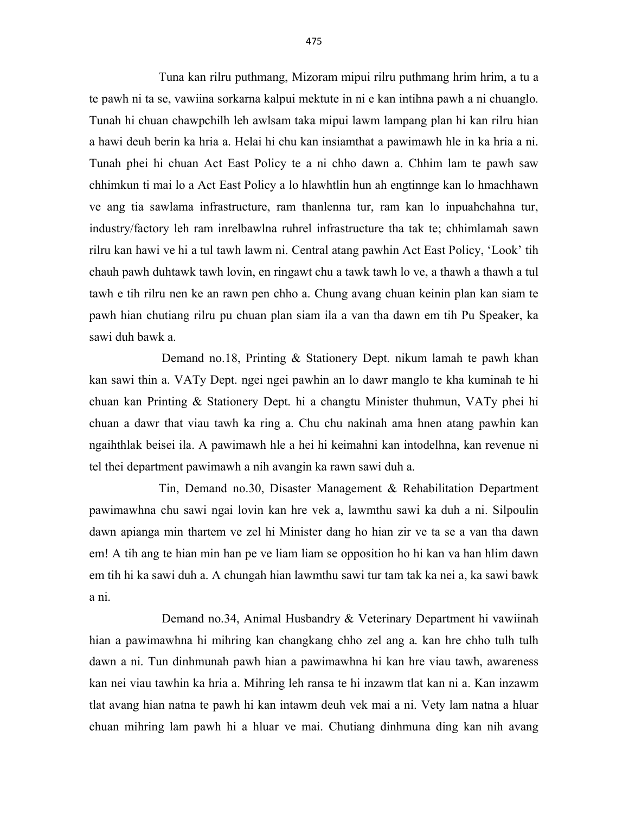Tuna kan rilru puthmang, Mizoram mipui rilru puthmang hrim hrim, a tu a te pawh ni ta se, vawiina sorkarna kalpui mektute in ni e kan intihna pawh a ni chuanglo. Tunah hi chuan chawpchilh leh awlsam taka mipui lawm lampang plan hi kan rilru hian a hawi deuh berin ka hria a. Helai hi chu kan insiamthat a pawimawh hle in ka hria a ni. Tunah phei hi chuan Act East Policy te a ni chho dawn a. Chhim lam te pawh saw chhimkun ti mai lo a Act East Policy a lo hlawhtlin hun ah engtinnge kan lo hmachhawn ve ang tia sawlama infrastructure, ram thanlenna tur, ram kan lo inpuahchahna tur, industry/factory leh ram inrelbawlna ruhrel infrastructure tha tak te; chhimlamah sawn rilru kan hawi ve hi a tul tawh lawm ni. Central atang pawhin Act East Policy, 'Look' tih chauh pawh duhtawk tawh lovin, en ringawt chu a tawk tawh lo ve, a thawh a thawh a tul tawh e tih rilru nen ke an rawn pen chho a. Chung avang chuan keinin plan kan siam te pawh hian chutiang rilru pu chuan plan siam ila a van tha dawn em tih Pu Speaker, ka sawi duh bawk a.

 Demand no.18, Printing & Stationery Dept. nikum lamah te pawh khan kan sawi thin a. VATy Dept. ngei ngei pawhin an lo dawr manglo te kha kuminah te hi chuan kan Printing & Stationery Dept. hi a changtu Minister thuhmun, VATy phei hi chuan a dawr that viau tawh ka ring a. Chu chu nakinah ama hnen atang pawhin kan ngaihthlak beisei ila. A pawimawh hle a hei hi keimahni kan intodelhna, kan revenue ni tel thei department pawimawh a nih avangin ka rawn sawi duh a.

 Tin, Demand no.30, Disaster Management & Rehabilitation Department pawimawhna chu sawi ngai lovin kan hre vek a, lawmthu sawi ka duh a ni. Silpoulin dawn apianga min thartem ve zel hi Minister dang ho hian zir ve ta se a van tha dawn em! A tih ang te hian min han pe ve liam liam se opposition ho hi kan va han hlim dawn em tih hi ka sawi duh a. A chungah hian lawmthu sawi tur tam tak ka nei a, ka sawi bawk a ni.

 Demand no.34, Animal Husbandry & Veterinary Department hi vawiinah hian a pawimawhna hi mihring kan changkang chho zel ang a. kan hre chho tulh tulh dawn a ni. Tun dinhmunah pawh hian a pawimawhna hi kan hre viau tawh, awareness kan nei viau tawhin ka hria a. Mihring leh ransa te hi inzawm tlat kan ni a. Kan inzawm tlat avang hian natna te pawh hi kan intawm deuh vek mai a ni. Vety lam natna a hluar chuan mihring lam pawh hi a hluar ve mai. Chutiang dinhmuna ding kan nih avang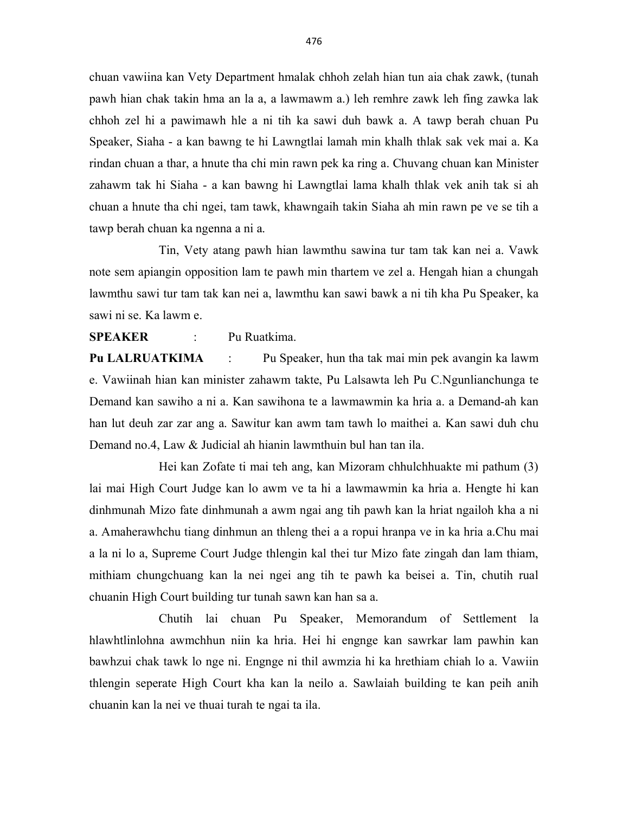chuan vawiina kan Vety Department hmalak chhoh zelah hian tun aia chak zawk, (tunah pawh hian chak takin hma an la a, a lawmawm a.) leh remhre zawk leh fing zawka lak chhoh zel hi a pawimawh hle a ni tih ka sawi duh bawk a. A tawp berah chuan Pu Speaker, Siaha - a kan bawng te hi Lawngtlai lamah min khalh thlak sak vek mai a. Ka rindan chuan a thar, a hnute tha chi min rawn pek ka ring a. Chuvang chuan kan Minister zahawm tak hi Siaha - a kan bawng hi Lawngtlai lama khalh thlak vek anih tak si ah chuan a hnute tha chi ngei, tam tawk, khawngaih takin Siaha ah min rawn pe ve se tih a tawp berah chuan ka ngenna a ni a.

 Tin, Vety atang pawh hian lawmthu sawina tur tam tak kan nei a. Vawk note sem apiangin opposition lam te pawh min thartem ve zel a. Hengah hian a chungah lawmthu sawi tur tam tak kan nei a, lawmthu kan sawi bawk a ni tih kha Pu Speaker, ka sawi ni se. Ka lawm e.

SPEAKER : Pu Ruatkima.

Pu LALRUATKIMA : Pu Speaker, hun tha tak mai min pek avangin ka lawm e. Vawiinah hian kan minister zahawm takte, Pu Lalsawta leh Pu C.Ngunlianchunga te Demand kan sawiho a ni a. Kan sawihona te a lawmawmin ka hria a. a Demand-ah kan han lut deuh zar zar ang a. Sawitur kan awm tam tawh lo maithei a. Kan sawi duh chu Demand no.4, Law & Judicial ah hianin lawmthuin bul han tan ila.

 Hei kan Zofate ti mai teh ang, kan Mizoram chhulchhuakte mi pathum (3) lai mai High Court Judge kan lo awm ve ta hi a lawmawmin ka hria a. Hengte hi kan dinhmunah Mizo fate dinhmunah a awm ngai ang tih pawh kan la hriat ngailoh kha a ni a. Amaherawhchu tiang dinhmun an thleng thei a a ropui hranpa ve in ka hria a.Chu mai a la ni lo a, Supreme Court Judge thlengin kal thei tur Mizo fate zingah dan lam thiam, mithiam chungchuang kan la nei ngei ang tih te pawh ka beisei a. Tin, chutih rual chuanin High Court building tur tunah sawn kan han sa a.

 Chutih lai chuan Pu Speaker, Memorandum of Settlement la hlawhtlinlohna awmchhun niin ka hria. Hei hi engnge kan sawrkar lam pawhin kan bawhzui chak tawk lo nge ni. Engnge ni thil awmzia hi ka hrethiam chiah lo a. Vawiin thlengin seperate High Court kha kan la neilo a. Sawlaiah building te kan peih anih chuanin kan la nei ve thuai turah te ngai ta ila.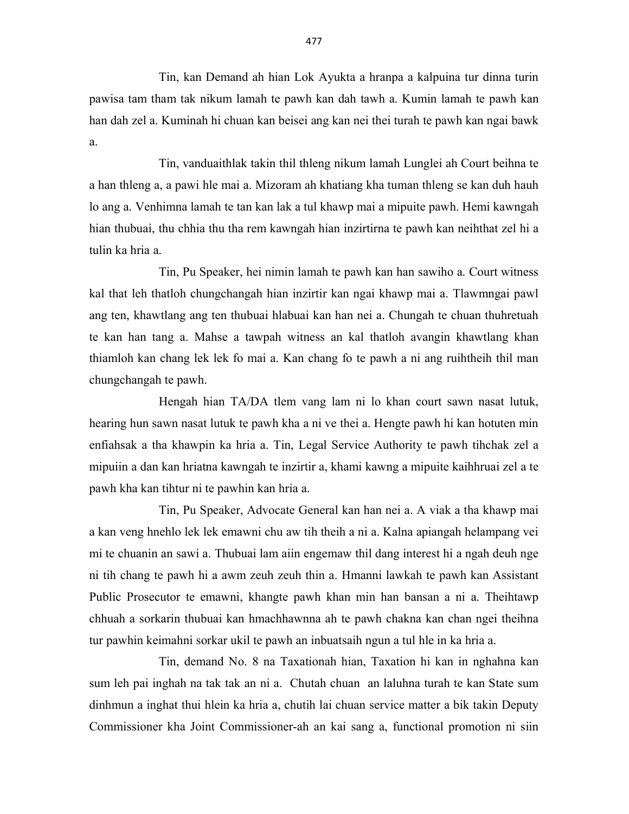Tin, kan Demand ah hian Lok Ayukta a hranpa a kalpuina tur dinna turin pawisa tam tham tak nikum lamah te pawh kan dah tawh a. Kumin lamah te pawh kan han dah zel a. Kuminah hi chuan kan beisei ang kan nei thei turah te pawh kan ngai bawk a.

 Tin, vanduaithlak takin thil thleng nikum lamah Lunglei ah Court beihna te a han thleng a, a pawi hle mai a. Mizoram ah khatiang kha tuman thleng se kan duh hauh lo ang a. Venhimna lamah te tan kan lak a tul khawp mai a mipuite pawh. Hemi kawngah hian thubuai, thu chhia thu tha rem kawngah hian inzirtirna te pawh kan neihthat zel hi a tulin ka hria a.

 Tin, Pu Speaker, hei nimin lamah te pawh kan han sawiho a. Court witness kal that leh thatloh chungchangah hian inzirtir kan ngai khawp mai a. Tlawmngai pawl ang ten, khawtlang ang ten thubuai hlabuai kan han nei a. Chungah te chuan thuhretuah te kan han tang a. Mahse a tawpah witness an kal thatloh avangin khawtlang khan thiamloh kan chang lek lek fo mai a. Kan chang fo te pawh a ni ang ruihtheih thil man chungchangah te pawh.

 Hengah hian TA/DA tlem vang lam ni lo khan court sawn nasat lutuk, hearing hun sawn nasat lutuk te pawh kha a ni ve thei a. Hengte pawh hi kan hotuten min enfiahsak a tha khawpin ka hria a. Tin, Legal Service Authority te pawh tihchak zel a mipuiin a dan kan hriatna kawngah te inzirtir a, khami kawng a mipuite kaihhruai zel a te pawh kha kan tihtur ni te pawhin kan hria a.

 Tin, Pu Speaker, Advocate General kan han nei a. A viak a tha khawp mai a kan veng hnehlo lek lek emawni chu aw tih theih a ni a. Kalna apiangah helampang vei mi te chuanin an sawi a. Thubuai lam aiin engemaw thil dang interest hi a ngah deuh nge ni tih chang te pawh hi a awm zeuh zeuh thin a. Hmanni lawkah te pawh kan Assistant Public Prosecutor te emawni, khangte pawh khan min han bansan a ni a. Theihtawp chhuah a sorkarin thubuai kan hmachhawnna ah te pawh chakna kan chan ngei theihna tur pawhin keimahni sorkar ukil te pawh an inbuatsaih ngun a tul hle in ka hria a.

 Tin, demand No. 8 na Taxationah hian, Taxation hi kan in nghahna kan sum leh pai inghah na tak tak an ni a. Chutah chuan an laluhna turah te kan State sum dinhmun a inghat thui hlein ka hria a, chutih lai chuan service matter a bik takin Deputy Commissioner kha Joint Commissioner-ah an kai sang a, functional promotion ni siin

477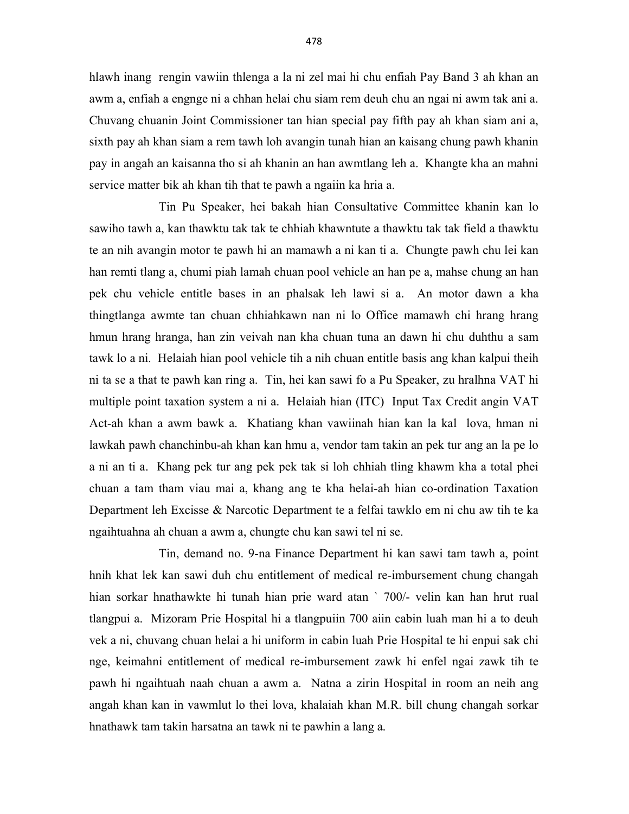hlawh inang rengin vawiin thlenga a la ni zel mai hi chu enfiah Pay Band 3 ah khan an awm a, enfiah a engnge ni a chhan helai chu siam rem deuh chu an ngai ni awm tak ani a. Chuvang chuanin Joint Commissioner tan hian special pay fifth pay ah khan siam ani a, sixth pay ah khan siam a rem tawh loh avangin tunah hian an kaisang chung pawh khanin pay in angah an kaisanna tho si ah khanin an han awmtlang leh a. Khangte kha an mahni service matter bik ah khan tih that te pawh a ngaiin ka hria a.

 Tin Pu Speaker, hei bakah hian Consultative Committee khanin kan lo sawiho tawh a, kan thawktu tak tak te chhiah khawntute a thawktu tak tak field a thawktu te an nih avangin motor te pawh hi an mamawh a ni kan ti a. Chungte pawh chu lei kan han remti tlang a, chumi piah lamah chuan pool vehicle an han pe a, mahse chung an han pek chu vehicle entitle bases in an phalsak leh lawi si a. An motor dawn a kha thingtlanga awmte tan chuan chhiahkawn nan ni lo Office mamawh chi hrang hrang hmun hrang hranga, han zin veivah nan kha chuan tuna an dawn hi chu duhthu a sam tawk lo a ni. Helaiah hian pool vehicle tih a nih chuan entitle basis ang khan kalpui theih ni ta se a that te pawh kan ring a. Tin, hei kan sawi fo a Pu Speaker, zu hralhna VAT hi multiple point taxation system a ni a. Helaiah hian (ITC) Input Tax Credit angin VAT Act-ah khan a awm bawk a. Khatiang khan vawiinah hian kan la kal lova, hman ni lawkah pawh chanchinbu-ah khan kan hmu a, vendor tam takin an pek tur ang an la pe lo a ni an ti a. Khang pek tur ang pek pek tak si loh chhiah tling khawm kha a total phei chuan a tam tham viau mai a, khang ang te kha helai-ah hian co-ordination Taxation Department leh Excisse & Narcotic Department te a felfai tawklo em ni chu aw tih te ka ngaihtuahna ah chuan a awm a, chungte chu kan sawi tel ni se.

 Tin, demand no. 9-na Finance Department hi kan sawi tam tawh a, point hnih khat lek kan sawi duh chu entitlement of medical re-imbursement chung changah hian sorkar hnathawkte hi tunah hian prie ward atan ` 700/- velin kan han hrut rual tlangpui a. Mizoram Prie Hospital hi a tlangpuiin 700 aiin cabin luah man hi a to deuh vek a ni, chuvang chuan helai a hi uniform in cabin luah Prie Hospital te hi enpui sak chi nge, keimahni entitlement of medical re-imbursement zawk hi enfel ngai zawk tih te pawh hi ngaihtuah naah chuan a awm a. Natna a zirin Hospital in room an neih ang angah khan kan in vawmlut lo thei lova, khalaiah khan M.R. bill chung changah sorkar hnathawk tam takin harsatna an tawk ni te pawhin a lang a.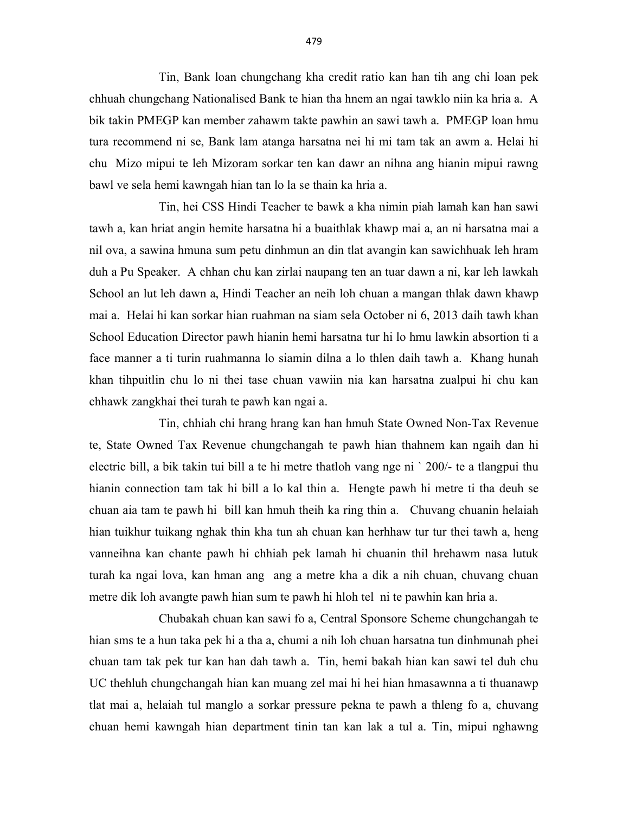Tin, Bank loan chungchang kha credit ratio kan han tih ang chi loan pek chhuah chungchang Nationalised Bank te hian tha hnem an ngai tawklo niin ka hria a. A bik takin PMEGP kan member zahawm takte pawhin an sawi tawh a. PMEGP loan hmu tura recommend ni se, Bank lam atanga harsatna nei hi mi tam tak an awm a. Helai hi chu Mizo mipui te leh Mizoram sorkar ten kan dawr an nihna ang hianin mipui rawng bawl ve sela hemi kawngah hian tan lo la se thain ka hria a.

 Tin, hei CSS Hindi Teacher te bawk a kha nimin piah lamah kan han sawi tawh a, kan hriat angin hemite harsatna hi a buaithlak khawp mai a, an ni harsatna mai a nil ova, a sawina hmuna sum petu dinhmun an din tlat avangin kan sawichhuak leh hram duh a Pu Speaker. A chhan chu kan zirlai naupang ten an tuar dawn a ni, kar leh lawkah School an lut leh dawn a, Hindi Teacher an neih loh chuan a mangan thlak dawn khawp mai a. Helai hi kan sorkar hian ruahman na siam sela October ni 6, 2013 daih tawh khan School Education Director pawh hianin hemi harsatna tur hi lo hmu lawkin absortion ti a face manner a ti turin ruahmanna lo siamin dilna a lo thlen daih tawh a. Khang hunah khan tihpuitlin chu lo ni thei tase chuan vawiin nia kan harsatna zualpui hi chu kan chhawk zangkhai thei turah te pawh kan ngai a.

 Tin, chhiah chi hrang hrang kan han hmuh State Owned Non-Tax Revenue te, State Owned Tax Revenue chungchangah te pawh hian thahnem kan ngaih dan hi electric bill, a bik takin tui bill a te hi metre thatloh vang nge ni ` 200/- te a tlangpui thu hianin connection tam tak hi bill a lo kal thin a. Hengte pawh hi metre ti tha deuh se chuan aia tam te pawh hi bill kan hmuh theih ka ring thin a. Chuvang chuanin helaiah hian tuikhur tuikang nghak thin kha tun ah chuan kan herhhaw tur tur thei tawh a, heng vanneihna kan chante pawh hi chhiah pek lamah hi chuanin thil hrehawm nasa lutuk turah ka ngai lova, kan hman ang ang a metre kha a dik a nih chuan, chuvang chuan metre dik loh avangte pawh hian sum te pawh hi hloh tel ni te pawhin kan hria a.

 Chubakah chuan kan sawi fo a, Central Sponsore Scheme chungchangah te hian sms te a hun taka pek hi a tha a, chumi a nih loh chuan harsatna tun dinhmunah phei chuan tam tak pek tur kan han dah tawh a. Tin, hemi bakah hian kan sawi tel duh chu UC thehluh chungchangah hian kan muang zel mai hi hei hian hmasawnna a ti thuanawp tlat mai a, helaiah tul manglo a sorkar pressure pekna te pawh a thleng fo a, chuvang chuan hemi kawngah hian department tinin tan kan lak a tul a. Tin, mipui nghawng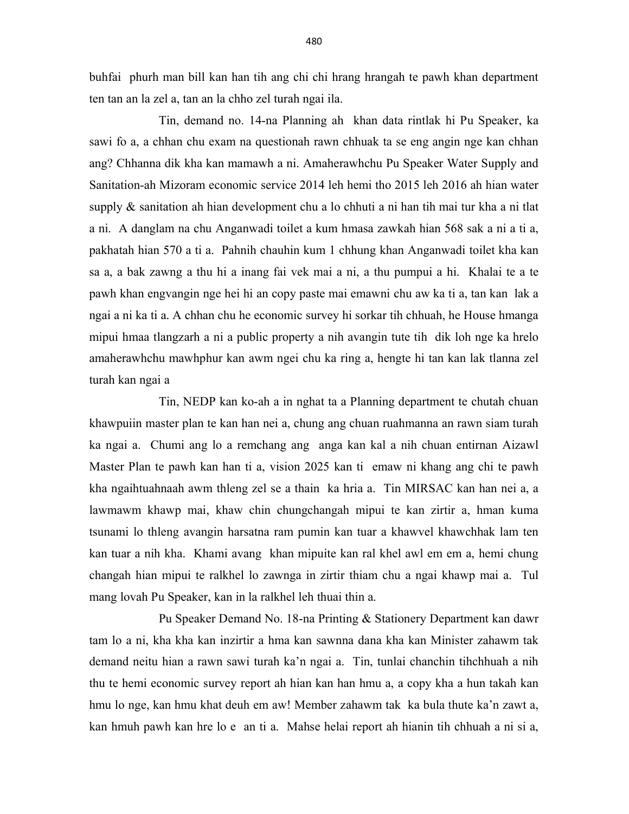buhfai phurh man bill kan han tih ang chi chi hrang hrangah te pawh khan department ten tan an la zel a, tan an la chho zel turah ngai ila.

 Tin, demand no. 14-na Planning ah khan data rintlak hi Pu Speaker, ka sawi fo a, a chhan chu exam na questionah rawn chhuak ta se eng angin nge kan chhan ang? Chhanna dik kha kan mamawh a ni. Amaherawhchu Pu Speaker Water Supply and Sanitation-ah Mizoram economic service 2014 leh hemi tho 2015 leh 2016 ah hian water supply & sanitation ah hian development chu a lo chhuti a ni han tih mai tur kha a ni tlat a ni. A danglam na chu Anganwadi toilet a kum hmasa zawkah hian 568 sak a ni a ti a, pakhatah hian 570 a ti a. Pahnih chauhin kum 1 chhung khan Anganwadi toilet kha kan sa a, a bak zawng a thu hi a inang fai vek mai a ni, a thu pumpui a hi. Khalai te a te pawh khan engvangin nge hei hi an copy paste mai emawni chu aw ka ti a, tan kan lak a ngai a ni ka ti a. A chhan chu he economic survey hi sorkar tih chhuah, he House hmanga mipui hmaa tlangzarh a ni a public property a nih avangin tute tih dik loh nge ka hrelo amaherawhchu mawhphur kan awm ngei chu ka ring a, hengte hi tan kan lak tlanna zel turah kan ngai a

 Tin, NEDP kan ko-ah a in nghat ta a Planning department te chutah chuan khawpuiin master plan te kan han nei a, chung ang chuan ruahmanna an rawn siam turah ka ngai a. Chumi ang lo a remchang ang anga kan kal a nih chuan entirnan Aizawl Master Plan te pawh kan han ti a, vision 2025 kan ti emaw ni khang ang chi te pawh kha ngaihtuahnaah awm thleng zel se a thain ka hria a. Tin MIRSAC kan han nei a, a lawmawm khawp mai, khaw chin chungchangah mipui te kan zirtir a, hman kuma tsunami lo thleng avangin harsatna ram pumin kan tuar a khawvel khawchhak lam ten kan tuar a nih kha. Khami avang khan mipuite kan ral khel awl em em a, hemi chung changah hian mipui te ralkhel lo zawnga in zirtir thiam chu a ngai khawp mai a. Tul mang lovah Pu Speaker, kan in la ralkhel leh thuai thin a.

 Pu Speaker Demand No. 18-na Printing & Stationery Department kan dawr tam lo a ni, kha kha kan inzirtir a hma kan sawnna dana kha kan Minister zahawm tak demand neitu hian a rawn sawi turah ka'n ngai a. Tin, tunlai chanchin tihchhuah a nih thu te hemi economic survey report ah hian kan han hmu a, a copy kha a hun takah kan hmu lo nge, kan hmu khat deuh em aw! Member zahawm tak ka bula thute ka'n zawt a, kan hmuh pawh kan hre lo e an ti a. Mahse helai report ah hianin tih chhuah a ni si a,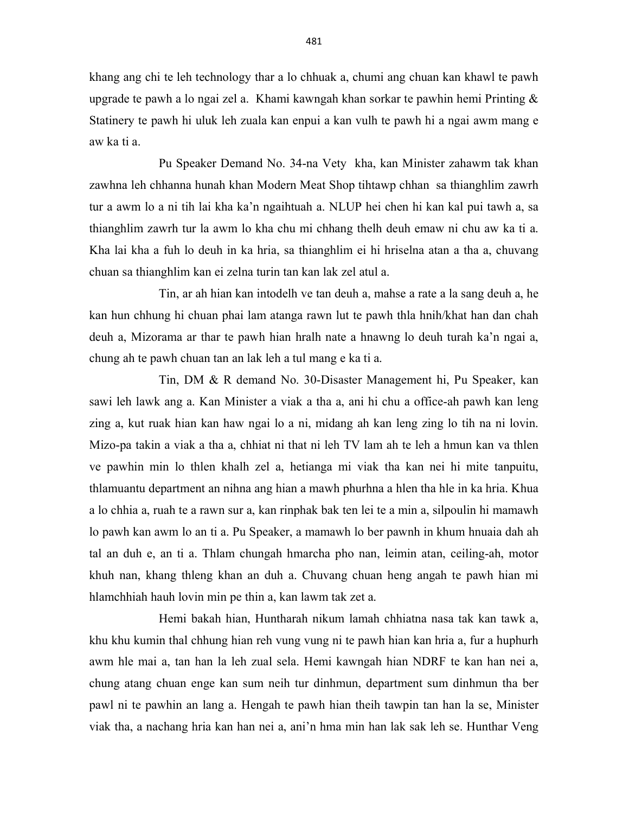khang ang chi te leh technology thar a lo chhuak a, chumi ang chuan kan khawl te pawh upgrade te pawh a lo ngai zel a. Khami kawngah khan sorkar te pawhin hemi Printing & Statinery te pawh hi uluk leh zuala kan enpui a kan vulh te pawh hi a ngai awm mang e aw ka ti a.

 Pu Speaker Demand No. 34-na Vety kha, kan Minister zahawm tak khan zawhna leh chhanna hunah khan Modern Meat Shop tihtawp chhan sa thianghlim zawrh tur a awm lo a ni tih lai kha ka'n ngaihtuah a. NLUP hei chen hi kan kal pui tawh a, sa thianghlim zawrh tur la awm lo kha chu mi chhang thelh deuh emaw ni chu aw ka ti a. Kha lai kha a fuh lo deuh in ka hria, sa thianghlim ei hi hriselna atan a tha a, chuvang chuan sa thianghlim kan ei zelna turin tan kan lak zel atul a.

 Tin, ar ah hian kan intodelh ve tan deuh a, mahse a rate a la sang deuh a, he kan hun chhung hi chuan phai lam atanga rawn lut te pawh thla hnih/khat han dan chah deuh a, Mizorama ar thar te pawh hian hralh nate a hnawng lo deuh turah ka'n ngai a, chung ah te pawh chuan tan an lak leh a tul mang e ka ti a.

 Tin, DM & R demand No. 30-Disaster Management hi, Pu Speaker, kan sawi leh lawk ang a. Kan Minister a viak a tha a, ani hi chu a office-ah pawh kan leng zing a, kut ruak hian kan haw ngai lo a ni, midang ah kan leng zing lo tih na ni lovin. Mizo-pa takin a viak a tha a, chhiat ni that ni leh TV lam ah te leh a hmun kan va thlen ve pawhin min lo thlen khalh zel a, hetianga mi viak tha kan nei hi mite tanpuitu, thlamuantu department an nihna ang hian a mawh phurhna a hlen tha hle in ka hria. Khua a lo chhia a, ruah te a rawn sur a, kan rinphak bak ten lei te a min a, silpoulin hi mamawh lo pawh kan awm lo an ti a. Pu Speaker, a mamawh lo ber pawnh in khum hnuaia dah ah tal an duh e, an ti a. Thlam chungah hmarcha pho nan, leimin atan, ceiling-ah, motor khuh nan, khang thleng khan an duh a. Chuvang chuan heng angah te pawh hian mi hlamchhiah hauh lovin min pe thin a, kan lawm tak zet a.

 Hemi bakah hian, Huntharah nikum lamah chhiatna nasa tak kan tawk a, khu khu kumin thal chhung hian reh vung vung ni te pawh hian kan hria a, fur a huphurh awm hle mai a, tan han la leh zual sela. Hemi kawngah hian NDRF te kan han nei a, chung atang chuan enge kan sum neih tur dinhmun, department sum dinhmun tha ber pawl ni te pawhin an lang a. Hengah te pawh hian theih tawpin tan han la se, Minister viak tha, a nachang hria kan han nei a, ani'n hma min han lak sak leh se. Hunthar Veng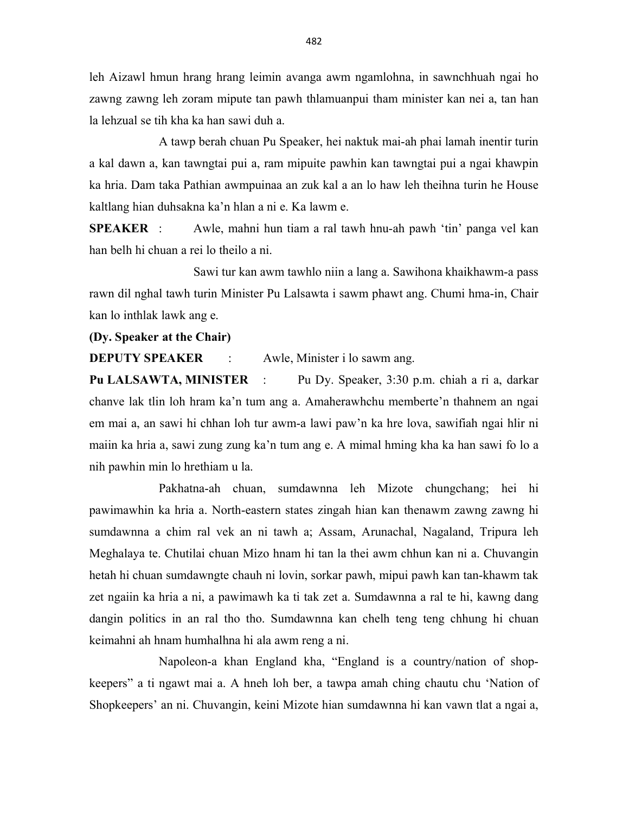leh Aizawl hmun hrang hrang leimin avanga awm ngamlohna, in sawnchhuah ngai ho zawng zawng leh zoram mipute tan pawh thlamuanpui tham minister kan nei a, tan han la lehzual se tih kha ka han sawi duh a.

 A tawp berah chuan Pu Speaker, hei naktuk mai-ah phai lamah inentir turin a kal dawn a, kan tawngtai pui a, ram mipuite pawhin kan tawngtai pui a ngai khawpin ka hria. Dam taka Pathian awmpuinaa an zuk kal a an lo haw leh theihna turin he House kaltlang hian duhsakna ka'n hlan a ni e. Ka lawm e.

SPEAKER : Awle, mahni hun tiam a ral tawh hnu-ah pawh 'tin' panga vel kan han belh hi chuan a rei lo theilo a ni.

 Sawi tur kan awm tawhlo niin a lang a. Sawihona khaikhawm-a pass rawn dil nghal tawh turin Minister Pu Lalsawta i sawm phawt ang. Chumi hma-in, Chair kan lo inthlak lawk ang e.

(Dy. Speaker at the Chair)

**DEPUTY SPEAKER** : Awle, Minister i lo sawm ang.

Pu LALSAWTA, MINISTER : Pu Dy. Speaker, 3:30 p.m. chiah a ri a, darkar chanve lak tlin loh hram ka'n tum ang a. Amaherawhchu memberte'n thahnem an ngai em mai a, an sawi hi chhan loh tur awm-a lawi paw'n ka hre lova, sawifiah ngai hlir ni maiin ka hria a, sawi zung zung ka'n tum ang e. A mimal hming kha ka han sawi fo lo a nih pawhin min lo hrethiam u la.

 Pakhatna-ah chuan, sumdawnna leh Mizote chungchang; hei hi pawimawhin ka hria a. North-eastern states zingah hian kan thenawm zawng zawng hi sumdawnna a chim ral vek an ni tawh a; Assam, Arunachal, Nagaland, Tripura leh Meghalaya te. Chutilai chuan Mizo hnam hi tan la thei awm chhun kan ni a. Chuvangin hetah hi chuan sumdawngte chauh ni lovin, sorkar pawh, mipui pawh kan tan-khawm tak zet ngaiin ka hria a ni, a pawimawh ka ti tak zet a. Sumdawnna a ral te hi, kawng dang dangin politics in an ral tho tho. Sumdawnna kan chelh teng teng chhung hi chuan keimahni ah hnam humhalhna hi ala awm reng a ni.

 Napoleon-a khan England kha, "England is a country/nation of shopkeepers" a ti ngawt mai a. A hneh loh ber, a tawpa amah ching chautu chu 'Nation of Shopkeepers' an ni. Chuvangin, keini Mizote hian sumdawnna hi kan vawn tlat a ngai a,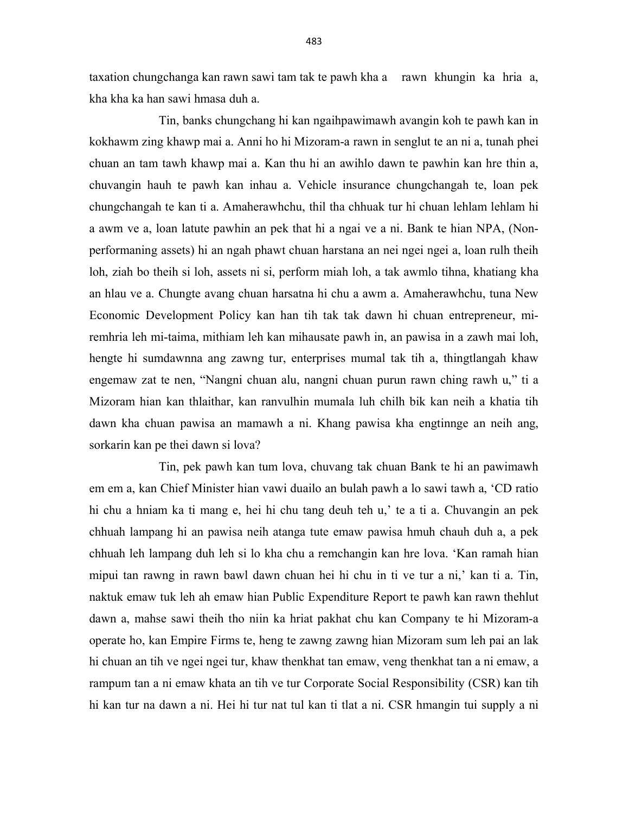taxation chungchanga kan rawn sawi tam tak te pawh kha a rawn khungin ka hria a, kha kha ka han sawi hmasa duh a.

 Tin, banks chungchang hi kan ngaihpawimawh avangin koh te pawh kan in kokhawm zing khawp mai a. Anni ho hi Mizoram-a rawn in senglut te an ni a, tunah phei chuan an tam tawh khawp mai a. Kan thu hi an awihlo dawn te pawhin kan hre thin a, chuvangin hauh te pawh kan inhau a. Vehicle insurance chungchangah te, loan pek chungchangah te kan ti a. Amaherawhchu, thil tha chhuak tur hi chuan lehlam lehlam hi a awm ve a, loan latute pawhin an pek that hi a ngai ve a ni. Bank te hian NPA, (Nonperformaning assets) hi an ngah phawt chuan harstana an nei ngei ngei a, loan rulh theih loh, ziah bo theih si loh, assets ni si, perform miah loh, a tak awmlo tihna, khatiang kha an hlau ve a. Chungte avang chuan harsatna hi chu a awm a. Amaherawhchu, tuna New Economic Development Policy kan han tih tak tak dawn hi chuan entrepreneur, miremhria leh mi-taima, mithiam leh kan mihausate pawh in, an pawisa in a zawh mai loh, hengte hi sumdawnna ang zawng tur, enterprises mumal tak tih a, thingtlangah khaw engemaw zat te nen, "Nangni chuan alu, nangni chuan purun rawn ching rawh u," ti a Mizoram hian kan thlaithar, kan ranvulhin mumala luh chilh bik kan neih a khatia tih dawn kha chuan pawisa an mamawh a ni. Khang pawisa kha engtinnge an neih ang, sorkarin kan pe thei dawn si lova?

 Tin, pek pawh kan tum lova, chuvang tak chuan Bank te hi an pawimawh em em a, kan Chief Minister hian vawi duailo an bulah pawh a lo sawi tawh a, 'CD ratio hi chu a hniam ka ti mang e, hei hi chu tang deuh teh u,' te a ti a. Chuvangin an pek chhuah lampang hi an pawisa neih atanga tute emaw pawisa hmuh chauh duh a, a pek chhuah leh lampang duh leh si lo kha chu a remchangin kan hre lova. 'Kan ramah hian mipui tan rawng in rawn bawl dawn chuan hei hi chu in ti ve tur a ni,' kan ti a. Tin, naktuk emaw tuk leh ah emaw hian Public Expenditure Report te pawh kan rawn thehlut dawn a, mahse sawi theih tho niin ka hriat pakhat chu kan Company te hi Mizoram-a operate ho, kan Empire Firms te, heng te zawng zawng hian Mizoram sum leh pai an lak hi chuan an tih ve ngei ngei tur, khaw thenkhat tan emaw, veng thenkhat tan a ni emaw, a rampum tan a ni emaw khata an tih ve tur Corporate Social Responsibility (CSR) kan tih hi kan tur na dawn a ni. Hei hi tur nat tul kan ti tlat a ni. CSR hmangin tui supply a ni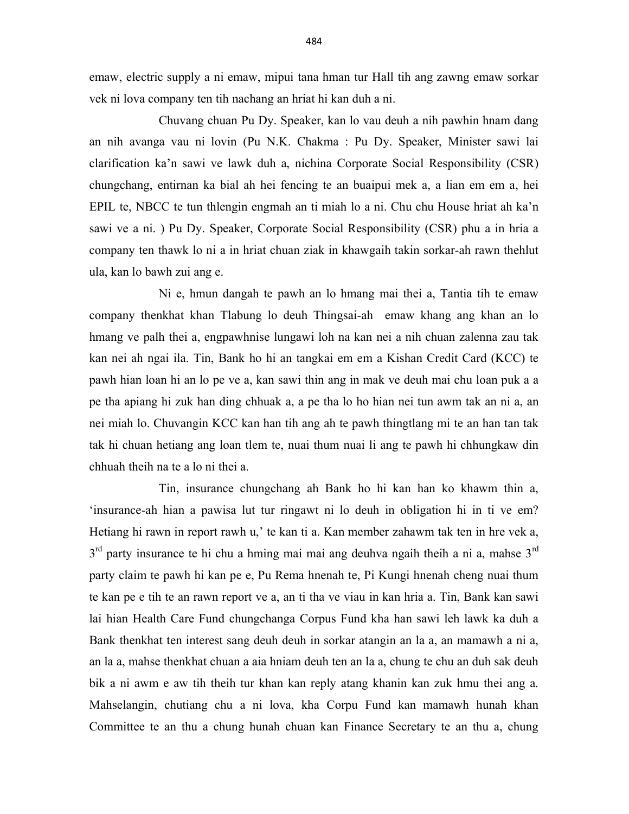emaw, electric supply a ni emaw, mipui tana hman tur Hall tih ang zawng emaw sorkar vek ni lova company ten tih nachang an hriat hi kan duh a ni.

 Chuvang chuan Pu Dy. Speaker, kan lo vau deuh a nih pawhin hnam dang an nih avanga vau ni lovin (Pu N.K. Chakma : Pu Dy. Speaker, Minister sawi lai clarification ka'n sawi ve lawk duh a, nichina Corporate Social Responsibility (CSR) chungchang, entirnan ka bial ah hei fencing te an buaipui mek a, a lian em em a, hei EPIL te, NBCC te tun thlengin engmah an ti miah lo a ni. Chu chu House hriat ah ka'n sawi ve a ni. ) Pu Dy. Speaker, Corporate Social Responsibility (CSR) phu a in hria a company ten thawk lo ni a in hriat chuan ziak in khawgaih takin sorkar-ah rawn thehlut ula, kan lo bawh zui ang e.

 Ni e, hmun dangah te pawh an lo hmang mai thei a, Tantia tih te emaw company thenkhat khan Tlabung lo deuh Thingsai-ah emaw khang ang khan an lo hmang ve palh thei a, engpawhnise lungawi loh na kan nei a nih chuan zalenna zau tak kan nei ah ngai ila. Tin, Bank ho hi an tangkai em em a Kishan Credit Card (KCC) te pawh hian loan hi an lo pe ve a, kan sawi thin ang in mak ve deuh mai chu loan puk a a pe tha apiang hi zuk han ding chhuak a, a pe tha lo ho hian nei tun awm tak an ni a, an nei miah lo. Chuvangin KCC kan han tih ang ah te pawh thingtlang mi te an han tan tak tak hi chuan hetiang ang loan tlem te, nuai thum nuai li ang te pawh hi chhungkaw din chhuah theih na te a lo ni thei a.

 Tin, insurance chungchang ah Bank ho hi kan han ko khawm thin a, 'insurance-ah hian a pawisa lut tur ringawt ni lo deuh in obligation hi in ti ve em? Hetiang hi rawn in report rawh u,' te kan ti a. Kan member zahawm tak ten in hre vek a,  $3<sup>rd</sup>$  party insurance te hi chu a hming mai mai ang deuhva ngaih theih a ni a, mahse  $3<sup>rd</sup>$ party claim te pawh hi kan pe e, Pu Rema hnenah te, Pi Kungi hnenah cheng nuai thum te kan pe e tih te an rawn report ve a, an ti tha ve viau in kan hria a. Tin, Bank kan sawi lai hian Health Care Fund chungchanga Corpus Fund kha han sawi leh lawk ka duh a Bank thenkhat ten interest sang deuh deuh in sorkar atangin an la a, an mamawh a ni a, an la a, mahse thenkhat chuan a aia hniam deuh ten an la a, chung te chu an duh sak deuh bik a ni awm e aw tih theih tur khan kan reply atang khanin kan zuk hmu thei ang a. Mahselangin, chutiang chu a ni lova, kha Corpu Fund kan mamawh hunah khan Committee te an thu a chung hunah chuan kan Finance Secretary te an thu a, chung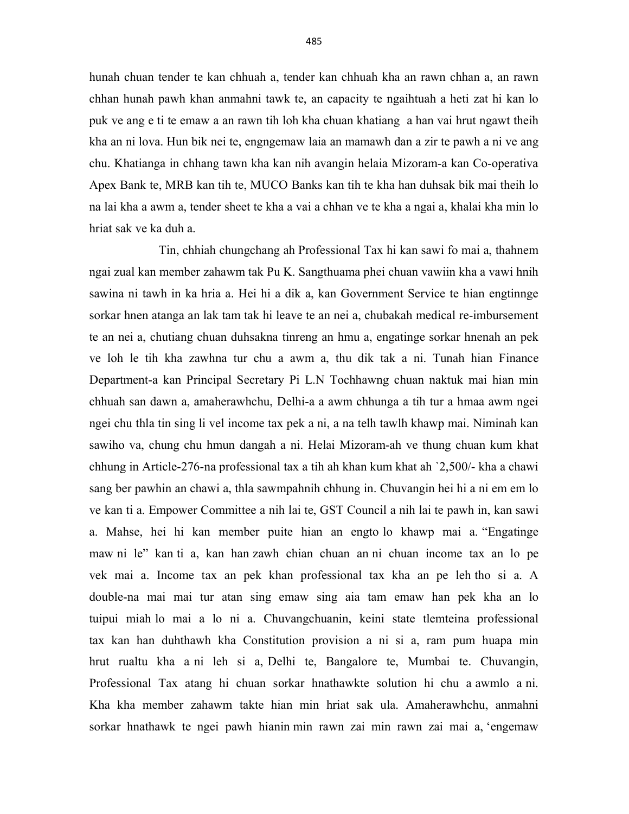hunah chuan tender te kan chhuah a, tender kan chhuah kha an rawn chhan a, an rawn chhan hunah pawh khan anmahni tawk te, an capacity te ngaihtuah a heti zat hi kan lo puk ve ang e ti te emaw a an rawn tih loh kha chuan khatiang a han vai hrut ngawt theih kha an ni lova. Hun bik nei te, engngemaw laia an mamawh dan a zir te pawh a ni ve ang chu. Khatianga in chhang tawn kha kan nih avangin helaia Mizoram-a kan Co-operativa Apex Bank te, MRB kan tih te, MUCO Banks kan tih te kha han duhsak bik mai theih lo na lai kha a awm a, tender sheet te kha a vai a chhan ve te kha a ngai a, khalai kha min lo hriat sak ve ka duh a.

 Tin, chhiah chungchang ah Professional Tax hi kan sawi fo mai a, thahnem ngai zual kan member zahawm tak Pu K. Sangthuama phei chuan vawiin kha a vawi hnih sawina ni tawh in ka hria a. Hei hi a dik a, kan Government Service te hian engtinnge sorkar hnen atanga an lak tam tak hi leave te an nei a, chubakah medical re-imbursement te an nei a, chutiang chuan duhsakna tinreng an hmu a, engatinge sorkar hnenah an pek ve loh le tih kha zawhna tur chu a awm a, thu dik tak a ni. Tunah hian Finance Department-a kan Principal Secretary Pi L.N Tochhawng chuan naktuk mai hian min chhuah san dawn a, amaherawhchu, Delhi-a a awm chhunga a tih tur a hmaa awm ngei ngei chu thla tin sing li vel income tax pek a ni, a na telh tawlh khawp mai. Niminah kan sawiho va, chung chu hmun dangah a ni. Helai Mizoram-ah ve thung chuan kum khat chhung in Article-276-na professional tax a tih ah khan kum khat ah `2,500/- kha a chawi sang ber pawhin an chawi a, thla sawmpahnih chhung in. Chuvangin hei hi a ni em em lo ve kan ti a. Empower Committee a nih lai te, GST Council a nih lai te pawh in, kan sawi a. Mahse, hei hi kan member puite hian an engto lo khawp mai a. "Engatinge maw ni le" kan ti a, kan han zawh chian chuan an ni chuan income tax an lo pe vek mai a. Income tax an pek khan professional tax kha an pe leh tho si a. A double-na mai mai tur atan sing emaw sing aia tam emaw han pek kha an lo tuipui miah lo mai a lo ni a. Chuvangchuanin, keini state tlemteina professional tax kan han duhthawh kha Constitution provision a ni si a, ram pum huapa min hrut rualtu kha a ni leh si a, Delhi te, Bangalore te, Mumbai te. Chuvangin, Professional Tax atang hi chuan sorkar hnathawkte solution hi chu a awmlo a ni. Kha kha member zahawm takte hian min hriat sak ula. Amaherawhchu, anmahni sorkar hnathawk te ngei pawh hianin min rawn zai min rawn zai mai a, 'engemaw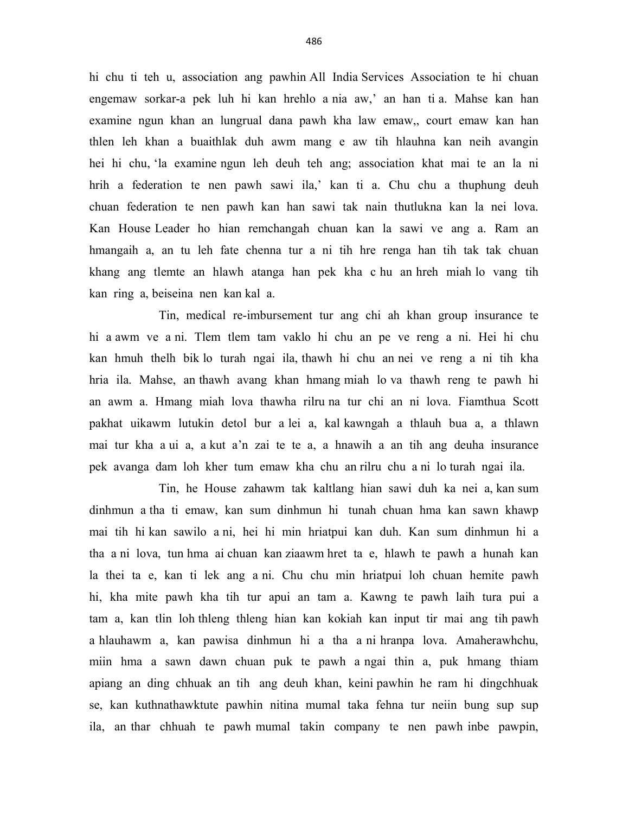hi chu ti teh u, association ang pawhin All India Services Association te hi chuan engemaw sorkar-a pek luh hi kan hrehlo a nia aw,' an han ti a. Mahse kan han examine ngun khan an lungrual dana pawh kha law emaw,, court emaw kan han thlen leh khan a buaithlak duh awm mang e aw tih hlauhna kan neih avangin hei hi chu, 'la examine ngun leh deuh teh ang; association khat mai te an la ni hrih a federation te nen pawh sawi ila,' kan ti a. Chu chu a thuphung deuh chuan federation te nen pawh kan han sawi tak nain thutlukna kan la nei lova. Kan House Leader ho hian remchangah chuan kan la sawi ve ang a. Ram an hmangaih a, an tu leh fate chenna tur a ni tih hre renga han tih tak tak chuan khang ang tlemte an hlawh atanga han pek kha c hu an hreh miah lo vang tih kan ring a, beiseina nen kan kal a.

 Tin, medical re-imbursement tur ang chi ah khan group insurance te hi a awm ve a ni. Tlem tlem tam vaklo hi chu an pe ve reng a ni. Hei hi chu kan hmuh thelh bik lo turah ngai ila, thawh hi chu an nei ve reng a ni tih kha hria ila. Mahse, an thawh avang khan hmang miah lo va thawh reng te pawh hi an awm a. Hmang miah lova thawha rilru na tur chi an ni lova. Fiamthua Scott pakhat uikawm lutukin detol bur a lei a, kal kawngah a thlauh bua a, a thlawn mai tur kha a ui a, a kut a'n zai te te a, a hnawih a an tih ang deuha insurance pek avanga dam loh kher tum emaw kha chu an rilru chu a ni lo turah ngai ila.

 Tin, he House zahawm tak kaltlang hian sawi duh ka nei a, kan sum dinhmun a tha ti emaw, kan sum dinhmun hi tunah chuan hma kan sawn khawp mai tih hi kan sawilo a ni, hei hi min hriatpui kan duh. Kan sum dinhmun hi a tha a ni lova, tun hma ai chuan kan ziaawm hret ta e, hlawh te pawh a hunah kan la thei ta e, kan ti lek ang a ni. Chu chu min hriatpui loh chuan hemite pawh hi, kha mite pawh kha tih tur apui an tam a. Kawng te pawh laih tura pui a tam a, kan tlin loh thleng thleng hian kan kokiah kan input tir mai ang tih pawh a hlauhawm a, kan pawisa dinhmun hi a tha a ni hranpa lova. Amaherawhchu, miin hma a sawn dawn chuan puk te pawh a ngai thin a, puk hmang thiam apiang an ding chhuak an tih ang deuh khan, keini pawhin he ram hi dingchhuak se, kan kuthnathawktute pawhin nitina mumal taka fehna tur neiin bung sup sup ila, an thar chhuah te pawh mumal takin company te nen pawh inbe pawpin,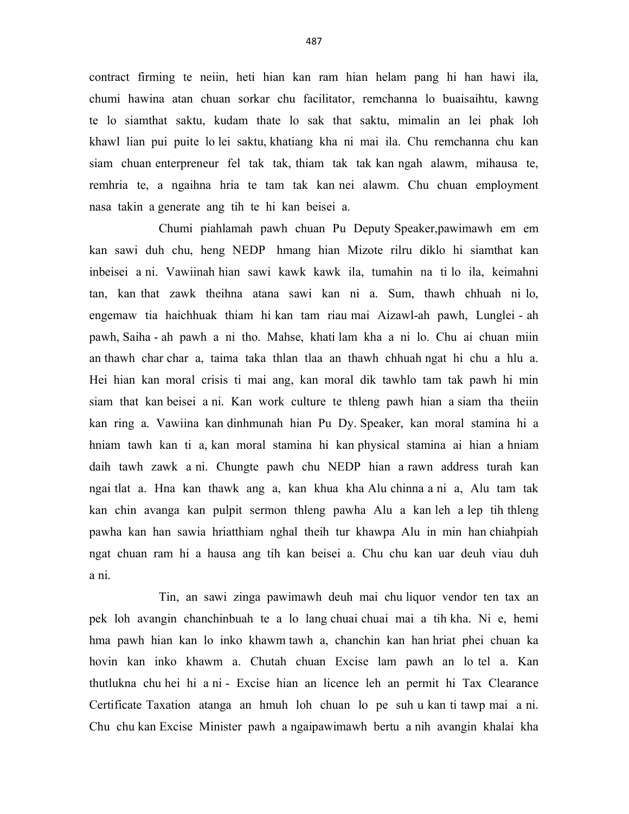contract firming te neiin, heti hian kan ram hian helam pang hi han hawi ila, chumi hawina atan chuan sorkar chu facilitator, remchanna lo buaisaihtu, kawng te lo siamthat saktu, kudam thate lo sak that saktu, mimalin an lei phak loh khawl lian pui puite lo lei saktu, khatiang kha ni mai ila. Chu remchanna chu kan siam chuan enterpreneur fel tak tak, thiam tak tak kan ngah alawm, mihausa te, remhria te, a ngaihna hria te tam tak kan nei alawm. Chu chuan employment nasa takin a generate ang tih te hi kan beisei a.

 Chumi piahlamah pawh chuan Pu Deputy Speaker,pawimawh em em kan sawi duh chu, heng NEDP hmang hian Mizote rilru diklo hi siamthat kan inbeisei a ni. Vawiinah hian sawi kawk kawk ila, tumahin na ti lo ila, keimahni tan, kan that zawk theihna atana sawi kan ni a. Sum, thawh chhuah ni lo, engemaw tia haichhuak thiam hi kan tam riau mai Aizawl-ah pawh, Lunglei - ah pawh, Saiha - ah pawh a ni tho. Mahse, khati lam kha a ni lo. Chu ai chuan miin an thawh char char a, taima taka thlan tlaa an thawh chhuah ngat hi chu a hlu a. Hei hian kan moral crisis ti mai ang, kan moral dik tawhlo tam tak pawh hi min siam that kan beisei a ni. Kan work culture te thleng pawh hian a siam tha theiin kan ring a. Vawiina kan dinhmunah hian Pu Dy. Speaker, kan moral stamina hi a hniam tawh kan ti a, kan moral stamina hi kan physical stamina ai hian a hniam daih tawh zawk a ni. Chungte pawh chu NEDP hian a rawn address turah kan ngai tlat a. Hna kan thawk ang a, kan khua kha Alu chinna a ni a, Alu tam tak kan chin avanga kan pulpit sermon thleng pawha Alu a kan leh a lep tih thleng pawha kan han sawia hriatthiam nghal theih tur khawpa Alu in min han chiahpiah ngat chuan ram hi a hausa ang tih kan beisei a. Chu chu kan uar deuh viau duh a ni.

 Tin, an sawi zinga pawimawh deuh mai chu liquor vendor ten tax an pek loh avangin chanchinbuah te a lo lang chuai chuai mai a tih kha. Ni e, hemi hma pawh hian kan lo inko khawm tawh a, chanchin kan han hriat phei chuan ka hovin kan inko khawm a. Chutah chuan Excise lam pawh an lo tel a. Kan thutlukna chu hei hi a ni - Excise hian an licence leh an permit hi Tax Clearance Certificate Taxation atanga an hmuh loh chuan lo pe suh u kan ti tawp mai a ni. Chu chu kan Excise Minister pawh a ngaipawimawh bertu a nih avangin khalai kha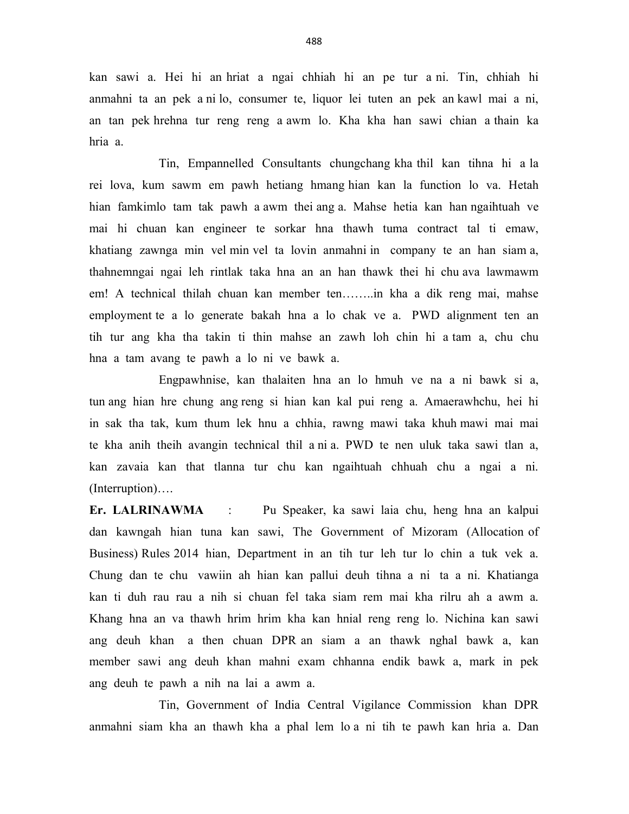kan sawi a. Hei hi an hriat a ngai chhiah hi an pe tur a ni. Tin, chhiah hi anmahni ta an pek a ni lo, consumer te, liquor lei tuten an pek an kawl mai a ni, an tan pek hrehna tur reng reng a awm lo. Kha kha han sawi chian a thain ka hria a.

 Tin, Empannelled Consultants chungchang kha thil kan tihna hi a la rei lova, kum sawm em pawh hetiang hmang hian kan la function lo va. Hetah hian famkimlo tam tak pawh a awm thei ang a. Mahse hetia kan han ngaihtuah ve mai hi chuan kan engineer te sorkar hna thawh tuma contract tal ti emaw, khatiang zawnga min vel min vel ta lovin anmahni in company te an han siam a, thahnemngai ngai leh rintlak taka hna an an han thawk thei hi chu ava lawmawm em! A technical thilah chuan kan member ten……..in kha a dik reng mai, mahse employment te a lo generate bakah hna a lo chak ve a. PWD alignment ten an tih tur ang kha tha takin ti thin mahse an zawh loh chin hi a tam a, chu chu hna a tam avang te pawh a lo ni ve bawk a.

 Engpawhnise, kan thalaiten hna an lo hmuh ve na a ni bawk si a, tun ang hian hre chung ang reng si hian kan kal pui reng a. Amaerawhchu, hei hi in sak tha tak, kum thum lek hnu a chhia, rawng mawi taka khuh mawi mai mai te kha anih theih avangin technical thil a ni a. PWD te nen uluk taka sawi tlan a, kan zavaia kan that tlanna tur chu kan ngaihtuah chhuah chu a ngai a ni. (Interruption)….

Er. LALRINAWMA : Pu Speaker, ka sawi laia chu, heng hna an kalpui dan kawngah hian tuna kan sawi, The Government of Mizoram (Allocation of Business) Rules 2014 hian, Department in an tih tur leh tur lo chin a tuk vek a. Chung dan te chu vawiin ah hian kan pallui deuh tihna a ni ta a ni. Khatianga kan ti duh rau rau a nih si chuan fel taka siam rem mai kha rilru ah a awm a. Khang hna an va thawh hrim hrim kha kan hnial reng reng lo. Nichina kan sawi ang deuh khan a then chuan DPR an siam a an thawk nghal bawk a, kan member sawi ang deuh khan mahni exam chhanna endik bawk a, mark in pek ang deuh te pawh a nih na lai a awm a.

 Tin, Government of India Central Vigilance Commission khan DPR anmahni siam kha an thawh kha a phal lem lo a ni tih te pawh kan hria a. Dan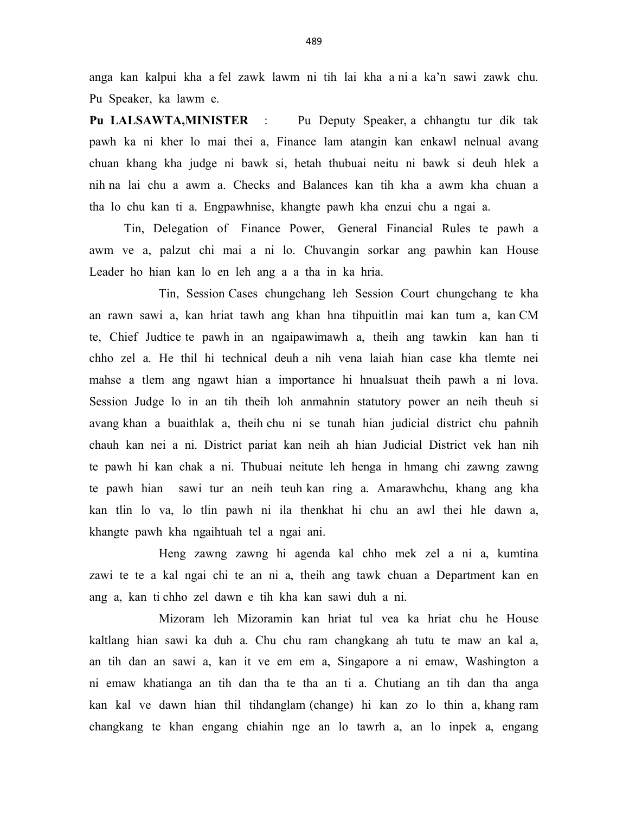anga kan kalpui kha a fel zawk lawm ni tih lai kha a ni a ka'n sawi zawk chu. Pu Speaker, ka lawm e.

Pu LALSAWTA,MINISTER : Pu Deputy Speaker, a chhangtu tur dik tak pawh ka ni kher lo mai thei a, Finance lam atangin kan enkawl nelnual avang chuan khang kha judge ni bawk si, hetah thubuai neitu ni bawk si deuh hlek a nih na lai chu a awm a. Checks and Balances kan tih kha a awm kha chuan a tha lo chu kan ti a. Engpawhnise, khangte pawh kha enzui chu a ngai a.

 Tin, Delegation of Finance Power, General Financial Rules te pawh a awm ve a, palzut chi mai a ni lo. Chuvangin sorkar ang pawhin kan House Leader ho hian kan lo en leh ang a a tha in ka hria.

 Tin, Session Cases chungchang leh Session Court chungchang te kha an rawn sawi a, kan hriat tawh ang khan hna tihpuitlin mai kan tum a, kan CM te, Chief Judtice te pawh in an ngaipawimawh a, theih ang tawkin kan han ti chho zel a. He thil hi technical deuh a nih vena laiah hian case kha tlemte nei mahse a tlem ang ngawt hian a importance hi hnualsuat theih pawh a ni lova. Session Judge lo in an tih theih loh anmahnin statutory power an neih theuh si avang khan a buaithlak a, theih chu ni se tunah hian judicial district chu pahnih chauh kan nei a ni. District pariat kan neih ah hian Judicial District vek han nih te pawh hi kan chak a ni. Thubuai neitute leh henga in hmang chi zawng zawng te pawh hian sawi tur an neih teuh kan ring a. Amarawhchu, khang ang kha kan tlin lo va, lo tlin pawh ni ila thenkhat hi chu an awl thei hle dawn a, khangte pawh kha ngaihtuah tel a ngai ani.

 Heng zawng zawng hi agenda kal chho mek zel a ni a, kumtina zawi te te a kal ngai chi te an ni a, theih ang tawk chuan a Department kan en ang a, kan ti chho zel dawn e tih kha kan sawi duh a ni.

 Mizoram leh Mizoramin kan hriat tul vea ka hriat chu he House kaltlang hian sawi ka duh a. Chu chu ram changkang ah tutu te maw an kal a, an tih dan an sawi a, kan it ve em em a, Singapore a ni emaw, Washington a ni emaw khatianga an tih dan tha te tha an ti a. Chutiang an tih dan tha anga kan kal ve dawn hian thil tihdanglam (change) hi kan zo lo thin a, khang ram changkang te khan engang chiahin nge an lo tawrh a, an lo inpek a, engang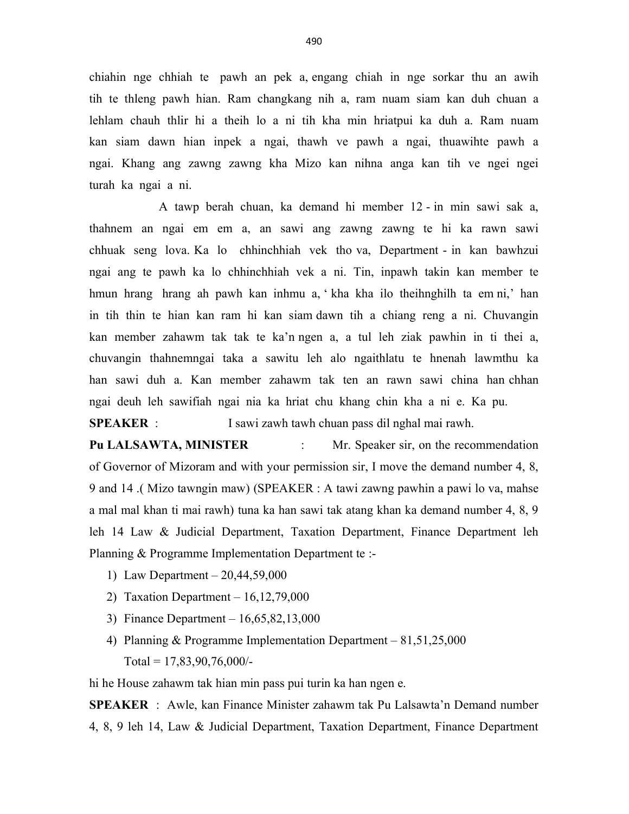chiahin nge chhiah te pawh an pek a, engang chiah in nge sorkar thu an awih tih te thleng pawh hian. Ram changkang nih a, ram nuam siam kan duh chuan a lehlam chauh thlir hi a theih lo a ni tih kha min hriatpui ka duh a. Ram nuam kan siam dawn hian inpek a ngai, thawh ve pawh a ngai, thuawihte pawh a ngai. Khang ang zawng zawng kha Mizo kan nihna anga kan tih ve ngei ngei turah ka ngai a ni.

 A tawp berah chuan, ka demand hi member 12 - in min sawi sak a, thahnem an ngai em em a, an sawi ang zawng zawng te hi ka rawn sawi chhuak seng lova. Ka lo chhinchhiah vek tho va, Department - in kan bawhzui ngai ang te pawh ka lo chhinchhiah vek a ni. Tin, inpawh takin kan member te hmun hrang hrang ah pawh kan inhmu a, ' kha kha ilo theihnghilh ta em ni,' han in tih thin te hian kan ram hi kan siam dawn tih a chiang reng a ni. Chuvangin kan member zahawm tak tak te ka'n ngen a, a tul leh ziak pawhin in ti thei a, chuvangin thahnemngai taka a sawitu leh alo ngaithlatu te hnenah lawmthu ka han sawi duh a. Kan member zahawm tak ten an rawn sawi china han chhan ngai deuh leh sawifiah ngai nia ka hriat chu khang chin kha a ni e. Ka pu.

SPEAKER : I sawi zawh tawh chuan pass dil nghal mai rawh.

Pu LALSAWTA, MINISTER : Mr. Speaker sir, on the recommendation of Governor of Mizoram and with your permission sir, I move the demand number 4, 8, 9 and 14 .( Mizo tawngin maw) (SPEAKER : A tawi zawng pawhin a pawi lo va, mahse a mal mal khan ti mai rawh) tuna ka han sawi tak atang khan ka demand number 4, 8, 9 leh 14 Law & Judicial Department, Taxation Department, Finance Department leh Planning & Programme Implementation Department te :-

- 1) Law Department 20,44,59,000
- 2) Taxation Department 16,12,79,000
- 3) Finance Department 16,65,82,13,000
- 4) Planning & Programme Implementation Department 81,51,25,000 Total =  $17,83,90,76,000/$ -

hi he House zahawm tak hian min pass pui turin ka han ngen e.

SPEAKER : Awle, kan Finance Minister zahawm tak Pu Lalsawta'n Demand number 4, 8, 9 leh 14, Law & Judicial Department, Taxation Department, Finance Department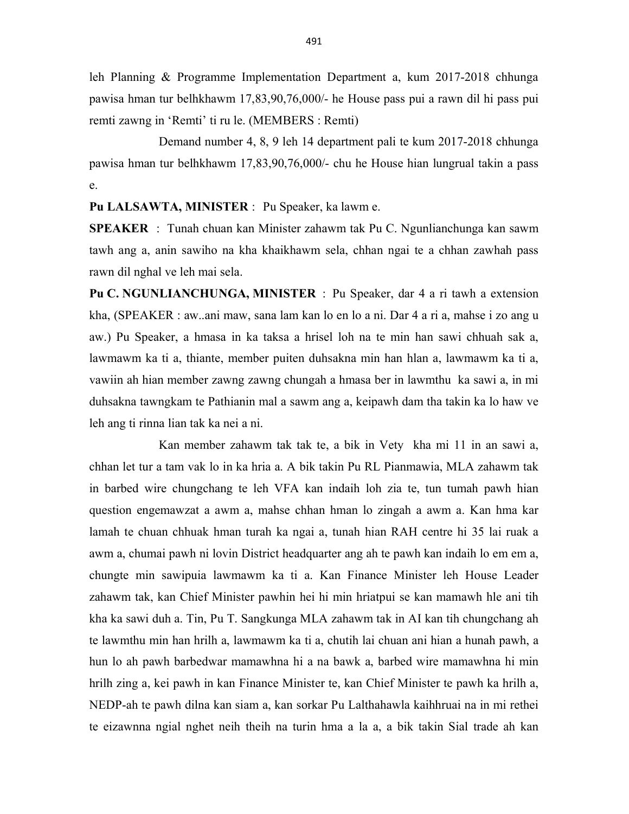leh Planning & Programme Implementation Department a, kum 2017-2018 chhunga pawisa hman tur belhkhawm 17,83,90,76,000/- he House pass pui a rawn dil hi pass pui remti zawng in 'Remti' ti ru le. (MEMBERS : Remti)

 Demand number 4, 8, 9 leh 14 department pali te kum 2017-2018 chhunga pawisa hman tur belhkhawm 17,83,90,76,000/- chu he House hian lungrual takin a pass e.

Pu LALSAWTA, MINISTER : Pu Speaker, ka lawm e.

SPEAKER : Tunah chuan kan Minister zahawm tak Pu C. Ngunlianchunga kan sawm tawh ang a, anin sawiho na kha khaikhawm sela, chhan ngai te a chhan zawhah pass rawn dil nghal ve leh mai sela.

Pu C. NGUNLIANCHUNGA, MINISTER : Pu Speaker, dar 4 a ri tawh a extension kha, (SPEAKER : aw..ani maw, sana lam kan lo en lo a ni. Dar 4 a ri a, mahse i zo ang u aw.) Pu Speaker, a hmasa in ka taksa a hrisel loh na te min han sawi chhuah sak a, lawmawm ka ti a, thiante, member puiten duhsakna min han hlan a, lawmawm ka ti a, vawiin ah hian member zawng zawng chungah a hmasa ber in lawmthu ka sawi a, in mi duhsakna tawngkam te Pathianin mal a sawm ang a, keipawh dam tha takin ka lo haw ve leh ang ti rinna lian tak ka nei a ni.

 Kan member zahawm tak tak te, a bik in Vety kha mi 11 in an sawi a, chhan let tur a tam vak lo in ka hria a. A bik takin Pu RL Pianmawia, MLA zahawm tak in barbed wire chungchang te leh VFA kan indaih loh zia te, tun tumah pawh hian question engemawzat a awm a, mahse chhan hman lo zingah a awm a. Kan hma kar lamah te chuan chhuak hman turah ka ngai a, tunah hian RAH centre hi 35 lai ruak a awm a, chumai pawh ni lovin District headquarter ang ah te pawh kan indaih lo em em a, chungte min sawipuia lawmawm ka ti a. Kan Finance Minister leh House Leader zahawm tak, kan Chief Minister pawhin hei hi min hriatpui se kan mamawh hle ani tih kha ka sawi duh a. Tin, Pu T. Sangkunga MLA zahawm tak in AI kan tih chungchang ah te lawmthu min han hrilh a, lawmawm ka ti a, chutih lai chuan ani hian a hunah pawh, a hun lo ah pawh barbedwar mamawhna hi a na bawk a, barbed wire mamawhna hi min hrilh zing a, kei pawh in kan Finance Minister te, kan Chief Minister te pawh ka hrilh a, NEDP-ah te pawh dilna kan siam a, kan sorkar Pu Lalthahawla kaihhruai na in mi rethei te eizawnna ngial nghet neih theih na turin hma a la a, a bik takin Sial trade ah kan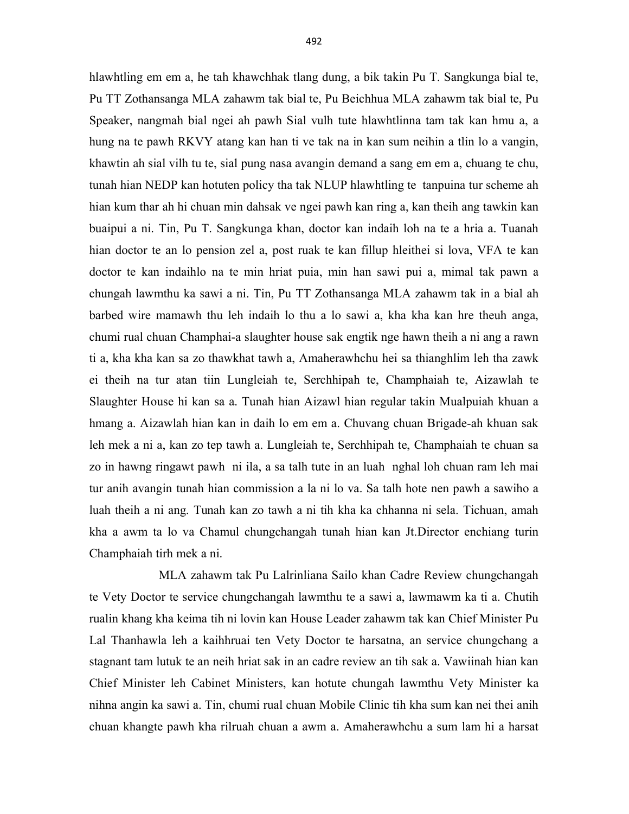hlawhtling em em a, he tah khawchhak tlang dung, a bik takin Pu T. Sangkunga bial te, Pu TT Zothansanga MLA zahawm tak bial te, Pu Beichhua MLA zahawm tak bial te, Pu Speaker, nangmah bial ngei ah pawh Sial vulh tute hlawhtlinna tam tak kan hmu a, a hung na te pawh RKVY atang kan han ti ve tak na in kan sum neihin a tlin lo a vangin, khawtin ah sial vilh tu te, sial pung nasa avangin demand a sang em em a, chuang te chu, tunah hian NEDP kan hotuten policy tha tak NLUP hlawhtling te tanpuina tur scheme ah hian kum thar ah hi chuan min dahsak ve ngei pawh kan ring a, kan theih ang tawkin kan buaipui a ni. Tin, Pu T. Sangkunga khan, doctor kan indaih loh na te a hria a. Tuanah hian doctor te an lo pension zel a, post ruak te kan fillup hleithei si lova, VFA te kan doctor te kan indaihlo na te min hriat puia, min han sawi pui a, mimal tak pawn a chungah lawmthu ka sawi a ni. Tin, Pu TT Zothansanga MLA zahawm tak in a bial ah barbed wire mamawh thu leh indaih lo thu a lo sawi a, kha kha kan hre theuh anga, chumi rual chuan Champhai-a slaughter house sak engtik nge hawn theih a ni ang a rawn ti a, kha kha kan sa zo thawkhat tawh a, Amaherawhchu hei sa thianghlim leh tha zawk ei theih na tur atan tiin Lungleiah te, Serchhipah te, Champhaiah te, Aizawlah te Slaughter House hi kan sa a. Tunah hian Aizawl hian regular takin Mualpuiah khuan a hmang a. Aizawlah hian kan in daih lo em em a. Chuvang chuan Brigade-ah khuan sak leh mek a ni a, kan zo tep tawh a. Lungleiah te, Serchhipah te, Champhaiah te chuan sa zo in hawng ringawt pawh ni ila, a sa talh tute in an luah nghal loh chuan ram leh mai tur anih avangin tunah hian commission a la ni lo va. Sa talh hote nen pawh a sawiho a luah theih a ni ang. Tunah kan zo tawh a ni tih kha ka chhanna ni sela. Tichuan, amah kha a awm ta lo va Chamul chungchangah tunah hian kan Jt.Director enchiang turin Champhaiah tirh mek a ni.

 MLA zahawm tak Pu Lalrinliana Sailo khan Cadre Review chungchangah te Vety Doctor te service chungchangah lawmthu te a sawi a, lawmawm ka ti a. Chutih rualin khang kha keima tih ni lovin kan House Leader zahawm tak kan Chief Minister Pu Lal Thanhawla leh a kaihhruai ten Vety Doctor te harsatna, an service chungchang a stagnant tam lutuk te an neih hriat sak in an cadre review an tih sak a. Vawiinah hian kan Chief Minister leh Cabinet Ministers, kan hotute chungah lawmthu Vety Minister ka nihna angin ka sawi a. Tin, chumi rual chuan Mobile Clinic tih kha sum kan nei thei anih chuan khangte pawh kha rilruah chuan a awm a. Amaherawhchu a sum lam hi a harsat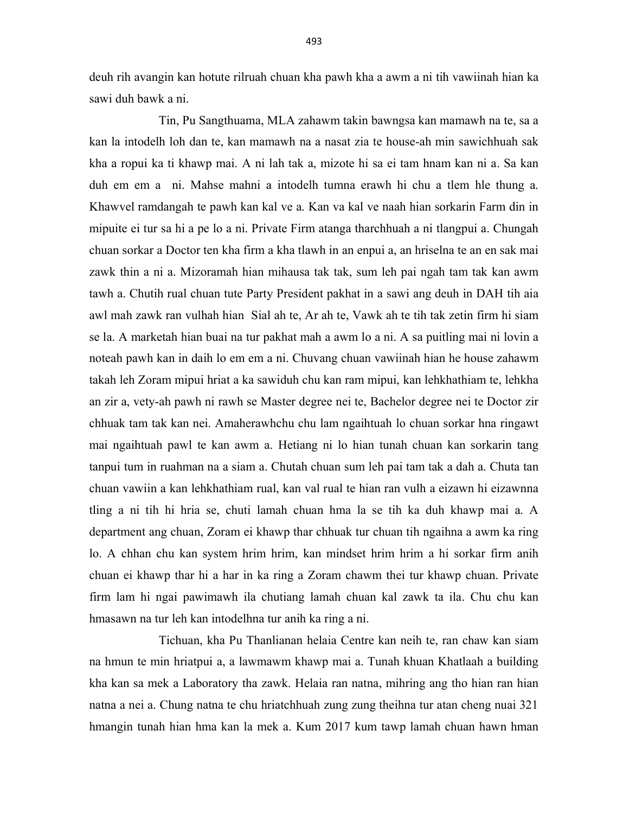deuh rih avangin kan hotute rilruah chuan kha pawh kha a awm a ni tih vawiinah hian ka sawi duh bawk a ni.

 Tin, Pu Sangthuama, MLA zahawm takin bawngsa kan mamawh na te, sa a kan la intodelh loh dan te, kan mamawh na a nasat zia te house-ah min sawichhuah sak kha a ropui ka ti khawp mai. A ni lah tak a, mizote hi sa ei tam hnam kan ni a. Sa kan duh em em a ni. Mahse mahni a intodelh tumna erawh hi chu a tlem hle thung a. Khawvel ramdangah te pawh kan kal ve a. Kan va kal ve naah hian sorkarin Farm din in mipuite ei tur sa hi a pe lo a ni. Private Firm atanga tharchhuah a ni tlangpui a. Chungah chuan sorkar a Doctor ten kha firm a kha tlawh in an enpui a, an hriselna te an en sak mai zawk thin a ni a. Mizoramah hian mihausa tak tak, sum leh pai ngah tam tak kan awm tawh a. Chutih rual chuan tute Party President pakhat in a sawi ang deuh in DAH tih aia awl mah zawk ran vulhah hian Sial ah te, Ar ah te, Vawk ah te tih tak zetin firm hi siam se la. A marketah hian buai na tur pakhat mah a awm lo a ni. A sa puitling mai ni lovin a noteah pawh kan in daih lo em em a ni. Chuvang chuan vawiinah hian he house zahawm takah leh Zoram mipui hriat a ka sawiduh chu kan ram mipui, kan lehkhathiam te, lehkha an zir a, vety-ah pawh ni rawh se Master degree nei te, Bachelor degree nei te Doctor zir chhuak tam tak kan nei. Amaherawhchu chu lam ngaihtuah lo chuan sorkar hna ringawt mai ngaihtuah pawl te kan awm a. Hetiang ni lo hian tunah chuan kan sorkarin tang tanpui tum in ruahman na a siam a. Chutah chuan sum leh pai tam tak a dah a. Chuta tan chuan vawiin a kan lehkhathiam rual, kan val rual te hian ran vulh a eizawn hi eizawnna tling a ni tih hi hria se, chuti lamah chuan hma la se tih ka duh khawp mai a. A department ang chuan, Zoram ei khawp thar chhuak tur chuan tih ngaihna a awm ka ring lo. A chhan chu kan system hrim hrim, kan mindset hrim hrim a hi sorkar firm anih chuan ei khawp thar hi a har in ka ring a Zoram chawm thei tur khawp chuan. Private firm lam hi ngai pawimawh ila chutiang lamah chuan kal zawk ta ila. Chu chu kan hmasawn na tur leh kan intodelhna tur anih ka ring a ni.

 Tichuan, kha Pu Thanlianan helaia Centre kan neih te, ran chaw kan siam na hmun te min hriatpui a, a lawmawm khawp mai a. Tunah khuan Khatlaah a building kha kan sa mek a Laboratory tha zawk. Helaia ran natna, mihring ang tho hian ran hian natna a nei a. Chung natna te chu hriatchhuah zung zung theihna tur atan cheng nuai 321 hmangin tunah hian hma kan la mek a. Kum 2017 kum tawp lamah chuan hawn hman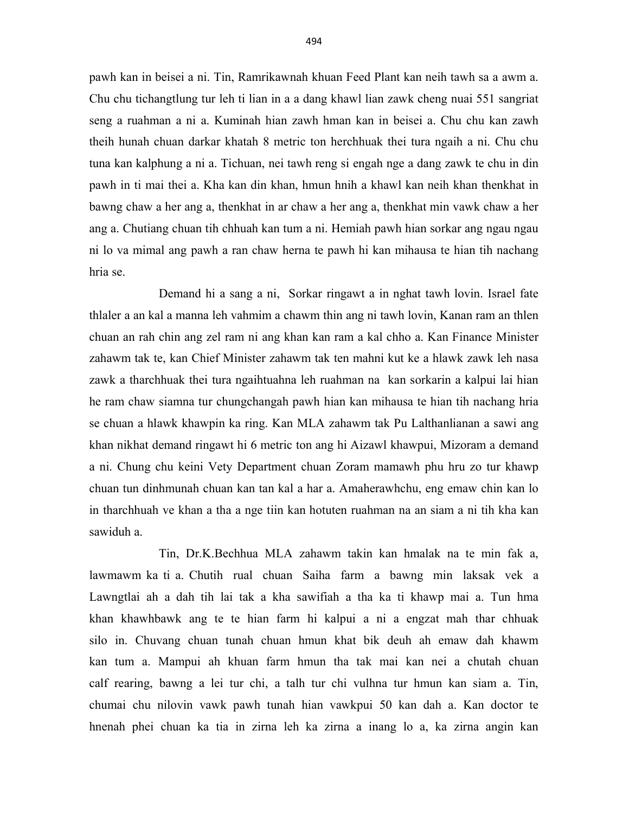pawh kan in beisei a ni. Tin, Ramrikawnah khuan Feed Plant kan neih tawh sa a awm a. Chu chu tichangtlung tur leh ti lian in a a dang khawl lian zawk cheng nuai 551 sangriat seng a ruahman a ni a. Kuminah hian zawh hman kan in beisei a. Chu chu kan zawh theih hunah chuan darkar khatah 8 metric ton herchhuak thei tura ngaih a ni. Chu chu tuna kan kalphung a ni a. Tichuan, nei tawh reng si engah nge a dang zawk te chu in din pawh in ti mai thei a. Kha kan din khan, hmun hnih a khawl kan neih khan thenkhat in bawng chaw a her ang a, thenkhat in ar chaw a her ang a, thenkhat min vawk chaw a her ang a. Chutiang chuan tih chhuah kan tum a ni. Hemiah pawh hian sorkar ang ngau ngau ni lo va mimal ang pawh a ran chaw herna te pawh hi kan mihausa te hian tih nachang hria se.

 Demand hi a sang a ni, Sorkar ringawt a in nghat tawh lovin. Israel fate thlaler a an kal a manna leh vahmim a chawm thin ang ni tawh lovin, Kanan ram an thlen chuan an rah chin ang zel ram ni ang khan kan ram a kal chho a. Kan Finance Minister zahawm tak te, kan Chief Minister zahawm tak ten mahni kut ke a hlawk zawk leh nasa zawk a tharchhuak thei tura ngaihtuahna leh ruahman na kan sorkarin a kalpui lai hian he ram chaw siamna tur chungchangah pawh hian kan mihausa te hian tih nachang hria se chuan a hlawk khawpin ka ring. Kan MLA zahawm tak Pu Lalthanlianan a sawi ang khan nikhat demand ringawt hi 6 metric ton ang hi Aizawl khawpui, Mizoram a demand a ni. Chung chu keini Vety Department chuan Zoram mamawh phu hru zo tur khawp chuan tun dinhmunah chuan kan tan kal a har a. Amaherawhchu, eng emaw chin kan lo in tharchhuah ve khan a tha a nge tiin kan hotuten ruahman na an siam a ni tih kha kan sawiduh a.

 Tin, Dr.K.Bechhua MLA zahawm takin kan hmalak na te min fak a, lawmawm ka ti a. Chutih rual chuan Saiha farm a bawng min laksak vek a Lawngtlai ah a dah tih lai tak a kha sawifiah a tha ka ti khawp mai a. Tun hma khan khawhbawk ang te te hian farm hi kalpui a ni a engzat mah thar chhuak silo in. Chuvang chuan tunah chuan hmun khat bik deuh ah emaw dah khawm kan tum a. Mampui ah khuan farm hmun tha tak mai kan nei a chutah chuan calf rearing, bawng a lei tur chi, a talh tur chi vulhna tur hmun kan siam a. Tin, chumai chu nilovin vawk pawh tunah hian vawkpui 50 kan dah a. Kan doctor te hnenah phei chuan ka tia in zirna leh ka zirna a inang lo a, ka zirna angin kan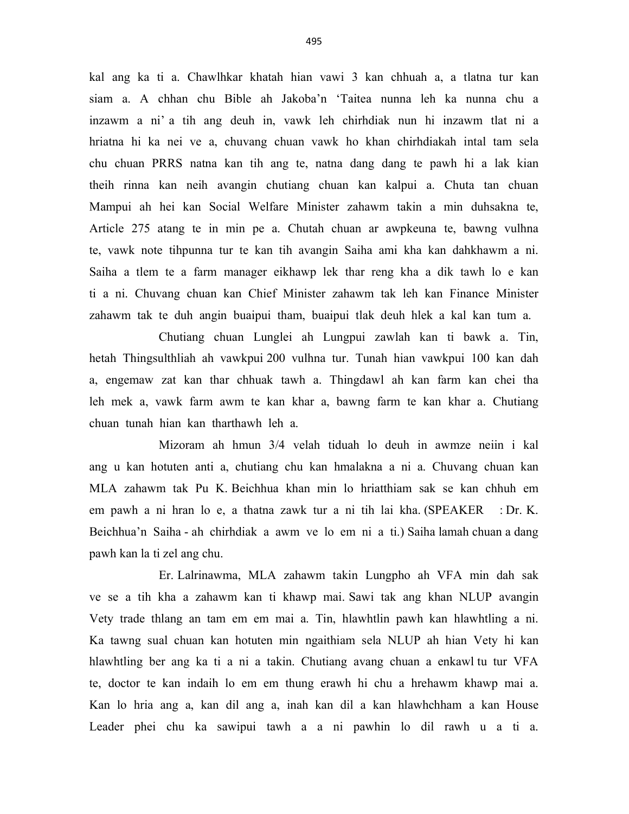kal ang ka ti a. Chawlhkar khatah hian vawi 3 kan chhuah a, a tlatna tur kan siam a. A chhan chu Bible ah Jakoba'n 'Taitea nunna leh ka nunna chu a inzawm a ni' a tih ang deuh in, vawk leh chirhdiak nun hi inzawm tlat ni a hriatna hi ka nei ve a, chuvang chuan vawk ho khan chirhdiakah intal tam sela chu chuan PRRS natna kan tih ang te, natna dang dang te pawh hi a lak kian theih rinna kan neih avangin chutiang chuan kan kalpui a. Chuta tan chuan Mampui ah hei kan Social Welfare Minister zahawm takin a min duhsakna te, Article 275 atang te in min pe a. Chutah chuan ar awpkeuna te, bawng vulhna te, vawk note tihpunna tur te kan tih avangin Saiha ami kha kan dahkhawm a ni. Saiha a tlem te a farm manager eikhawp lek thar reng kha a dik tawh lo e kan ti a ni. Chuvang chuan kan Chief Minister zahawm tak leh kan Finance Minister zahawm tak te duh angin buaipui tham, buaipui tlak deuh hlek a kal kan tum a.

 Chutiang chuan Lunglei ah Lungpui zawlah kan ti bawk a. Tin, hetah Thingsulthliah ah vawkpui 200 vulhna tur. Tunah hian vawkpui 100 kan dah a, engemaw zat kan thar chhuak tawh a. Thingdawl ah kan farm kan chei tha leh mek a, vawk farm awm te kan khar a, bawng farm te kan khar a. Chutiang chuan tunah hian kan tharthawh leh a.

 Mizoram ah hmun 3/4 velah tiduah lo deuh in awmze neiin i kal ang u kan hotuten anti a, chutiang chu kan hmalakna a ni a. Chuvang chuan kan MLA zahawm tak Pu K. Beichhua khan min lo hriatthiam sak se kan chhuh em em pawh a ni hran lo e, a thatna zawk tur a ni tih lai kha. (SPEAKER : Dr. K. Beichhua'n Saiha - ah chirhdiak a awm ve lo em ni a ti.) Saiha lamah chuan a dang pawh kan la ti zel ang chu.

 Er. Lalrinawma, MLA zahawm takin Lungpho ah VFA min dah sak ve se a tih kha a zahawm kan ti khawp mai. Sawi tak ang khan NLUP avangin Vety trade thlang an tam em em mai a. Tin, hlawhtlin pawh kan hlawhtling a ni. Ka tawng sual chuan kan hotuten min ngaithiam sela NLUP ah hian Vety hi kan hlawhtling ber ang ka ti a ni a takin. Chutiang avang chuan a enkawl tu tur VFA te, doctor te kan indaih lo em em thung erawh hi chu a hrehawm khawp mai a. Kan lo hria ang a, kan dil ang a, inah kan dil a kan hlawhchham a kan House Leader phei chu ka sawipui tawh a a ni pawhin lo dil rawh u a ti a.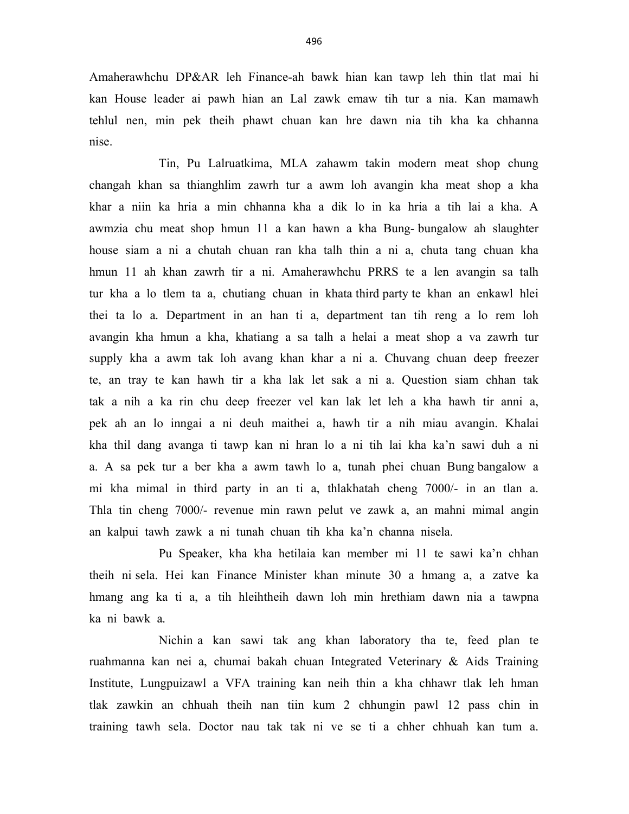Amaherawhchu DP&AR leh Finance-ah bawk hian kan tawp leh thin tlat mai hi kan House leader ai pawh hian an Lal zawk emaw tih tur a nia. Kan mamawh tehlul nen, min pek theih phawt chuan kan hre dawn nia tih kha ka chhanna nise.

 Tin, Pu Lalruatkima, MLA zahawm takin modern meat shop chung changah khan sa thianghlim zawrh tur a awm loh avangin kha meat shop a kha khar a niin ka hria a min chhanna kha a dik lo in ka hria a tih lai a kha. A awmzia chu meat shop hmun 11 a kan hawn a kha Bung- bungalow ah slaughter house siam a ni a chutah chuan ran kha talh thin a ni a, chuta tang chuan kha hmun 11 ah khan zawrh tir a ni. Amaherawhchu PRRS te a len avangin sa talh tur kha a lo tlem ta a, chutiang chuan in khata third party te khan an enkawl hlei thei ta lo a. Department in an han ti a, department tan tih reng a lo rem loh avangin kha hmun a kha, khatiang a sa talh a helai a meat shop a va zawrh tur supply kha a awm tak loh avang khan khar a ni a. Chuvang chuan deep freezer te, an tray te kan hawh tir a kha lak let sak a ni a. Question siam chhan tak tak a nih a ka rin chu deep freezer vel kan lak let leh a kha hawh tir anni a, pek ah an lo inngai a ni deuh maithei a, hawh tir a nih miau avangin. Khalai kha thil dang avanga ti tawp kan ni hran lo a ni tih lai kha ka'n sawi duh a ni a. A sa pek tur a ber kha a awm tawh lo a, tunah phei chuan Bung bangalow a mi kha mimal in third party in an ti a, thlakhatah cheng 7000/- in an tlan a. Thla tin cheng 7000/- revenue min rawn pelut ve zawk a, an mahni mimal angin an kalpui tawh zawk a ni tunah chuan tih kha ka'n channa nisela.

 Pu Speaker, kha kha hetilaia kan member mi 11 te sawi ka'n chhan theih ni sela. Hei kan Finance Minister khan minute 30 a hmang a, a zatve ka hmang ang ka ti a, a tih hleihtheih dawn loh min hrethiam dawn nia a tawpna ka ni bawk a.

 Nichin a kan sawi tak ang khan laboratory tha te, feed plan te ruahmanna kan nei a, chumai bakah chuan Integrated Veterinary & Aids Training Institute, Lungpuizawl a VFA training kan neih thin a kha chhawr tlak leh hman tlak zawkin an chhuah theih nan tiin kum 2 chhungin pawl 12 pass chin in training tawh sela. Doctor nau tak tak ni ve se ti a chher chhuah kan tum a.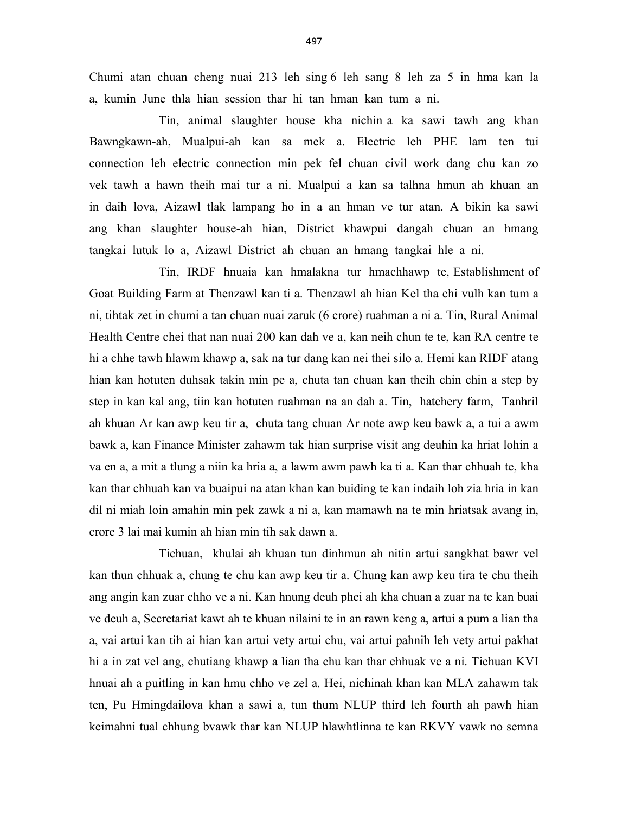Chumi atan chuan cheng nuai 213 leh sing 6 leh sang 8 leh za 5 in hma kan la a, kumin June thla hian session thar hi tan hman kan tum a ni.

 Tin, animal slaughter house kha nichin a ka sawi tawh ang khan Bawngkawn-ah, Mualpui-ah kan sa mek a. Electric leh PHE lam ten tui connection leh electric connection min pek fel chuan civil work dang chu kan zo vek tawh a hawn theih mai tur a ni. Mualpui a kan sa talhna hmun ah khuan an in daih lova, Aizawl tlak lampang ho in a an hman ve tur atan. A bikin ka sawi ang khan slaughter house-ah hian, District khawpui dangah chuan an hmang tangkai lutuk lo a, Aizawl District ah chuan an hmang tangkai hle a ni.

 Tin, IRDF hnuaia kan hmalakna tur hmachhawp te, Establishment of Goat Building Farm at Thenzawl kan ti a. Thenzawl ah hian Kel tha chi vulh kan tum a ni, tihtak zet in chumi a tan chuan nuai zaruk (6 crore) ruahman a ni a. Tin, Rural Animal Health Centre chei that nan nuai 200 kan dah ve a, kan neih chun te te, kan RA centre te hi a chhe tawh hlawm khawp a, sak na tur dang kan nei thei silo a. Hemi kan RIDF atang hian kan hotuten duhsak takin min pe a, chuta tan chuan kan theih chin chin a step by step in kan kal ang, tiin kan hotuten ruahman na an dah a. Tin, hatchery farm, Tanhril ah khuan Ar kan awp keu tir a, chuta tang chuan Ar note awp keu bawk a, a tui a awm bawk a, kan Finance Minister zahawm tak hian surprise visit ang deuhin ka hriat lohin a va en a, a mit a tlung a niin ka hria a, a lawm awm pawh ka ti a. Kan thar chhuah te, kha kan thar chhuah kan va buaipui na atan khan kan buiding te kan indaih loh zia hria in kan dil ni miah loin amahin min pek zawk a ni a, kan mamawh na te min hriatsak avang in, crore 3 lai mai kumin ah hian min tih sak dawn a.

 Tichuan, khulai ah khuan tun dinhmun ah nitin artui sangkhat bawr vel kan thun chhuak a, chung te chu kan awp keu tir a. Chung kan awp keu tira te chu theih ang angin kan zuar chho ve a ni. Kan hnung deuh phei ah kha chuan a zuar na te kan buai ve deuh a, Secretariat kawt ah te khuan nilaini te in an rawn keng a, artui a pum a lian tha a, vai artui kan tih ai hian kan artui vety artui chu, vai artui pahnih leh vety artui pakhat hi a in zat vel ang, chutiang khawp a lian tha chu kan thar chhuak ve a ni. Tichuan KVI hnuai ah a puitling in kan hmu chho ve zel a. Hei, nichinah khan kan MLA zahawm tak ten, Pu Hmingdailova khan a sawi a, tun thum NLUP third leh fourth ah pawh hian keimahni tual chhung bvawk thar kan NLUP hlawhtlinna te kan RKVY vawk no semna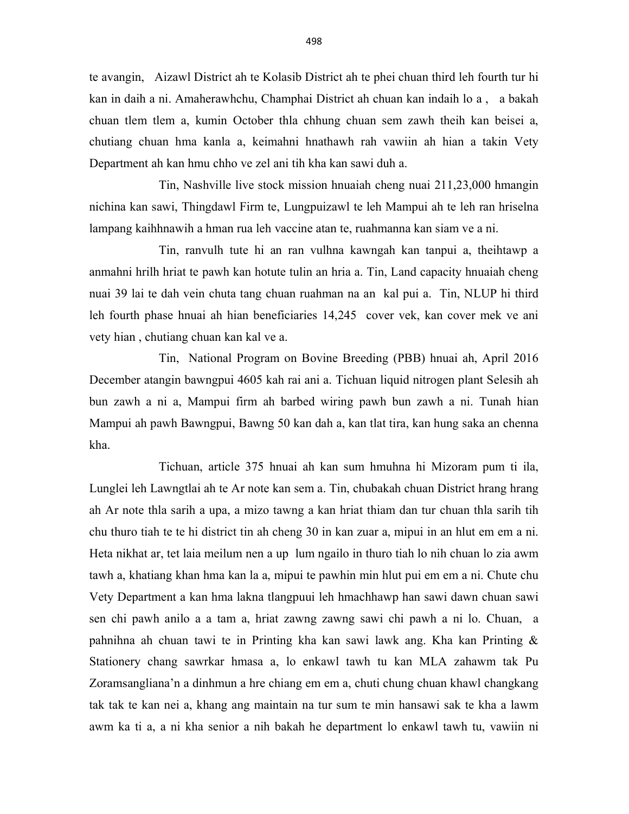te avangin, Aizawl District ah te Kolasib District ah te phei chuan third leh fourth tur hi kan in daih a ni. Amaherawhchu, Champhai District ah chuan kan indaih lo a , a bakah chuan tlem tlem a, kumin October thla chhung chuan sem zawh theih kan beisei a, chutiang chuan hma kanla a, keimahni hnathawh rah vawiin ah hian a takin Vety Department ah kan hmu chho ve zel ani tih kha kan sawi duh a.

 Tin, Nashville live stock mission hnuaiah cheng nuai 211,23,000 hmangin nichina kan sawi, Thingdawl Firm te, Lungpuizawl te leh Mampui ah te leh ran hriselna lampang kaihhnawih a hman rua leh vaccine atan te, ruahmanna kan siam ve a ni.

 Tin, ranvulh tute hi an ran vulhna kawngah kan tanpui a, theihtawp a anmahni hrilh hriat te pawh kan hotute tulin an hria a. Tin, Land capacity hnuaiah cheng nuai 39 lai te dah vein chuta tang chuan ruahman na an kal pui a. Tin, NLUP hi third leh fourth phase hnuai ah hian beneficiaries 14,245 cover vek, kan cover mek ve ani vety hian , chutiang chuan kan kal ve a.

 Tin, National Program on Bovine Breeding (PBB) hnuai ah, April 2016 December atangin bawngpui 4605 kah rai ani a. Tichuan liquid nitrogen plant Selesih ah bun zawh a ni a, Mampui firm ah barbed wiring pawh bun zawh a ni. Tunah hian Mampui ah pawh Bawngpui, Bawng 50 kan dah a, kan tlat tira, kan hung saka an chenna kha.

 Tichuan, article 375 hnuai ah kan sum hmuhna hi Mizoram pum ti ila, Lunglei leh Lawngtlai ah te Ar note kan sem a. Tin, chubakah chuan District hrang hrang ah Ar note thla sarih a upa, a mizo tawng a kan hriat thiam dan tur chuan thla sarih tih chu thuro tiah te te hi district tin ah cheng 30 in kan zuar a, mipui in an hlut em em a ni. Heta nikhat ar, tet laia meilum nen a up lum ngailo in thuro tiah lo nih chuan lo zia awm tawh a, khatiang khan hma kan la a, mipui te pawhin min hlut pui em em a ni. Chute chu Vety Department a kan hma lakna tlangpuui leh hmachhawp han sawi dawn chuan sawi sen chi pawh anilo a a tam a, hriat zawng zawng sawi chi pawh a ni lo. Chuan, a pahnihna ah chuan tawi te in Printing kha kan sawi lawk ang. Kha kan Printing & Stationery chang sawrkar hmasa a, lo enkawl tawh tu kan MLA zahawm tak Pu Zoramsangliana'n a dinhmun a hre chiang em em a, chuti chung chuan khawl changkang tak tak te kan nei a, khang ang maintain na tur sum te min hansawi sak te kha a lawm awm ka ti a, a ni kha senior a nih bakah he department lo enkawl tawh tu, vawiin ni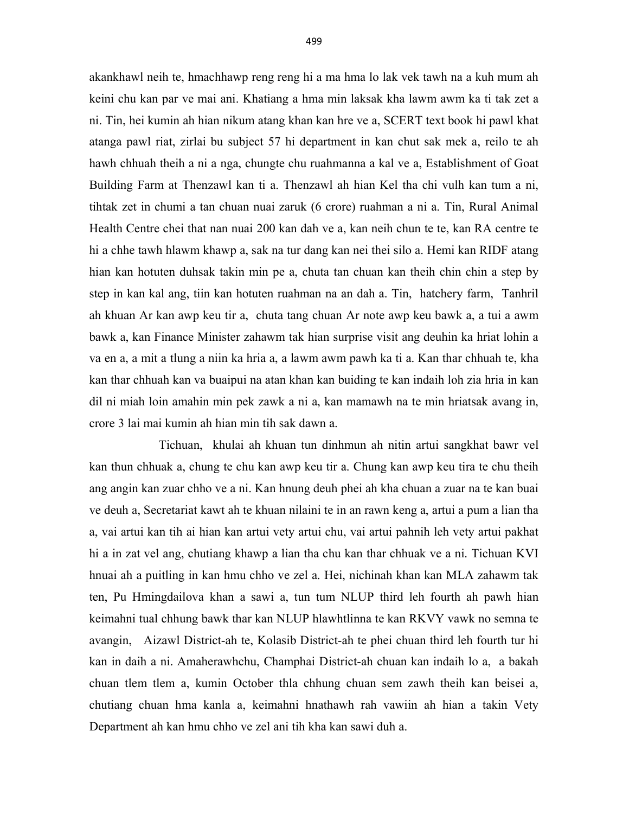akankhawl neih te, hmachhawp reng reng hi a ma hma lo lak vek tawh na a kuh mum ah keini chu kan par ve mai ani. Khatiang a hma min laksak kha lawm awm ka ti tak zet a ni. Tin, hei kumin ah hian nikum atang khan kan hre ve a, SCERT text book hi pawl khat atanga pawl riat, zirlai bu subject 57 hi department in kan chut sak mek a, reilo te ah hawh chhuah theih a ni a nga, chungte chu ruahmanna a kal ve a, Establishment of Goat Building Farm at Thenzawl kan ti a. Thenzawl ah hian Kel tha chi vulh kan tum a ni, tihtak zet in chumi a tan chuan nuai zaruk (6 crore) ruahman a ni a. Tin, Rural Animal Health Centre chei that nan nuai 200 kan dah ve a, kan neih chun te te, kan RA centre te hi a chhe tawh hlawm khawp a, sak na tur dang kan nei thei silo a. Hemi kan RIDF atang hian kan hotuten duhsak takin min pe a, chuta tan chuan kan theih chin chin a step by step in kan kal ang, tiin kan hotuten ruahman na an dah a. Tin, hatchery farm, Tanhril ah khuan Ar kan awp keu tir a, chuta tang chuan Ar note awp keu bawk a, a tui a awm bawk a, kan Finance Minister zahawm tak hian surprise visit ang deuhin ka hriat lohin a va en a, a mit a tlung a niin ka hria a, a lawm awm pawh ka ti a. Kan thar chhuah te, kha kan thar chhuah kan va buaipui na atan khan kan buiding te kan indaih loh zia hria in kan dil ni miah loin amahin min pek zawk a ni a, kan mamawh na te min hriatsak avang in, crore 3 lai mai kumin ah hian min tih sak dawn a.

 Tichuan, khulai ah khuan tun dinhmun ah nitin artui sangkhat bawr vel kan thun chhuak a, chung te chu kan awp keu tir a. Chung kan awp keu tira te chu theih ang angin kan zuar chho ve a ni. Kan hnung deuh phei ah kha chuan a zuar na te kan buai ve deuh a, Secretariat kawt ah te khuan nilaini te in an rawn keng a, artui a pum a lian tha a, vai artui kan tih ai hian kan artui vety artui chu, vai artui pahnih leh vety artui pakhat hi a in zat vel ang, chutiang khawp a lian tha chu kan thar chhuak ve a ni. Tichuan KVI hnuai ah a puitling in kan hmu chho ve zel a. Hei, nichinah khan kan MLA zahawm tak ten, Pu Hmingdailova khan a sawi a, tun tum NLUP third leh fourth ah pawh hian keimahni tual chhung bawk thar kan NLUP hlawhtlinna te kan RKVY vawk no semna te avangin, Aizawl District-ah te, Kolasib District-ah te phei chuan third leh fourth tur hi kan in daih a ni. Amaherawhchu, Champhai District-ah chuan kan indaih lo a, a bakah chuan tlem tlem a, kumin October thla chhung chuan sem zawh theih kan beisei a, chutiang chuan hma kanla a, keimahni hnathawh rah vawiin ah hian a takin Vety Department ah kan hmu chho ve zel ani tih kha kan sawi duh a.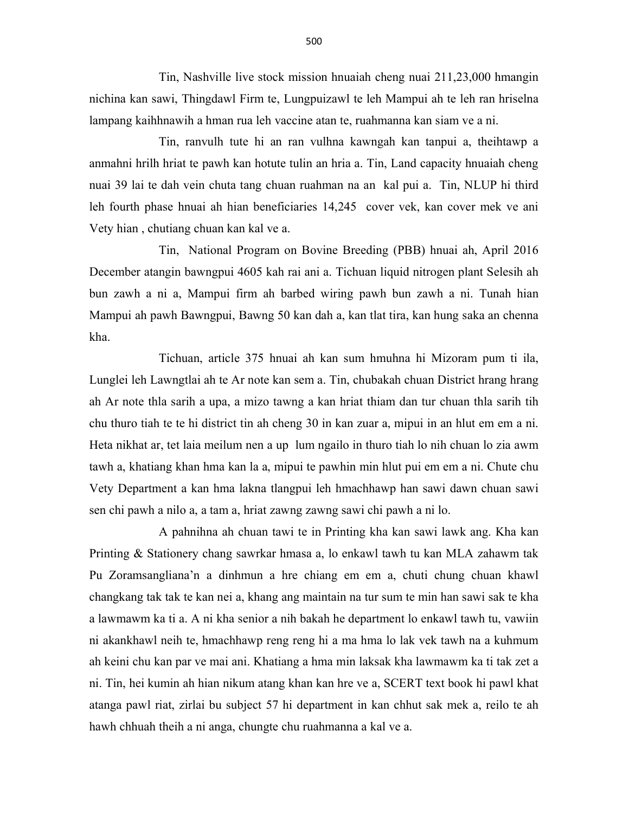Tin, Nashville live stock mission hnuaiah cheng nuai 211,23,000 hmangin nichina kan sawi, Thingdawl Firm te, Lungpuizawl te leh Mampui ah te leh ran hriselna lampang kaihhnawih a hman rua leh vaccine atan te, ruahmanna kan siam ve a ni.

 Tin, ranvulh tute hi an ran vulhna kawngah kan tanpui a, theihtawp a anmahni hrilh hriat te pawh kan hotute tulin an hria a. Tin, Land capacity hnuaiah cheng nuai 39 lai te dah vein chuta tang chuan ruahman na an kal pui a. Tin, NLUP hi third leh fourth phase hnuai ah hian beneficiaries 14,245 cover vek, kan cover mek ve ani Vety hian , chutiang chuan kan kal ve a.

 Tin, National Program on Bovine Breeding (PBB) hnuai ah, April 2016 December atangin bawngpui 4605 kah rai ani a. Tichuan liquid nitrogen plant Selesih ah bun zawh a ni a, Mampui firm ah barbed wiring pawh bun zawh a ni. Tunah hian Mampui ah pawh Bawngpui, Bawng 50 kan dah a, kan tlat tira, kan hung saka an chenna kha.

 Tichuan, article 375 hnuai ah kan sum hmuhna hi Mizoram pum ti ila, Lunglei leh Lawngtlai ah te Ar note kan sem a. Tin, chubakah chuan District hrang hrang ah Ar note thla sarih a upa, a mizo tawng a kan hriat thiam dan tur chuan thla sarih tih chu thuro tiah te te hi district tin ah cheng 30 in kan zuar a, mipui in an hlut em em a ni. Heta nikhat ar, tet laia meilum nen a up lum ngailo in thuro tiah lo nih chuan lo zia awm tawh a, khatiang khan hma kan la a, mipui te pawhin min hlut pui em em a ni. Chute chu Vety Department a kan hma lakna tlangpui leh hmachhawp han sawi dawn chuan sawi sen chi pawh a nilo a, a tam a, hriat zawng zawng sawi chi pawh a ni lo.

 A pahnihna ah chuan tawi te in Printing kha kan sawi lawk ang. Kha kan Printing & Stationery chang sawrkar hmasa a, lo enkawl tawh tu kan MLA zahawm tak Pu Zoramsangliana'n a dinhmun a hre chiang em em a, chuti chung chuan khawl changkang tak tak te kan nei a, khang ang maintain na tur sum te min han sawi sak te kha a lawmawm ka ti a. A ni kha senior a nih bakah he department lo enkawl tawh tu, vawiin ni akankhawl neih te, hmachhawp reng reng hi a ma hma lo lak vek tawh na a kuhmum ah keini chu kan par ve mai ani. Khatiang a hma min laksak kha lawmawm ka ti tak zet a ni. Tin, hei kumin ah hian nikum atang khan kan hre ve a, SCERT text book hi pawl khat atanga pawl riat, zirlai bu subject 57 hi department in kan chhut sak mek a, reilo te ah hawh chhuah theih a ni anga, chungte chu ruahmanna a kal ve a.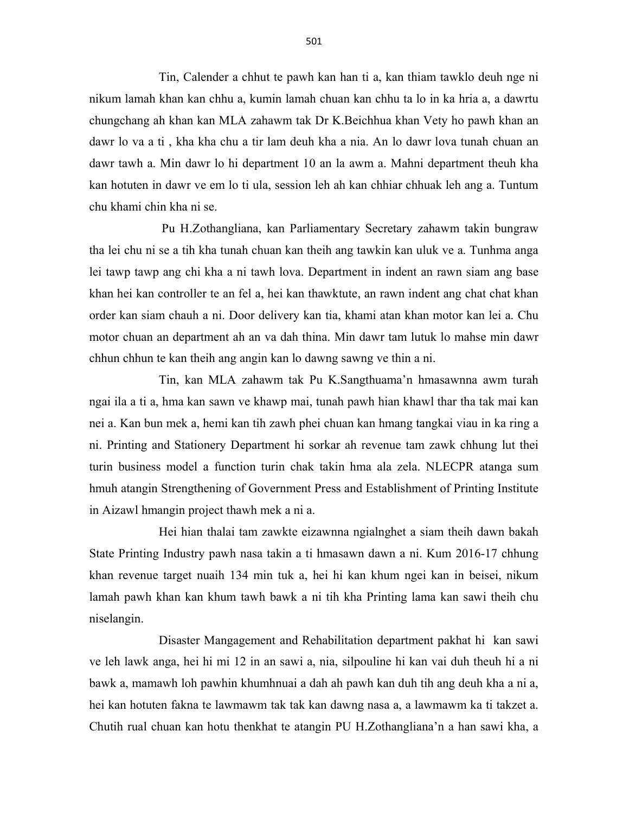Tin, Calender a chhut te pawh kan han ti a, kan thiam tawklo deuh nge ni nikum lamah khan kan chhu a, kumin lamah chuan kan chhu ta lo in ka hria a, a dawrtu chungchang ah khan kan MLA zahawm tak Dr K.Beichhua khan Vety ho pawh khan an dawr lo va a ti , kha kha chu a tir lam deuh kha a nia. An lo dawr lova tunah chuan an dawr tawh a. Min dawr lo hi department 10 an la awm a. Mahni department theuh kha kan hotuten in dawr ve em lo ti ula, session leh ah kan chhiar chhuak leh ang a. Tuntum chu khami chin kha ni se.

 Pu H.Zothangliana, kan Parliamentary Secretary zahawm takin bungraw tha lei chu ni se a tih kha tunah chuan kan theih ang tawkin kan uluk ve a. Tunhma anga lei tawp tawp ang chi kha a ni tawh lova. Department in indent an rawn siam ang base khan hei kan controller te an fel a, hei kan thawktute, an rawn indent ang chat chat khan order kan siam chauh a ni. Door delivery kan tia, khami atan khan motor kan lei a. Chu motor chuan an department ah an va dah thina. Min dawr tam lutuk lo mahse min dawr chhun chhun te kan theih ang angin kan lo dawng sawng ve thin a ni.

 Tin, kan MLA zahawm tak Pu K.Sangthuama'n hmasawnna awm turah ngai ila a ti a, hma kan sawn ve khawp mai, tunah pawh hian khawl thar tha tak mai kan nei a. Kan bun mek a, hemi kan tih zawh phei chuan kan hmang tangkai viau in ka ring a ni. Printing and Stationery Department hi sorkar ah revenue tam zawk chhung lut thei turin business model a function turin chak takin hma ala zela. NLECPR atanga sum hmuh atangin Strengthening of Government Press and Establishment of Printing Institute in Aizawl hmangin project thawh mek a ni a.

 Hei hian thalai tam zawkte eizawnna ngialnghet a siam theih dawn bakah State Printing Industry pawh nasa takin a ti hmasawn dawn a ni. Kum 2016-17 chhung khan revenue target nuaih 134 min tuk a, hei hi kan khum ngei kan in beisei, nikum lamah pawh khan kan khum tawh bawk a ni tih kha Printing lama kan sawi theih chu niselangin.

 Disaster Mangagement and Rehabilitation department pakhat hi kan sawi ve leh lawk anga, hei hi mi 12 in an sawi a, nia, silpouline hi kan vai duh theuh hi a ni bawk a, mamawh loh pawhin khumhnuai a dah ah pawh kan duh tih ang deuh kha a ni a, hei kan hotuten fakna te lawmawm tak tak kan dawng nasa a, a lawmawm ka ti takzet a. Chutih rual chuan kan hotu thenkhat te atangin PU H.Zothangliana'n a han sawi kha, a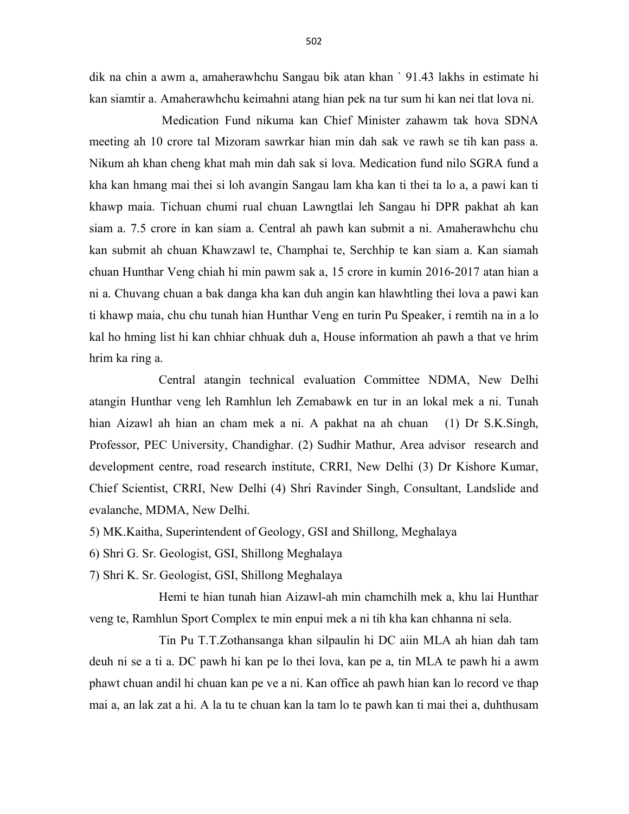dik na chin a awm a, amaherawhchu Sangau bik atan khan ` 91.43 lakhs in estimate hi kan siamtir a. Amaherawhchu keimahni atang hian pek na tur sum hi kan nei tlat lova ni.

 Medication Fund nikuma kan Chief Minister zahawm tak hova SDNA meeting ah 10 crore tal Mizoram sawrkar hian min dah sak ve rawh se tih kan pass a. Nikum ah khan cheng khat mah min dah sak si lova. Medication fund nilo SGRA fund a kha kan hmang mai thei si loh avangin Sangau lam kha kan ti thei ta lo a, a pawi kan ti khawp maia. Tichuan chumi rual chuan Lawngtlai leh Sangau hi DPR pakhat ah kan siam a. 7.5 crore in kan siam a. Central ah pawh kan submit a ni. Amaherawhchu chu kan submit ah chuan Khawzawl te, Champhai te, Serchhip te kan siam a. Kan siamah chuan Hunthar Veng chiah hi min pawm sak a, 15 crore in kumin 2016-2017 atan hian a ni a. Chuvang chuan a bak danga kha kan duh angin kan hlawhtling thei lova a pawi kan ti khawp maia, chu chu tunah hian Hunthar Veng en turin Pu Speaker, i remtih na in a lo kal ho hming list hi kan chhiar chhuak duh a, House information ah pawh a that ve hrim hrim ka ring a.

 Central atangin technical evaluation Committee NDMA, New Delhi atangin Hunthar veng leh Ramhlun leh Zemabawk en tur in an lokal mek a ni. Tunah hian Aizawl ah hian an cham mek a ni. A pakhat na ah chuan (1) Dr S.K.Singh, Professor, PEC University, Chandighar. (2) Sudhir Mathur, Area advisor research and development centre, road research institute, CRRI, New Delhi (3) Dr Kishore Kumar, Chief Scientist, CRRI, New Delhi (4) Shri Ravinder Singh, Consultant, Landslide and evalanche, MDMA, New Delhi.

- 5) MK.Kaitha, Superintendent of Geology, GSI and Shillong, Meghalaya
- 6) Shri G. Sr. Geologist, GSI, Shillong Meghalaya
- 7) Shri K. Sr. Geologist, GSI, Shillong Meghalaya

 Hemi te hian tunah hian Aizawl-ah min chamchilh mek a, khu lai Hunthar veng te, Ramhlun Sport Complex te min enpui mek a ni tih kha kan chhanna ni sela.

 Tin Pu T.T.Zothansanga khan silpaulin hi DC aiin MLA ah hian dah tam deuh ni se a ti a. DC pawh hi kan pe lo thei lova, kan pe a, tin MLA te pawh hi a awm phawt chuan andil hi chuan kan pe ve a ni. Kan office ah pawh hian kan lo record ve thap mai a, an lak zat a hi. A la tu te chuan kan la tam lo te pawh kan ti mai thei a, duhthusam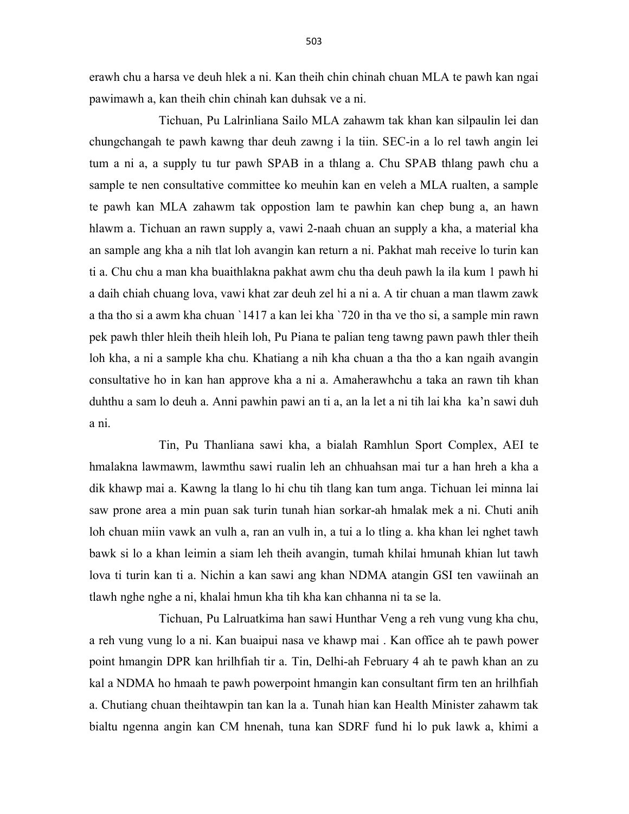erawh chu a harsa ve deuh hlek a ni. Kan theih chin chinah chuan MLA te pawh kan ngai pawimawh a, kan theih chin chinah kan duhsak ve a ni.

 Tichuan, Pu Lalrinliana Sailo MLA zahawm tak khan kan silpaulin lei dan chungchangah te pawh kawng thar deuh zawng i la tiin. SEC-in a lo rel tawh angin lei tum a ni a, a supply tu tur pawh SPAB in a thlang a. Chu SPAB thlang pawh chu a sample te nen consultative committee ko meuhin kan en veleh a MLA rualten, a sample te pawh kan MLA zahawm tak oppostion lam te pawhin kan chep bung a, an hawn hlawm a. Tichuan an rawn supply a, vawi 2-naah chuan an supply a kha, a material kha an sample ang kha a nih tlat loh avangin kan return a ni. Pakhat mah receive lo turin kan ti a. Chu chu a man kha buaithlakna pakhat awm chu tha deuh pawh la ila kum 1 pawh hi a daih chiah chuang lova, vawi khat zar deuh zel hi a ni a. A tir chuan a man tlawm zawk a tha tho si a awm kha chuan `1417 a kan lei kha `720 in tha ve tho si, a sample min rawn pek pawh thler hleih theih hleih loh, Pu Piana te palian teng tawng pawn pawh thler theih loh kha, a ni a sample kha chu. Khatiang a nih kha chuan a tha tho a kan ngaih avangin consultative ho in kan han approve kha a ni a. Amaherawhchu a taka an rawn tih khan duhthu a sam lo deuh a. Anni pawhin pawi an ti a, an la let a ni tih lai kha ka'n sawi duh a ni.

 Tin, Pu Thanliana sawi kha, a bialah Ramhlun Sport Complex, AEI te hmalakna lawmawm, lawmthu sawi rualin leh an chhuahsan mai tur a han hreh a kha a dik khawp mai a. Kawng la tlang lo hi chu tih tlang kan tum anga. Tichuan lei minna lai saw prone area a min puan sak turin tunah hian sorkar-ah hmalak mek a ni. Chuti anih loh chuan miin vawk an vulh a, ran an vulh in, a tui a lo tling a. kha khan lei nghet tawh bawk si lo a khan leimin a siam leh theih avangin, tumah khilai hmunah khian lut tawh lova ti turin kan ti a. Nichin a kan sawi ang khan NDMA atangin GSI ten vawiinah an tlawh nghe nghe a ni, khalai hmun kha tih kha kan chhanna ni ta se la.

 Tichuan, Pu Lalruatkima han sawi Hunthar Veng a reh vung vung kha chu, a reh vung vung lo a ni. Kan buaipui nasa ve khawp mai . Kan office ah te pawh power point hmangin DPR kan hrilhfiah tir a. Tin, Delhi-ah February 4 ah te pawh khan an zu kal a NDMA ho hmaah te pawh powerpoint hmangin kan consultant firm ten an hrilhfiah a. Chutiang chuan theihtawpin tan kan la a. Tunah hian kan Health Minister zahawm tak bialtu ngenna angin kan CM hnenah, tuna kan SDRF fund hi lo puk lawk a, khimi a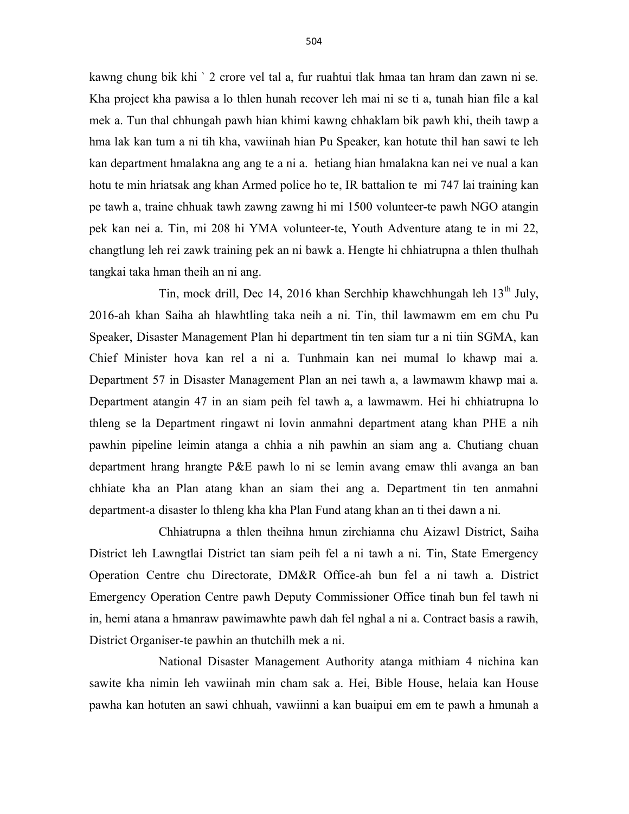kawng chung bik khi ` 2 crore vel tal a, fur ruahtui tlak hmaa tan hram dan zawn ni se. Kha project kha pawisa a lo thlen hunah recover leh mai ni se ti a, tunah hian file a kal mek a. Tun thal chhungah pawh hian khimi kawng chhaklam bik pawh khi, theih tawp a hma lak kan tum a ni tih kha, vawiinah hian Pu Speaker, kan hotute thil han sawi te leh kan department hmalakna ang ang te a ni a. hetiang hian hmalakna kan nei ve nual a kan hotu te min hriatsak ang khan Armed police ho te, IR battalion te mi 747 lai training kan pe tawh a, traine chhuak tawh zawng zawng hi mi 1500 volunteer-te pawh NGO atangin pek kan nei a. Tin, mi 208 hi YMA volunteer-te, Youth Adventure atang te in mi 22, changtlung leh rei zawk training pek an ni bawk a. Hengte hi chhiatrupna a thlen thulhah tangkai taka hman theih an ni ang.

Tin, mock drill, Dec 14, 2016 khan Serchhip khawchhungah leh 13<sup>th</sup> July, 2016-ah khan Saiha ah hlawhtling taka neih a ni. Tin, thil lawmawm em em chu Pu Speaker, Disaster Management Plan hi department tin ten siam tur a ni tiin SGMA, kan Chief Minister hova kan rel a ni a. Tunhmain kan nei mumal lo khawp mai a. Department 57 in Disaster Management Plan an nei tawh a, a lawmawm khawp mai a. Department atangin 47 in an siam peih fel tawh a, a lawmawm. Hei hi chhiatrupna lo thleng se la Department ringawt ni lovin anmahni department atang khan PHE a nih pawhin pipeline leimin atanga a chhia a nih pawhin an siam ang a. Chutiang chuan department hrang hrangte P&E pawh lo ni se lemin avang emaw thli avanga an ban chhiate kha an Plan atang khan an siam thei ang a. Department tin ten anmahni department-a disaster lo thleng kha kha Plan Fund atang khan an ti thei dawn a ni.

 Chhiatrupna a thlen theihna hmun zirchianna chu Aizawl District, Saiha District leh Lawngtlai District tan siam peih fel a ni tawh a ni. Tin, State Emergency Operation Centre chu Directorate, DM&R Office-ah bun fel a ni tawh a. District Emergency Operation Centre pawh Deputy Commissioner Office tinah bun fel tawh ni in, hemi atana a hmanraw pawimawhte pawh dah fel nghal a ni a. Contract basis a rawih, District Organiser-te pawhin an thutchilh mek a ni.

 National Disaster Management Authority atanga mithiam 4 nichina kan sawite kha nimin leh vawiinah min cham sak a. Hei, Bible House, helaia kan House pawha kan hotuten an sawi chhuah, vawiinni a kan buaipui em em te pawh a hmunah a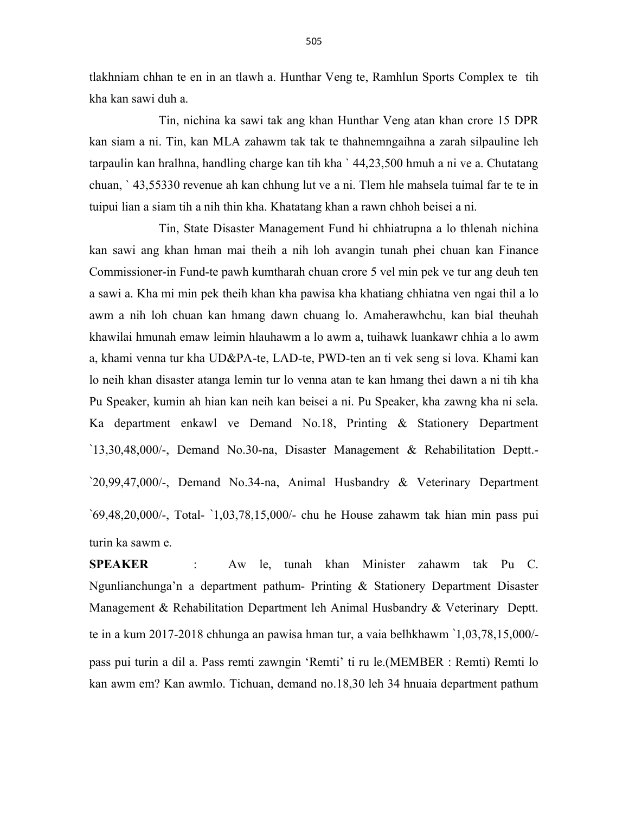tlakhniam chhan te en in an tlawh a. Hunthar Veng te, Ramhlun Sports Complex te tih kha kan sawi duh a.

 Tin, nichina ka sawi tak ang khan Hunthar Veng atan khan crore 15 DPR kan siam a ni. Tin, kan MLA zahawm tak tak te thahnemngaihna a zarah silpauline leh tarpaulin kan hralhna, handling charge kan tih kha ` 44,23,500 hmuh a ni ve a. Chutatang chuan, ` 43,55330 revenue ah kan chhung lut ve a ni. Tlem hle mahsela tuimal far te te in tuipui lian a siam tih a nih thin kha. Khatatang khan a rawn chhoh beisei a ni.

 Tin, State Disaster Management Fund hi chhiatrupna a lo thlenah nichina kan sawi ang khan hman mai theih a nih loh avangin tunah phei chuan kan Finance Commissioner-in Fund-te pawh kumtharah chuan crore 5 vel min pek ve tur ang deuh ten a sawi a. Kha mi min pek theih khan kha pawisa kha khatiang chhiatna ven ngai thil a lo awm a nih loh chuan kan hmang dawn chuang lo. Amaherawhchu, kan bial theuhah khawilai hmunah emaw leimin hlauhawm a lo awm a, tuihawk luankawr chhia a lo awm a, khami venna tur kha UD&PA-te, LAD-te, PWD-ten an ti vek seng si lova. Khami kan lo neih khan disaster atanga lemin tur lo venna atan te kan hmang thei dawn a ni tih kha Pu Speaker, kumin ah hian kan neih kan beisei a ni. Pu Speaker, kha zawng kha ni sela. Ka department enkawl ve Demand No.18, Printing & Stationery Department `13,30,48,000/-, Demand No.30-na, Disaster Management & Rehabilitation Deptt.- `20,99,47,000/-, Demand No.34-na, Animal Husbandry & Veterinary Department `69,48,20,000/-, Total- `1,03,78,15,000/- chu he House zahawm tak hian min pass pui turin ka sawm e.

SPEAKER : Aw le, tunah khan Minister zahawm tak Pu C. Ngunlianchunga'n a department pathum- Printing & Stationery Department Disaster Management & Rehabilitation Department leh Animal Husbandry & Veterinary Deptt. te in a kum 2017-2018 chhunga an pawisa hman tur, a vaia belhkhawm `1,03,78,15,000/ pass pui turin a dil a. Pass remti zawngin 'Remti' ti ru le.(MEMBER : Remti) Remti lo kan awm em? Kan awmlo. Tichuan, demand no.18,30 leh 34 hnuaia department pathum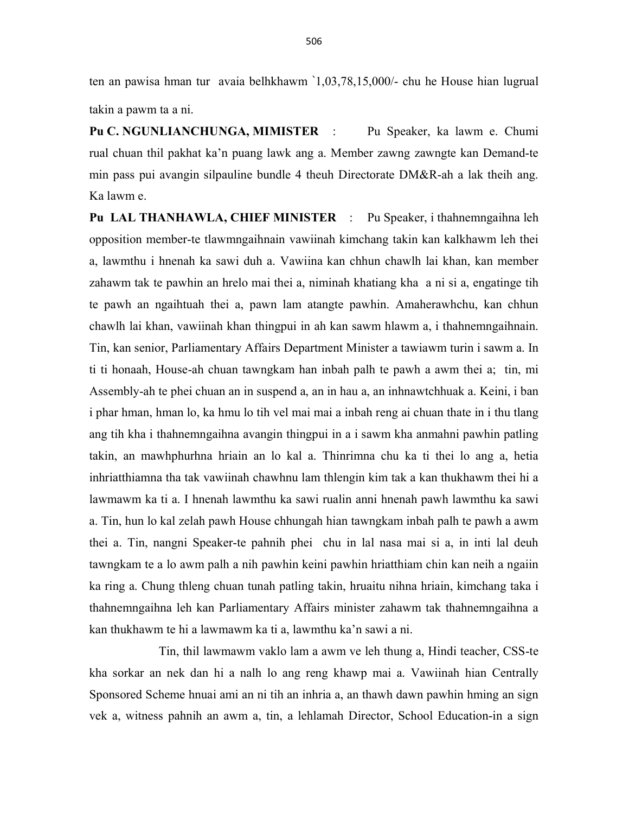ten an pawisa hman tur avaia belhkhawm `1,03,78,15,000/- chu he House hian lugrual takin a pawm ta a ni.

Pu C. NGUNLIANCHUNGA, MIMISTER : Pu Speaker, ka lawm e. Chumi rual chuan thil pakhat ka'n puang lawk ang a. Member zawng zawngte kan Demand-te min pass pui avangin silpauline bundle 4 theuh Directorate DM&R-ah a lak theih ang. Ka lawm e.

Pu LAL THANHAWLA, CHIEF MINISTER : Pu Speaker, i thahnemngaihna leh opposition member-te tlawmngaihnain vawiinah kimchang takin kan kalkhawm leh thei a, lawmthu i hnenah ka sawi duh a. Vawiina kan chhun chawlh lai khan, kan member zahawm tak te pawhin an hrelo mai thei a, niminah khatiang kha a ni si a, engatinge tih te pawh an ngaihtuah thei a, pawn lam atangte pawhin. Amaherawhchu, kan chhun chawlh lai khan, vawiinah khan thingpui in ah kan sawm hlawm a, i thahnemngaihnain. Tin, kan senior, Parliamentary Affairs Department Minister a tawiawm turin i sawm a. In ti ti honaah, House-ah chuan tawngkam han inbah palh te pawh a awm thei a; tin, mi Assembly-ah te phei chuan an in suspend a, an in hau a, an inhnawtchhuak a. Keini, i ban i phar hman, hman lo, ka hmu lo tih vel mai mai a inbah reng ai chuan thate in i thu tlang ang tih kha i thahnemngaihna avangin thingpui in a i sawm kha anmahni pawhin patling takin, an mawhphurhna hriain an lo kal a. Thinrimna chu ka ti thei lo ang a, hetia inhriatthiamna tha tak vawiinah chawhnu lam thlengin kim tak a kan thukhawm thei hi a lawmawm ka ti a. I hnenah lawmthu ka sawi rualin anni hnenah pawh lawmthu ka sawi a. Tin, hun lo kal zelah pawh House chhungah hian tawngkam inbah palh te pawh a awm thei a. Tin, nangni Speaker-te pahnih phei chu in lal nasa mai si a, in inti lal deuh tawngkam te a lo awm palh a nih pawhin keini pawhin hriatthiam chin kan neih a ngaiin ka ring a. Chung thleng chuan tunah patling takin, hruaitu nihna hriain, kimchang taka i thahnemngaihna leh kan Parliamentary Affairs minister zahawm tak thahnemngaihna a kan thukhawm te hi a lawmawm ka ti a, lawmthu ka'n sawi a ni.

 Tin, thil lawmawm vaklo lam a awm ve leh thung a, Hindi teacher, CSS-te kha sorkar an nek dan hi a nalh lo ang reng khawp mai a. Vawiinah hian Centrally Sponsored Scheme hnuai ami an ni tih an inhria a, an thawh dawn pawhin hming an sign vek a, witness pahnih an awm a, tin, a lehlamah Director, School Education-in a sign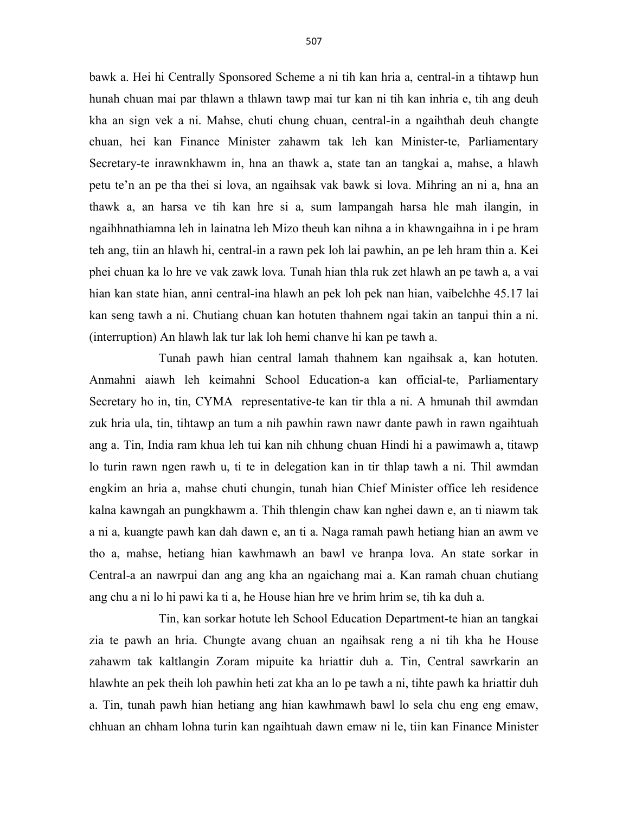bawk a. Hei hi Centrally Sponsored Scheme a ni tih kan hria a, central-in a tihtawp hun hunah chuan mai par thlawn a thlawn tawp mai tur kan ni tih kan inhria e, tih ang deuh kha an sign vek a ni. Mahse, chuti chung chuan, central-in a ngaihthah deuh changte chuan, hei kan Finance Minister zahawm tak leh kan Minister-te, Parliamentary Secretary-te inrawnkhawm in, hna an thawk a, state tan an tangkai a, mahse, a hlawh petu te'n an pe tha thei si lova, an ngaihsak vak bawk si lova. Mihring an ni a, hna an thawk a, an harsa ve tih kan hre si a, sum lampangah harsa hle mah ilangin, in ngaihhnathiamna leh in lainatna leh Mizo theuh kan nihna a in khawngaihna in i pe hram teh ang, tiin an hlawh hi, central-in a rawn pek loh lai pawhin, an pe leh hram thin a. Kei phei chuan ka lo hre ve vak zawk lova. Tunah hian thla ruk zet hlawh an pe tawh a, a vai hian kan state hian, anni central-ina hlawh an pek loh pek nan hian, vaibelchhe 45.17 lai kan seng tawh a ni. Chutiang chuan kan hotuten thahnem ngai takin an tanpui thin a ni. (interruption) An hlawh lak tur lak loh hemi chanve hi kan pe tawh a.

 Tunah pawh hian central lamah thahnem kan ngaihsak a, kan hotuten. Anmahni aiawh leh keimahni School Education-a kan official-te, Parliamentary Secretary ho in, tin, CYMA representative-te kan tir thla a ni. A hmunah thil awmdan zuk hria ula, tin, tihtawp an tum a nih pawhin rawn nawr dante pawh in rawn ngaihtuah ang a. Tin, India ram khua leh tui kan nih chhung chuan Hindi hi a pawimawh a, titawp lo turin rawn ngen rawh u, ti te in delegation kan in tir thlap tawh a ni. Thil awmdan engkim an hria a, mahse chuti chungin, tunah hian Chief Minister office leh residence kalna kawngah an pungkhawm a. Thih thlengin chaw kan nghei dawn e, an ti niawm tak a ni a, kuangte pawh kan dah dawn e, an ti a. Naga ramah pawh hetiang hian an awm ve tho a, mahse, hetiang hian kawhmawh an bawl ve hranpa lova. An state sorkar in Central-a an nawrpui dan ang ang kha an ngaichang mai a. Kan ramah chuan chutiang ang chu a ni lo hi pawi ka ti a, he House hian hre ve hrim hrim se, tih ka duh a.

 Tin, kan sorkar hotute leh School Education Department-te hian an tangkai zia te pawh an hria. Chungte avang chuan an ngaihsak reng a ni tih kha he House zahawm tak kaltlangin Zoram mipuite ka hriattir duh a. Tin, Central sawrkarin an hlawhte an pek theih loh pawhin heti zat kha an lo pe tawh a ni, tihte pawh ka hriattir duh a. Tin, tunah pawh hian hetiang ang hian kawhmawh bawl lo sela chu eng eng emaw, chhuan an chham lohna turin kan ngaihtuah dawn emaw ni le, tiin kan Finance Minister